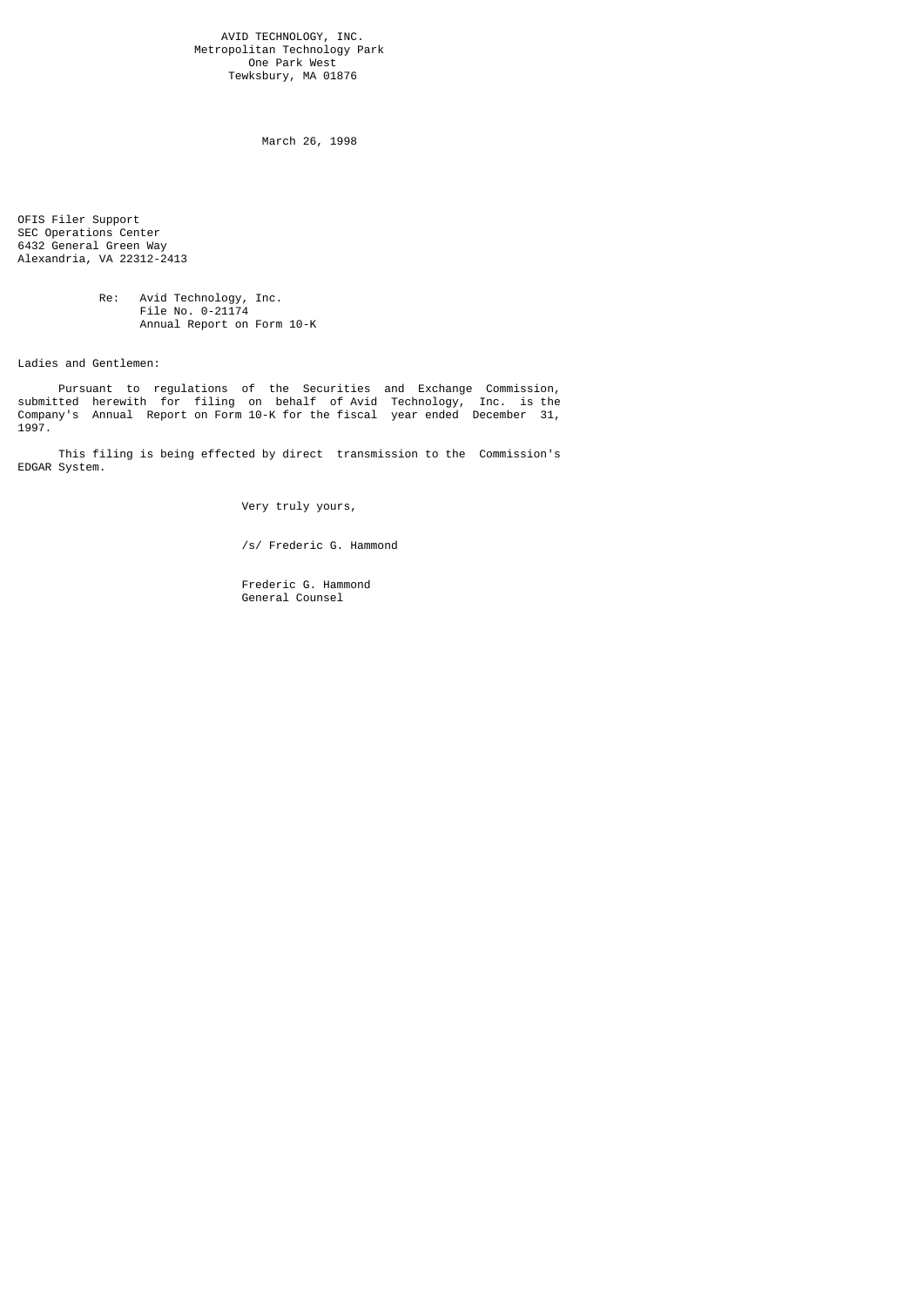AVID TECHNOLOGY, INC. Metropolitan Technology Park One Park West Tewksbury, MA 01876

March 26, 1998

OFIS Filer Support SEC Operations Center 6432 General Green Way Alexandria, VA 22312-2413

 Re: Avid Technology, Inc. File No. 0-21174 Annual Report on Form 10-K

Ladies and Gentlemen:

 Pursuant to regulations of the Securities and Exchange Commission, submitted herewith for filing on behalf of Avid Technology, Inc. is the Company's Annual Report on Form 10-K for the fiscal year ended December 31, 1997.

 This filing is being effected by direct transmission to the Commission's EDGAR System.

Very truly yours,

/s/ Frederic G. Hammond

 Frederic G. Hammond General Counsel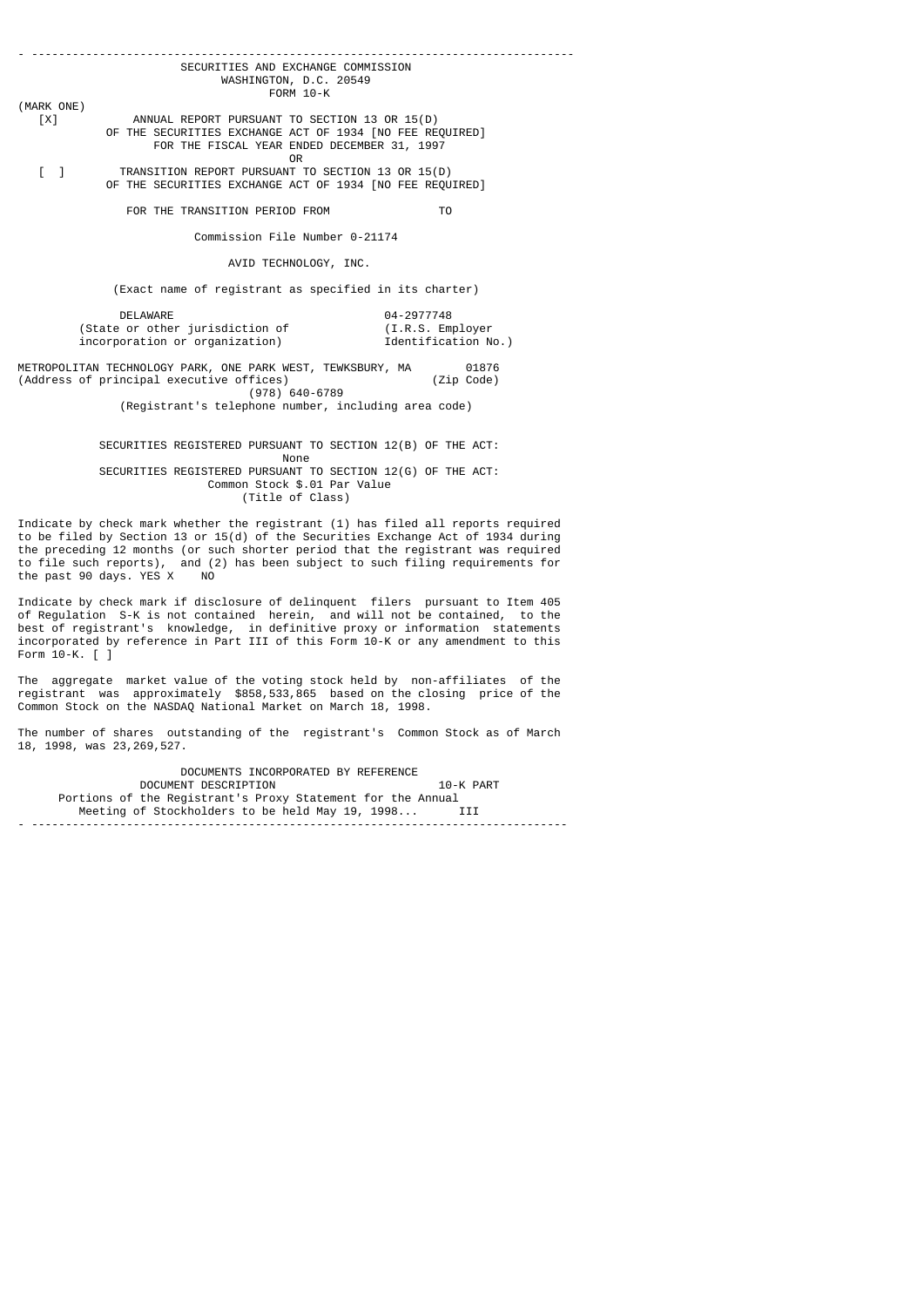- -------------------------------------------------------------------------------- SECURITIES AND EXCHANGE COMMISSION WASHINGTON, D.C. 20549 FORM 10-K (MARK ONE) [X] ANNUAL REPORT PURSUANT TO SECTION 13 OR 15(D) OF THE SECURITIES EXCHANGE ACT OF 1934 [NO FEE REQUIRED] FOR THE FISCAL YEAR ENDED DECEMBER 31, 1997 **OR** Service of the state of the state of the state of the state of the state of the state of the state of the state of the state of the state of the state of the state of the state of the state of the state of the state o [ ] TRANSITION REPORT PURSUANT TO SECTION 13 OR 15(D)

OF THE SECURITIES EXCHANGE ACT OF 1934 [NO FEE REQUIRED]

FOR THE TRANSITION PERIOD FROM TO

Commission File Number 0-21174

AVID TECHNOLOGY, INC.

(Exact name of registrant as specified in its charter)

 DELAWARE 04-2977748 (State or other jurisdiction of (I.R.S. Employer incorporation or organization) Tdentification No.)

METROPOLITAN TECHNOLOGY PARK, ONE PARK WEST, TEWKSBURY, MA 01876<br>(Address of principal executive offices) (Zip Code)  $(Address of principal executive offices)$ (978) 640-6789

(Registrant's telephone number, including area code)

SECURITIES REGISTERED PURSUANT TO SECTION 12(B) OF THE ACT:<br>None None and the state of the None of the None of the None of the None of the None of the None of the None of the N SECURITIES REGISTERED PURSUANT TO SECTION 12(G) OF THE ACT: Common Stock \$.01 Par Value

(Title of Class)

Indicate by check mark whether the registrant (1) has filed all reports required to be filed by Section 13 or 15(d) of the Securities Exchange Act of 1934 during the preceding 12 months (or such shorter period that the registrant was required to file such reports), and (2) has been subject to such filing requirements for the past 90 days. YES X NO

Indicate by check mark if disclosure of delinquent filers pursuant to Item 405 of Regulation S-K is not contained herein, and will not be contained, to the best of registrant's knowledge, in definitive proxy or information statements incorporated by reference in Part III of this Form 10-K or any amendment to this Form 10-K. [ ]

The aggregate market value of the voting stock held by non-affiliates of the registrant was approximately \$858,533,865 based on the closing price of the Common Stock on the NASDAQ National Market on March 18, 1998.

The number of shares outstanding of the registrant's Common Stock as of March 18, 1998, was 23,269,527.

 DOCUMENTS INCORPORATED BY REFERENCE DOCUMENT DESCRIPTION 10-K PART Portions of the Registrant's Proxy Statement for the Annual<br>Meeting of Stockholders to be held May 19, 1998... ITT Meeting of Stockholders to be held May 19, 1998... - -------------------------------------------------------------------------------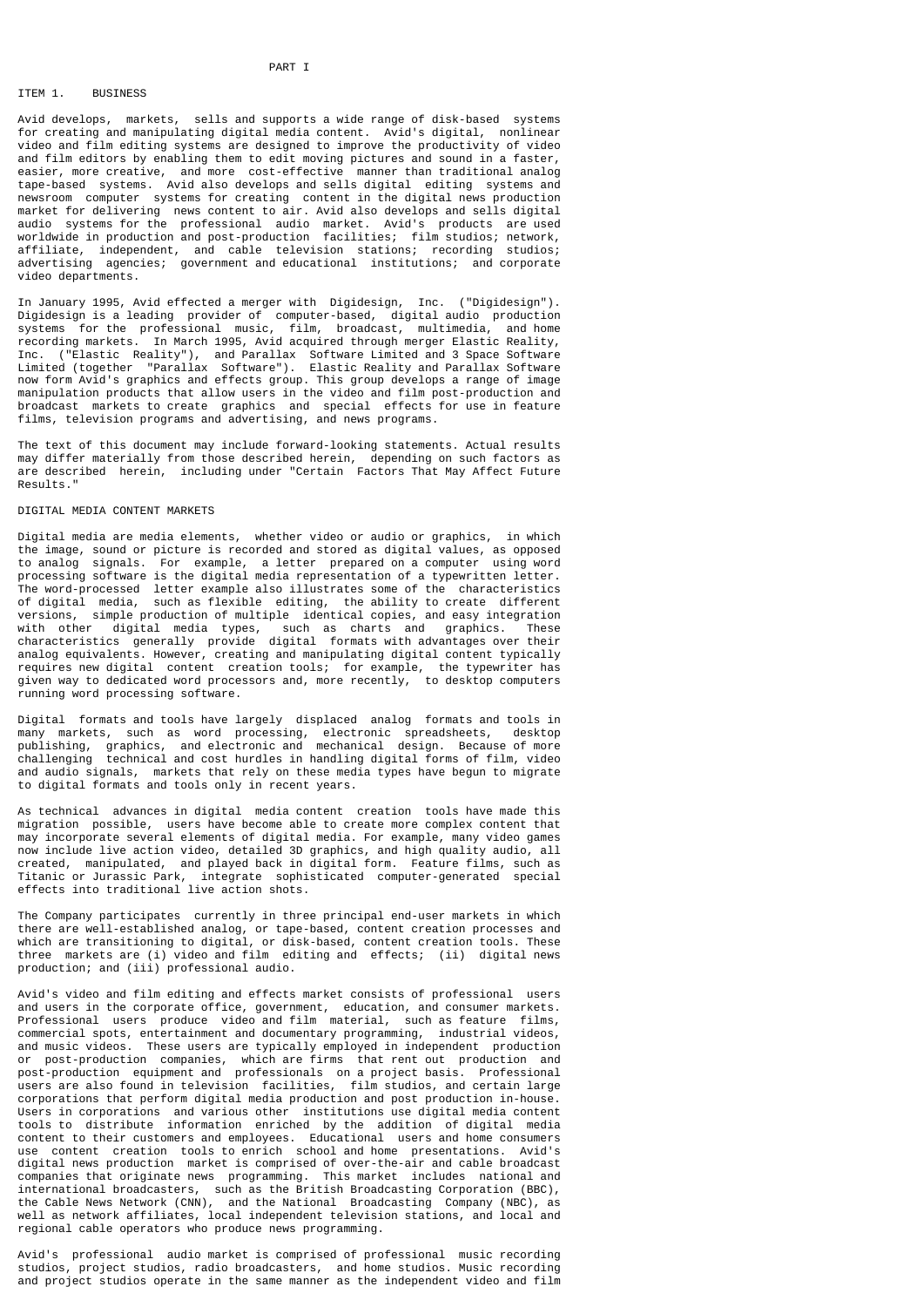### PART I

# ITEM 1. BUSINESS

Avid develops, markets, sells and supports a wide range of disk-based systems for creating and manipulating digital media content. Avid's digital, nonlinear video and film editing systems are designed to improve the productivity of video and film editors by enabling them to edit moving pictures and sound in a faster, easier, more creative, and more cost-effective manner than traditional analog tape-based systems. Avid also develops and sells digital editing systems and newsroom computer systems for creating content in the digital news production market for delivering news content to air. Avid also develops and sells digital audio systems for the professional audio market. Avid's products are used worldwide in production and post-production facilities; film studios; network, affiliate, independent, and cable television stations; recording studios; advertising agencies; government and educational institutions; and corporate video departments.

In January 1995, Avid effected a merger with Digidesign, Inc. ("Digidesign"). Digidesign is a leading provider of computer-based, digital audio production systems for the professional music, film, broadcast, multimedia, and home recording markets. In March 1995, Avid acquired through merger Elastic Reality, Inc. ("Elastic Reality"), and Parallax Software Limited and 3 Space Software Limited (together "Parallax Software"). Elastic Reality and Parallax Software now form Avid's graphics and effects group. This group develops a range of image manipulation products that allow users in the video and film post-production and broadcast markets to create graphics and special effects for use in feature films, television programs and advertising, and news programs.

The text of this document may include forward-looking statements. Actual results may differ materially from those described herein, depending on such factors as are described herein, including under "Certain Factors That May Affect Future Results."

### DIGITAL MEDIA CONTENT MARKETS

Digital media are media elements, whether video or audio or graphics, in which the image, sound or picture is recorded and stored as digital values, as opposed to analog signals. For example, a letter prepared on a computer using word processing software is the digital media representation of a typewritten letter. The word-processed letter example also illustrates some of the characteristics of digital media, such as flexible editing, the ability to create different versions, simple production of multiple identical copies, and easy integration with other digital media types, such as charts and graphics. These characteristics generally provide digital formats with advantages over their analog equivalents. However, creating and manipulating digital content typically requires new digital content creation tools; for example, the typewriter has given way to dedicated word processors and, more recently, to desktop computers running word processing software.

Digital formats and tools have largely displaced analog formats and tools in many markets, such as word processing, electronic spreadsheets, desktop publishing, graphics, and electronic and mechanical design. Because of more challenging technical and cost hurdles in handling digital forms of film, video and audio signals, markets that rely on these media types have begun to migrate to digital formats and tools only in recent years.

As technical advances in digital media content creation tools have made this migration possible, users have become able to create more complex content that may incorporate several elements of digital media. For example, many video games now include live action video, detailed 3D graphics, and high quality audio, all created, manipulated, and played back in digital form. Feature films, such as Titanic or Jurassic Park, integrate sophisticated computer-generated special effects into traditional live action shots.

The Company participates currently in three principal end-user markets in which there are well-established analog, or tape-based, content creation processes and which are transitioning to digital, or disk-based, content creation tools. These three markets are (i) video and film editing and effects; (ii) digital news production; and (iii) professional audio.

Avid's video and film editing and effects market consists of professional users and users in the corporate office, government, education, and consumer markets. Professional users produce video and film material, such as feature films, commercial spots, entertainment and documentary programming, industrial videos, and music videos. These users are typically employed in independent production or post-production companies, which are firms that rent out production and post-production equipment and professionals on a project basis. Professional users are also found in television facilities, film studios, and certain large corporations that perform digital media production and post production in-house. Users in corporations and various other institutions use digital media content tools to distribute information enriched by the addition of digital media content to their customers and employees. Educational users and home consumers use content creation tools to enrich school and home presentations. Avid's digital news production market is comprised of over-the-air and cable broadcast companies that originate news programming. This market includes national and international broadcasters, such as the British Broadcasting Corporation (BBC), the Cable News Network (CNN), and the National Broadcasting Company (NBC), as well as network affiliates, local independent television stations, and local and regional cable operators who produce news programming.

Avid's professional audio market is comprised of professional music recording studios, project studios, radio broadcasters, and home studios. Music recording and project studios operate in the same manner as the independent video and film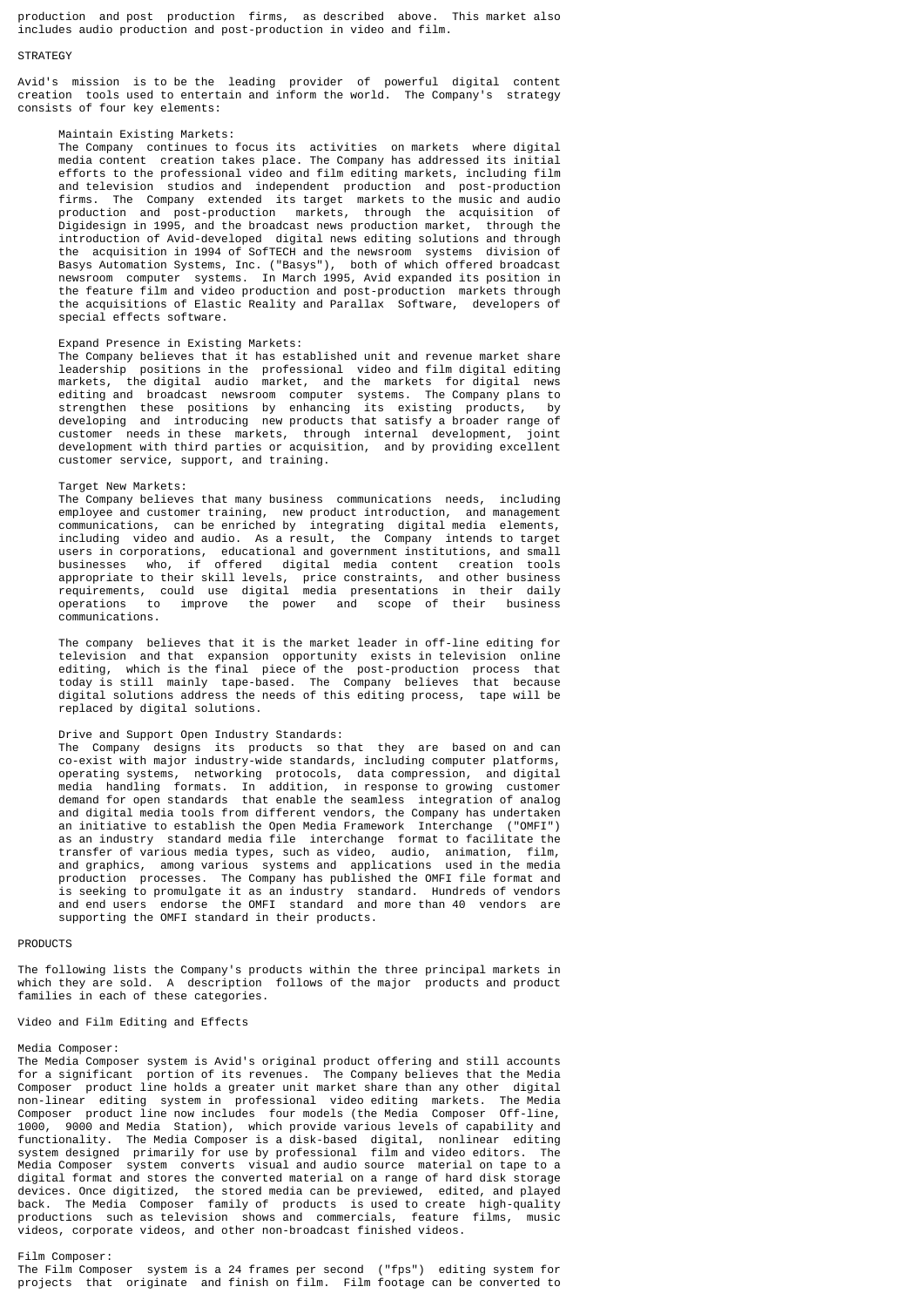production and post production firms, as described above. This market also includes audio production and post-production in video and film.

#### **STRATEGY**

Avid's mission is to be the leading provider of powerful digital content creation tools used to entertain and inform the world. The Company's strategy consists of four key elements:

#### Maintain Existing Markets:

 The Company continues to focus its activities on markets where digital media content creation takes place. The Company has addressed its initial efforts to the professional video and film editing markets, including film and television studios and independent production and post-production firms. The Company extended its target markets to the music and audio production and post-production markets, through the acquisition of Digidesign in 1995, and the broadcast news production market, through the introduction of Avid-developed digital news editing solutions and through the acquisition in 1994 of SofTECH and the newsroom systems division of Basys Automation Systems, Inc. ("Basys"), both of which offered broadcast newsroom computer systems. In March 1995, Avid expanded its position in the feature film and video production and post-production markets through the acquisitions of Elastic Reality and Parallax Software, developers of special effects software.

## Expand Presence in Existing Markets:

 The Company believes that it has established unit and revenue market share leadership positions in the professional video and film digital editing markets, the digital audio market, and the markets for digital news editing and broadcast newsroom computer systems. The Company plans to strengthen these positions by enhancing its existing products, by developing and introducing new products that satisfy a broader range of customer needs in these markets, through internal development, joint development with third parties or acquisition, and by providing excellent customer service, support, and training.

### Target New Markets:

 The Company believes that many business communications needs, including employee and customer training, new product introduction, and management communications, can be enriched by integrating digital media elements, including video and audio. As a result, the Company intends to target users in corporations, educational and government institutions, and small businesses who, if offered digital media content creation tools appropriate to their skill levels, price constraints, and other business requirements, could use digital media presentations in their daily operations to improve the power and scope of their business communications.

 The company believes that it is the market leader in off-line editing for television and that expansion opportunity exists in television online editing, which is the final piece of the post-production process that today is still mainly tape-based. The Company believes that because digital solutions address the needs of this editing process, tape will be replaced by digital solutions.

## Drive and Support Open Industry Standards:

 The Company designs its products so that they are based on and can co-exist with major industry-wide standards, including computer platforms, operating systems, networking protocols, data compression, and digital media handling formats. In addition, in response to growing customer demand for open standards that enable the seamless integration of analog and digital media tools from different vendors, the Company has undertaken an initiative to establish the Open Media Framework Interchange ("OMFI") as an industry standard media file interchange format to facilitate the transfer of various media types, such as video, audio, animation, film, and graphics, among various systems and applications used in the media production processes. The Company has published the OMFI file format and is seeking to promulgate it as an industry standard. Hundreds of vendors and end users endorse the OMFI standard and more than 40 vendors are supporting the OMFI standard in their products.

### PRODUCTS

The following lists the Company's products within the three principal markets in which they are sold. A description follows of the major products and product families in each of these categories.

### Video and Film Editing and Effects

#### Media Composer:

The Media Composer system is Avid's original product offering and still accounts for a significant portion of its revenues. The Company believes that the Media Composer product line holds a greater unit market share than any other digital non-linear editing system in professional video editing markets. The Media Composer product line now includes four models (the Media Composer Off-line, 1000, 9000 and Media Station), which provide various levels of capability and functionality. The Media Composer is a disk-based digital, nonlinear editing system designed primarily for use by professional film and video editors. The Media Composer system converts visual and audio source material on tape to a digital format and stores the converted material on a range of hard disk storage devices. Once digitized, the stored media can be previewed, edited, and played back. The Media Composer family of products is used to create high-quality productions such as television shows and commercials, feature films, music videos, corporate videos, and other non-broadcast finished videos.

#### Film Composer:

The Film Composer system is a 24 frames per second ("fps") editing system for projects that originate and finish on film. Film footage can be converted to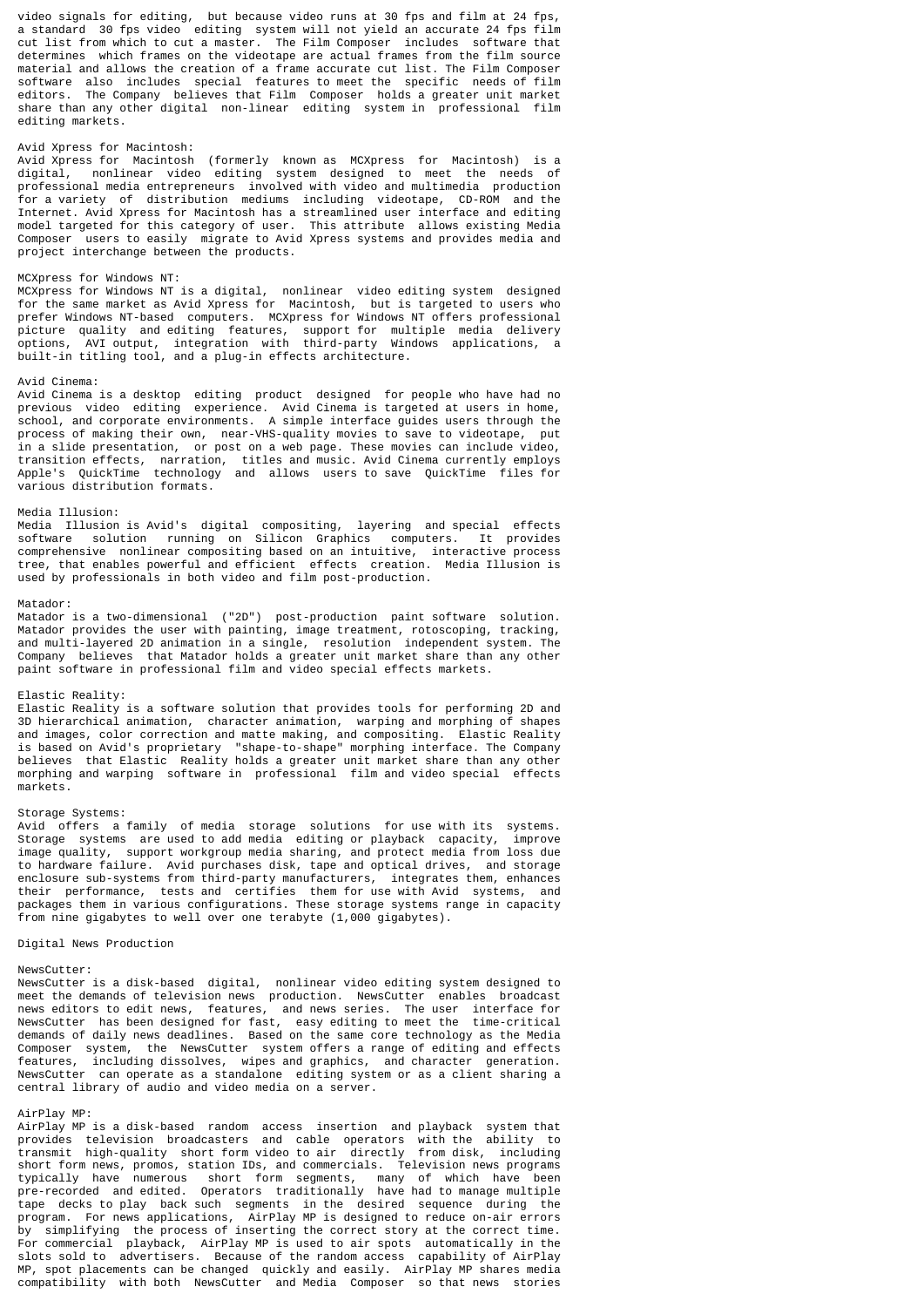video signals for editing, but because video runs at 30 fps and film at 24 fps, a standard 30 fps video editing system will not yield an accurate 24 fps film cut list from which to cut a master. The Film Composer includes software that determines which frames on the videotape are actual frames from the film source material and allows the creation of a frame accurate cut list. The Film Composer software also includes special features to meet the specific needs of film editors. The Company believes that Film Composer holds a greater unit market share than any other digital non-linear editing system in professional film editing markets.

## Avid Xpress for Macintosh:

Avid Xpress for Macintosh (formerly known as MCXpress for Macintosh) is a digital, nonlinear video editing system designed to meet the needs of professional media entrepreneurs involved with video and multimedia production for a variety of distribution mediums including videotape, CD-ROM and the Internet. Avid Xpress for Macintosh has a streamlined user interface and editing model targeted for this category of user. This attribute allows existing Media Composer users to easily migrate to Avid Xpress systems and provides media and project interchange between the products.

# MCXpress for Windows NT:

MCXpress for Windows NT is a digital, nonlinear video editing system designed for the same market as Avid Xpress for Macintosh, but is targeted to users who prefer Windows NT-based computers. MCXpress for Windows NT offers professional picture quality and editing features, support for multiple media delivery options, AVI output, integration with third-party Windows applications, a built-in titling tool, and a plug-in effects architecture.

#### Avid Cinema:

Avid Cinema is a desktop editing product designed for people who have had no previous video editing experience. Avid Cinema is targeted at users in home, school, and corporate environments. A simple interface guides users through the process of making their own, near-VHS-quality movies to save to videotape, put in a slide presentation, or post on a web page. These movies can include video, transition effects, narration, titles and music. Avid Cinema currently employs Apple's QuickTime technology and allows users to save QuickTime files for various distribution formats.

#### Media Illusion:

Media Illusion is Avid's digital compositing, layering and special effects software solution running on Silicon Graphics computers. It provides comprehensive nonlinear compositing based on an intuitive, interactive process tree, that enables powerful and efficient effects creation. Media Illusion is used by professionals in both video and film post-production.

#### Matador:

Matador is a two-dimensional ("2D") post-production paint software solution. Matador provides the user with painting, image treatment, rotoscoping, tracking, and multi-layered 2D animation in a single, resolution independent system. The Company believes that Matador holds a greater unit market share than any other paint software in professional film and video special effects markets.

#### Elastic Reality:

Elastic Reality is a software solution that provides tools for performing 2D and 3D hierarchical animation, character animation, warping and morphing of shapes and images, color correction and matte making, and compositing. Elastic Reality is based on Avid's proprietary "shape-to-shape" morphing interface. The Company believes that Elastic Reality holds a greater unit market share than any other morphing and warping software in professional film and video special effects markets.

## Storage Systems:

Avid offers a family of media storage solutions for use with its systems. Storage systems are used to add media editing or playback capacity, improve image quality, support workgroup media sharing, and protect media from loss due to hardware failure. Avid purchases disk, tape and optical drives, and storage enclosure sub-systems from third-party manufacturers, integrates them, enhances their performance, tests and certifies them for use with Avid systems, and packages them in various configurations. These storage systems range in capacity from nine gigabytes to well over one terabyte (1,000 gigabytes).

### Digital News Production

#### NewsCutter:

NewsCutter is a disk-based digital, nonlinear video editing system designed to meet the demands of television news production. NewsCutter enables broadcast news editors to edit news, features, and news series. The user interface for NewsCutter has been designed for fast, easy editing to meet the time-critical demands of daily news deadlines. Based on the same core technology as the Media Composer system, the NewsCutter system offers a range of editing and effects features, including dissolves, wipes and graphics, and character generation. NewsCutter can operate as a standalone editing system or as a client sharing a central library of audio and video media on a server.

#### AirPlay MP:

AirPlay MP is a disk-based random access insertion and playback system that provides television broadcasters and cable operators with the ability to transmit high-quality short form video to air directly from disk, including short form news, promos, station IDs, and commercials. Television news programs typically have numerous short form segments, many of which have been<br>pre-recorded and edited. Operators traditionally have had to manage multiple pre-recorded and edited. Operators traditionally have had to manage multiple tape decks to play back such segments in the desired sequence during the program. For news applications, AirPlay MP is designed to reduce on-air errors by simplifying the process of inserting the correct story at the correct time. For commercial playback, AirPlay MP is used to air spots automatically in the slots sold to advertisers. Because of the random access capability of AirPlay MP, spot placements can be changed quickly and easily. AirPlay MP shares media compatibility with both NewsCutter and Media Composer so that news stories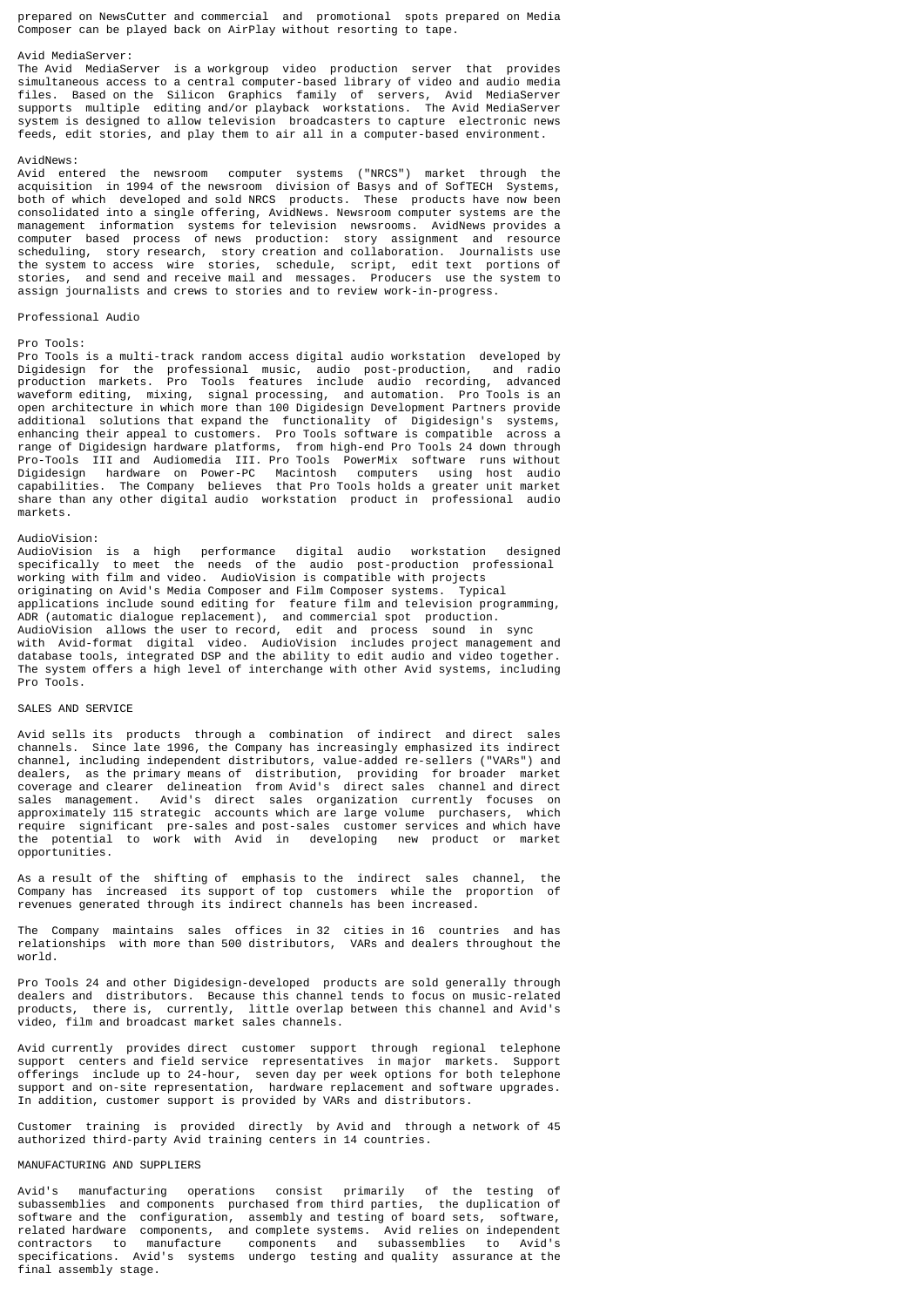prepared on NewsCutter and commercial and promotional spots prepared on Media Composer can be played back on AirPlay without resorting to tape.

### Avid MediaServer:

The Avid MediaServer is a workgroup video production server that provides simultaneous access to a central computer-based library of video and audio media files. Based on the Silicon Graphics family of servers, Avid MediaServer supports multiple editing and/or playback workstations. The Avid MediaServer system is designed to allow television broadcasters to capture electronic news feeds, edit stories, and play them to air all in a computer-based environment.

## AvidNews:

Avid entered the newsroom computer systems ("NRCS") market through the acquisition in 1994 of the newsroom division of Basys and of SofTECH Systems, both of which developed and sold NRCS products. These products have now been consolidated into a single offering, AvidNews. Newsroom computer systems are the management information systems for television newsrooms. AvidNews provides a computer based process of news production: story assignment and resource scheduling, story research, story creation and collaboration. Journalists use the system to access wire stories, schedule, script, edit text portions of stories, and send and receive mail and messages. Producers use the system to assign journalists and crews to stories and to review work-in-progress.

### Professional Audio

#### Pro Tools:

Pro Tools is a multi-track random access digital audio workstation developed by Digidesign for the professional music, audio post-production, and radio production markets. Pro Tools features include audio recording, advanced waveform editing, mixing, signal processing, and automation. Pro Tools is an open architecture in which more than 100 Digidesign Development Partners provide additional solutions that expand the functionality of Digidesign's systems, enhancing their appeal to customers. Pro Tools software is compatible across a range of Digidesign hardware platforms, from high-end Pro Tools 24 down through Pro-Tools III and Audiomedia III. Pro Tools PowerMix software runs without Digidesign hardware on Power-PC Macintosh computers using host audio capabilities. The Company believes that Pro Tools holds a greater unit market share than any other digital audio workstation product in professional audio markets.

# AudioVision:

AudioVision is a high performance digital audio workstation designed specifically to meet the needs of the audio post-production professional working with film and video. AudioVision is compatible with projects originating on Avid's Media Composer and Film Composer systems. Typical applications include sound editing for feature film and television programming, ADR (automatic dialogue replacement), and commercial spot production. AudioVision allows the user to record, edit and process sound in sync with Avid-format digital video. AudioVision includes project management and database tools, integrated DSP and the ability to edit audio and video together. The system offers a high level of interchange with other Avid systems, including Pro Tools.

## SALES AND SERVICE

Avid sells its products through a combination of indirect and direct sales channels. Since late 1996, the Company has increasingly emphasized its indirect channel, including independent distributors, value-added re-sellers ("VARs") and dealers, as the primary means of distribution, providing for broader market coverage and clearer delineation from Avid's direct sales channel and direct sales management. Avid's direct sales organization currently focuses on approximately 115 strategic accounts which are large volume purchasers, which require significant pre-sales and post-sales customer services and which have the potential to work with Avid in developing new product or market opportunities.

As a result of the shifting of emphasis to the indirect sales channel, the Company has increased its support of top customers while the proportion of revenues generated through its indirect channels has been increased.

The Company maintains sales offices in 32 cities in 16 countries and has relationships with more than 500 distributors, VARs and dealers throughout the world.

Pro Tools 24 and other Digidesign-developed products are sold generally through dealers and distributors. Because this channel tends to focus on music-related products, there is, currently, little overlap between this channel and Avid's video, film and broadcast market sales channels.

Avid currently provides direct customer support through regional telephone support centers and field service representatives in major markets. Support offerings include up to 24-hour, seven day per week options for both telephone support and on-site representation, hardware replacement and software upgrades. In addition, customer support is provided by VARs and distributors.

Customer training is provided directly by Avid and through a network of 45 authorized third-party Avid training centers in 14 countries.

#### MANUFACTURING AND SUPPLIERS

Avid's manufacturing operations consist primarily of the testing of subassemblies and components purchased from third parties, the duplication of software and the configuration, assembly and testing of board sets, software, related hardware components, and complete systems. Avid relies on independent contractors to manufacture components and subassemblies to Avid's specifications. Avid's systems undergo testing and quality assurance at the final assembly stage.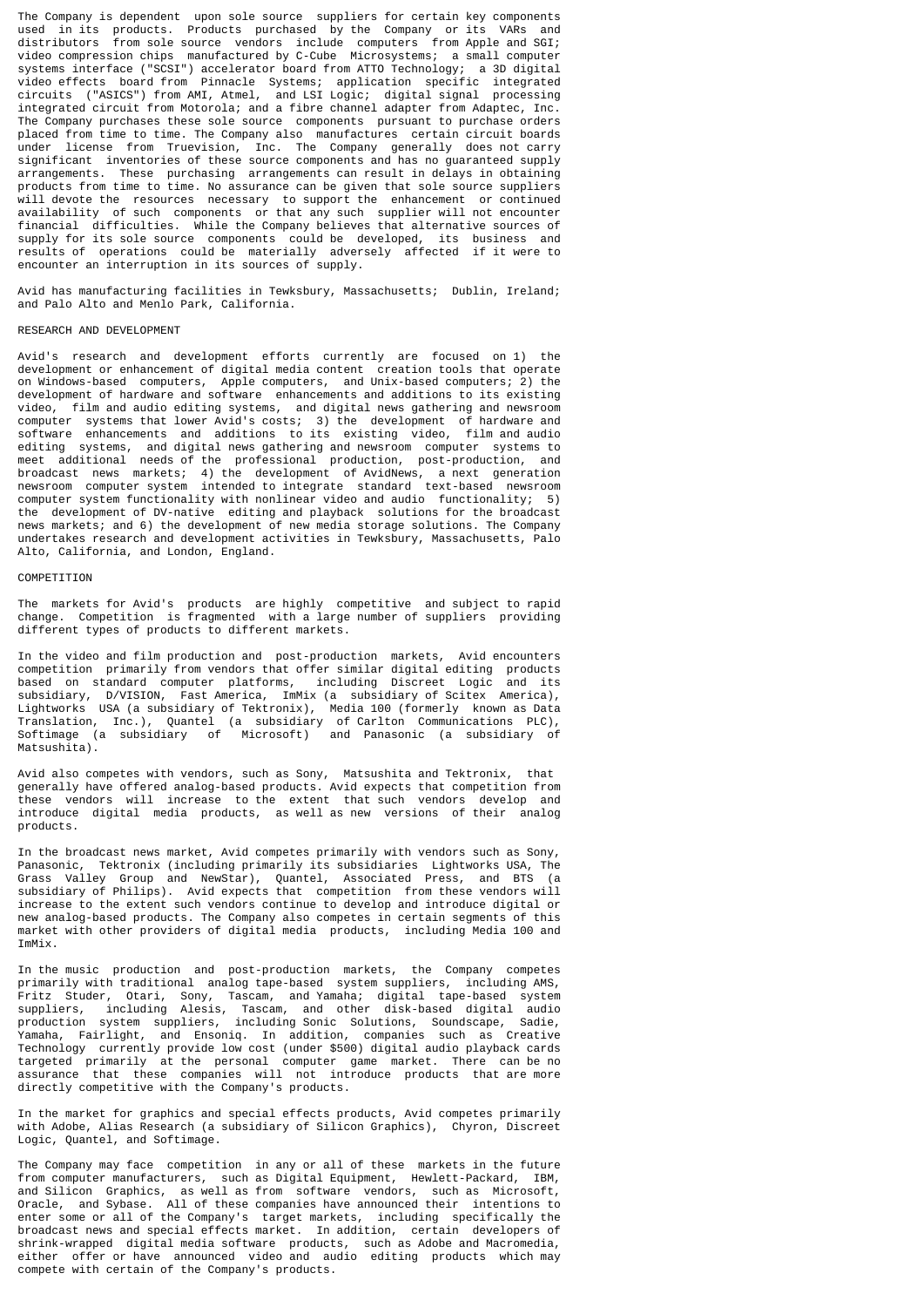The Company is dependent upon sole source suppliers for certain key components used in its products. Products purchased by the Company or its VARs and distributors from sole source vendors include computers from Apple and SGI; video compression chips manufactured by C-Cube Microsystems; a small computer systems interface ("SCSI") accelerator board from ATTO Technology; a 3D digital video effects board from Pinnacle Systems; application specific integrated circuits ("ASICS") from AMI, Atmel, and LSI Logic; digital signal processing integrated circuit from Motorola; and a fibre channel adapter from Adaptec, Inc. The Company purchases these sole source components pursuant to purchase orders placed from time to time. The Company also manufactures certain circuit boards under license from Truevision, Inc. The Company generally does not carry significant inventories of these source components and has no guaranteed supply arrangements. These purchasing arrangements can result in delays in obtaining products from time to time. No assurance can be given that sole source suppliers will devote the resources necessary to support the enhancement or continued availability of such components or that any such supplier will not encounter financial difficulties. While the Company believes that alternative sources of supply for its sole source components could be developed, its business and results of operations could be materially adversely affected if it were to encounter an interruption in its sources of supply.

Avid has manufacturing facilities in Tewksbury, Massachusetts; Dublin, Ireland; and Palo Alto and Menlo Park, California.

## RESEARCH AND DEVELOPMENT

Avid's research and development efforts currently are focused on 1) the development or enhancement of digital media content creation tools that operate on Windows-based computers, Apple computers, and Unix-based computers; 2) the development of hardware and software enhancements and additions to its existing video, film and audio editing systems, and digital news gathering and newsroom computer systems that lower Avid's costs; 3) the development of hardware and software enhancements and additions to its existing video, film and audio editing systems, and digital news gathering and newsroom computer systems to meet additional needs of the professional production, post-production, and broadcast news markets; 4) the development of AvidNews, a next generation newsroom computer system intended to integrate standard text-based newsroom computer system functionality with nonlinear video and audio functionality; 5) the development of DV-native editing and playback solutions for the broadcast news markets; and 6) the development of new media storage solutions. The Company undertakes research and development activities in Tewksbury, Massachusetts, Palo Alto, California, and London, England.

#### **COMPETITION**

The markets for Avid's products are highly competitive and subject to rapid change. Competition is fragmented with a large number of suppliers providing different types of products to different markets.

In the video and film production and post-production markets, Avid encounters competition primarily from vendors that offer similar digital editing products based on standard computer platforms, including Discreet Logic and its subsidiary, D/VISION, Fast America, ImMix (a subsidiary of Scitex America), Lightworks USA (a subsidiary of Tektronix), Media 100 (formerly known as Data Translation, Inc.), Quantel (a subsidiary of Carlton Communications PLC), Softimage (a subsidiary of Microsoft) and Panasonic (a subsidiary of Matsushita).

Avid also competes with vendors, such as Sony, Matsushita and Tektronix, that generally have offered analog-based products. Avid expects that competition from these vendors will increase to the extent that such vendors develop and introduce digital media products, as well as new versions of their analog products.

In the broadcast news market, Avid competes primarily with vendors such as Sony, Panasonic, Tektronix (including primarily its subsidiaries Lightworks USA, The Grass Valley Group and NewStar), Quantel, Associated Press, and BTS (a subsidiary of Philips). Avid expects that competition from these vendors will increase to the extent such vendors continue to develop and introduce digital or new analog-based products. The Company also competes in certain segments of this market with other providers of digital media products, including Media 100 and ImMix.

In the music production and post-production markets, the Company competes primarily with traditional analog tape-based system suppliers, including AMS, Fritz Studer, Otari, Sony, Tascam, and Yamaha; digital tape-based system suppliers, including Alesis, Tascam, and other disk-based digital audio production system suppliers, including Sonic Solutions, Soundscape, Sadie, Yamaha, Fairlight, and Ensoniq. In addition, companies such as Creative Technology currently provide low cost (under \$500) digital audio playback cards targeted primarily at the personal computer game market. There can be no assurance that these companies will not introduce products that are more directly competitive with the Company's products.

In the market for graphics and special effects products, Avid competes primarily with Adobe, Alias Research (a subsidiary of Silicon Graphics), Chyron, Discreet Logic, Quantel, and Softimage.

The Company may face competition in any or all of these markets in the future from computer manufacturers, such as Digital Equipment, Hewlett-Packard, IBM, and Silicon Graphics, as well as from software vendors, such as Microsoft, Oracle, and Sybase. All of these companies have announced their intentions to enter some or all of the Company's target markets, including specifically the broadcast news and special effects market. In addition, certain developers of shrink-wrapped digital media software products, such as Adobe and Macromedia, either offer or have announced video and audio editing products which may compete with certain of the Company's products.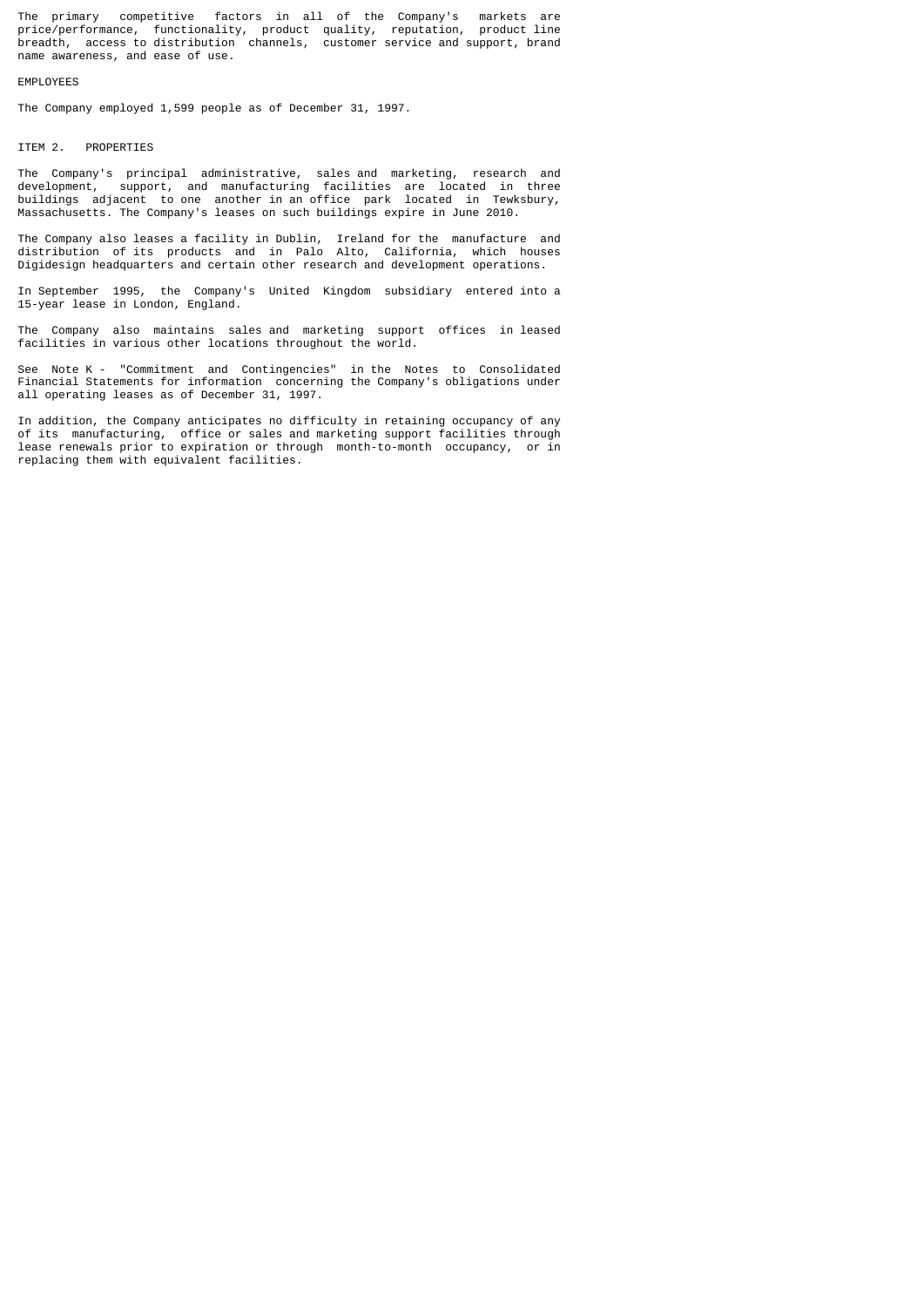The primary competitive factors in all of the Company's markets are price/performance, functionality, product quality, reputation, product line breadth, access to distribution channels, customer service and support, brand name awareness, and ease of use.

### EMPLOYEES

The Company employed 1,599 people as of December 31, 1997.

# ITEM 2. PROPERTIES

The Company's principal administrative, sales and marketing, research and development, support, and manufacturing facilities are located in three buildings adjacent to one another in an office park located in Tewksbury, Massachusetts. The Company's leases on such buildings expire in June 2010.

The Company also leases a facility in Dublin, Ireland for the manufacture and distribution of its products and in Palo Alto, California, which houses Digidesign headquarters and certain other research and development operations.

In September 1995, the Company's United Kingdom subsidiary entered into a 15-year lease in London, England.

The Company also maintains sales and marketing support offices in leased facilities in various other locations throughout the world.

See Note K - "Commitment and Contingencies" in the Notes to Consolidated Financial Statements for information concerning the Company's obligations under all operating leases as of December 31, 1997.

In addition, the Company anticipates no difficulty in retaining occupancy of any of its manufacturing, office or sales and marketing support facilities through lease renewals prior to expiration or through month-to-month occupancy, or in replacing them with equivalent facilities.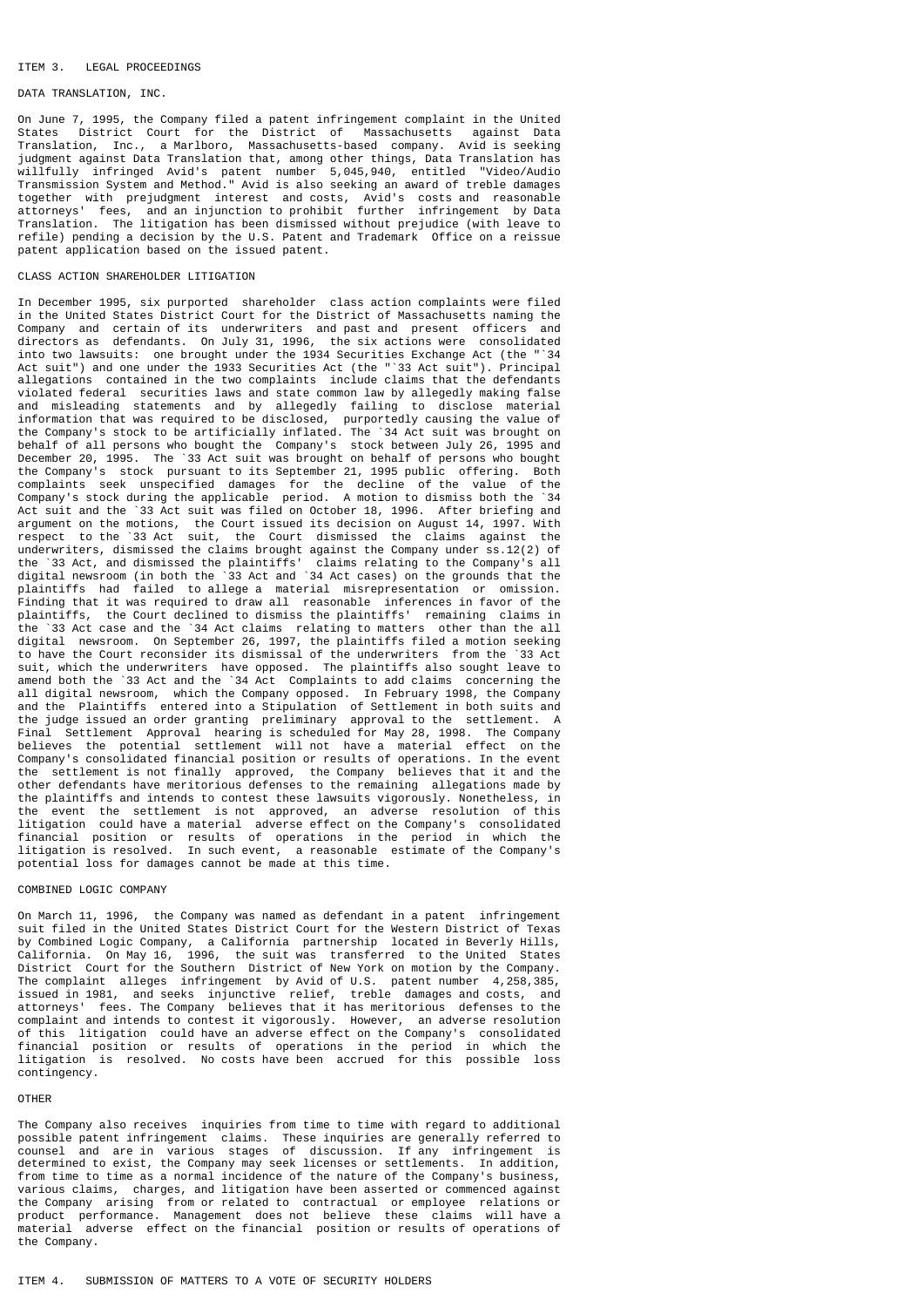### ITEM 3. LEGAL PROCEEDINGS

# DATA TRANSLATION, INC.

On June 7, 1995, the Company filed a patent infringement complaint in the United States District Court for the District of Massachusetts against Data Translation, Inc., a Marlboro, Massachusetts-based company. Avid is seeking judgment against Data Translation that, among other things, Data Translation has willfully infringed Avid's patent number 5,045,940, entitled "Video/Audio Transmission System and Method." Avid is also seeking an award of treble damages together with prejudgment interest and costs, Avid's costs and reasonable attorneys' fees, and an injunction to prohibit further infringement by Data Translation. The litigation has been dismissed without prejudice (with leave to refile) pending a decision by the U.S. Patent and Trademark Office on a reissue patent application based on the issued patent.

### CLASS ACTION SHAREHOLDER LITIGATION

In December 1995, six purported shareholder class action complaints were filed in the United States District Court for the District of Massachusetts naming the Company and certain of its underwriters and past and present officers and directors as defendants. On July 31, 1996, the six actions were consolidated into two lawsuits: one brought under the 1934 Securities Exchange Act (the "`34 Act suit") and one under the 1933 Securities Act (the "`33 Act suit"). Principal allegations contained in the two complaints include claims that the defendants violated federal securities laws and state common law by allegedly making false and misleading statements and by allegedly failing to disclose material information that was required to be disclosed, purportedly causing the value of the Company's stock to be artificially inflated. The `34 Act suit was brought on behalf of all persons who bought the Company's stock between July 26, 1995 and December 20, 1995. The `33 Act suit was brought on behalf of persons who bought the Company's stock pursuant to its September 21, 1995 public offering. Both complaints seek unspecified damages for the decline of the value of the Company's stock during the applicable period. A motion to dismiss both the `34 Act suit and the `33 Act suit was filed on October 18, 1996. After briefing and argument on the motions, the Court issued its decision on August 14, 1997. With respect to the `33 Act suit, the Court dismissed the claims against the underwriters, dismissed the claims brought against the Company under ss.12(2) of the `33 Act, and dismissed the plaintiffs' claims relating to the Company's all digital newsroom (in both the `33 Act and `34 Act cases) on the grounds that the plaintiffs had failed to allege a material misrepresentation or omission. Finding that it was required to draw all reasonable inferences in favor of the plaintiffs, the Court declined to dismiss the plaintiffs' remaining claims in the `33 Act case and the `34 Act claims relating to matters other than the all digital newsroom. On September 26, 1997, the plaintiffs filed a motion seeking to have the Court reconsider its dismissal of the underwriters from the `33 Act suit, which the underwriters have opposed. The plaintiffs also sought leave to amend both the `33 Act and the `34 Act Complaints to add claims concerning the all digital newsroom, which the Company opposed. In February 1998, the Company and the Plaintiffs entered into a Stipulation of Settlement in both suits and the judge issued an order granting preliminary approval to the settlement. A Final Settlement Approval hearing is scheduled for May 28, 1998. The Company believes the potential settlement will not have a material effect on the Company's consolidated financial position or results of operations. In the event the settlement is not finally approved, the Company believes that it and the other defendants have meritorious defenses to the remaining allegations made by the plaintiffs and intends to contest these lawsuits vigorously. Nonetheless, in the event the settlement is not approved, an adverse resolution of this litigation could have a material adverse effect on the Company's consolidated financial position or results of operations in the period in which the litigation is resolved. In such event, a reasonable estimate of the Company's potential loss for damages cannot be made at this time.

#### COMBINED LOGIC COMPANY

On March 11, 1996, the Company was named as defendant in a patent infringement suit filed in the United States District Court for the Western District of Texas by Combined Logic Company, a California partnership located in Beverly Hills, California. On May 16, 1996, the suit was transferred to the United States District Court for the Southern District of New York on motion by the Company. The complaint alleges infringement by Avid of U.S. patent number 4,258,385, issued in 1981, and seeks injunctive relief, treble damages and costs, and attorneys' fees. The Company believes that it has meritorious defenses to the complaint and intends to contest it vigorously. However, an adverse resolution of this litigation could have an adverse effect on the Company's consolidated financial position or results of operations in the period in which the litigation is resolved. No costs have been accrued for this possible loss contingency.

### OTHER

The Company also receives inquiries from time to time with regard to additional possible patent infringement claims. These inquiries are generally referred to counsel and are in various stages of discussion. If any infringement is determined to exist, the Company may seek licenses or settlements. In addition, from time to time as a normal incidence of the nature of the Company's business, various claims, charges, and litigation have been asserted or commenced against the Company arising from or related to contractual or employee relations or product performance. Management does not believe these claims will have a material adverse effect on the financial position or results of operations of the Company.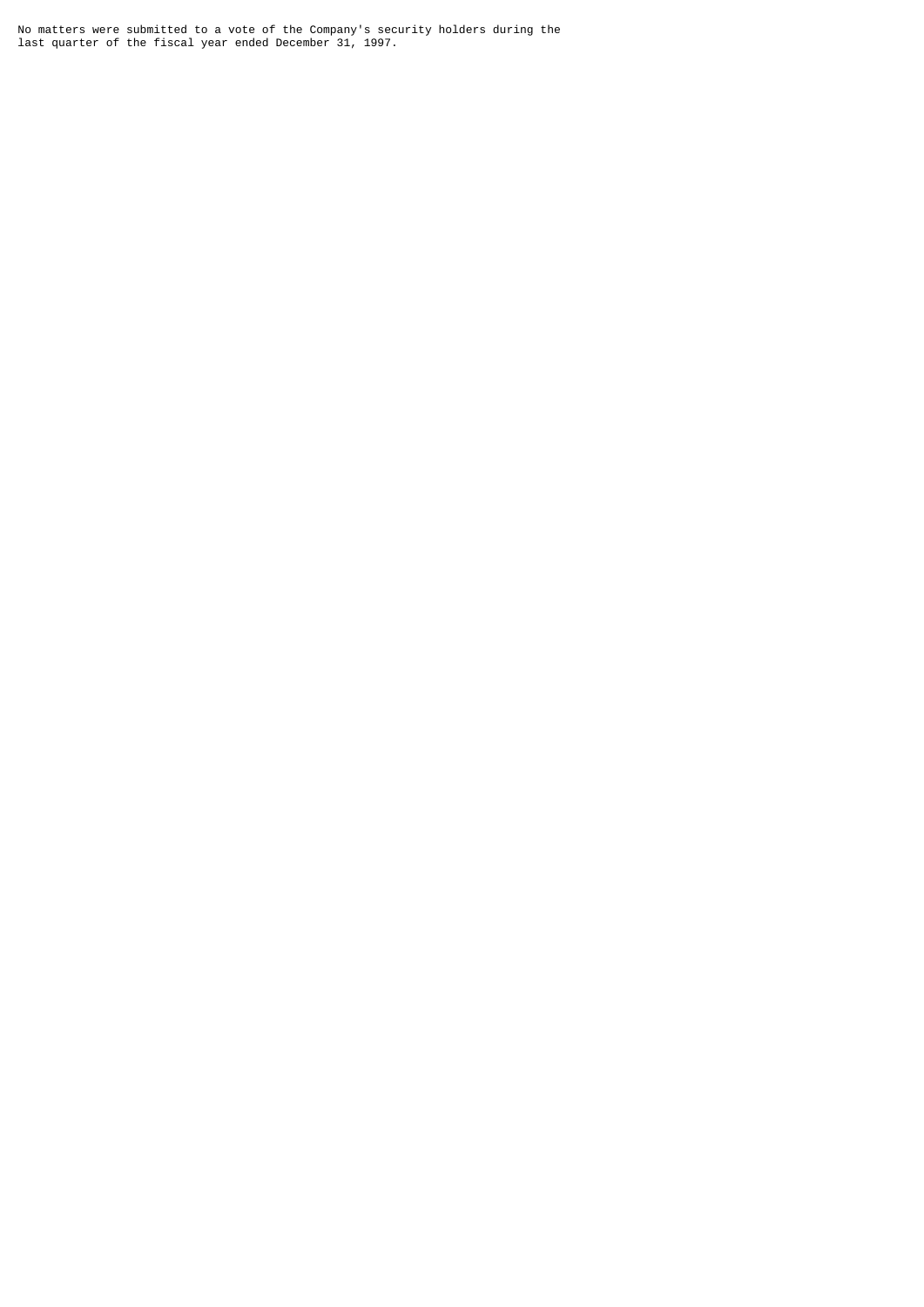No matters were submitted to a vote of the Company's security holders during the last quarter of the fiscal year ended December 31, 1997.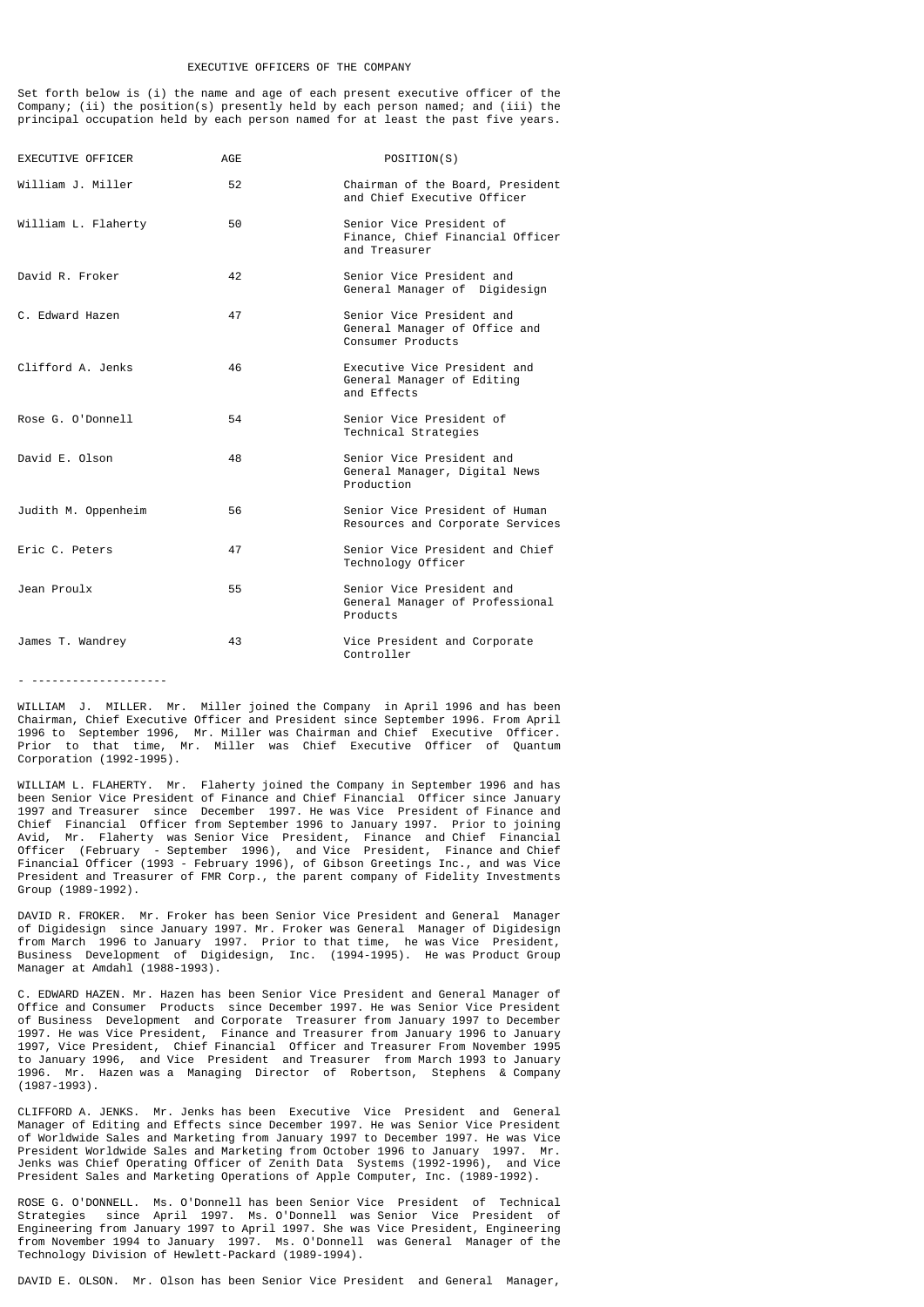#### EXECUTIVE OFFICERS OF THE COMPANY

Set forth below is (i) the name and age of each present executive officer of the Company; (ii) the position(s) presently held by each person named; and (iii) the principal occupation held by each person named for at least the past five years.

| EXECUTIVE OFFICER   | AGE | POSITION(S)                                                                     |
|---------------------|-----|---------------------------------------------------------------------------------|
| William J. Miller   | 52  | Chairman of the Board, President<br>and Chief Executive Officer                 |
| William L. Flaherty | 50  | Senior Vice President of<br>Finance, Chief Financial Officer<br>and Treasurer   |
| David R. Froker     | 42  | Senior Vice President and<br>General Manager of Digidesign                      |
| C. Edward Hazen     | 47  | Senior Vice President and<br>General Manager of Office and<br>Consumer Products |
| Clifford A. Jenks   | 46  | Executive Vice President and<br>General Manager of Editing<br>and Effects       |
| Rose G. O'Donnell   | 54  | Senior Vice President of<br>Technical Strategies                                |
| David E. Olson      | 48  | Senior Vice President and<br>General Manager, Digital News<br>Production        |
| Judith M. Oppenheim | 56  | Senior Vice President of Human<br>Resources and Corporate Services              |
| Eric C. Peters      | 47  | Senior Vice President and Chief<br>Technology Officer                           |
| Jean Proulx         | 55  | Senior Vice President and<br>General Manager of Professional<br>Products        |
| James T. Wandrey    | 43  | Vice President and Corporate<br>Controller                                      |

- --------------------

WILLIAM J. MILLER. Mr. Miller joined the Company in April 1996 and has been Chairman, Chief Executive Officer and President since September 1996. From April 1996 to September 1996, Mr. Miller was Chairman and Chief Executive Officer. Prior to that time, Mr. Miller was Chief Executive Officer of Quantum Corporation (1992-1995).

WILLIAM L. FLAHERTY. Mr. Flaherty joined the Company in September 1996 and has been Senior Vice President of Finance and Chief Financial Officer since January 1997 and Treasurer since December 1997. He was Vice President of Finance and Chief Financial Officer from September 1996 to January 1997. Prior to joining Avid, Mr. Flaherty was Senior Vice President, Finance and Chief Financial Officer (February - September 1996), and Vice President, Finance and Chief Financial Officer (1993 - February 1996), of Gibson Greetings Inc., and was Vice President and Treasurer of FMR Corp., the parent company of Fidelity Investments Group (1989-1992).

DAVID R. FROKER. Mr. Froker has been Senior Vice President and General Manager of Digidesign since January 1997. Mr. Froker was General Manager of Digidesign from March 1996 to January 1997. Prior to that time, he was Vice President, Business Development of Digidesign, Inc. (1994-1995). He was Product Group Manager at Amdahl (1988-1993).

C. EDWARD HAZEN. Mr. Hazen has been Senior Vice President and General Manager of Office and Consumer Products since December 1997. He was Senior Vice President of Business Development and Corporate Treasurer from January 1997 to December 1997. He was Vice President, Finance and Treasurer from January 1996 to January 1997, Vice President, Chief Financial Officer and Treasurer From November 1995 to January 1996, and Vice President and Treasurer from March 1993 to January 1996. Mr. Hazen was a Managing Director of Robertson, Stephens & Company  $(1987-1993)$ .

CLIFFORD A. JENKS. Mr. Jenks has been Executive Vice President and General Manager of Editing and Effects since December 1997. He was Senior Vice President of Worldwide Sales and Marketing from January 1997 to December 1997. He was Vice<br>President Worldwide Sales and Marketing from October 1996 to January 1997 Mr President Worldwide Sales and Marketing from October 1996 to January 1997. Mr.<br>Jenks was Chief Operating Officer of Zenith Data Systems (1992-1996), and Vice Jenks was Chief Operating Officer of Zenith Data Systems (1992-1996), President Sales and Marketing Operations of Apple Computer, Inc. (1989-1992).

ROSE G. O'DONNELL. Ms. O'Donnell has been Senior Vice President of Technical Strategies since April 1997. Ms. O'Donnell was Senior Vice President of Engineering from January 1997 to April 1997. She was Vice President, Engineering from November 1994 to January 1997. Ms. O'Donnell was General Manager of the Technology Division of Hewlett-Packard (1989-1994).

DAVID E. OLSON. Mr. Olson has been Senior Vice President and General Manager,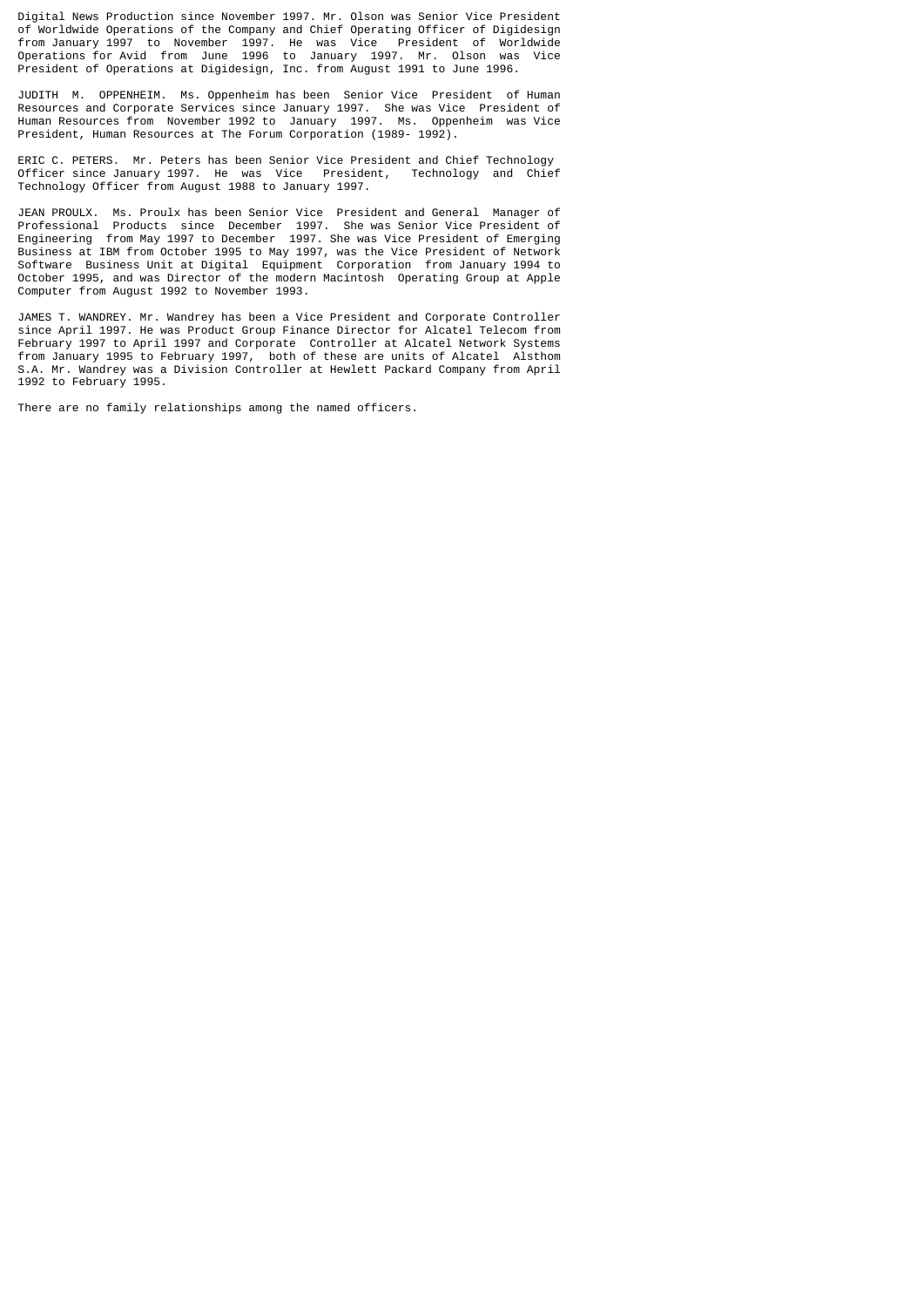Digital News Production since November 1997. Mr. Olson was Senior Vice President of Worldwide Operations of the Company and Chief Operating Officer of Digidesign from January 1997 to November 1997. He was Vice President of Worldwide Operations for Avid from June 1996 to January 1997. Mr. Olson was Vice President of Operations at Digidesign, Inc. from August 1991 to June 1996.

JUDITH M. OPPENHEIM. Ms. Oppenheim has been Senior Vice President of Human Resources and Corporate Services since January 1997. She was Vice President of Human Resources from November 1992 to January 1997. Ms. Oppenheim was Vice President, Human Resources at The Forum Corporation (1989- 1992).

ERIC C. PETERS. Mr. Peters has been Senior Vice President and Chief Technology Officer since January 1997. He was Vice President, Technology and Chief Technology Officer from August 1988 to January 1997.

JEAN PROULX. Ms. Proulx has been Senior Vice President and General Manager of Professional Products since December 1997. She was Senior Vice President of Engineering from May 1997 to December 1997. She was Vice President of Emerging Business at IBM from October 1995 to May 1997, was the Vice President of Network Software Business Unit at Digital Equipment Corporation from January 1994 to October 1995, and was Director of the modern Macintosh Operating Group at Apple Computer from August 1992 to November 1993.

JAMES T. WANDREY. Mr. Wandrey has been a Vice President and Corporate Controller since April 1997. He was Product Group Finance Director for Alcatel Telecom from February 1997 to April 1997 and Corporate Controller at Alcatel Network Systems from January 1995 to February 1997, both of these are units of Alcatel Alsthom S.A. Mr. Wandrey was a Division Controller at Hewlett Packard Company from April 1992 to February 1995.

There are no family relationships among the named officers.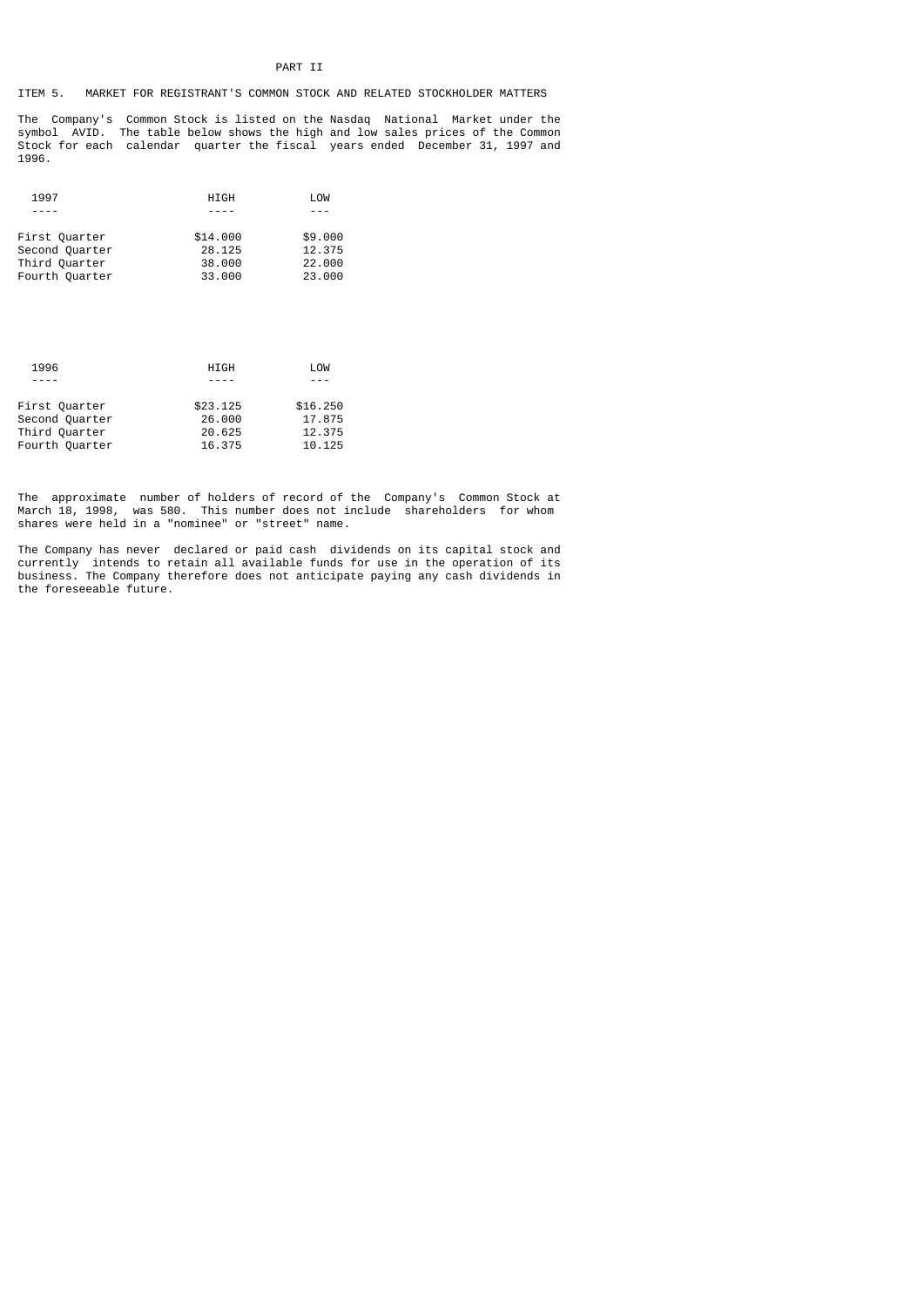# ITEM 5. MARKET FOR REGISTRANT'S COMMON STOCK AND RELATED STOCKHOLDER MATTERS

The Company's Common Stock is listed on the Nasdaq National Market under the symbol AVID. The table below shows the high and low sales prices of the Common Stock for each calendar quarter the fiscal years ended December 31, 1997 and 1996.

| 1997           | <b>HIGH</b> | LOW     |
|----------------|-------------|---------|
|                |             |         |
| First Quarter  | \$14,000    | \$9,000 |
| Second Quarter | 28.125      | 12.375  |
| Third Quarter  | 38,000      | 22,000  |
| Fourth Quarter | 33,000      | 23,000  |
|                |             |         |

| HIGH     | LOW      |
|----------|----------|
|          |          |
| \$23,125 | \$16,250 |
| 26,000   | 17.875   |
| 20.625   | 12.375   |
| 16.375   | 10.125   |
|          |          |

The approximate number of holders of record of the Company's Common Stock at March 18, 1998, was 580. This number does not include shareholders for whom shares were held in a "nominee" or "street" name.

The Company has never declared or paid cash dividends on its capital stock and currently intends to retain all available funds for use in the operation of its business. The Company therefore does not anticipate paying any cash dividends in the foreseeable future.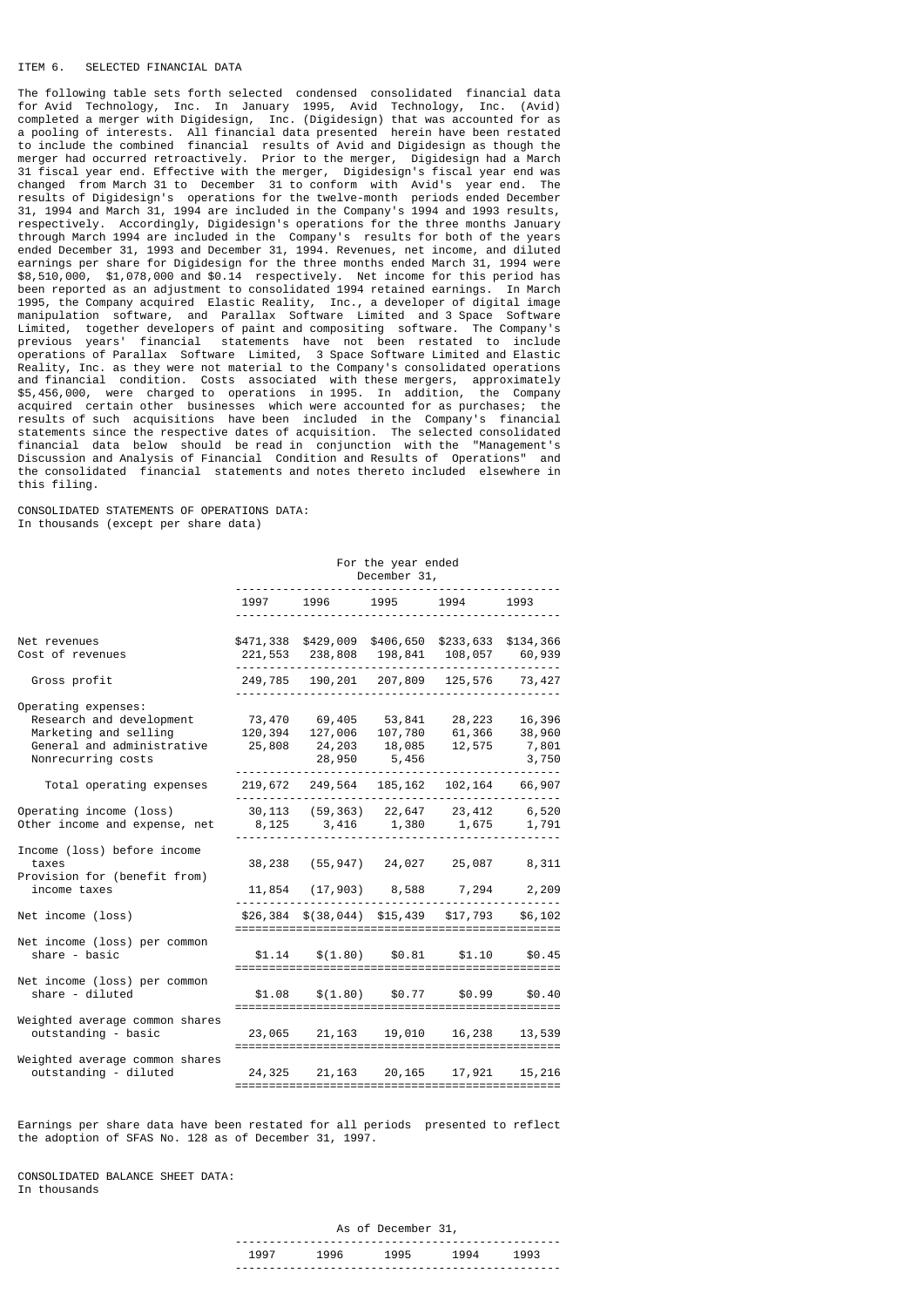### ITEM 6. SELECTED FINANCIAL DATA

The following table sets forth selected condensed consolidated financial data for Avid Technology, Inc. In January 1995, Avid Technology, Inc. (Avid) completed a merger with Digidesign, Inc. (Digidesign) that was accounted for as a pooling of interests. All financial data presented herein have been restated to include the combined financial results of Avid and Digidesign as though the merger had occurred retroactively. Prior to the merger, Digidesign had a March 31 fiscal year end. Effective with the merger, Digidesign's fiscal year end was changed from March 31 to December 31 to conform with Avid's year end. The results of Digidesign's operations for the twelve-month periods ended December 31, 1994 and March 31, 1994 are included in the Company's 1994 and 1993 results, respectively. Accordingly, Digidesign's operations for the three months January through March 1994 are included in the Company's results for both of the years ended December 31, 1993 and December 31, 1994. Revenues, net income, and diluted earnings per share for Digidesign for the three months ended March 31, 1994 were \$8,510,000, \$1,078,000 and \$0.14 respectively. Net income for this period has been reported as an adjustment to consolidated 1994 retained earnings. In March 1995, the Company acquired Elastic Reality, Inc., a developer of digital image manipulation software, and Parallax Software Limited and 3 Space Software Limited, together developers of paint and compositing software. The Company's previous years' financial statements have not been restated to include operations of Parallax Software Limited, 3 Space Software Limited and Elastic Reality, Inc. as they were not material to the Company's consolidated operations and financial condition. Costs associated with these mergers, approximately \$5,456,000, were charged to operations in 1995. In addition, the Company acquired certain other businesses which were accounted for as purchases; the results of such acquisitions have been included in the Company's financial statements since the respective dates of acquisition. The selected consolidated financial data below should be read in conjunction with the "Management's Discussion and Analysis of Financial Condition and Results of Operations" and the consolidated financial statements and notes thereto included elsewhere in this filing.

CONSOLIDATED STATEMENTS OF OPERATIONS DATA: In thousands (except per share data)

| December 31, |      |                                       |              |                                                                                                                                                                                                                                                                                                                                                                                                                                                                                                                                                                                          |  |
|--------------|------|---------------------------------------|--------------|------------------------------------------------------------------------------------------------------------------------------------------------------------------------------------------------------------------------------------------------------------------------------------------------------------------------------------------------------------------------------------------------------------------------------------------------------------------------------------------------------------------------------------------------------------------------------------------|--|
| 1997         | 1996 | 1995                                  | 1994         | 1993                                                                                                                                                                                                                                                                                                                                                                                                                                                                                                                                                                                     |  |
|              |      |                                       |              |                                                                                                                                                                                                                                                                                                                                                                                                                                                                                                                                                                                          |  |
|              |      |                                       |              |                                                                                                                                                                                                                                                                                                                                                                                                                                                                                                                                                                                          |  |
|              |      |                                       | 12,575       | 16,396<br>38,960<br>7,801<br>3,750                                                                                                                                                                                                                                                                                                                                                                                                                                                                                                                                                       |  |
|              |      |                                       |              |                                                                                                                                                                                                                                                                                                                                                                                                                                                                                                                                                                                          |  |
|              |      |                                       |              | 1,791                                                                                                                                                                                                                                                                                                                                                                                                                                                                                                                                                                                    |  |
|              |      |                                       |              | 8,311<br>2,209                                                                                                                                                                                                                                                                                                                                                                                                                                                                                                                                                                           |  |
|              |      |                                       |              | \$6,102                                                                                                                                                                                                                                                                                                                                                                                                                                                                                                                                                                                  |  |
|              |      |                                       | \$1.10       | \$0.45<br>=======                                                                                                                                                                                                                                                                                                                                                                                                                                                                                                                                                                        |  |
|              |      |                                       |              | \$0.40                                                                                                                                                                                                                                                                                                                                                                                                                                                                                                                                                                                   |  |
|              |      |                                       |              | 13,539                                                                                                                                                                                                                                                                                                                                                                                                                                                                                                                                                                                   |  |
|              |      |                                       | 17,921       | 15,216                                                                                                                                                                                                                                                                                                                                                                                                                                                                                                                                                                                   |  |
|              |      | 73,470<br>120,394<br>25,808<br>24,325 | 28,950 5,456 | \$471,338 \$429,009 \$406,650 \$233,633 \$134,366<br>221,553 238,808 198,841 108,057 60,939<br>249,785 190,201 207,809 125,576 73,427<br>69,405 53,841 28,223<br>127,006 107,780 61,366<br>24,203 18,085<br>219,672 249,564 185,162 102,164 66,907<br>30,113 (59,363) 22,647 23,412 6,520<br>8,125 3,416 1,380 1,675<br>38,238 (55,947) 24,027 25,087<br>11,854 (17,903) 8,588 7,294<br>$$26,384$ $$(38,044)$ $$15,439$ $$17,793$<br>$$1.14$ $$(1.80)$ $$0.81$<br>=================================<br>$$1.08$ $$(1.80)$ $$0.77$ $$0.99$<br>23,065 21,163 19,010 16,238<br>21,163 20,165 |  |

Earnings per share data have been restated for all periods presented to reflect the adoption of SFAS No. 128 as of December 31, 1997.

CONSOLIDATED BALANCE SHEET DATA: In thousands

|      |      | As of December 31, |      |      |  |
|------|------|--------------------|------|------|--|
| 199. | 1996 | 1995               | 1994 | 1993 |  |
|      |      |                    |      |      |  |

For the year ended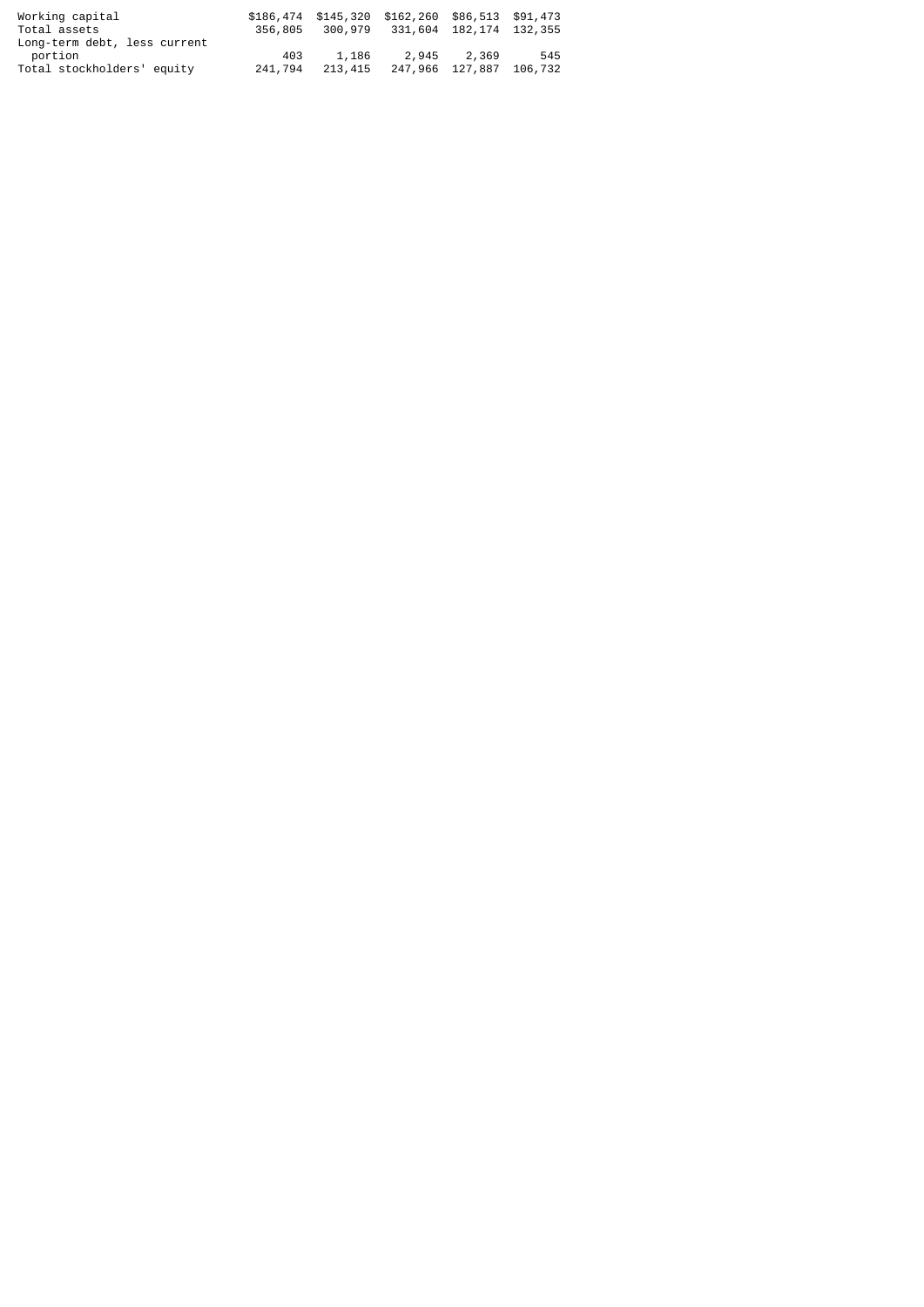| Working capital<br>Total assets |         |         | \$186,474 \$145,320 \$162,260 \$86,513 \$91,473<br>356,805 300,979 331,604 182,174 132,355 |                 |         |
|---------------------------------|---------|---------|--------------------------------------------------------------------------------------------|-----------------|---------|
| Long-term debt, less current    |         |         |                                                                                            |                 |         |
| portion                         | 403     | 1,186   | 2.945                                                                                      | 2,369           | 545     |
| Total stockholders' equity      | 241,794 | 213,415 |                                                                                            | 247,966 127,887 | 106,732 |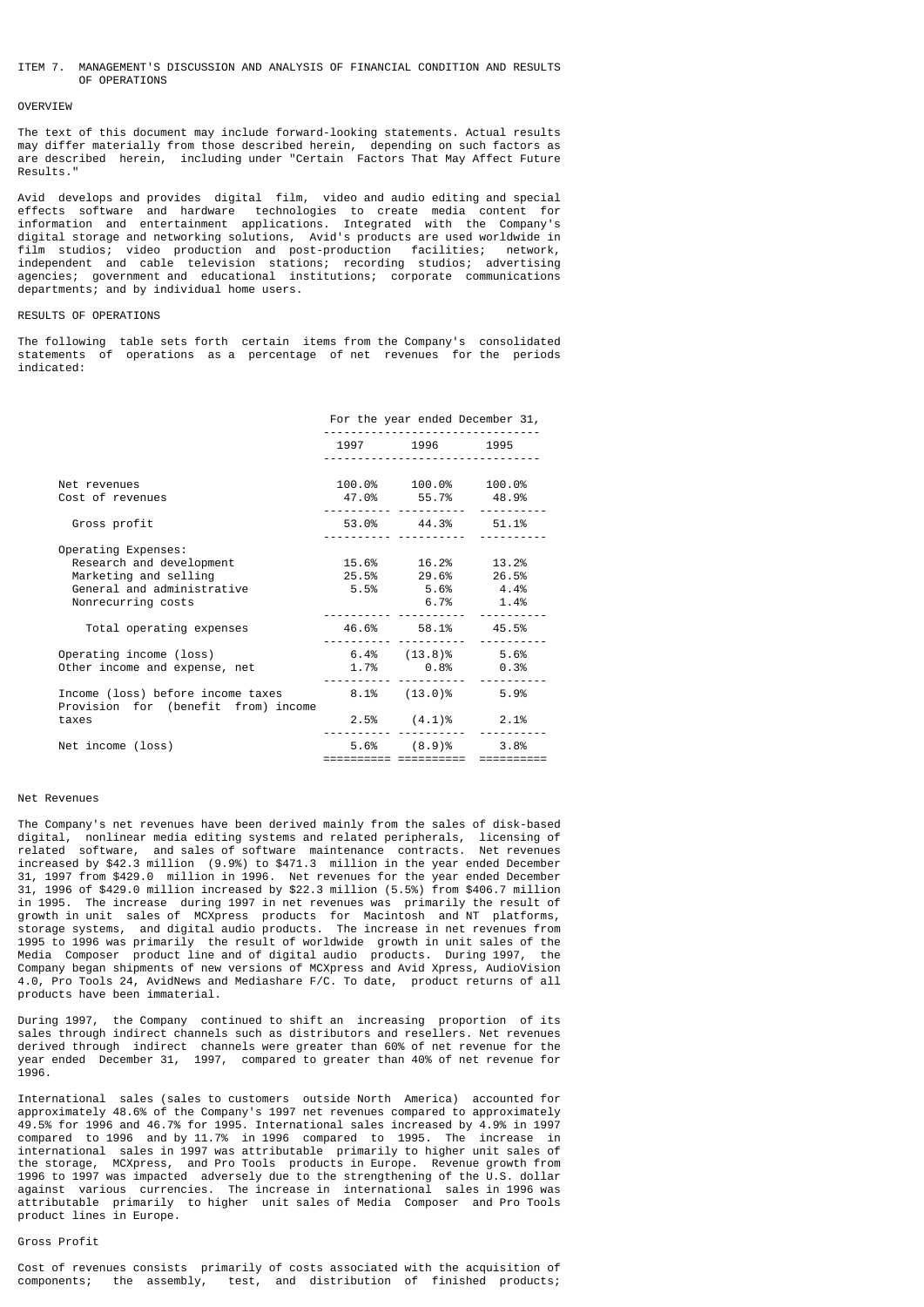### ITEM 7. MANAGEMENT'S DISCUSSION AND ANALYSIS OF FINANCIAL CONDITION AND RESULTS OF OPERATIONS

#### **OVERVTEW**

The text of this document may include forward-looking statements. Actual results may differ materially from those described herein, depending on such factors as are described herein, including under "Certain Factors That May Affect Future Results."

Avid develops and provides digital film, video and audio editing and special effects software and hardware technologies to create media content for information and entertainment applications. Integrated with the Company's digital storage and networking solutions, Avid's products are used worldwide in film studios; video production and post-production facilities; network, independent and cable television stations; recording studios; advertising agencies; government and educational institutions; corporate communications departments; and by individual home users.

## RESULTS OF OPERATIONS

The following table sets forth certain items from the Company's consolidated statements of operations as a percentage of net revenues for the periods indicated:

|                                                                                                                              | For the year ended December 31,                                                   |      |
|------------------------------------------------------------------------------------------------------------------------------|-----------------------------------------------------------------------------------|------|
|                                                                                                                              | 1997 1996 1995                                                                    |      |
| Net revenues<br>Cost of revenues                                                                                             | 100.0% 100.0% 100.0%<br>47.0% 55.7% 48.9%                                         |      |
| Gross profit                                                                                                                 | 53.0% 44.3% 51.1%                                                                 |      |
| Operating Expenses:<br>Research and development<br>Marketing and selling<br>General and administrative<br>Nonrecurring costs | 15.6% 16.2% 13.2%<br>25.5% 29.6% 26.5%<br>$5.5\%$ $5.6\%$ $4.4\%$<br>$6.7\%$ 1.4% |      |
| Total operating expenses                                                                                                     | 46.6% 58.1% 45.5%                                                                 |      |
| Operating income (loss)<br>Other income and expense, net                                                                     | $6.4\%$ $(13.8)\%$ 5.6%<br>$1.7\%$ 0.8% 0.3%                                      |      |
| Income (loss) before income taxes<br>Provision for (benefit from) income                                                     | $8.1\%$ $(13.0)\%$ 5.9%                                                           |      |
| taxes                                                                                                                        | $2.5\%$ $(4.1)\%$ 2.1%                                                            |      |
| Net income (loss)                                                                                                            | $5.6\%$ $(8.9)\%$                                                                 | 3.8% |

### Net Revenues

The Company's net revenues have been derived mainly from the sales of disk-based digital, nonlinear media editing systems and related peripherals, licensing of related software, and sales of software maintenance contracts. Net revenues increased by \$42.3 million (9.9%) to \$471.3 million in the year ended December 31, 1997 from \$429.0 million in 1996. Net revenues for the year ended December 31, 1996 of \$429.0 million increased by \$22.3 million (5.5%) from \$406.7 million in 1995. The increase during 1997 in net revenues was primarily the result of growth in unit sales of MCXpress products for Macintosh and NT platforms, storage systems, and digital audio products. The increase in net revenues from 1995 to 1996 was primarily the result of worldwide growth in unit sales of the Media Composer product line and of digital audio products. During 1997, the Company began shipments of new versions of MCXpress and Avid Xpress, AudioVision 4.0, Pro Tools 24, AvidNews and Mediashare F/C. To date, product returns of all products have been immaterial.

During 1997, the Company continued to shift an increasing proportion of its sales through indirect channels such as distributors and resellers. Net revenues derived through indirect channels were greater than 60% of net revenue for the year ended December 31, 1997, compared to greater than 40% of net revenue for 1996.

International sales (sales to customers outside North America) accounted for approximately 48.6% of the Company's 1997 net revenues compared to approximately 49.5% for 1996 and 46.7% for 1995. International sales increased by 4.9% in 1997 compared to 1996 and by 11.7% in 1996 compared to 1995. The increase in international sales in 1997 was attributable primarily to higher unit sales of the storage, MCXpress, and Pro Tools products in Europe. Revenue growth from 1996 to 1997 was impacted adversely due to the strengthening of the U.S. dollar against various currencies. The increase in international sales in 1996 was attributable primarily to higher unit sales of Media Composer and Pro Tools product lines in Europe.

# Gross Profit

Cost of revenues consists primarily of costs associated with the acquisition of components; the assembly, test, and distribution of finished products;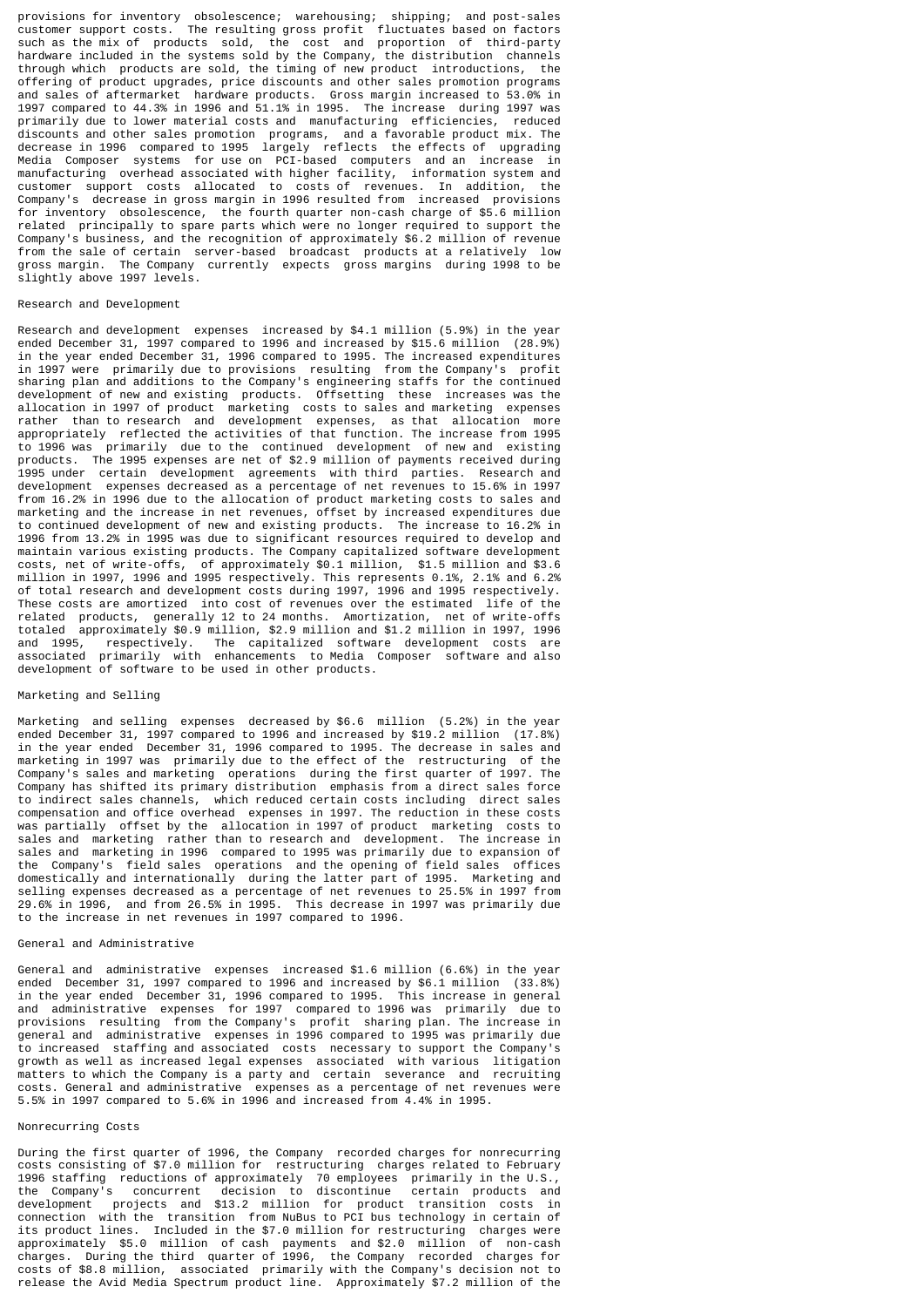provisions for inventory obsolescence; warehousing; shipping; and post-sales customer support costs. The resulting gross profit fluctuates based on factors such as the mix of products sold, the cost and proportion of third-party hardware included in the systems sold by the Company, the distribution channels through which products are sold, the timing of new product introductions, the offering of product upgrades, price discounts and other sales promotion programs and sales of aftermarket hardware products. Gross margin increased to 53.0% in 1997 compared to 44.3% in 1996 and 51.1% in 1995. The increase during 1997 was primarily due to lower material costs and manufacturing efficiencies, reduced discounts and other sales promotion programs, and a favorable product mix. The decrease in 1996 compared to 1995 largely reflects the effects of upgrading Media Composer systems for use on PCI-based computers and an increase in manufacturing overhead associated with higher facility, information system and customer support costs allocated to costs of revenues. In addition, the Company's decrease in gross margin in 1996 resulted from increased provisions for inventory obsolescence, the fourth quarter non-cash charge of \$5.6 million related principally to spare parts which were no longer required to support the Company's business, and the recognition of approximately \$6.2 million of revenue from the sale of certain server-based broadcast products at a relatively low gross margin. The Company currently expects gross margins during 1998 to be slightly above 1997 levels.

### Research and Development

Research and development expenses increased by \$4.1 million (5.9%) in the year ended December 31, 1997 compared to 1996 and increased by \$15.6 million (28.9%) in the year ended December 31, 1996 compared to 1995. The increased expenditures in 1997 were primarily due to provisions resulting from the Company's profit sharing plan and additions to the Company's engineering staffs for the continued development of new and existing products. Offsetting these increases was the allocation in 1997 of product marketing costs to sales and marketing expenses rather than to research and development expenses, as that allocation more appropriately reflected the activities of that function. The increase from 1995 to 1996 was primarily due to the continued development of new and existing products. The 1995 expenses are net of \$2.9 million of payments received during 1995 under certain development agreements with third parties. Research and development expenses decreased as a percentage of net revenues to 15.6% in 1997 from 16.2% in 1996 due to the allocation of product marketing costs to sales and marketing and the increase in net revenues, offset by increased expenditures due to continued development of new and existing products. The increase to 16.2% in 1996 from 13.2% in 1995 was due to significant resources required to develop and maintain various existing products. The Company capitalized software development costs, net of write-offs, of approximately \$0.1 million, \$1.5 million and \$3.6 million in 1997, 1996 and 1995 respectively. This represents 0.1%, 2.1% and 6.2% of total research and development costs during 1997, 1996 and 1995 respectively. These costs are amortized into cost of revenues over the estimated life of the related products, generally 12 to 24 months. Amortization, net of write-offs totaled approximately \$0.9 million, \$2.9 million and \$1.2 million in 1997, 1996 and 1995, respectively. The capitalized software development costs are associated primarily with enhancements to Media Composer software and also development of software to be used in other products.

### Marketing and Selling

Marketing and selling expenses decreased by \$6.6 million (5.2%) in the year ended December 31, 1997 compared to 1996 and increased by \$19.2 million (17.8%) in the year ended December 31, 1996 compared to 1995. The decrease in sales and marketing in 1997 was primarily due to the effect of the restructuring of the Company's sales and marketing operations during the first quarter of 1997. The Company has shifted its primary distribution emphasis from a direct sales force to indirect sales channels, which reduced certain costs including direct sales compensation and office overhead expenses in 1997. The reduction in these costs was partially offset by the allocation in 1997 of product marketing costs to sales and marketing rather than to research and development. The increase in sales and marketing in 1996 compared to 1995 was primarily due to expansion of the Company's field sales operations and the opening of field sales offices domestically and internationally during the latter part of 1995. Marketing and selling expenses decreased as a percentage of net revenues to 25.5% in 1997 from 29.6% in 1996, and from 26.5% in 1995. This decrease in 1997 was primarily due to the increase in net revenues in 1997 compared to 1996.

#### General and Administrative

General and administrative expenses increased \$1.6 million (6.6%) in the year ended December 31, 1997 compared to 1996 and increased by \$6.1 million (33.8%) in the year ended December 31, 1996 compared to 1995. This increase in general and administrative expenses for 1997 compared to 1996 was primarily due to provisions resulting from the Company's profit sharing plan. The increase in general and administrative expenses in 1996 compared to 1995 was primarily due to increased staffing and associated costs necessary to support the Company's growth as well as increased legal expenses associated with various litigation matters to which the Company is a party and certain severance and recruiting costs. General and administrative expenses as a percentage of net revenues were 5.5% in 1997 compared to 5.6% in 1996 and increased from 4.4% in 1995.

### Nonrecurring Costs

During the first quarter of 1996, the Company recorded charges for nonrecurring costs consisting of \$7.0 million for restructuring charges related to February 1996 staffing reductions of approximately 70 employees primarily in the U.S., the Company's concurrent decision to discontinue certain products and development projects and \$13.2 million for product transition costs in connection with the transition from NuBus to PCI bus technology in certain of its product lines. Included in the \$7.0 million for restructuring charges were approximately \$5.0 million of cash payments and \$2.0 million of non-cash charges. During the third quarter of 1996, the Company recorded charges for costs of \$8.8 million, associated primarily with the Company's decision not to release the Avid Media Spectrum product line. Approximately \$7.2 million of the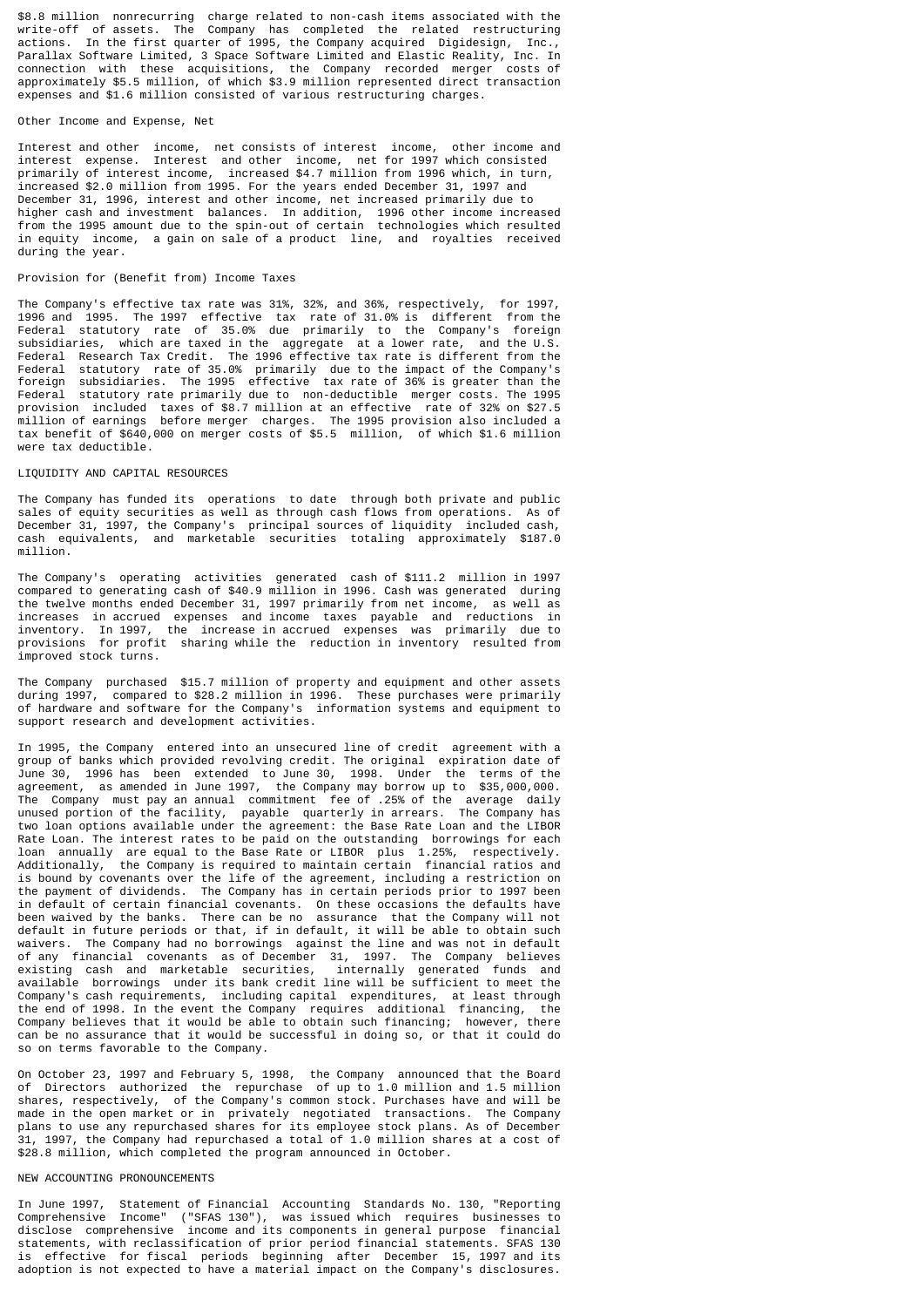\$8.8 million nonrecurring charge related to non-cash items associated with the write-off of assets. The Company has completed the related restructuring actions. In the first quarter of 1995, the Company acquired Digidesign, Inc., Parallax Software Limited, 3 Space Software Limited and Elastic Reality, Inc. In connection with these acquisitions, the Company recorded merger costs of approximately \$5.5 million, of which \$3.9 million represented direct transaction expenses and \$1.6 million consisted of various restructuring charges.

#### Other Income and Expense, Net

Interest and other income, net consists of interest income, other income and interest expense. Interest and other income, net for 1997 which consisted primarily of interest income, increased \$4.7 million from 1996 which, in turn, increased \$2.0 million from 1995. For the years ended December 31, 1997 and December 31, 1996, interest and other income, net increased primarily due to higher cash and investment balances. In addition, 1996 other income increased from the 1995 amount due to the spin-out of certain technologies which resulted in equity income, a gain on sale of a product line, and royalties received during the year.

## Provision for (Benefit from) Income Taxes

The Company's effective tax rate was 31%, 32%, and 36%, respectively, for 1997, 1996 and 1995. The 1997 effective tax rate of 31.0% is different from the Federal statutory rate of 35.0% due primarily to the Company's foreign subsidiaries, which are taxed in the aggregate at a lower rate, and the U.S. Federal Research Tax Credit. The 1996 effective tax rate is different from the Federal statutory rate of 35.0% primarily due to the impact of the Company's foreign subsidiaries. The 1995 effective tax rate of 36% is greater than the Federal statutory rate primarily due to non-deductible merger costs. The 1995 provision included taxes of \$8.7 million at an effective rate of 32% on \$27.5 million of earnings before merger charges. The 1995 provision also included a tax benefit of \$640,000 on merger costs of \$5.5 million, of which \$1.6 million were tax deductible.

### LIQUIDITY AND CAPITAL RESOURCES

The Company has funded its operations to date through both private and public sales of equity securities as well as through cash flows from operations. As of December 31, 1997, the Company's principal sources of liquidity included cash, cash equivalents, and marketable securities totaling approximately \$187.0 million<sup>1</sup>

The Company's operating activities generated cash of \$111.2 million in 1997 compared to generating cash of \$40.9 million in 1996. Cash was generated during the twelve months ended December 31, 1997 primarily from net income, as well as increases in accrued expenses and income taxes payable and reductions in inventory. In 1997, the increase in accrued expenses was primarily due to provisions for profit sharing while the reduction in inventory resulted from improved stock turns.

The Company purchased \$15.7 million of property and equipment and other assets during 1997, compared to \$28.2 million in 1996. These purchases were primarily of hardware and software for the Company's information systems and equipment to support research and development activities.

In 1995, the Company entered into an unsecured line of credit agreement with a group of banks which provided revolving credit. The original expiration date of June 30, 1996 has been extended to June 30, 1998. Under the terms of the agreement, as amended in June 1997, the Company may borrow up to \$35,000,000. The Company must pay an annual commitment fee of .25% of the average daily unused portion of the facility, payable quarterly in arrears. The Company has two loan options available under the agreement: the Base Rate Loan and the LIBOR Rate Loan. The interest rates to be paid on the outstanding borrowings for each loan annually are equal to the Base Rate or LIBOR plus 1.25%, respectively. Additionally, the Company is required to maintain certain financial ratios and is bound by covenants over the life of the agreement, including a restriction on the payment of dividends. The Company has in certain periods prior to 1997 been in default of certain financial covenants. On these occasions the defaults have been waived by the banks. There can be no assurance that the Company will not default in future periods or that, if in default, it will be able to obtain such waivers. The Company had no borrowings against the line and was not in default of any financial covenants as of December 31, 1997. The Company believes existing cash and marketable securities, internally generated funds and available borrowings under its bank credit line will be sufficient to meet the available borrowings under its bank credit line will be sufficient to meet the Company's cash requirements, including capital expenditures, at least through the end of 1998. In the event the Company requires additional financing, the Company believes that it would be able to obtain such financing; however, there can be no assurance that it would be successful in doing so, or that it could do so on terms favorable to the Company.

On October 23, 1997 and February 5, 1998, the Company announced that the Board of Directors authorized the repurchase of up to 1.0 million and 1.5 million shares, respectively, of the Company's common stock. Purchases have and will be made in the open market or in privately negotiated transactions. The Company plans to use any repurchased shares for its employee stock plans. As of December 31, 1997, the Company had repurchased a total of 1.0 million shares at a cost of \$28.8 million, which completed the program announced in October.

### NEW ACCOUNTING PRONOUNCEMENTS

In June 1997, Statement of Financial Accounting Standards No. 130, "Reporting Comprehensive Income" ("SFAS 130"), was issued which requires businesses to disclose comprehensive income and its components in general purpose financial statements, with reclassification of prior period financial statements. SFAS 130 is effective for fiscal periods beginning after December 15, 1997 and its adoption is not expected to have a material impact on the Company's disclosures.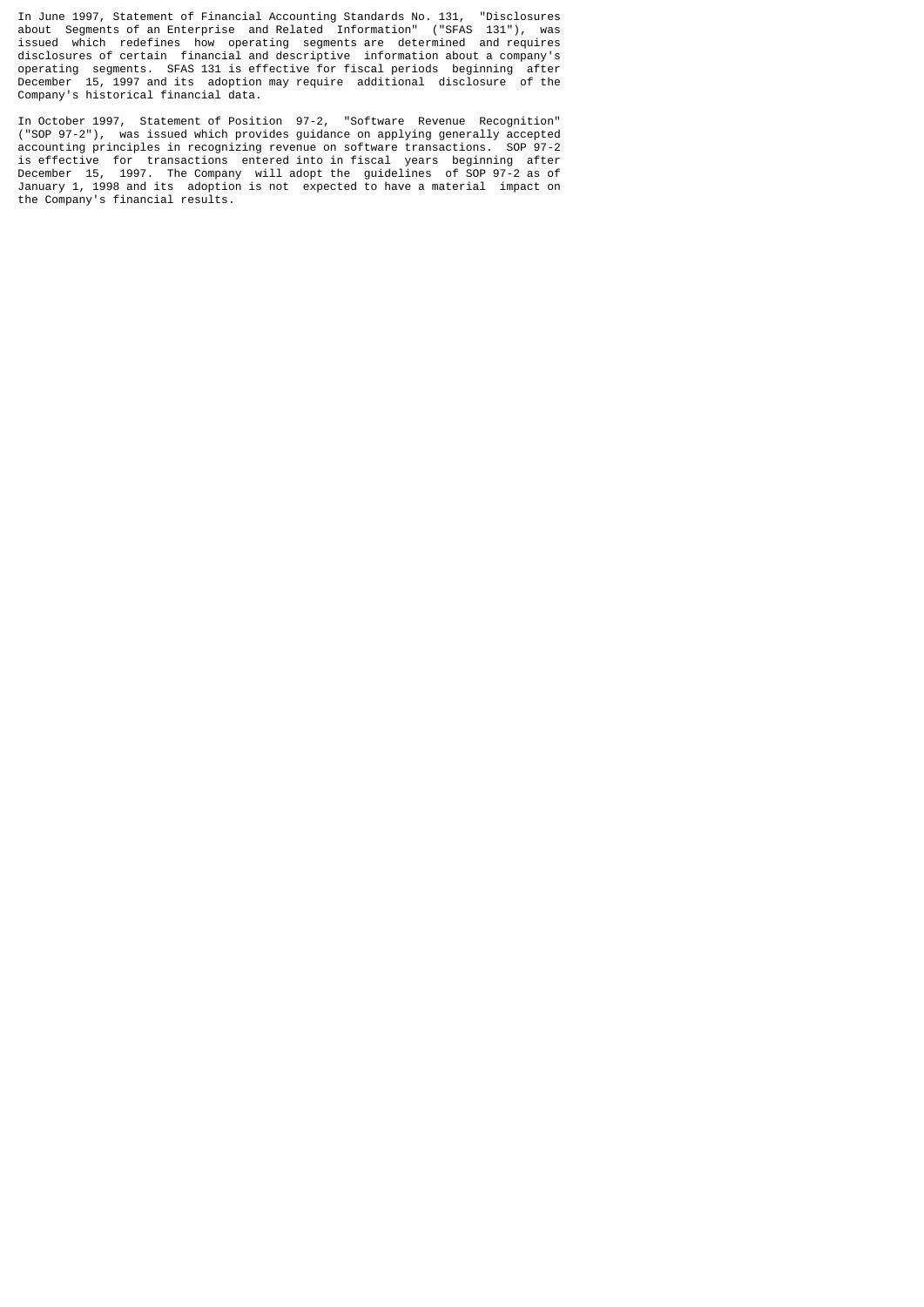In June 1997, Statement of Financial Accounting Standards No. 131, "Disclosures about Segments of an Enterprise and Related Information" ("SFAS 131"), was issued which redefines how operating segments are determined and requires disclosures of certain financial and descriptive information about a company's operating segments. SFAS 131 is effective for fiscal periods beginning after December 15, 1997 and its adoption may require additional disclosure of the Company's historical financial data.

In October 1997, Statement of Position 97-2, "Software Revenue Recognition" ("SOP 97-2"), was issued which provides guidance on applying generally accepted accounting principles in recognizing revenue on software transactions. SOP 97-2 is effective for transactions entered into in fiscal years beginning after December 15, 1997. The Company will adopt the guidelines of SOP 97-2 as of January 1, 1998 and its adoption is not expected to have a material impact on the Company's financial results.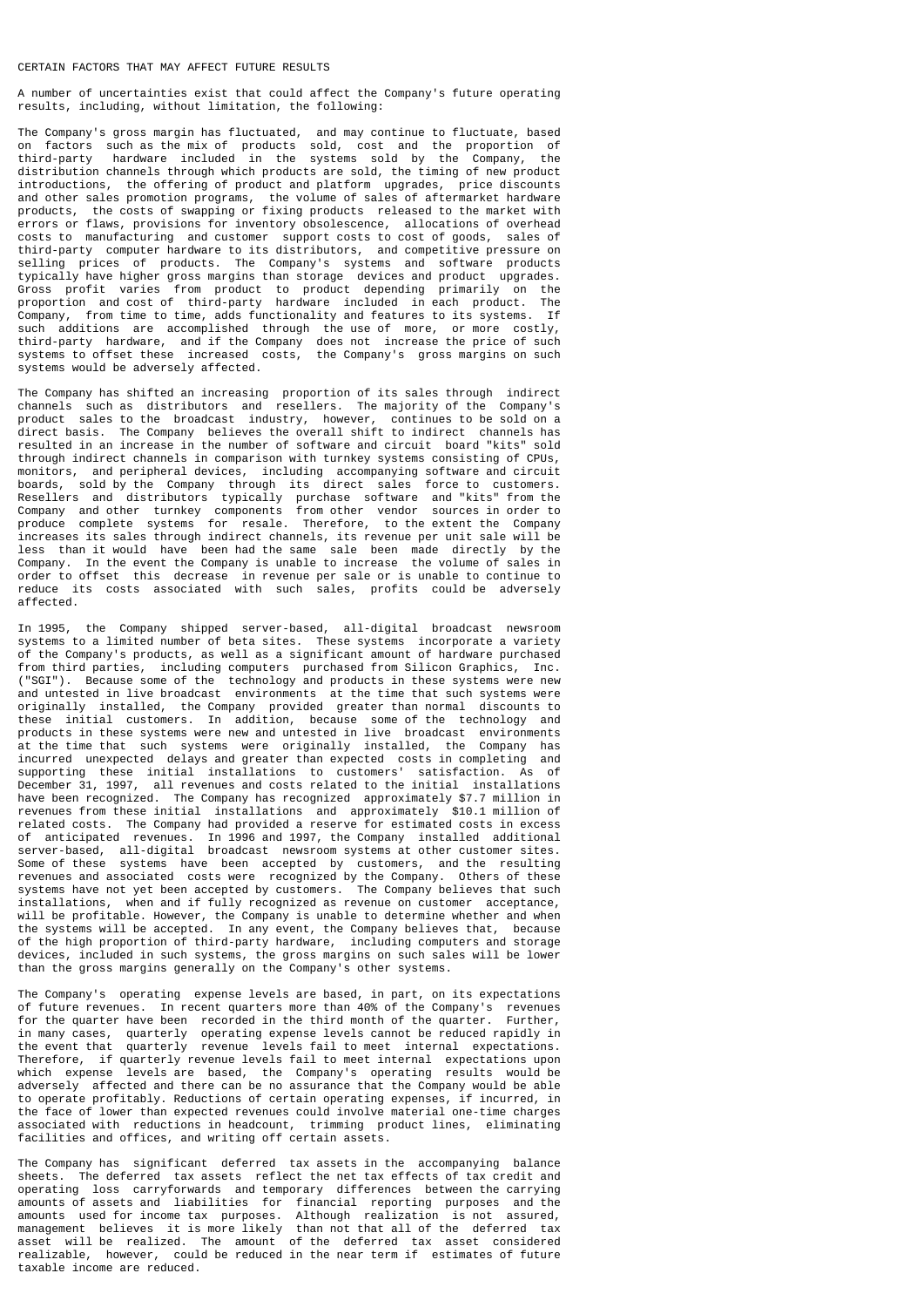### CERTAIN FACTORS THAT MAY AFFECT FUTURE RESULTS

A number of uncertainties exist that could affect the Company's future operating results, including, without limitation, the following:

The Company's gross margin has fluctuated, and may continue to fluctuate, based on factors such as the mix of products sold, cost and the proportion of third-party hardware included in the systems sold by the Company, the distribution channels through which products are sold, the timing of new product introductions, the offering of product and platform upgrades, price discounts and other sales promotion programs, the volume of sales of aftermarket hardware products, the costs of swapping or fixing products released to the market with errors or flaws, provisions for inventory obsolescence, allocations of overhead costs to manufacturing and customer support costs to cost of goods, sales of third-party computer hardware to its distributors, and competitive pressure on selling prices of products. The Company's systems and software products typically have higher gross margins than storage devices and product upgrades. Gross profit varies from product to product depending primarily on the proportion and cost of third-party hardware included in each product. The Company, from time to time, adds functionality and features to its systems. If such additions are accomplished through the use of more, or more costly, third-party hardware, and if the Company does not increase the price of such systems to offset these increased costs, the Company's gross margins on such systems would be adversely affected.

The Company has shifted an increasing proportion of its sales through indirect channels such as distributors and resellers. The majority of the Company's product sales to the broadcast industry, however, continues to be sold on a direct basis. The Company believes the overall shift to indirect channels has resulted in an increase in the number of software and circuit board "kits" sold<br>through indirect channels in comparison with turnkey systems consisting of CPUs. through indirect channels in comparison with turnkey systems consisting of CPUs, monitors, and peripheral devices, including accompanying software and circuit boards, sold by the Company through its direct sales force to customers. Resellers and distributors typically purchase software and "kits" from the Company and other turnkey components from other vendor sources in order to produce complete systems for resale. Therefore, to the extent the Company increases its sales through indirect channels, its revenue per unit sale will be less than it would have been had the same sale been made directly by the Company. In the event the Company is unable to increase the volume of sales in order to offset this decrease in revenue per sale or is unable to continue to reduce its costs associated with such sales, profits could be adversely affected.

In 1995, the Company shipped server-based, all-digital broadcast newsroom systems to a limited number of beta sites. These systems incorporate a variety of the Company's products, as well as a significant amount of hardware purchased from third parties, including computers purchased from Silicon Graphics, Inc. ("SGI"). Because some of the technology and products in these systems were new and untested in live broadcast environments at the time that such systems were originally installed, the Company provided greater than normal discounts to these initial customers. In addition, because some of the technology and products in these systems were new and untested in live broadcast environments at the time that such systems were originally installed, the Company has incurred unexpected delays and greater than expected costs in completing and supporting these initial installations to customers' satisfaction. As of<br>December 31, 1997, all revenues and costs related to the initial installations all revenues and costs related to the initial installations have been recognized. The Company has recognized approximately \$7.7 million in revenues from these initial installations and approximately \$10.1 million of related costs. The Company had provided a reserve for estimated costs in excess of anticipated revenues. In 1996 and 1997, the Company installed additional server-based, all-digital broadcast newsroom systems at other customer sites. Some of these systems have been accepted by customers, and the resulting revenues and associated costs were recognized by the Company. Others of these systems have not yet been accepted by customers. The Company believes that such installations, when and if fully recognized as revenue on customer acceptance, will be profitable. However, the Company is unable to determine whether and when the systems will be accepted. In any event, the Company believes that, because of the high proportion of third-party hardware, including computers and storage devices, included in such systems, the gross margins on such sales will be lower than the gross margins generally on the Company's other systems.

The Company's operating expense levels are based, in part, on its expectations of future revenues. In recent quarters more than 40% of the Company's revenues for the quarter have been recorded in the third month of the quarter. Further, in many cases, quarterly operating expense levels cannot be reduced rapidly in the event that quarterly revenue levels fail to meet internal expectations. Therefore, if quarterly revenue levels fail to meet internal expectations upon which expense levels are based, the Company's operating results would be adversely affected and there can be no assurance that the Company would be able to operate profitably. Reductions of certain operating expenses, if incurred, in the face of lower than expected revenues could involve material one-time charges associated with reductions in headcount, trimming product lines, eliminating facilities and offices, and writing off certain assets.

The Company has significant deferred tax assets in the accompanying balance sheets. The deferred tax assets reflect the net tax effects of tax credit and operating loss carryforwards and temporary differences between the carrying amounts of assets and liabilities for financial reporting purposes and the amounts used for income tax purposes. Although realization is not assured, management believes it is more likely than not that all of the deferred tax asset will be realized. The amount of the deferred tax asset considered realizable, however, could be reduced in the near term if estimates of future taxable income are reduced.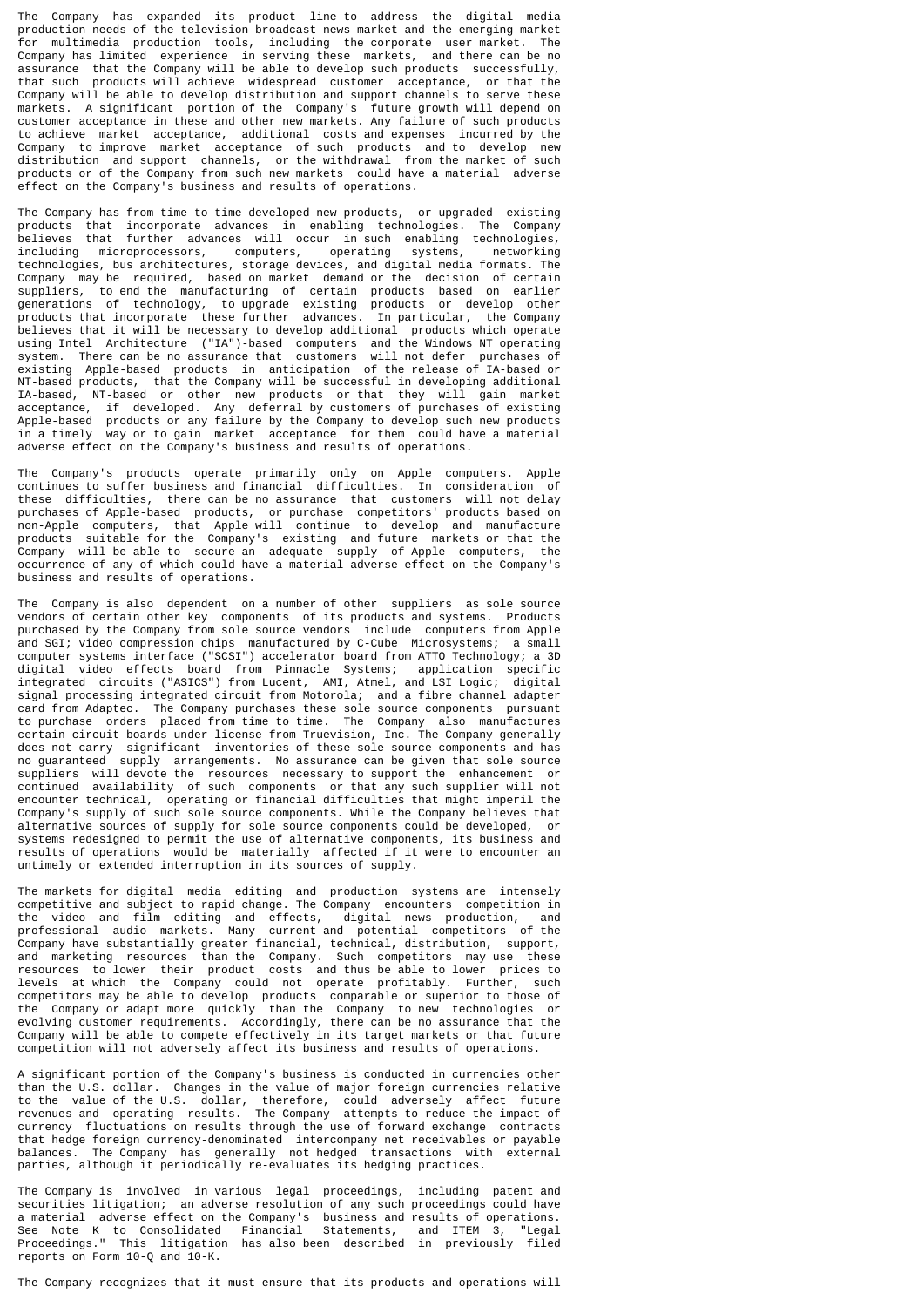The Company has expanded its product line to address the digital media production needs of the television broadcast news market and the emerging market for multimedia production tools, including the corporate user market. The Company has limited experience in serving these markets, and there can be no assurance that the Company will be able to develop such products successfully, that such products will achieve widespread customer acceptance, or that the Company will be able to develop distribution and support channels to serve these markets. A significant portion of the Company's future growth will depend on customer acceptance in these and other new markets. Any failure of such products to achieve market acceptance, additional costs and expenses incurred by the Company to improve market acceptance of such products and to develop new Company to improve market acceptance of such products and to develop distribution and support channels, or the withdrawal from the market of such products or of the Company from such new markets could have a material adverse effect on the Company's business and results of operations.

The Company has from time to time developed new products, or upgraded existing products that incorporate advances in enabling technologies. The Company believes that further advances will occur in such enabling technologies, including microprocessors, computers, operating systems, networking technologies, bus architectures, storage devices, and digital media formats. The Company may be required, based on market demand or the decision of certain suppliers, to end the manufacturing of certain products based on earlier generations of technology, to upgrade existing products or develop other products that incorporate these further advances. In particular, the Company believes that it will be necessary to develop additional products which operate using Intel Architecture ("IA")-based computers and the Windows NT operating system. There can be no assurance that customers will not defer purchases of existing Apple-based products in anticipation of the release of IA-based or NT-based products, that the Company will be successful in developing additional IA-based, NT-based or other new products or that they will gain market acceptance, if developed. Any deferral by customers of purchases of existing Apple-based products or any failure by the Company to develop such new products in a timely way or to gain market acceptance for them could have a material adverse effect on the Company's business and results of operations.

The Company's products operate primarily only on Apple computers. Apple continues to suffer business and financial difficulties. In consideration of these difficulties, there can be no assurance that customers will not delay purchases of Apple-based products, or purchase competitors' products based on non-Apple computers, that Apple will continue to develop and manufacture products suitable for the Company's existing and future markets or that the Company will be able to secure an adequate supply of Apple computers, the occurrence of any of which could have a material adverse effect on the Company's business and results of operations.

The Company is also dependent on a number of other suppliers as sole source vendors of certain other key components of its products and systems. Products purchased by the Company from sole source vendors include computers from Apple and SGI; video compression chips manufactured by C-Cube Microsystems; a small computer systems interface ("SCSI") accelerator board from ATTO Technology; a 3D digital video effects board from Pinnacle Systems; application specific integrated circuits ("ASICS") from Lucent, AMI, Atmel, and LSI Logic; digital signal processing integrated circuit from Motorola; and a fibre channel adapter card from Adaptec. The Company purchases these sole source components pursuant to purchase orders placed from time to time. The Company also manufactures certain circuit boards under license from Truevision, Inc. The Company generally does not carry significant inventories of these sole source components and has no guaranteed supply arrangements. No assurance can be given that sole source suppliers will devote the resources necessary to support the enhancement or continued availability of such components or that any such supplier will not encounter technical, operating or financial difficulties that might imperil the Company's supply of such sole source components. While the Company believes that alternative sources of supply for sole source components could be developed, or systems redesigned to permit the use of alternative components, its business and results of operations would be materially affected if it were to encounter an untimely or extended interruption in its sources of supply.

The markets for digital media editing and production systems are intensely competitive and subject to rapid change. The Company encounters competition in the video and film editing and effects, digital news production, and professional audio markets. Many current and potential competitors of the Company have substantially greater financial, technical, distribution, support, and marketing resources than the Company. Such competitors may use these resources to lower their product costs and thus be able to lower prices to levels at which the Company could not operate profitably. Further, such competitors may be able to develop products comparable or superior to those of the Company or adapt more quickly than the Company to new technologies or evolving customer requirements. Accordingly, there can be no assurance that the Company will be able to compete effectively in its target markets or that future competition will not adversely affect its business and results of operations.

A significant portion of the Company's business is conducted in currencies other than the U.S. dollar. Changes in the value of major foreign currencies relative to the value of the U.S. dollar, therefore, could adversely affect future revenues and operating results. The Company attempts to reduce the impact of currency fluctuations on results through the use of forward exchange contracts that hedge foreign currency-denominated intercompany net receivables or payable balances. The Company has generally not hedged transactions with external parties, although it periodically re-evaluates its hedging practices.

The Company is involved in various legal proceedings, including patent and securities litigation; an adverse resolution of any such proceedings could have a material adverse effect on the Company's business and results of operations. See Note K to Consolidated Financial Statements, and ITEM 3, "Legal Proceedings." This litigation has also been described in previously filed reports on Form 10-Q and 10-K.

The Company recognizes that it must ensure that its products and operations will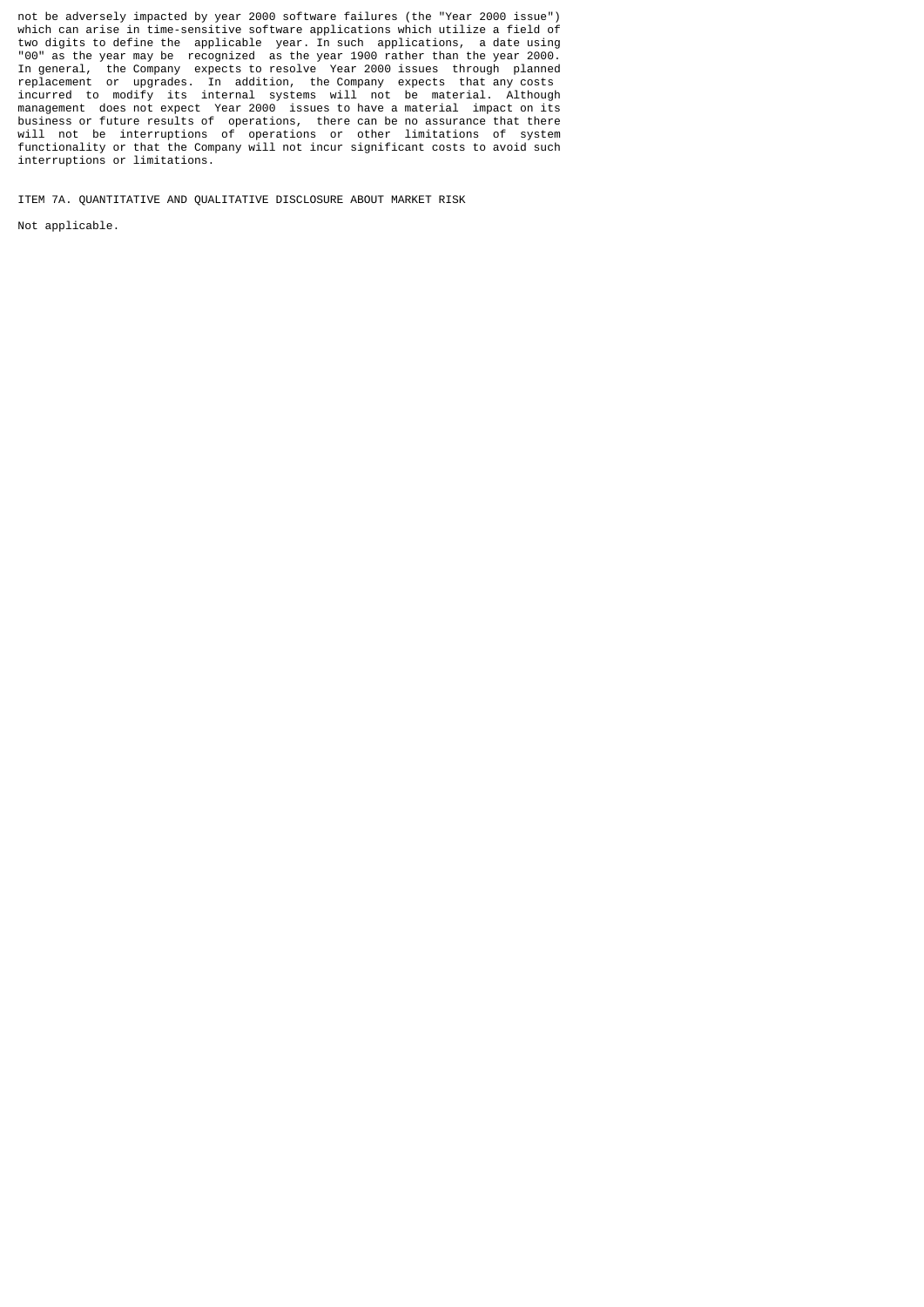not be adversely impacted by year 2000 software failures (the "Year 2000 issue") which can arise in time-sensitive software applications which utilize a field of two digits to define the applicable year. In such applications, a date using "00" as the year may be recognized as the year 1900 rather than the year 2000. In general, the Company expects to resolve Year 2000 issues through planned replacement or upgrades. In addition, the Company expects that any costs incurred to modify its internal systems will not be material. Although management does not expect Year 2000 issues to have a material impact on its business or future results of operations, there can be no assurance that there will not be interruptions of operations or other limitations of system functionality or that the Company will not incur significant costs to avoid such interruptions or limitations.

ITEM 7A. QUANTITATIVE AND QUALITATIVE DISCLOSURE ABOUT MARKET RISK

Not applicable.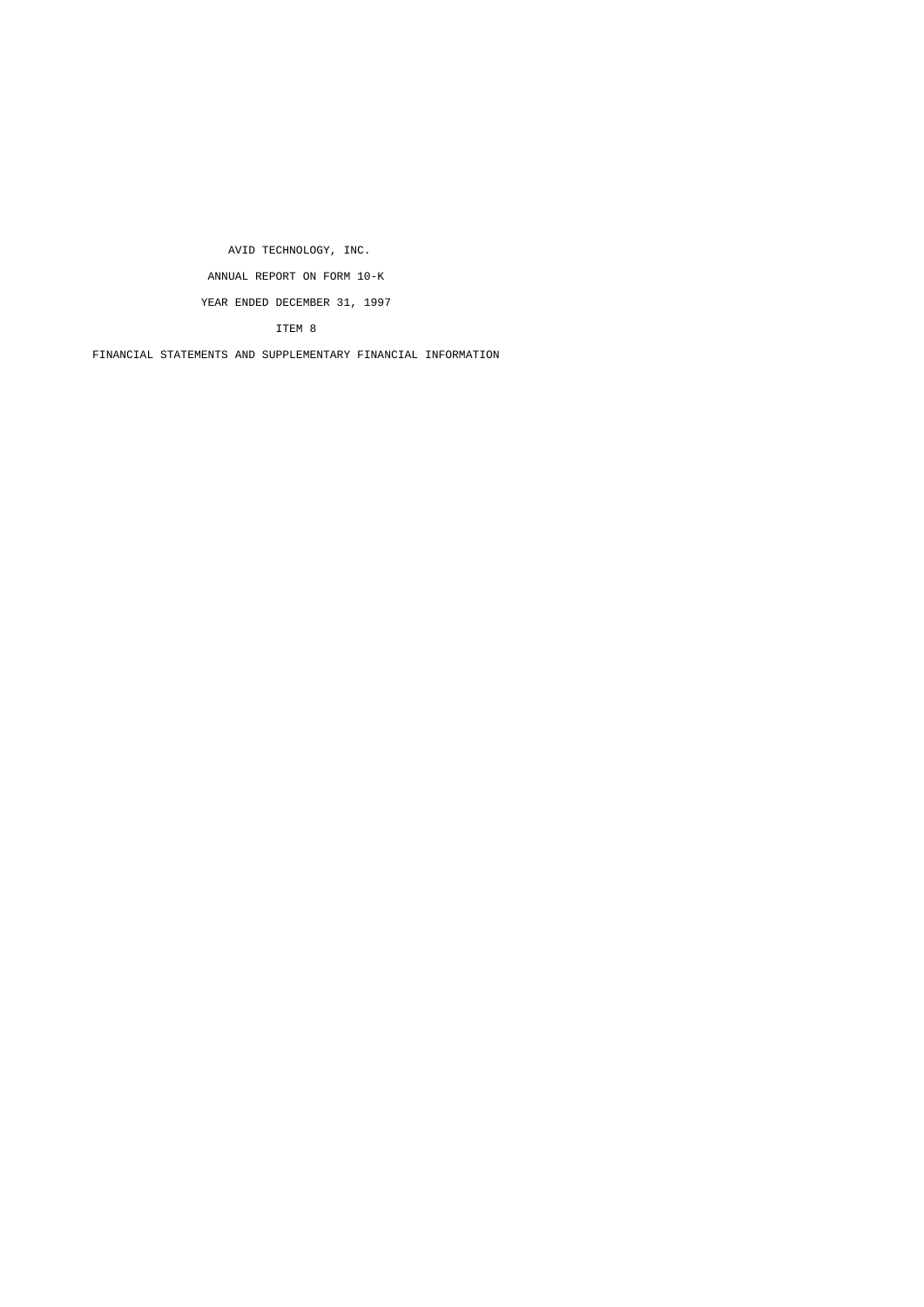AVID TECHNOLOGY, INC. ANNUAL REPORT ON FORM 10-K YEAR ENDED DECEMBER 31, 1997

ITEM 8

FINANCIAL STATEMENTS AND SUPPLEMENTARY FINANCIAL INFORMATION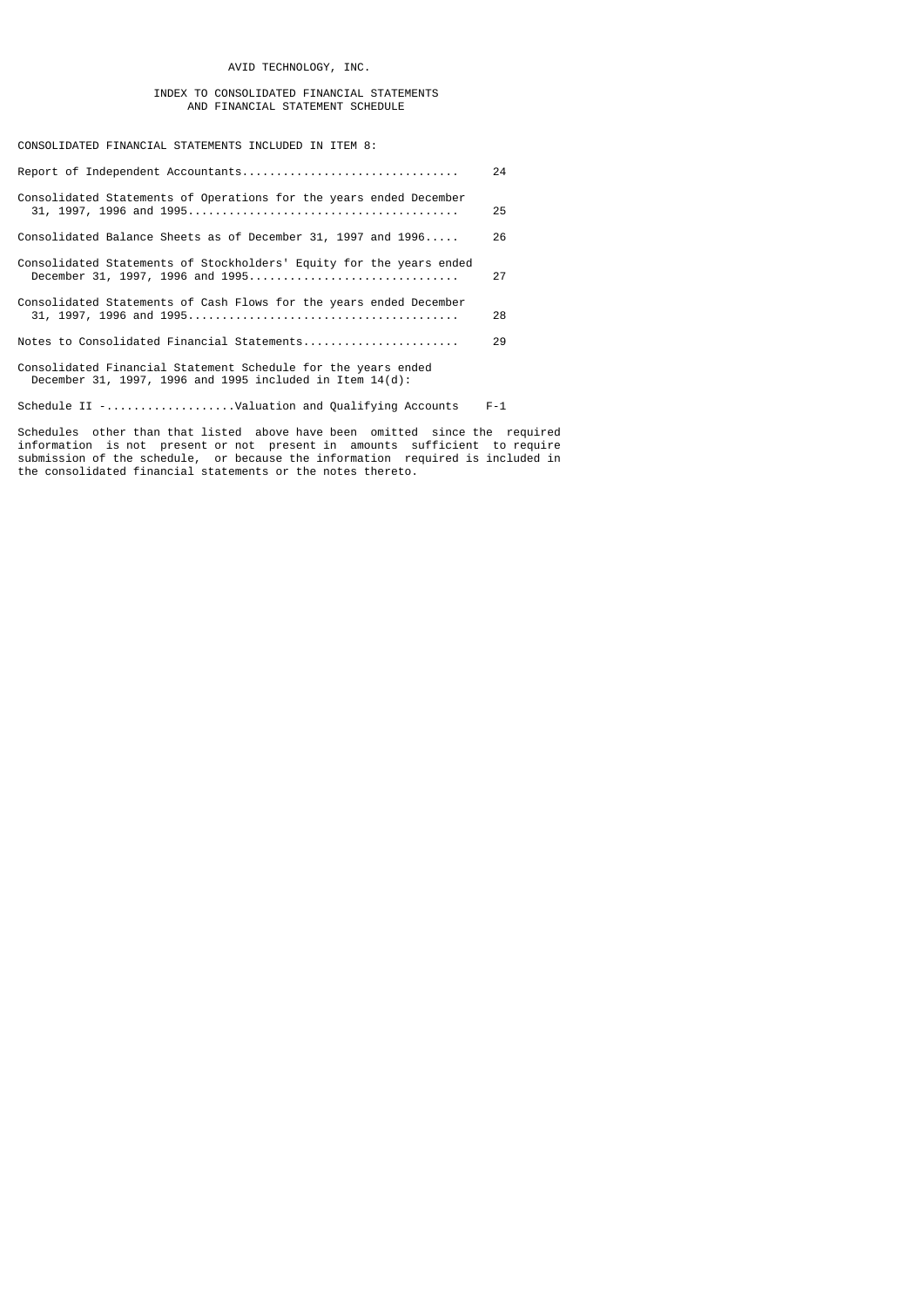# AVID TECHNOLOGY, INC.

# INDEX TO CONSOLIDATED FINANCIAL STATEMENTS AND FINANCIAL STATEMENT SCHEDULE

CONSOLIDATED FINANCIAL STATEMENTS INCLUDED IN ITEM 8:

|                                                                                                                              | 24      |
|------------------------------------------------------------------------------------------------------------------------------|---------|
| Consolidated Statements of Operations for the years ended December                                                           | 25      |
| Consolidated Balance Sheets as of December 31, 1997 and 1996                                                                 | 26      |
| Consolidated Statements of Stockholders' Equity for the years ended<br>December 31, 1997, 1996 and 1995                      | 27      |
| Consolidated Statements of Cash Flows for the years ended December                                                           | 28      |
|                                                                                                                              | 29      |
| Consolidated Financial Statement Schedule for the years ended<br>December 31, 1997, 1996 and 1995 included in Item $14(d)$ : |         |
| Schedule II -Valuation and Qualifying Accounts                                                                               | $F - 1$ |

Schedules other than that listed above have been omitted since the required information is not present or not present in amounts sufficient to require submission of the schedule, or because the information required is included in the consolidated financial statements or the notes thereto.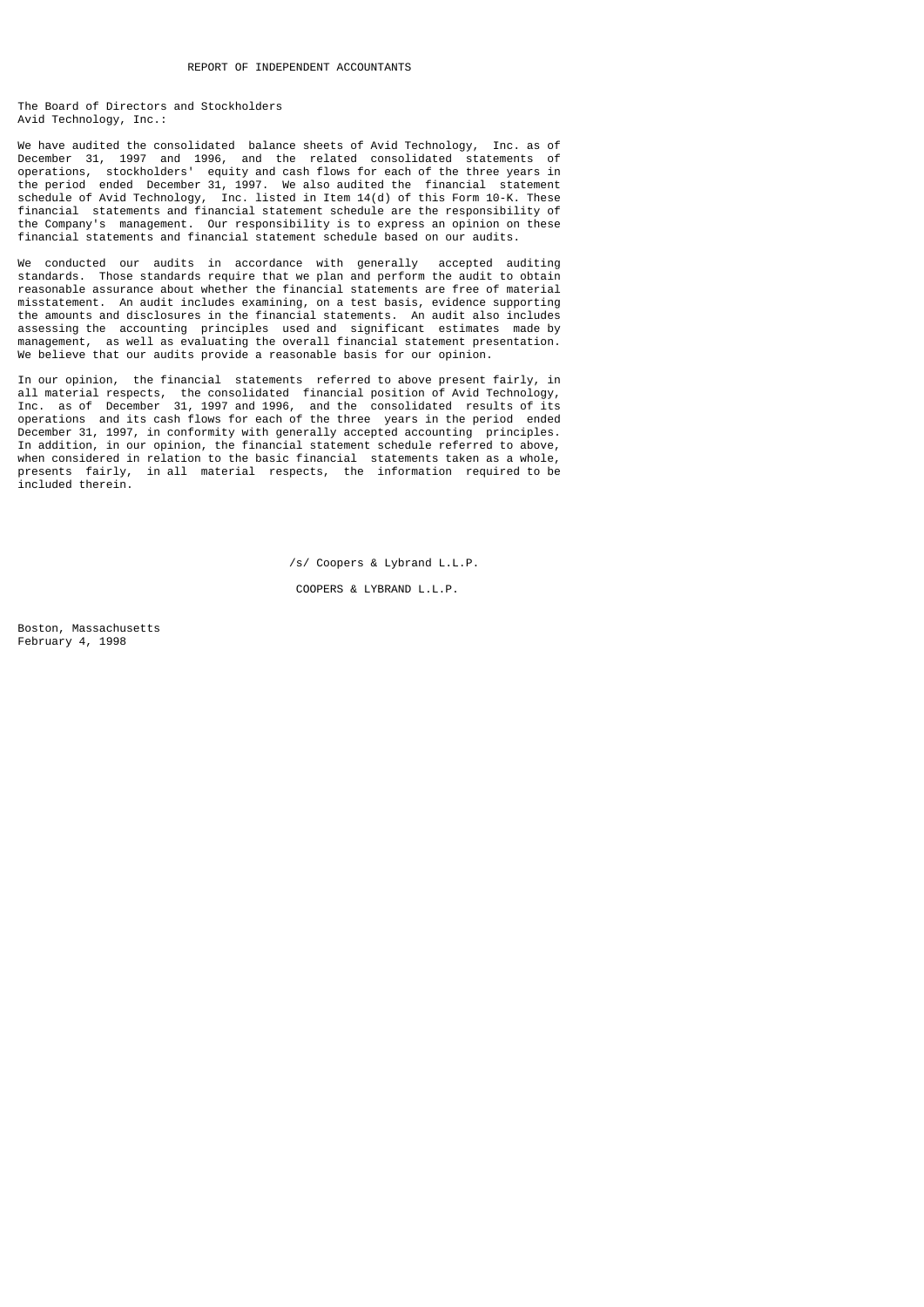The Board of Directors and Stockholders Avid Technology, Inc.:

We have audited the consolidated balance sheets of Avid Technology, Inc. as of December 31, 1997 and 1996, and the related consolidated statements of operations, stockholders' equity and cash flows for each of the three years in the period ended December 31, 1997. We also audited the financial statement schedule of Avid Technology, Inc. listed in Item 14(d) of this Form 10-K. These financial statements and financial statement schedule are the responsibility of the Company's management. Our responsibility is to express an opinion on these financial statements and financial statement schedule based on our audits.

We conducted our audits in accordance with generally accepted auditing standards. Those standards require that we plan and perform the audit to obtain reasonable assurance about whether the financial statements are free of material misstatement. An audit includes examining, on a test basis, evidence supporting the amounts and disclosures in the financial statements. An audit also includes assessing the accounting principles used and significant estimates made by management, as well as evaluating the overall financial statement presentation. We believe that our audits provide a reasonable basis for our opinion.

In our opinion, the financial statements referred to above present fairly, in all material respects, the consolidated financial position of Avid Technology, Inc. as of December 31, 1997 and 1996, and the consolidated results of its operations and its cash flows for each of the three years in the period ended December 31, 1997, in conformity with generally accepted accounting principles. In addition, in our opinion, the financial statement schedule referred to above, when considered in relation to the basic financial statements taken as a whole, presents fairly, in all material respects, the information required to be included therein.

/s/ Coopers & Lybrand L.L.P.

COOPERS & LYBRAND L.L.P.

Boston, Massachusetts February 4, 1998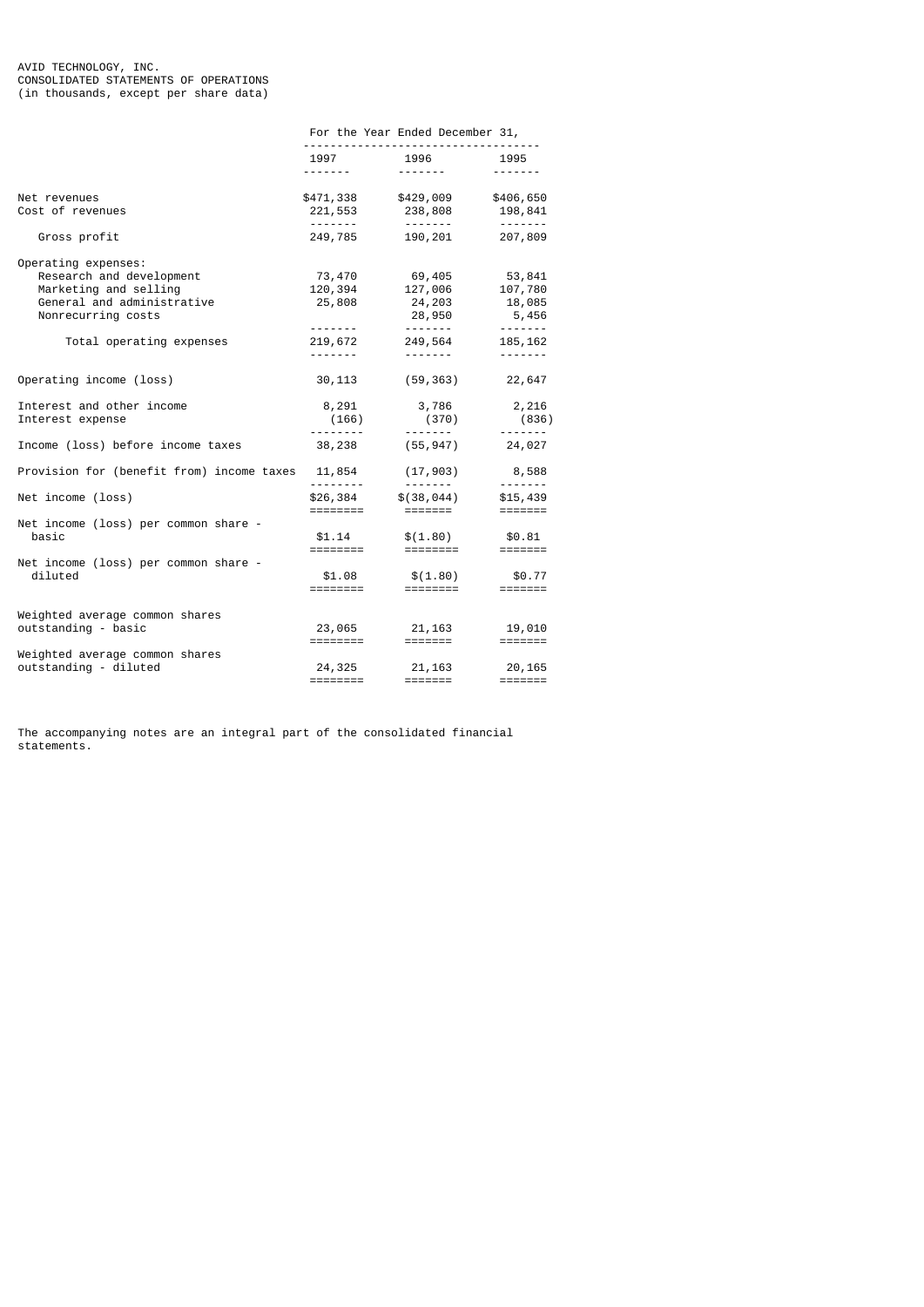|                                                                                                                                                          | For the Year Ended December 31,                                                                                                                                                                                                                                                            |                                                                                                         |                                                                                                                                                                                                                                                                                                                                                                                                                                                                                        |  |  |
|----------------------------------------------------------------------------------------------------------------------------------------------------------|--------------------------------------------------------------------------------------------------------------------------------------------------------------------------------------------------------------------------------------------------------------------------------------------|---------------------------------------------------------------------------------------------------------|----------------------------------------------------------------------------------------------------------------------------------------------------------------------------------------------------------------------------------------------------------------------------------------------------------------------------------------------------------------------------------------------------------------------------------------------------------------------------------------|--|--|
|                                                                                                                                                          | <u>.</u>                                                                                                                                                                                                                                                                                   | 1997 1996 1995<br>--------                                                                              |                                                                                                                                                                                                                                                                                                                                                                                                                                                                                        |  |  |
| Net revenues<br>Cost of revenues                                                                                                                         |                                                                                                                                                                                                                                                                                            | \$471,338 \$429,009 \$406,650<br>221,553 238,808 198,841                                                |                                                                                                                                                                                                                                                                                                                                                                                                                                                                                        |  |  |
| Gross profit                                                                                                                                             |                                                                                                                                                                                                                                                                                            | .<br>249,785 190,201 207,809                                                                            | $\begin{array}{cccccccccccccc} \multicolumn{2}{c}{} & \multicolumn{2}{c}{} & \multicolumn{2}{c}{} & \multicolumn{2}{c}{} & \multicolumn{2}{c}{} & \multicolumn{2}{c}{} & \multicolumn{2}{c}{} & \multicolumn{2}{c}{} & \multicolumn{2}{c}{} & \multicolumn{2}{c}{} & \multicolumn{2}{c}{} & \multicolumn{2}{c}{} & \multicolumn{2}{c}{} & \multicolumn{2}{c}{} & \multicolumn{2}{c}{} & \multicolumn{2}{c}{} & \multicolumn{2}{c}{} & \multicolumn{2}{c}{} & \multicolumn{2}{c}{} & \$ |  |  |
| Operating expenses:<br>Research and development<br>Marketing and selling<br>General and administrative<br>Nonrecurring costs<br>Total operating expenses | 73,470<br>120,394<br>25,808<br>219,672<br><b><i><u>Property Committee State State State State State State State State State State State State State State State State State State State State State State State State State State State State State State State State State St</u></i></b> | 69,405                 53,841<br>127,006              107,780<br>$24, 203$ $18, 085$<br>249,564 185,162 | $28,950$ 5,456<br>-------                                                                                                                                                                                                                                                                                                                                                                                                                                                              |  |  |
| Operating income (loss)                                                                                                                                  | 30, 113                                                                                                                                                                                                                                                                                    | (59, 363)                                                                                               | 22,647                                                                                                                                                                                                                                                                                                                                                                                                                                                                                 |  |  |
| Interest and other income<br>Interest expense                                                                                                            |                                                                                                                                                                                                                                                                                            | 8,291 3,786 2,216<br>$(166)$ $(370)$                                                                    | (836)<br>.                                                                                                                                                                                                                                                                                                                                                                                                                                                                             |  |  |
| Income (loss) before income taxes                                                                                                                        |                                                                                                                                                                                                                                                                                            | 38,238 (55,947) 24,027                                                                                  |                                                                                                                                                                                                                                                                                                                                                                                                                                                                                        |  |  |
| Provision for (benefit from) income taxes $11,854$ (17,903) 8,588                                                                                        |                                                                                                                                                                                                                                                                                            |                                                                                                         |                                                                                                                                                                                                                                                                                                                                                                                                                                                                                        |  |  |
| Net income (loss)                                                                                                                                        |                                                                                                                                                                                                                                                                                            | $$26,384$ $$(38,044)$ $$15,439$                                                                         |                                                                                                                                                                                                                                                                                                                                                                                                                                                                                        |  |  |
| Net income (loss) per common share -<br>basic<br>Net income (loss) per common share -<br>diluted                                                         | ========<br>\$1.08<br>========                                                                                                                                                                                                                                                             | $$1.14$ $$(1.80)$ $$0.81$<br>$$(1.80)$<br>=========                                                     | \$0.77                                                                                                                                                                                                                                                                                                                                                                                                                                                                                 |  |  |
| Weighted average common shares<br>outstanding - basic                                                                                                    |                                                                                                                                                                                                                                                                                            | $23,065$ $21,163$ $19,010$<br>$=$ ======<br>$=$ $=$ ======                                              |                                                                                                                                                                                                                                                                                                                                                                                                                                                                                        |  |  |
| Weighted average common shares<br>outstanding - diluted                                                                                                  | ========                                                                                                                                                                                                                                                                                   | 24, 325 21, 163 20, 165<br>=======                                                                      |                                                                                                                                                                                                                                                                                                                                                                                                                                                                                        |  |  |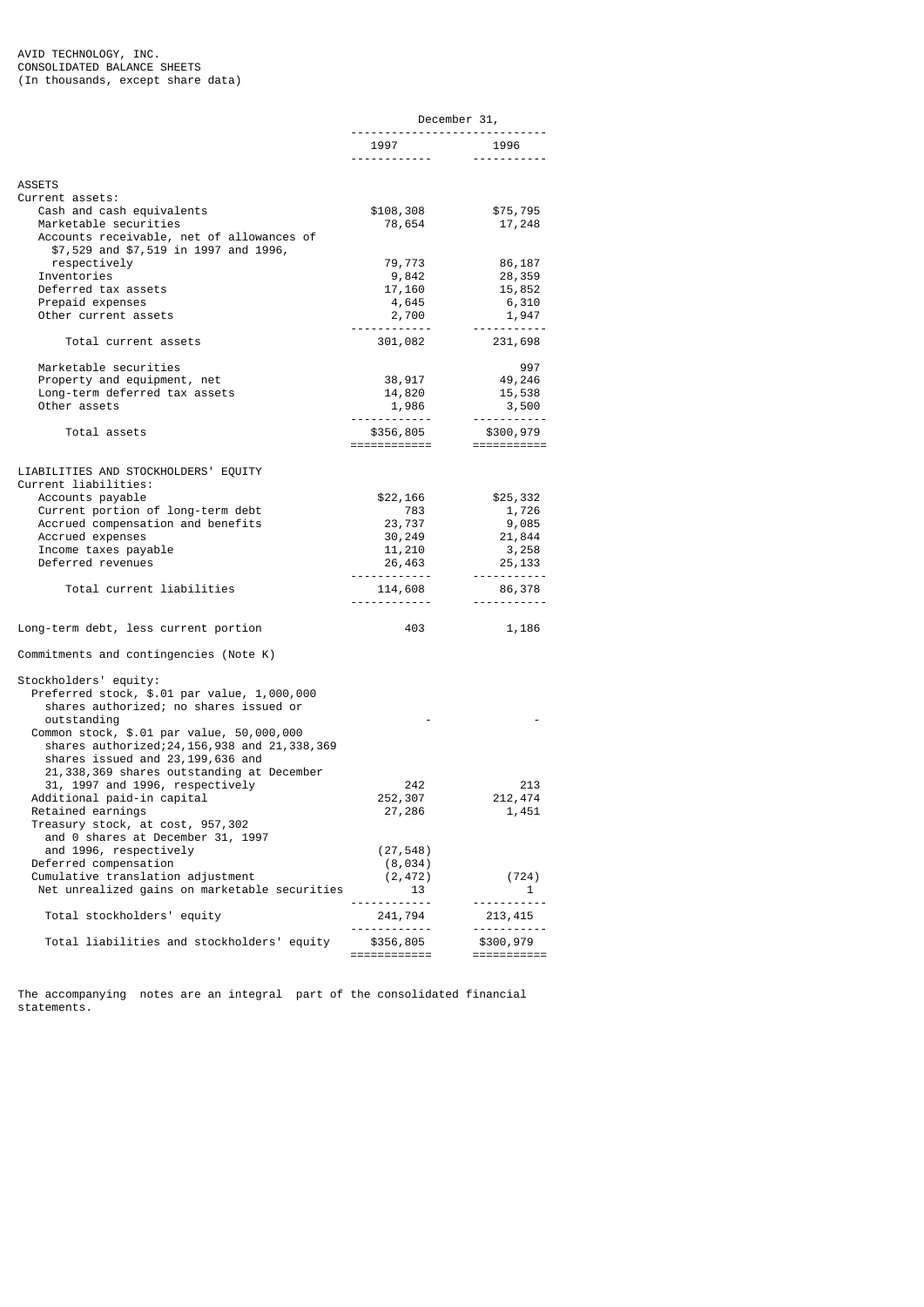|                                                               |                           | December 31,                                          |
|---------------------------------------------------------------|---------------------------|-------------------------------------------------------|
|                                                               | 1997<br>. <u>.</u>        | . <u>.</u> .<br>1996<br><u> - - - - - - - - - - -</u> |
| ASSETS                                                        |                           |                                                       |
| Current assets:                                               |                           |                                                       |
| Cash and cash equivalents                                     | \$108,308                 | \$75,795                                              |
| Marketable securities                                         | 78,654                    | 17,248                                                |
| Accounts receivable, net of allowances of                     |                           |                                                       |
| \$7,529 and \$7,519 in 1997 and 1996,<br>respectively         | 79,773                    | 86,187                                                |
| Inventories                                                   | 9,842                     | 28,359                                                |
| Deferred tax assets                                           | 17,160                    | 15,852                                                |
| Prepaid expenses                                              | 4,645                     | 6,310                                                 |
| Other current assets                                          | 2,700                     | 1,947                                                 |
|                                                               | --------                  | <u>.</u> .                                            |
| Total current assets                                          | 301,082                   | 231,698                                               |
| Marketable securities                                         |                           | 997                                                   |
| Property and equipment, net                                   | 38,917                    | 49,246                                                |
| Long-term deferred tax assets                                 | 14,820                    | 15,538                                                |
| Other assets                                                  | 1,986                     | 3,500                                                 |
|                                                               |                           | <u> - - - - - - - - - -</u>                           |
| Total assets                                                  | \$356,805<br>============ | \$300,979<br>===========                              |
|                                                               |                           |                                                       |
| LIABILITIES AND STOCKHOLDERS' EQUITY                          |                           |                                                       |
| Current liabilities:                                          |                           |                                                       |
| Accounts payable                                              | \$22,166                  | \$25,332                                              |
| Current portion of long-term debt                             | 783                       | 1,726                                                 |
| Accrued compensation and benefits                             | 23,737                    | 9,085                                                 |
| Accrued expenses                                              | 30,249                    | 21,844                                                |
| Income taxes payable<br>Deferred revenues                     | 11, 210<br>26,463         | 3,258<br>25, 133                                      |
|                                                               |                           | <u> - - - - - - - - - -</u>                           |
| Total current liabilities                                     | 114,608                   | 86,378                                                |
|                                                               |                           | <u> - - - - - - - - - -</u>                           |
| Long-term debt, less current portion                          | 403                       | 1,186                                                 |
| Commitments and contingencies (Note K)                        |                           |                                                       |
| Stockholders' equity:                                         |                           |                                                       |
| Preferred stock, \$.01 par value, 1,000,000                   |                           |                                                       |
| shares authorized; no shares issued or                        |                           |                                                       |
| outstanding                                                   |                           |                                                       |
| Common stock, \$.01 par value, 50,000,000                     |                           |                                                       |
| shares authorized; 24, 156, 938 and 21, 338, 369              |                           |                                                       |
| shares issued and 23,199,636 and                              |                           |                                                       |
| 21,338,369 shares outstanding at December                     |                           |                                                       |
| 31, 1997 and 1996, respectively<br>Additional paid-in capital | 242<br>252,307            | 213<br>212, 474                                       |
|                                                               |                           |                                                       |
| Retained earnings<br>Treasury stock, at cost, 957,302         | 27,286                    | 1,451                                                 |
| and 0 shares at December 31, 1997                             |                           |                                                       |
| and 1996, respectively                                        | (27, 548)                 |                                                       |
| Deferred compensation                                         | (8, 034)                  |                                                       |
| Cumulative translation adjustment                             | (2, 472)                  | (724)                                                 |
| Net unrealized gains on marketable securities                 | 13                        | 1                                                     |
|                                                               | <u>.</u>                  | <u> - - - - - - - - - -</u>                           |
| Total stockholders' equity                                    | 241,794<br>------------   | 213, 415<br>-----------                               |
| Total liabilities and stockholders' equity                    | \$356,805                 | \$300,979                                             |
|                                                               | ============              | ===========                                           |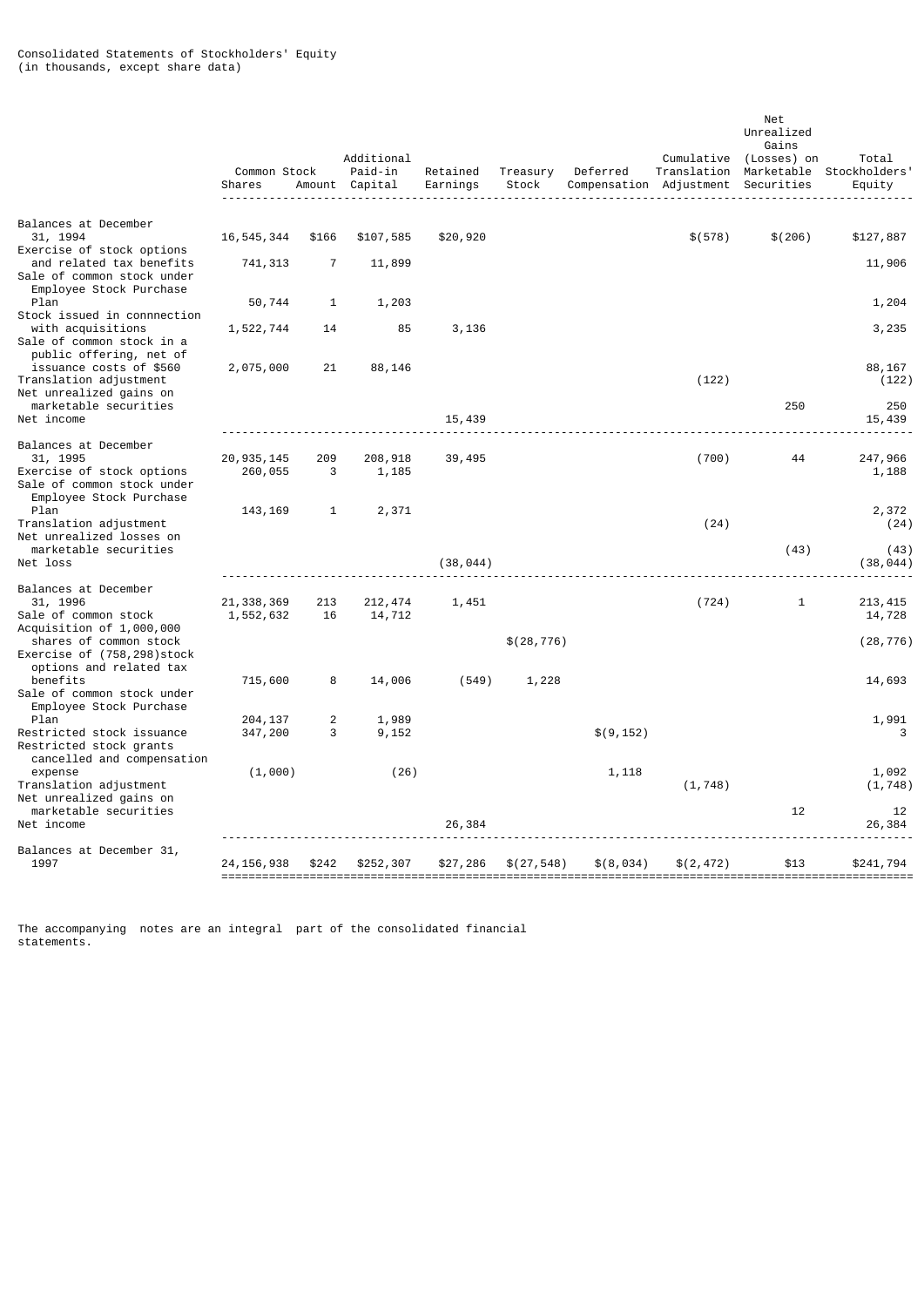|                                                                                                                | Common Stock<br>Shares    |              | Additional<br>Paid-in<br>Amount Capital | Retained<br>Earnings | Treasury<br>Stock | Deferred<br>Compensation Adjustment Securities | Cumulative<br>Translation | Net<br>Unrealized<br>Gains<br>(Losses) on | Total<br>Marketable Stockholders'<br>Equity |
|----------------------------------------------------------------------------------------------------------------|---------------------------|--------------|-----------------------------------------|----------------------|-------------------|------------------------------------------------|---------------------------|-------------------------------------------|---------------------------------------------|
| Balances at December                                                                                           |                           |              |                                         |                      |                   |                                                |                           |                                           |                                             |
| 31, 1994                                                                                                       | 16, 545, 344              | \$166        | \$107,585                               | \$20,920             |                   |                                                | \$(578)                   | \$(206)                                   | \$127,887                                   |
| Exercise of stock options<br>and related tax benefits<br>Sale of common stock under<br>Employee Stock Purchase | 741, 313                  | 7            | 11,899                                  |                      |                   |                                                |                           |                                           | 11,906                                      |
| Plan                                                                                                           | 50,744                    | 1            | 1,203                                   |                      |                   |                                                |                           |                                           | 1,204                                       |
| Stock issued in connnection<br>with acquisitions<br>Sale of common stock in a<br>public offering, net of       | 1,522,744                 | 14           | 85                                      | 3,136                |                   |                                                |                           |                                           | 3,235                                       |
| issuance costs of \$560<br>Translation adjustment<br>Net unrealized gains on                                   | 2,075,000                 | 21           | 88,146                                  |                      |                   |                                                | (122)                     |                                           | 88,167<br>(122)                             |
| marketable securities<br>Net income                                                                            |                           |              |                                         | 15,439               |                   |                                                |                           | 250                                       | 250<br>15,439                               |
| Balances at December                                                                                           |                           |              |                                         |                      |                   |                                                |                           |                                           |                                             |
| 31, 1995<br>Exercise of stock options<br>Sale of common stock under<br>Employee Stock Purchase                 | 20, 935, 145<br>260,055   | 209<br>3     | 208,918<br>1,185                        | 39,495               |                   |                                                | (700)                     | 44                                        | 247,966<br>1,188                            |
| Plan<br>Translation adjustment<br>Net unrealized losses on                                                     | 143, 169                  | $\mathbf{1}$ | 2,371                                   |                      |                   |                                                | (24)                      |                                           | 2,372<br>(24)                               |
| marketable securities<br>Net loss                                                                              |                           |              |                                         | (38, 044)            |                   |                                                |                           | (43)                                      | (43)<br>(38, 044)                           |
| Balances at December                                                                                           |                           |              |                                         |                      |                   |                                                |                           |                                           |                                             |
| 31, 1996<br>Sale of common stock<br>Acquisition of 1,000,000                                                   | 21, 338, 369<br>1,552,632 | 213<br>16    | 212, 474<br>14,712                      | 1,451                |                   |                                                | (724)                     | 1                                         | 213, 415<br>14,728                          |
| shares of common stock<br>Exercise of (758,298)stock<br>options and related tax                                |                           |              |                                         |                      | \$(28, 776)       |                                                |                           |                                           | (28, 776)                                   |
| benefits<br>Sale of common stock under<br>Employee Stock Purchase                                              | 715,600                   | 8            | 14,006                                  | (549)                | 1,228             |                                                |                           |                                           | 14,693                                      |
| Plan                                                                                                           | 204, 137                  | 2            | 1,989                                   |                      |                   |                                                |                           |                                           | 1,991                                       |
| Restricted stock issuance<br>Restricted stock grants<br>cancelled and compensation                             | 347,200                   | 3            | 9,152                                   |                      |                   | \$(9, 152)                                     |                           |                                           | 3                                           |
| expense<br>Translation adjustment                                                                              | (1,000)                   |              | (26)                                    |                      |                   | 1,118                                          | (1, 748)                  |                                           | 1,092<br>(1, 748)                           |
| Net unrealized gains on<br>marketable securities<br>Net income                                                 |                           |              |                                         | 26,384               |                   |                                                |                           | 12                                        | 12<br>26,384                                |
| Balances at December 31,<br>1997                                                                               | 24,156,938                | \$242        | \$252,307                               | \$27,286             | \$(27, 548)       | \$(8,034)                                      | \$(2, 472)                | \$13                                      | \$241,794                                   |
|                                                                                                                |                           |              |                                         |                      |                   |                                                |                           |                                           |                                             |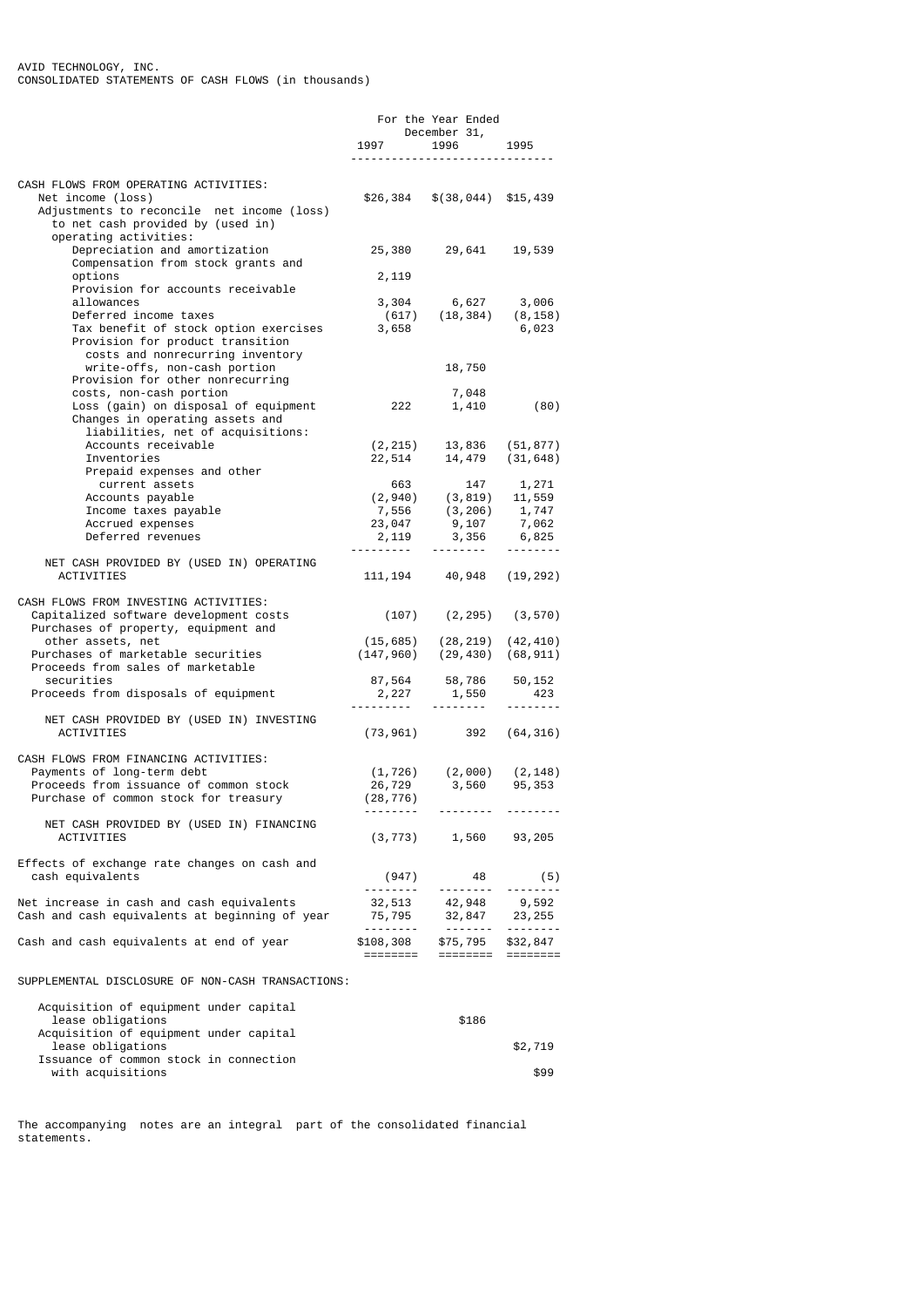|                                                                                                       |             | For the Year Ended                                                                                                                       |                          |
|-------------------------------------------------------------------------------------------------------|-------------|------------------------------------------------------------------------------------------------------------------------------------------|--------------------------|
|                                                                                                       | 1997 — 1997 | December 31,<br>1996 1995                                                                                                                |                          |
|                                                                                                       |             |                                                                                                                                          |                          |
| CASH FLOWS FROM OPERATING ACTIVITIES:                                                                 |             |                                                                                                                                          |                          |
| Net income (loss)                                                                                     |             | $$26,384$ $$(38,044)$ $$15,439$                                                                                                          |                          |
| Adjustments to reconcile net income (loss)<br>to net cash provided by (used in)                       |             |                                                                                                                                          |                          |
| operating activities:                                                                                 |             |                                                                                                                                          |                          |
| Depreciation and amortization                                                                         |             | 25,380 29,641 19,539                                                                                                                     |                          |
| Compensation from stock grants and<br>options                                                         | 2,119       |                                                                                                                                          |                          |
| Provision for accounts receivable                                                                     |             |                                                                                                                                          |                          |
| allowances                                                                                            |             | $3,304$ 6,627 3,006                                                                                                                      |                          |
| Deferred income taxes<br>Tax benefit of stock option exercises                                        | 3,658       | $(617)$ $(18, 384)$ $(8, 158)$                                                                                                           |                          |
| Provision for product transition                                                                      |             |                                                                                                                                          | 6,023                    |
| costs and nonrecurring inventory                                                                      |             |                                                                                                                                          |                          |
| write-offs, non-cash portion<br>Provision for other nonrecurring                                      |             | 18,750                                                                                                                                   |                          |
| costs, non-cash portion                                                                               |             | 7,048                                                                                                                                    |                          |
| دان العاملية العربية العاملية (gain) on disposal of equipment<br>Loss (gain) on disposal of equipment |             | 1,410                                                                                                                                    | (80)                     |
| Changes in operating assets and                                                                       |             |                                                                                                                                          |                          |
| liabilities, net of acquisitions:<br>Accounts receivable                                              |             | $(2, 215)$ 13,836 $(51, 877)$                                                                                                            |                          |
| Inventories                                                                                           |             | $22,514$ 14,479 (31,648)                                                                                                                 |                          |
| Prepaid expenses and other                                                                            |             |                                                                                                                                          |                          |
| current assets<br>Accounts payable                                                                    | 663         | 147<br>$(2,940)$ $(3,819)$ $11,559$                                                                                                      | 1,271                    |
| Income taxes payable                                                                                  |             | $(2, 3796)$<br>$(3, 206)$<br>$(3, 206)$<br>$(3, 206)$<br>$(7, 47)$<br>$(7, 062)$<br>$(7, 062)$<br>$(7, 062)$<br>$(7, 062)$<br>$(7, 062)$ |                          |
| Accrued expenses                                                                                      |             |                                                                                                                                          |                          |
| Deferred revenues                                                                                     |             | $2,119$ $3,356$                                                                                                                          | <u> - - - - - - -</u> -  |
| NET CASH PROVIDED BY (USED IN) OPERATING                                                              |             |                                                                                                                                          |                          |
| <b>ACTIVITIES</b>                                                                                     |             | 111, 194 40, 948 (19, 292)                                                                                                               |                          |
|                                                                                                       |             |                                                                                                                                          |                          |
| CASH FLOWS FROM INVESTING ACTIVITIES:<br>Capitalized software development costs                       |             | $(107)$ $(2, 295)$ $(3, 570)$                                                                                                            |                          |
| Purchases of property, equipment and                                                                  |             |                                                                                                                                          |                          |
| other assets, net                                                                                     |             | $(15, 685)$ $(28, 219)$ $(42, 410)$                                                                                                      |                          |
| Purchases of marketable securities<br>Proceeds from sales of marketable                               |             | $(147, 960)$ $(29, 430)$ $(68, 911)$                                                                                                     |                          |
| securities                                                                                            |             |                                                                                                                                          |                          |
| Proceeds from disposals of equipment                                                                  |             | 87,564 58,786 50,152<br>2,227 1,550 423<br>--------- -------- --------                                                                   |                          |
| NET CASH PROVIDED BY (USED IN) INVESTING                                                              |             |                                                                                                                                          |                          |
| <b>ACTIVITIES</b>                                                                                     |             | $(73, 961)$ 392 $(64, 316)$                                                                                                              |                          |
|                                                                                                       |             |                                                                                                                                          |                          |
| CASH FLOWS FROM FINANCING ACTIVITIES:<br>Payments of long-term debt                                   |             | $(1, 726)$ $(2, 000)$ $(2, 148)$                                                                                                         |                          |
| Proceeds from issuance of common stock                                                                |             | 26,729 3,560                                                                                                                             | 95,353                   |
| Purchase of common stock for treasury                                                                 | (28, 776)   |                                                                                                                                          |                          |
|                                                                                                       | ---------   | . <b></b>                                                                                                                                |                          |
| NET CASH PROVIDED BY (USED IN) FINANCING<br><b>ACTIVITIES</b>                                         | (3, 773)    |                                                                                                                                          | 1,560 93,205             |
|                                                                                                       |             |                                                                                                                                          |                          |
| Effects of exchange rate changes on cash and                                                          |             |                                                                                                                                          |                          |
| cash equivalents                                                                                      | (947)       | 48<br>. <b>.</b> .                                                                                                                       | (5)<br>$- - - - - - - -$ |
| Net increase in cash and cash equivalents                                                             |             | 32,513 42,948 9,592                                                                                                                      |                          |
| Cash and cash equivalents at beginning of year                                                        |             | 75, 795 32, 847 23, 255                                                                                                                  |                          |
| Cash and cash equivalents at end of year                                                              |             |                                                                                                                                          |                          |
|                                                                                                       |             |                                                                                                                                          |                          |
|                                                                                                       |             |                                                                                                                                          |                          |
| SUPPLEMENTAL DISCLOSURE OF NON-CASH TRANSACTIONS:                                                     |             |                                                                                                                                          |                          |
| Acquisition of equipment under capital                                                                |             |                                                                                                                                          |                          |
| lease obligations                                                                                     |             | \$186                                                                                                                                    |                          |
| Acquisition of equipment under capital<br>lease obligations                                           |             |                                                                                                                                          | \$2,719                  |
| Issuance of common stock in connection                                                                |             |                                                                                                                                          |                          |

with acquisitions  $$99$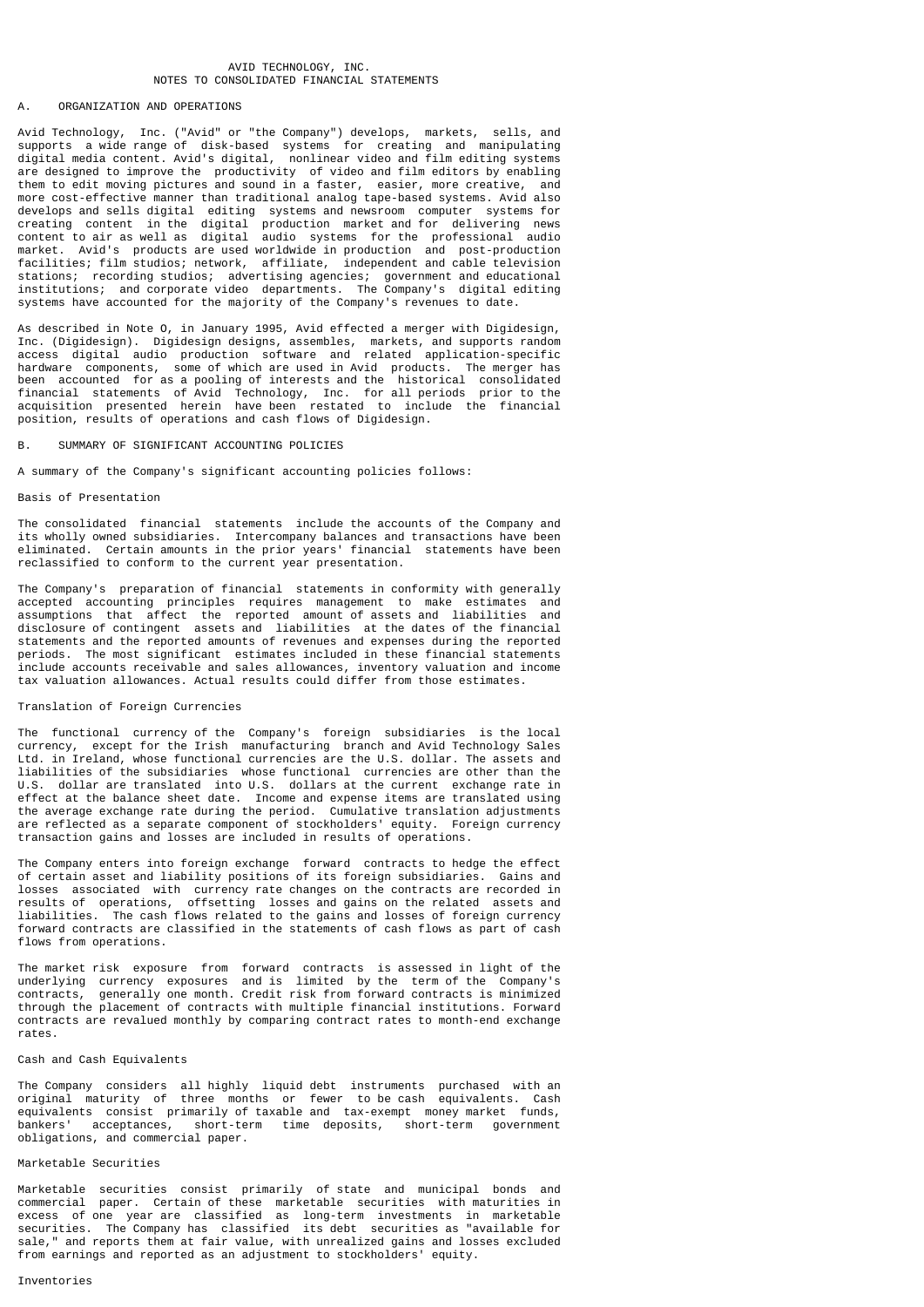### AVID TECHNOLOGY, INC. NOTES TO CONSOLIDATED FINANCIAL STATEMENTS

#### A. ORGANIZATION AND OPERATIONS

Avid Technology, Inc. ("Avid" or "the Company") develops, markets, sells, and supports a wide range of disk-based systems for creating and manipulating digital media content. Avid's digital, nonlinear video and film editing systems are designed to improve the productivity of video and film editors by enabling them to edit moving pictures and sound in a faster, easier, more creative, and more cost-effective manner than traditional analog tape-based systems. Avid also develops and sells digital editing systems and newsroom computer systems for creating content in the digital production market and for delivering news content to air as well as digital audio systems for the professional audio market. Avid's products are used worldwide in production and post-production facilities; film studios; network, affiliate, independent and cable television stations; recording studios; advertising agencies; government and educational institutions; and corporate video departments. The Company's digital editing systems have accounted for the majority of the Company's revenues to date.

As described in Note O, in January 1995, Avid effected a merger with Digidesign, Inc. (Digidesign). Digidesign designs, assembles, markets, and supports random access digital audio production software and related application-specific hardware components, some of which are used in Avid products. The merger has been accounted for as a pooling of interests and the historical consolidated financial statements of Avid Technology, Inc. for all periods prior to the acquisition presented herein have been restated to include the financial position, results of operations and cash flows of Digidesign.

### SUMMARY OF SIGNIFICANT ACCOUNTING POLICIES

A summary of the Company's significant accounting policies follows:

# Basis of Presentation

The consolidated financial statements include the accounts of the Company and its wholly owned subsidiaries. Intercompany balances and transactions have been eliminated. Certain amounts in the prior years' financial statements have been reclassified to conform to the current year presentation.

The Company's preparation of financial statements in conformity with generally accepted accounting principles requires management to make estimates and assumptions that affect the reported amount of assets and liabilities and disclosure of contingent assets and liabilities at the dates of the financial statements and the reported amounts of revenues and expenses during the reported periods. The most significant estimates included in these financial statements include accounts receivable and sales allowances, inventory valuation and income tax valuation allowances. Actual results could differ from those estimates.

## Translation of Foreign Currencies

The functional currency of the Company's foreign subsidiaries is the local currency, except for the Irish manufacturing branch and Avid Technology Sales Ltd. in Ireland, whose functional currencies are the U.S. dollar. The assets and liabilities of the subsidiaries whose functional currencies are other than the U.S. dollar are translated into U.S. dollars at the current exchange rate in effect at the balance sheet date. Income and expense items are translated using the average exchange rate during the period. Cumulative translation adjustments are reflected as a separate component of stockholders' equity. Foreign currency transaction gains and losses are included in results of operations.

The Company enters into foreign exchange forward contracts to hedge the effect of certain asset and liability positions of its foreign subsidiaries. Gains and losses associated with currency rate changes on the contracts are recorded in results of operations, offsetting losses and gains on the related assets and liabilities. The cash flows related to the gains and losses of foreign currency forward contracts are classified in the statements of cash flows as part of cash flows from operations.

The market risk exposure from forward contracts is assessed in light of the underlying currency exposures and is limited by the term of the Company's contracts, generally one month. Credit risk from forward contracts is minimized through the placement of contracts with multiple financial institutions. Forward contracts are revalued monthly by comparing contract rates to month-end exchange rates.

## Cash and Cash Equivalents

The Company considers all highly liquid debt instruments purchased with an original maturity of three months or fewer to be cash equivalents. Cash equivalents consist primarily of taxable and tax-exempt money market funds,<br>bankers' acceptances, short-term time deposits, short-term government bankers' acceptances, short-term time deposits, obligations, and commercial paper.

### Marketable Securities

Marketable securities consist primarily of state and municipal bonds and commercial paper. Certain of these marketable securities with maturities in excess of one year are classified as long-term investments in marketable securities. The Company has classified its debt securities as "available for sale," and reports them at fair value, with unrealized gains and losses excluded from earnings and reported as an adjustment to stockholders' equity.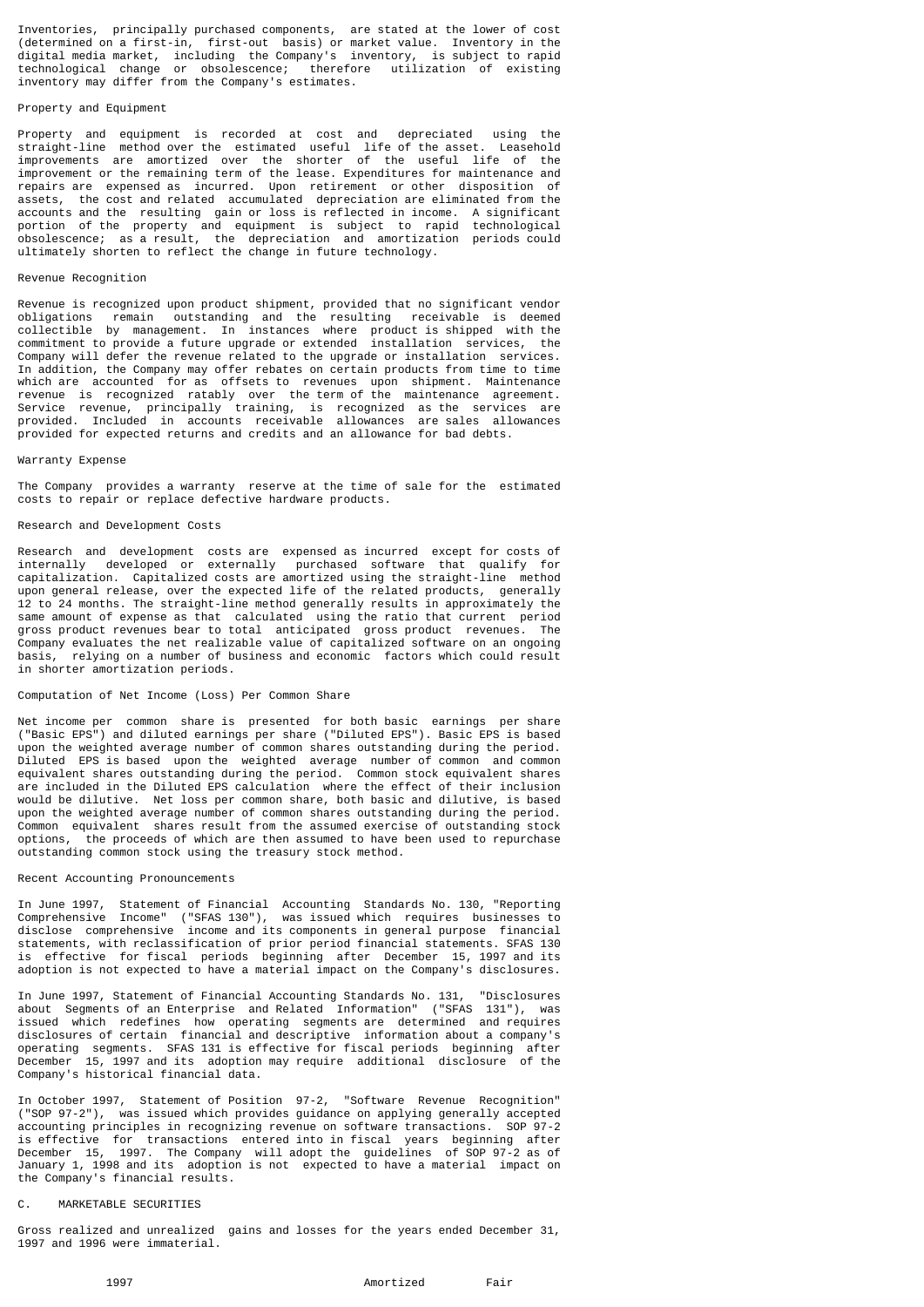Inventories, principally purchased components, are stated at the lower of cost (determined on a first-in, first-out basis) or market value. Inventory in the digital media market, including the Company's inventory, is subject to rapid technological change or obsolescence; therefore utilization of existing inventory may differ from the Company's estimates.

# Property and Equipment

Property and equipment is recorded at cost and depreciated using the straight-line method over the estimated useful life of the asset. Leasehold improvements are amortized over the shorter of the useful life of the improvement or the remaining term of the lease. Expenditures for maintenance and repairs are expensed as incurred. Upon retirement or other disposition of assets, the cost and related accumulated depreciation are eliminated from the accounts and the resulting gain or loss is reflected in income. A significant portion of the property and equipment is subject to rapid technological obsolescence; as a result, the depreciation and amortization periods could ultimately shorten to reflect the change in future technology.

# Revenue Recognition

Revenue is recognized upon product shipment, provided that no significant vendor obligations remain outstanding and the resulting receivable is deemed collectible by management. In instances where product is shipped with the commitment to provide a future upgrade or extended installation services, the Company will defer the revenue related to the upgrade or installation services. In addition, the Company may offer rebates on certain products from time to time which are accounted for as offsets to revenues upon shipment. Maintenance revenue is recognized ratably over the term of the maintenance agreement. Service revenue, principally training, is recognized as the services are provided. Included in accounts receivable allowances are sales allowances provided for expected returns and credits and an allowance for bad debts.

#### Warranty Expense

The Company provides a warranty reserve at the time of sale for the estimated costs to repair or replace defective hardware products.

#### Research and Development Costs

Research and development costs are expensed as incurred except for costs of internally developed or externally purchased software that qualify for capitalization. Capitalized costs are amortized using the straight-line method upon general release, over the expected life of the related products, generally 12 to 24 months. The straight-line method generally results in approximately the same amount of expense as that calculated using the ratio that current period gross product revenues bear to total anticipated gross product revenues. The Company evaluates the net realizable value of capitalized software on an ongoing basis, relying on a number of business and economic factors which could result in shorter amortization periods.

#### Computation of Net Income (Loss) Per Common Share

Net income per common share is presented for both basic earnings per share ("Basic EPS") and diluted earnings per share ("Diluted EPS"). Basic EPS is based upon the weighted average number of common shares outstanding during the period. Diluted EPS is based upon the weighted average number of common and common equivalent shares outstanding during the period. Common stock equivalent shares are included in the Diluted EPS calculation where the effect of their inclusion would be dilutive. Net loss per common share, both basic and dilutive, is based upon the weighted average number of common shares outstanding during the period. Common equivalent shares result from the assumed exercise of outstanding stock<br>ontions. the proceeds of which are then assumed to have been used to repurchase the proceeds of which are then assumed to have been used to repurchase outstanding common stock using the treasury stock method.

#### Recent Accounting Pronouncements

In June 1997, Statement of Financial Accounting Standards No. 130, "Reporting Comprehensive Income" ("SFAS 130"), was issued which requires businesses to disclose comprehensive income and its components in general purpose financial statements, with reclassification of prior period financial statements. SFAS 130 is effective for fiscal periods beginning after December 15, 1997 and its adoption is not expected to have a material impact on the Company's disclosures.

In June 1997, Statement of Financial Accounting Standards No. 131, "Disclosures about Segments of an Enterprise and Related Information" ("SFAS 131"), was issued which redefines how operating segments are determined and requires disclosures of certain financial and descriptive information about a company's operating segments. SFAS 131 is effective for fiscal periods beginning after December 15, 1997 and its adoption may require additional disclosure of the Company's historical financial data.

In October 1997, Statement of Position 97-2, "Software Revenue Recognition" ("SOP 97-2"), was issued which provides guidance on applying generally accepted accounting principles in recognizing revenue on software transactions. SOP 97-2 is effective for transactions entered into in fiscal years beginning after December 15, 1997. The Company will adopt the guidelines of SOP 97-2 as of January 1, 1998 and its adoption is not expected to have a material impact on the Company's financial results.

### C. MARKETABLE SECURITIES

Gross realized and unrealized gains and losses for the years ended December 31, 1997 and 1996 were immaterial.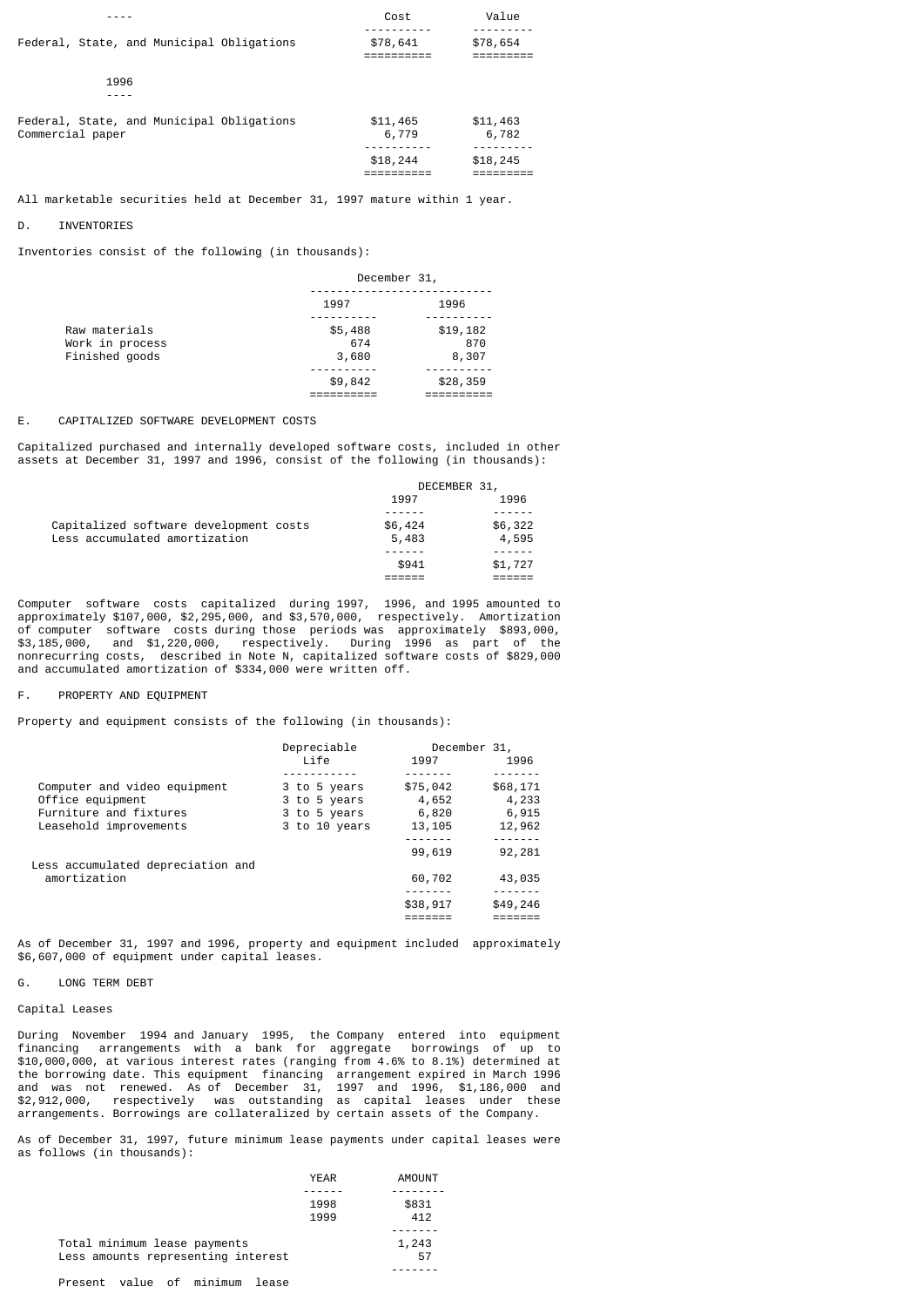|                                                               | Cost              | Value             |
|---------------------------------------------------------------|-------------------|-------------------|
| Federal, State, and Municipal Obligations                     | \$78,641          | \$78,654          |
| 1996                                                          |                   |                   |
| Federal, State, and Municipal Obligations<br>Commercial paper | \$11,465<br>6,779 | \$11,463<br>6,782 |
|                                                               | \$18,244          | \$18,245          |

All marketable securities held at December 31, 1997 mature within 1 year.

#### D. INVENTORIES

Inventories consist of the following (in thousands):

| December 31, |          |  |
|--------------|----------|--|
| 1997         | 1996     |  |
|              |          |  |
| \$5,488      | \$19,182 |  |
| 674          | 870      |  |
| 3,680        | 8,307    |  |
|              |          |  |
| \$9,842      | \$28,359 |  |
|              |          |  |
|              |          |  |

### E. CAPITALIZED SOFTWARE DEVELOPMENT COSTS

Capitalized purchased and internally developed software costs, included in other assets at December 31, 1997 and 1996, consist of the following (in thousands):

|                                        |         | DECEMBER 31, |
|----------------------------------------|---------|--------------|
|                                        | 1997    | 1996         |
|                                        |         |              |
| Capitalized software development costs | \$6,424 | \$6,322      |
| Less accumulated amortization          | 5,483   | 4,595        |
|                                        |         |              |
|                                        | \$941   | \$1,727      |
|                                        |         |              |

Computer software costs capitalized during 1997, 1996, and 1995 amounted to approximately \$107,000, \$2,295,000, and \$3,570,000, respectively. Amortization of computer software costs during those periods was approximately \$893,000, \$3,185,000, and \$1,220,000, respectively. During 1996 as part of the nonrecurring costs, described in Note N, capitalized software costs of \$829,000 and accumulated amortization of \$334,000 were written off.

#### F. PROPERTY AND EQUIPMENT

Property and equipment consists of the following (in thousands):

|                                   | Depreciable<br>December 31, |          |          |
|-----------------------------------|-----------------------------|----------|----------|
|                                   | l ife                       | 1997     | 1996     |
|                                   |                             |          |          |
| Computer and video equipment      | 3 to 5 years                | \$75,042 | \$68,171 |
| Office equipment                  | 3 to 5 years                | 4,652    | 4,233    |
| Furniture and fixtures            | 3 to 5 years                | 6,820    | 6,915    |
| Leasehold improvements            | 3 to 10 years               | 13,105   | 12,962   |
|                                   |                             |          |          |
|                                   |                             | 99,619   | 92,281   |
| Less accumulated depreciation and |                             |          |          |
| amortization                      |                             | 60,702   | 43,035   |
|                                   |                             |          |          |
|                                   |                             | \$38,917 | \$49,246 |
|                                   |                             |          |          |

As of December 31, 1997 and 1996, property and equipment included approximately \$6,607,000 of equipment under capital leases.

#### G. LONG TERM DEBT

# Capital Leases

During November 1994 and January 1995, the Company entered into equipment financing arrangements with a bank for aggregate borrowings of up to \$10,000,000, at various interest rates (ranging from 4.6% to 8.1%) determined at the borrowing date. This equipment financing arrangement expired in March 1996 and was not renewed. As of December 31, 1997 and 1996, \$1,186,000 and \$2,912,000, respectively was outstanding as capital leases under these arrangements. Borrowings are collateralized by certain assets of the Company.

As of December 31, 1997, future minimum lease payments under capital leases were as follows (in thousands):

|                                      | <b>YEAR</b> | AMOUNT |
|--------------------------------------|-------------|--------|
|                                      |             |        |
|                                      | 1998        | \$831  |
|                                      | 1999        | 412    |
|                                      |             |        |
| Total minimum lease payments         |             | 1,243  |
| Less amounts representing interest   |             | 57     |
|                                      |             |        |
| value of minimum<br>Present<br>lease |             |        |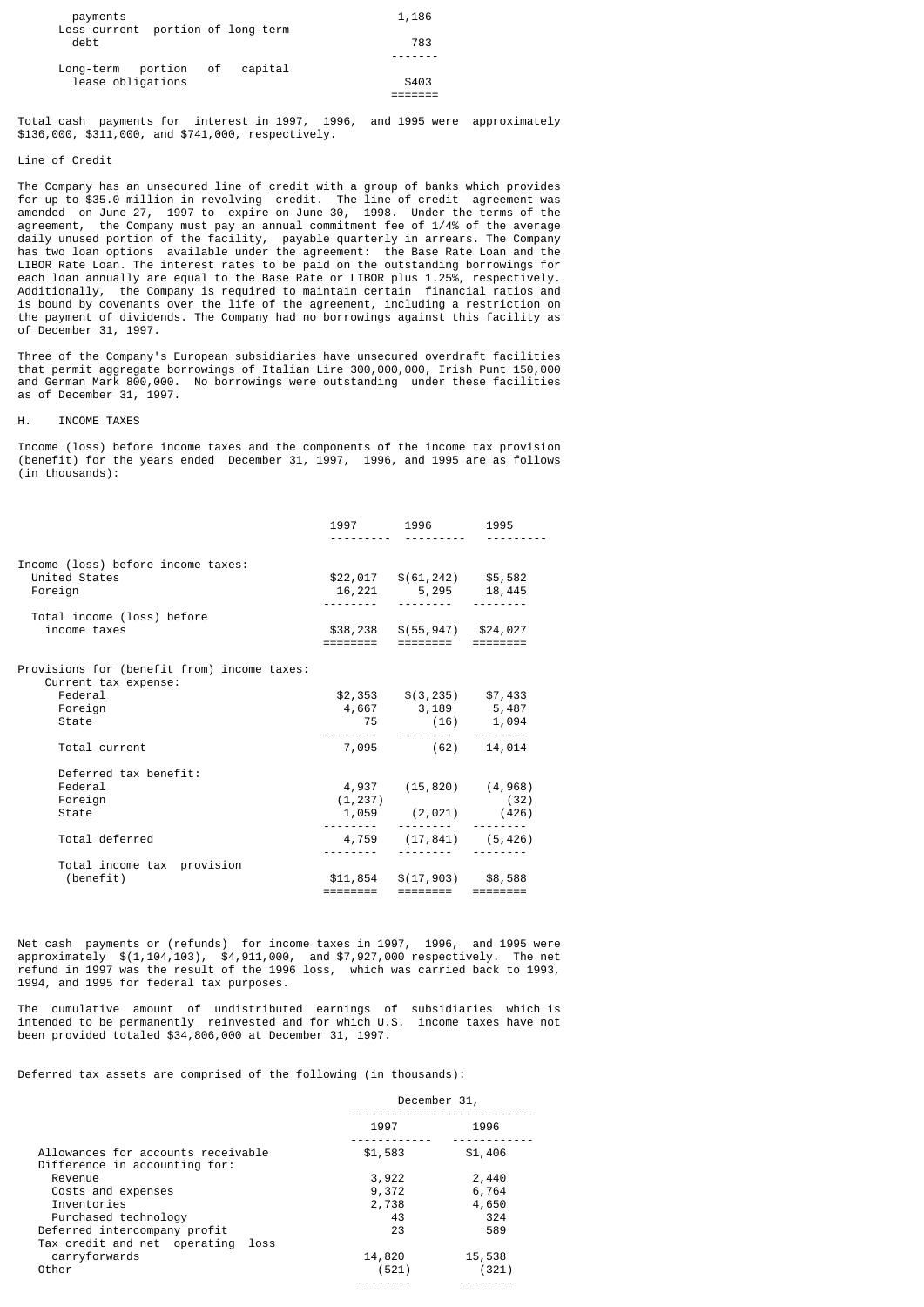| payments<br>Less current portion of long-term | 1,186 |
|-----------------------------------------------|-------|
| debt                                          | 783   |
|                                               |       |
| Long-term portion of<br>capital               |       |
| lease obligations                             | \$403 |
|                                               |       |

Total cash payments for interest in 1997, 1996, and 1995 were approximately \$136,000, \$311,000, and \$741,000, respectively.

## Line of Credit

The Company has an unsecured line of credit with a group of banks which provides for up to \$35.0 million in revolving credit. The line of credit agreement was amended on June 27, 1997 to expire on June 30, 1998. Under the terms of the agreement, the Company must pay an annual commitment fee of 1/4% of the average daily unused portion of the facility, payable quarterly in arrears. The Company has two loan options available under the agreement: the Base Rate Loan and the LIBOR Rate Loan. The interest rates to be paid on the outstanding borrowings for each loan annually are equal to the Base Rate or LIBOR plus 1.25%, respectively. Additionally, the Company is required to maintain certain financial ratios and is bound by covenants over the life of the agreement, including a restriction on the payment of dividends. The Company had no borrowings against this facility as of December 31, 1997.

Three of the Company's European subsidiaries have unsecured overdraft facilities that permit aggregate borrowings of Italian Lire 300,000,000, Irish Punt 150,000 and German Mark 800,000. No borrowings were outstanding under these facilities as of December 31, 1997.

### H. INCOME TAXES

Income (loss) before income taxes and the components of the income tax provision (benefit) for the years ended December 31, 1997, 1996, and 1995 are as follows (in thousands):

|                                                                     |          | 1997 1996                       | 1995     |  |
|---------------------------------------------------------------------|----------|---------------------------------|----------|--|
| Income (loss) before income taxes:                                  |          |                                 |          |  |
| United States                                                       |          | $$22,017$ $$(61,242)$ $$5,582$  |          |  |
| Foreign                                                             |          | 16, 221 5, 295 18, 445          |          |  |
|                                                                     |          |                                 |          |  |
| Total income (loss) before                                          |          |                                 |          |  |
| income taxes                                                        |          | $$38,238$ $$(55,947)$ $$24,027$ |          |  |
|                                                                     | ======== | ========                        |          |  |
|                                                                     |          |                                 |          |  |
| Provisions for (benefit from) income taxes:<br>Current tax expense: |          |                                 |          |  |
| Federal                                                             |          | $$2,353$ $$(3,235)$ $$7,433$    |          |  |
| Foreign                                                             |          | 4,667 3,189 5,487               |          |  |
| State                                                               |          | 75 (16) 1,094                   |          |  |
|                                                                     |          |                                 |          |  |
| Total current                                                       |          | 7,095 (62) 14,014               |          |  |
| Deferred tax benefit:                                               |          |                                 |          |  |
| Federal                                                             |          | 4,937 (15,820) (4,968)          |          |  |
| Foreign                                                             |          | (1, 237)                        | (32)     |  |
| State                                                               |          | $1,059$ $(2,021)$ $(426)$       |          |  |
|                                                                     |          |                                 |          |  |
| Total deferred                                                      |          | 4,759 (17,841) (5,426)          |          |  |
|                                                                     |          |                                 |          |  |
| Total income tax provision                                          |          |                                 |          |  |
| (benefit)                                                           |          | $$11,854$ $$17,903$ $$8,588$    |          |  |
|                                                                     | ======== | ========                        | ======== |  |
|                                                                     |          |                                 |          |  |

Net cash payments or (refunds) for income taxes in 1997, 1996, and 1995 were approximately \$(1,104,103), \$4,911,000, and \$7,927,000 respectively. The net refund in 1997 was the result of the 1996 loss, which was carried back to 1993, 1994, and 1995 for federal tax purposes.

The cumulative amount of undistributed earnings of subsidiaries which is intended to be permanently reinvested and for which U.S. income taxes have not been provided totaled \$34,806,000 at December 31, 1997.

Deferred tax assets are comprised of the following (in thousands):

|                                                                     | December 31, |         |  |
|---------------------------------------------------------------------|--------------|---------|--|
|                                                                     | 1997         | 1996    |  |
| Allowances for accounts receivable<br>Difference in accounting for: | \$1,583      | \$1,406 |  |
| Revenue                                                             | 3,922        | 2,440   |  |
| Costs and expenses                                                  | 9,372        | 6,764   |  |
| Inventories                                                         | 2,738        | 4,650   |  |
| Purchased technology                                                | 43           | 324     |  |
| Deferred intercompany profit                                        | 23           | 589     |  |
| Tax credit and net operating loss                                   |              |         |  |
| carryforwards                                                       | 14,820       | 15,538  |  |
| Other                                                               | (521)        | (321)   |  |
|                                                                     |              |         |  |
|                                                                     |              |         |  |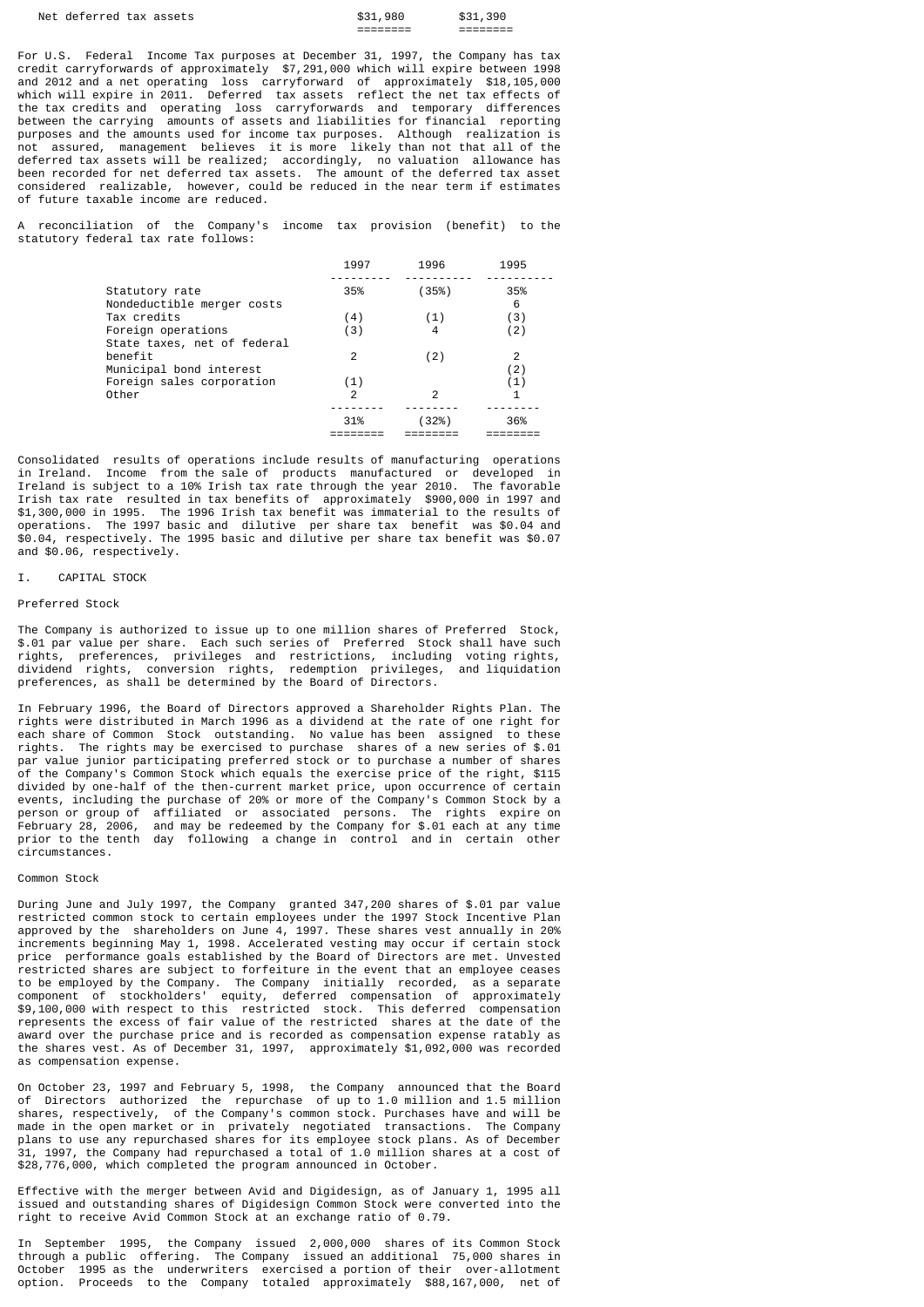| Net<br>deferred tax assets | 980<br>\$31           | 390                   |
|----------------------------|-----------------------|-----------------------|
|                            | ________<br>_________ | --------<br>_________ |

For U.S. Federal Income Tax purposes at December 31, 1997, the Company has tax credit carryforwards of approximately \$7,291,000 which will expire between 1998 and 2012 and a net operating loss carryforward of approximately \$18,105,000 which will expire in 2011. Deferred tax assets reflect the net tax effects of the tax credits and operating loss carryforwards and temporary differences between the carrying amounts of assets and liabilities for financial reporting purposes and the amounts used for income tax purposes. Although realization is not assured, management believes it is more likely than not that all of the deferred tax assets will be realized; accordingly, no valuation allowance has been recorded for net deferred tax assets. The amount of the deferred tax asset considered realizable, however, could be reduced in the near term if estimates of future taxable income are reduced.

reconciliation of the Company's income tax provision (benefit) to the statutory federal tax rate follows:

|                                                   | 1997 | 1996   | 1995     |
|---------------------------------------------------|------|--------|----------|
| Statutory rate<br>Nondeductible merger costs      | 35%  | (35%)  | 35%<br>6 |
| Tax credits                                       | (4)  | (1)    | (3)      |
| Foreign operations<br>State taxes, net of federal | (3)  | 4      | (2)      |
| benefit<br>Municipal bond interest                | 2    | (2)    | 2<br>(2) |
| Foreign sales corporation                         | (1)  |        | (1)      |
| Other                                             | 2    | 2      |          |
|                                                   | 31%  | $32\%$ | 36%      |

Consolidated results of operations include results of manufacturing operations in Ireland. Income from the sale of products manufactured or developed in Ireland is subject to a 10% Irish tax rate through the year 2010. The favorable Irish tax rate resulted in tax benefits of approximately \$900,000 in 1997 and \$1,300,000 in 1995. The 1996 Irish tax benefit was immaterial to the results of operations. The 1997 basic and dilutive per share tax benefit was \$0.04 and \$0.04, respectively. The 1995 basic and dilutive per share tax benefit was \$0.07 and \$0.06, respectively.

#### I. CAPITAL STOCK

# Preferred Stock

The Company is authorized to issue up to one million shares of Preferred Stock, \$.01 par value per share. Each such series of Preferred Stock shall have such rights, preferences, privileges and restrictions, including voting rights, dividend rights, conversion rights, redemption privileges, and liquidation preferences, as shall be determined by the Board of Directors.

In February 1996, the Board of Directors approved a Shareholder Rights Plan. The rights were distributed in March 1996 as a dividend at the rate of one right for each share of Common Stock outstanding. No value has been assigned to these rights. The rights may be exercised to purchase shares of a new series of \$.01 par value junior participating preferred stock or to purchase a number of shares of the Company's Common Stock which equals the exercise price of the right, \$115 divided by one-half of the then-current market price, upon occurrence of certain events, including the purchase of 20% or more of the Company's Common Stock by a person or group of affiliated or associated persons. The rights expire on February 28, 2006, and may be redeemed by the Company for \$.01 each at any time prior to the tenth day following a change in control and in certain other circumstances.

#### Common Stock

During June and July 1997, the Company granted 347,200 shares of \$.01 par value restricted common stock to certain employees under the 1997 Stock Incentive Plan approved by the shareholders on June 4, 1997. These shares vest annually in 20% increments beginning May 1, 1998. Accelerated vesting may occur if certain stock price performance goals established by the Board of Directors are met. Unvested restricted shares are subject to forfeiture in the event that an employee ceases to be employed by the Company. The Company initially recorded, as a separate component of stockholders' equity, deferred compensation of approximately \$9,100,000 with respect to this restricted stock. This deferred compensation represents the excess of fair value of the restricted shares at the date of the award over the purchase price and is recorded as compensation expense ratably as the shares vest. As of December 31, 1997, approximately \$1,092,000 was recorded as compensation expense.

On October 23, 1997 and February 5, 1998, the Company announced that the Board of Directors authorized the repurchase of up to 1.0 million and 1.5 million shares, respectively, of the Company's common stock. Purchases have and will be made in the open market or in privately negotiated transactions. The Company plans to use any repurchased shares for its employee stock plans. As of December 31, 1997, the Company had repurchased a total of 1.0 million shares at a cost of \$28,776,000, which completed the program announced in October.

Effective with the merger between Avid and Digidesign, as of January 1, 1995 all issued and outstanding shares of Digidesign Common Stock were converted into the right to receive Avid Common Stock at an exchange ratio of 0.79.

In September 1995, the Company issued 2,000,000 shares of its Common Stock through a public offering. The Company issued an additional 75,000 shares in October 1995 as the underwriters exercised a portion of their over-allotment option. Proceeds to the Company totaled approximately \$88,167,000, net of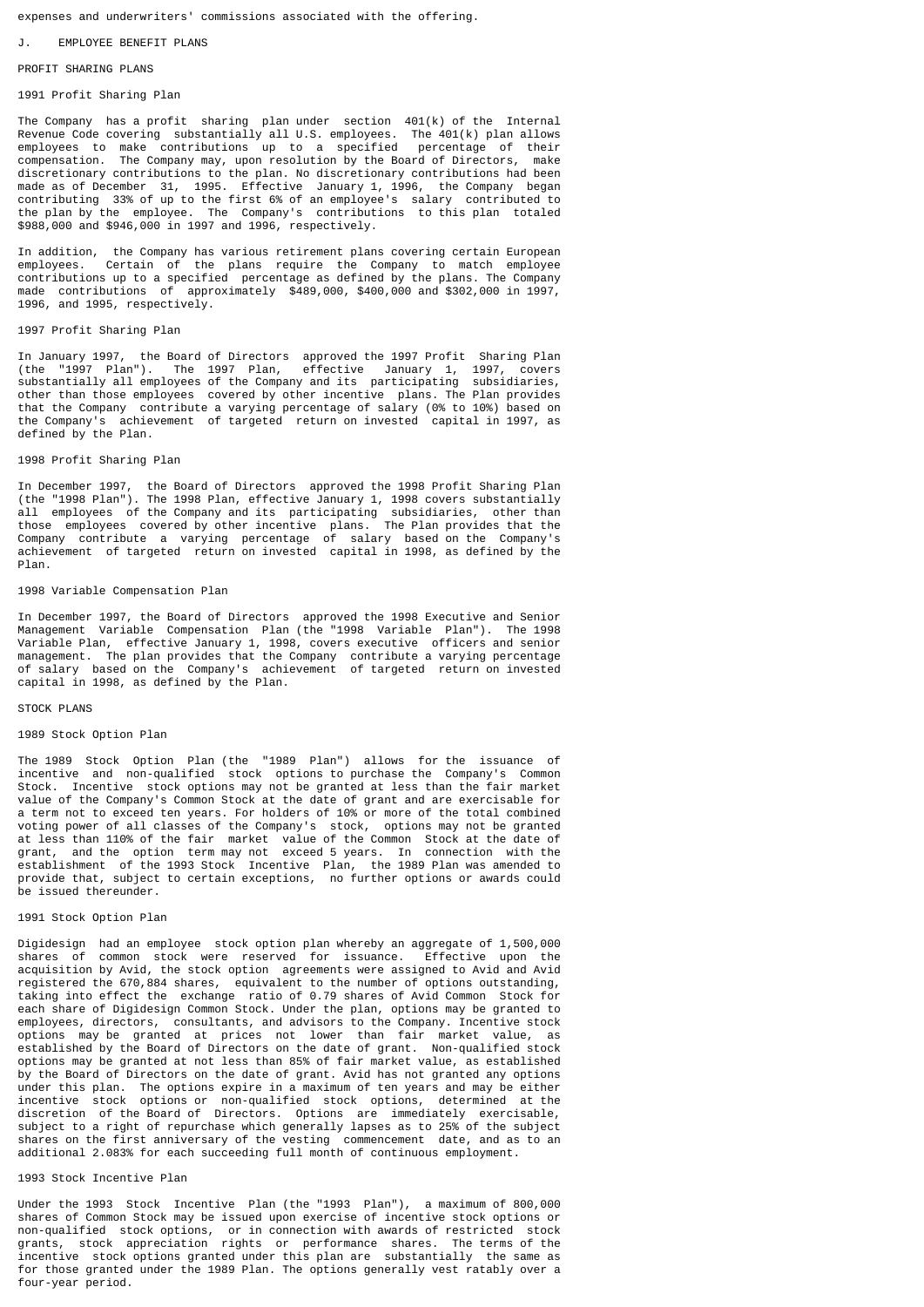expenses and underwriters' commissions associated with the offering.

# EMPLOYEE BENEFIT PLANS

#### PROFTT SHARTNG PLANS

## 1991 Profit Sharing Plan

The Company has a profit sharing plan under section 401(k) of the Internal Revenue Code covering substantially all U.S. employees. The 401(k) plan allows employees to make contributions up to a specified percentage of their compensation. The Company may, upon resolution by the Board of Directors, make discretionary contributions to the plan. No discretionary contributions had been made as of December 31, 1995. Effective January 1, 1996, the Company began contributing 33% of up to the first 6% of an employee's salary contributed to the plan by the employee. The Company's contributions to this plan totaled \$988,000 and \$946,000 in 1997 and 1996, respectively.

In addition, the Company has various retirement plans covering certain European employees. Certain of the plans require the Company to match employee Certain of the plans require the Company to match employee contributions up to a specified percentage as defined by the plans. The Company made contributions of approximately \$489,000, \$400,000 and \$302,000 in 1997, 1996, and 1995, respectively.

## 1997 Profit Sharing Plan

In January 1997, the Board of Directors approved the 1997 Profit Sharing Plan (the "1997 Plan"). The 1997 Plan, effective January 1, 1997, covers substantially all employees of the Company and its participating subsidiaries, other than those employees covered by other incentive plans. The Plan provides that the Company contribute a varying percentage of salary (0% to 10%) based on the Company's achievement of targeted return on invested capital in 1997, as defined by the Plan.

#### 1998 Profit Sharing Plan

In December 1997, the Board of Directors approved the 1998 Profit Sharing Plan (the "1998 Plan"). The 1998 Plan, effective January 1, 1998 covers substantially all employees of the Company and its participating subsidiaries, other than those employees covered by other incentive plans. The Plan provides that the Company contribute a varying percentage of salary based on the Company's achievement of targeted return on invested capital in 1998, as defined by the Plan.

#### 1998 Variable Compensation Plan

In December 1997, the Board of Directors approved the 1998 Executive and Senior Management Variable Compensation Plan (the "1998 Variable Plan"). The 1998 Variable Plan, effective January 1, 1998, covers executive officers and senior management. The plan provides that the Company contribute a varying percentage of salary based on the Company's achievement of targeted return on invested capital in 1998, as defined by the Plan.

#### STOCK PLANS

#### 1989 Stock Option Plan

The 1989 Stock Option Plan (the "1989 Plan") allows for the issuance of incentive and non-qualified stock options to purchase the Company's Common Stock. Incentive stock options may not be granted at less than the fair market value of the Company's Common Stock at the date of grant and are exercisable for a term not to exceed ten years. For holders of 10% or more of the total combined voting power of all classes of the Company's stock, options may not be granted at less than 110% of the fair market value of the Common Stock at the date of grant, and the option term may not exceed 5 years. In connection with the establishment of the 1993 Stock Incentive Plan, the 1989 Plan was amended to provide that, subject to certain exceptions, no further options or awards could be issued thereunder.

#### 1991 Stock Option Plan

Digidesign had an employee stock option plan whereby an aggregate of 1,500,000 shares of common stock were reserved for issuance. Effective upon the acquisition by Avid, the stock option agreements were assigned to Avid and Avid registered the 670,884 shares, equivalent to the number of options outstanding, taking into effect the exchange ratio of 0.79 shares of Avid Common Stock for each share of Digidesign Common Stock. Under the plan, options may be granted to employees, directors, consultants, and advisors to the Company. Incentive stock options may be granted at prices not lower than fair market value, as established by the Board of Directors on the date of grant. Non-qualified stock options may be granted at not less than 85% of fair market value, as established by the Board of Directors on the date of grant. Avid has not granted any options under this plan. The options expire in a maximum of ten years and may be either incentive stock options or non-qualified stock options, determined at the discretion of the Board of Directors. Options are immediately exercisable, subject to a right of repurchase which generally lapses as to 25% of the subject shares on the first anniversary of the vesting commencement date, and as to an additional 2.083% for each succeeding full month of continuous employment.

### 1993 Stock Incentive Plan

Under the 1993 Stock Incentive Plan (the "1993 Plan"), a maximum of 800,000 shares of Common Stock may be issued upon exercise of incentive stock options or non-qualified stock options, or in connection with awards of restricted stock grants, stock appreciation rights or performance shares. The terms of the incentive stock options granted under this plan are substantially the same as for those granted under the 1989 Plan. The options generally vest ratably over a four-year period.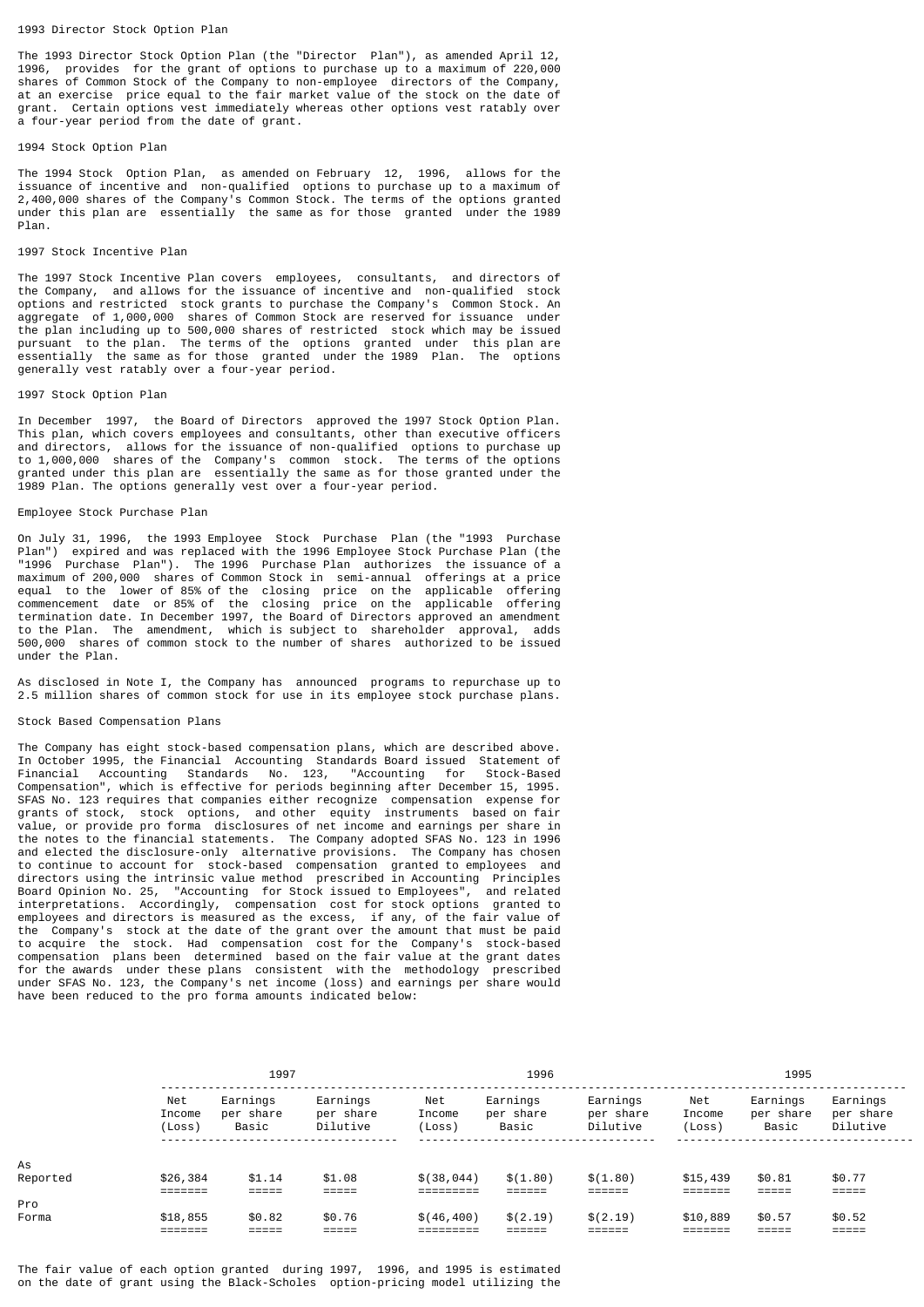### 1993 Director Stock Option Plan

The 1993 Director Stock Option Plan (the "Director Plan"), as amended April 12, 1996, provides for the grant of options to purchase up to a maximum of 220,000 shares of Common Stock of the Company to non-employee directors of the Company, at an exercise price equal to the fair market value of the stock on the date of grant. Certain options vest immediately whereas other options vest ratably over a four-year period from the date of grant.

### 1994 Stock Option Plan

The 1994 Stock Option Plan, as amended on February 12, 1996, allows for the issuance of incentive and non-qualified options to purchase up to a maximum of 2,400,000 shares of the Company's Common Stock. The terms of the options granted under this plan are essentially the same as for those granted under the 1989 Plan.

### 1997 Stock Incentive Plan

The 1997 Stock Incentive Plan covers employees, consultants, and directors of the Company, and allows for the issuance of incentive and non-qualified stock options and restricted stock grants to purchase the Company's Common Stock. An aggregate of 1,000,000 shares of Common Stock are reserved for issuance under the plan including up to 500,000 shares of restricted stock which may be issued pursuant to the plan. The terms of the options granted under this plan are essentially the same as for those granted under the 1989 Plan. The options generally vest ratably over a four-year period.

#### 1997 Stock Option Plan

In December 1997, the Board of Directors approved the 1997 Stock Option Plan. This plan, which covers employees and consultants, other than executive officers and directors, allows for the issuance of non-qualified options to purchase up to 1,000,000 shares of the Company's common stock. The terms of the options granted under this plan are essentially the same as for those granted under the 1989 Plan. The options generally vest over a four-year period.

#### Employee Stock Purchase Plan

On July 31, 1996, the 1993 Employee Stock Purchase Plan (the "1993 Purchase Plan") expired and was replaced with the 1996 Employee Stock Purchase Plan (the "1996 Purchase Plan"). The 1996 Purchase Plan authorizes the issuance of a maximum of 200,000 shares of Common Stock in semi-annual offerings at a price equal to the lower of 85% of the closing price on the applicable offering commencement date or 85% of the closing price on the applicable offering termination date. In December 1997, the Board of Directors approved an amendment to the Plan. The amendment, which is subject to shareholder approval, adds 500,000 shares of common stock to the number of shares authorized to be issued under the Plan.

As disclosed in Note I, the Company has announced programs to repurchase up to 2.5 million shares of common stock for use in its employee stock purchase plans.

# Stock Based Compensation Plans

The Company has eight stock-based compensation plans, which are described above. In October 1995, the Financial Accounting Standards Board issued Statement of Financial Accounting Standards No. 123, "Accounting for Stock-Based Compensation", which is effective for periods beginning after December 15, 1995. SFAS No. 123 requires that companies either recognize compensation expense for grants of stock, stock options, and other equity instruments based on fair value, or provide pro forma disclosures of net income and earnings per share in the notes to the financial statements. The Company adopted SFAS No. 123 in 1996 and elected the disclosure-only alternative provisions. The Company has chosen to continue to account for stock-based compensation granted to employees and directors using the intrinsic value method prescribed in Accounting Principles Board Opinion No. 25, "Accounting for Stock issued to Employees", and related interpretations. Accordingly, compensation cost for stock options granted to employees and directors is measured as the excess, if any, of the fair value of the Company's stock at the date of the grant over the amount that must be paid to acquire the stock. Had compensation cost for the Company's stock-based compensation plans been determined based on the fair value at the grant dates for the awards under these plans consistent with the methodology prescribed under SFAS No. 123, the Company's net income (loss) and earnings per share would have been reduced to the pro forma amounts indicated below:

|          | 1997                    |                                | 1996                              |                         | 1995                           |                                   |                         |                                |                                   |
|----------|-------------------------|--------------------------------|-----------------------------------|-------------------------|--------------------------------|-----------------------------------|-------------------------|--------------------------------|-----------------------------------|
|          | Net<br>Income<br>(Loss) | Earnings<br>per share<br>Basic | Earnings<br>per share<br>Dilutive | Net<br>Income<br>(Loss) | Earnings<br>per share<br>Basic | Earnings<br>per share<br>Dilutive | Net<br>Income<br>(Loss) | Earnings<br>per share<br>Basic | Earnings<br>per share<br>Dilutive |
| As       |                         |                                |                                   |                         |                                |                                   |                         |                                |                                   |
| Reported | \$26,384<br>$=$ ======  | \$1.14<br>$=$ $=$ $=$ $=$ $=$  | \$1.08<br>=====                   | \$(38, 044)             | \$(1.80)                       | \$(1.80)                          | \$15,439<br>=======     | \$0.81<br>=====                | \$0.77<br>=====                   |
| Pro      |                         |                                |                                   |                         |                                |                                   |                         |                                |                                   |
| Forma    | \$18,855<br>_______     | \$0.82<br>-----                | \$0.76                            | \$(46, 400)             | \$(2.19)                       | \$(2.19)                          | \$10,889                | \$0.57                         | \$0.52<br>-----                   |

The fair value of each option granted during 1997, 1996, and 1995 is estimated on the date of grant using the Black-Scholes option-pricing model utilizing the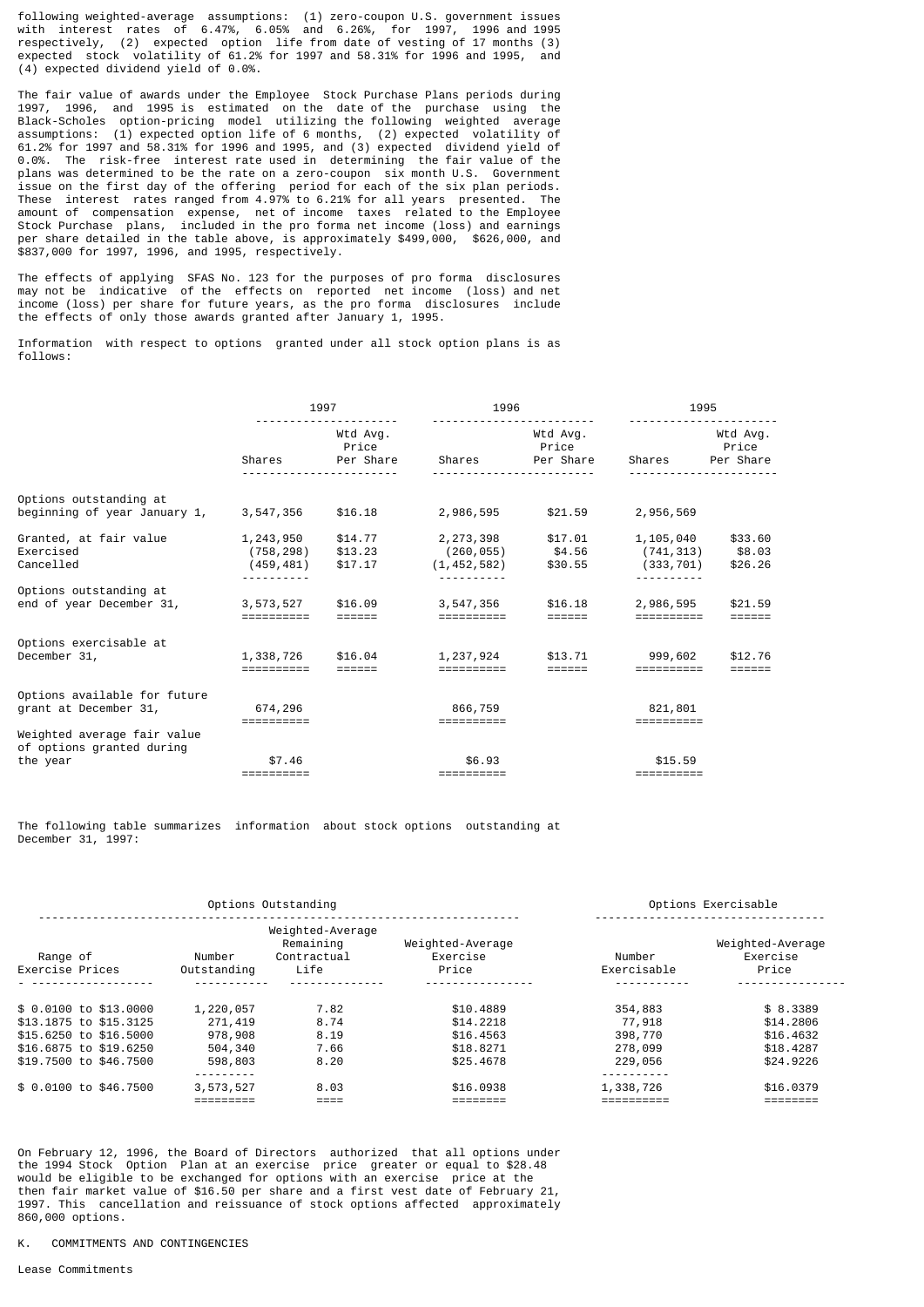following weighted-average assumptions: (1) zero-coupon U.S. government issues with interest rates of 6.47%, 6.05% and 6.26%, for 1997, 1996 and 1995 respectively, (2) expected option life from date of vesting of 17 months (3) expected stock volatility of 61.2% for 1997 and 58.31% for 1996 and 1995, and (4) expected dividend yield of 0.0%.

The fair value of awards under the Employee Stock Purchase Plans periods during 1997, 1996, and 1995 is estimated on the date of the purchase using the Black-Scholes option-pricing model utilizing the following weighted average assumptions: (1) expected option life of 6 months, (2) expected volatility of 61.2% for 1997 and 58.31% for 1996 and 1995, and (3) expected dividend yield of 0.0%. The risk-free interest rate used in determining the fair value of the plans was determined to be the rate on a zero-coupon six month U.S. Government issue on the first day of the offering period for each of the six plan periods. These interest rates ranged from 4.97% to 6.21% for all years presented. The amount of compensation expense, net of income taxes related to the Employee Stock Purchase plans, included in the pro forma net income (loss) and earnings per share detailed in the table above, is approximately \$499,000, \$626,000, and \$837,000 for 1997, 1996, and 1995, respectively.

The effects of applying SFAS No. 123 for the purposes of pro forma disclosures may not be indicative of the effects on reported net income (loss) and net income (loss) per share for future years, as the pro forma disclosures include the effects of only those awards granted after January 1, 1995.

Information with respect to options granted under all stock option plans is as follows:

|                                                                      | 1997                                  |                                |                                          | 1996                           |                                      | 1995                           |  |
|----------------------------------------------------------------------|---------------------------------------|--------------------------------|------------------------------------------|--------------------------------|--------------------------------------|--------------------------------|--|
|                                                                      | Shares                                | Wtd Avg.<br>Price<br>Per Share | Shares                                   | Wtd Avg.<br>Price<br>Per Share | Shares                               | Wtd Avg.<br>Price<br>Per Share |  |
| Options outstanding at<br>beginning of year January 1,               | 3,547,356                             | \$16.18                        | 2,986,595                                | \$21.59                        | 2,956,569                            |                                |  |
| Granted, at fair value<br>Exercised<br>Cancelled                     | 1,243,950<br>(758, 298)<br>(459, 481) | \$14.77<br>\$13.23<br>\$17.17  | 2,273,398<br>(260, 055)<br>(1, 452, 582) | \$17.01<br>\$4.56<br>\$30.55   | 1,105,040<br>(741, 313)<br>(333,701) | \$33.60<br>\$8.03<br>\$26.26   |  |
| Options outstanding at<br>end of year December 31,                   | 3,573,527<br>==========               | \$16.09                        | 3,547,356<br>==========                  | \$16.18                        | 2,986,595<br>==========              | \$21.59                        |  |
| Options exercisable at<br>December 31,                               | 1,338,726                             | \$16.04                        | 1,237,924                                | \$13.71                        | 999,602                              | \$12.76                        |  |
| Options available for future<br>grant at December 31,                | 674,296                               |                                | 866,759<br>==========                    |                                | 821,801                              |                                |  |
| Weighted average fair value<br>of options granted during<br>the year | \$7.46<br>==========                  |                                | \$6.93<br>==========                     |                                | \$15.59<br>==========                |                                |  |

The following table summarizes information about stock options outstanding at December 31, 1997:

| Options Outstanding         |                       |                                                      |                                       |                       | Options Exercisable                   |
|-----------------------------|-----------------------|------------------------------------------------------|---------------------------------------|-----------------------|---------------------------------------|
| Range of<br>Exercise Prices | Number<br>Outstanding | Weighted-Average<br>Remaining<br>Contractual<br>Life | Weighted-Average<br>Exercise<br>Price | Number<br>Exercisable | Weighted-Average<br>Exercise<br>Price |
|                             |                       |                                                      |                                       |                       |                                       |
| \$ 0.0100 to \$13,0000      | 1,220,057             | 7.82                                                 | \$10,4889                             | 354,883               | \$8.3389                              |
| \$13,1875 to \$15,3125      | 271,419               | 8.74                                                 | \$14,2218                             | 77,918                | \$14,2806                             |
| \$15,6250 to \$16,5000      | 978,908               | 8.19                                                 | \$16,4563                             | 398,770               | \$16,4632                             |
| \$16.6875 to \$19.6250      | 504,340               | 7.66                                                 | \$18,8271                             | 278,099               | \$18,4287                             |
| \$19,7500 to \$46,7500      | 598,803               | 8.20                                                 | \$25.4678                             | 229,056               | \$24,9226                             |
|                             |                       |                                                      |                                       |                       |                                       |
| \$ 0.0100 to \$46.7500      | 3,573,527             | 8.03                                                 | \$16,0938                             | 1,338,726             | \$16,0379                             |
|                             |                       |                                                      |                                       |                       |                                       |

On February 12, 1996, the Board of Directors authorized that all options under the 1994 Stock Option Plan at an exercise price greater or equal to \$28.48 would be eligible to be exchanged for options with an exercise price at the then fair market value of \$16.50 per share and a first vest date of February 21, 1997. This cancellation and reissuance of stock options affected approximately 860,000 options.

# K. COMMITMENTS AND CONTINGENCIES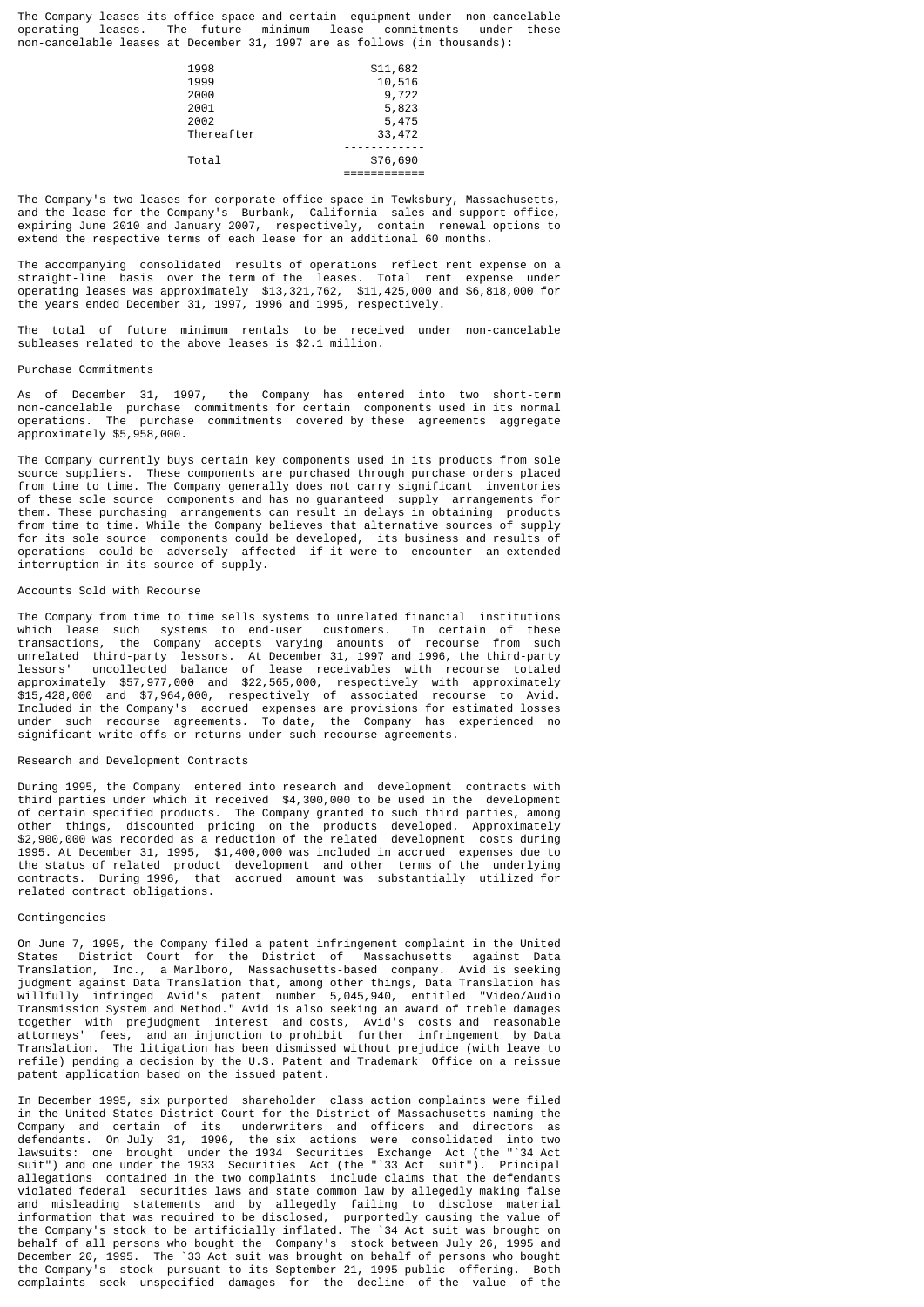The Company leases its office space and certain equipment under non-cancelable operating leases. The future minimum lease commitments under these non-cancelable leases at December 31, 1997 are as follows (in thousands):

| 1998       | \$11,682 |
|------------|----------|
|            | 10,516   |
| 2000       | 9,722    |
| 2001       | 5,823    |
| 2002       | 5,475    |
| Thereafter | 33,472   |
|            |          |
| Total      | \$76,690 |
|            |          |
|            | 1999     |

The Company's two leases for corporate office space in Tewksbury, Massachusetts, and the lease for the Company's Burbank, California sales and support office, expiring June 2010 and January 2007, respectively, contain renewal options to extend the respective terms of each lease for an additional 60 months.

The accompanying consolidated results of operations reflect rent expense on a straight-line basis over the term of the leases. Total rent expense under operating leases was approximately \$13,321,762, \$11,425,000 and \$6,818,000 for the years ended December 31, 1997, 1996 and 1995, respectively.

The total of future minimum rentals to be received under non-cancelable subleases related to the above leases is \$2.1 million.

#### Purchase Commitments

As of December 31, 1997, the Company has entered into two short-term non-cancelable purchase commitments for certain components used in its normal operations. The purchase commitments covered by these agreements aggregate approximately \$5,958,000.

The Company currently buys certain key components used in its products from sole source suppliers. These components are purchased through purchase orders placed from time to time. The Company generally does not carry significant inventories of these sole source components and has no guaranteed supply arrangements for them. These purchasing arrangements can result in delays in obtaining products from time to time. While the Company believes that alternative sources of supply for its sole source components could be developed, its business and results of operations could be adversely affected if it were to encounter an extended interruption in its source of supply.

# Accounts Sold with Recourse

The Company from time to time sells systems to unrelated financial institutions which lease such systems to end-user customers. In certain of these transactions, the Company accepts varying amounts of recourse from such unrelated third-party lessors. At December 31, 1997 and 1996, the third-party lessors' uncollected balance of lease receivables with recourse totaled approximately \$57,977,000 and \$22,565,000, respectively with approximately \$15,428,000 and \$7,964,000, respectively of associated recourse to Avid. Included in the Company's accrued expenses are provisions for estimated losses under such recourse agreements. To date, the Company has experienced no significant write-offs or returns under such recourse agreements.

#### Research and Development Contracts

During 1995, the Company entered into research and development contracts with third parties under which it received \$4,300,000 to be used in the development of certain specified products. The Company granted to such third parties, among other things, discounted pricing on the products developed. Approximately \$2,900,000 was recorded as a reduction of the related development costs during 1995. At December 31, 1995, \$1,400,000 was included in accrued expenses due to the status of related product development and other terms of the underlying contracts. During 1996, that accrued amount was substantially utilized for related contract obligations.

#### Contingencies

On June 7, 1995, the Company filed a patent infringement complaint in the United States District Court for the District of Massachusetts against Data Translation, Inc., a Marlboro, Massachusetts-based company. Avid is seeking judgment against Data Translation that, among other things, Data Translation has willfully infringed Avid's patent number 5,045,940, entitled "Video/Audio Transmission System and Method." Avid is also seeking an award of treble damages together with prejudgment interest and costs, Avid's costs and reasonable attorneys' fees, and an injunction to prohibit further infringement by Data Translation. The litigation has been dismissed without prejudice (with leave to refile) pending a decision by the U.S. Patent and Trademark Office on a reissue patent application based on the issued patent.

In December 1995, six purported shareholder class action complaints were filed in the United States District Court for the District of Massachusetts naming the Company and certain of its underwriters and officers and directors as defendants. On July 31, 1996, the six actions were consolidated into two lawsuits: one brought under the 1934 Securities Exchange Act (the "`34 Act suit") and one under the 1933 Securities Act (the "`33 Act suit"). Principal allegations contained in the two complaints include claims that the defendants violated federal securities laws and state common law by allegedly making false and misleading statements and by allegedly failing to disclose material information that was required to be disclosed, purportedly causing the value of the Company's stock to be artificially inflated. The `34 Act suit was brought on behalf of all persons who bought the Company's stock between July 26, 1995 and December 20, 1995. The `33 Act suit was brought on behalf of persons who bought the Company's stock pursuant to its September 21, 1995 public offering. Both complaints seek unspecified damages for the decline of the value of the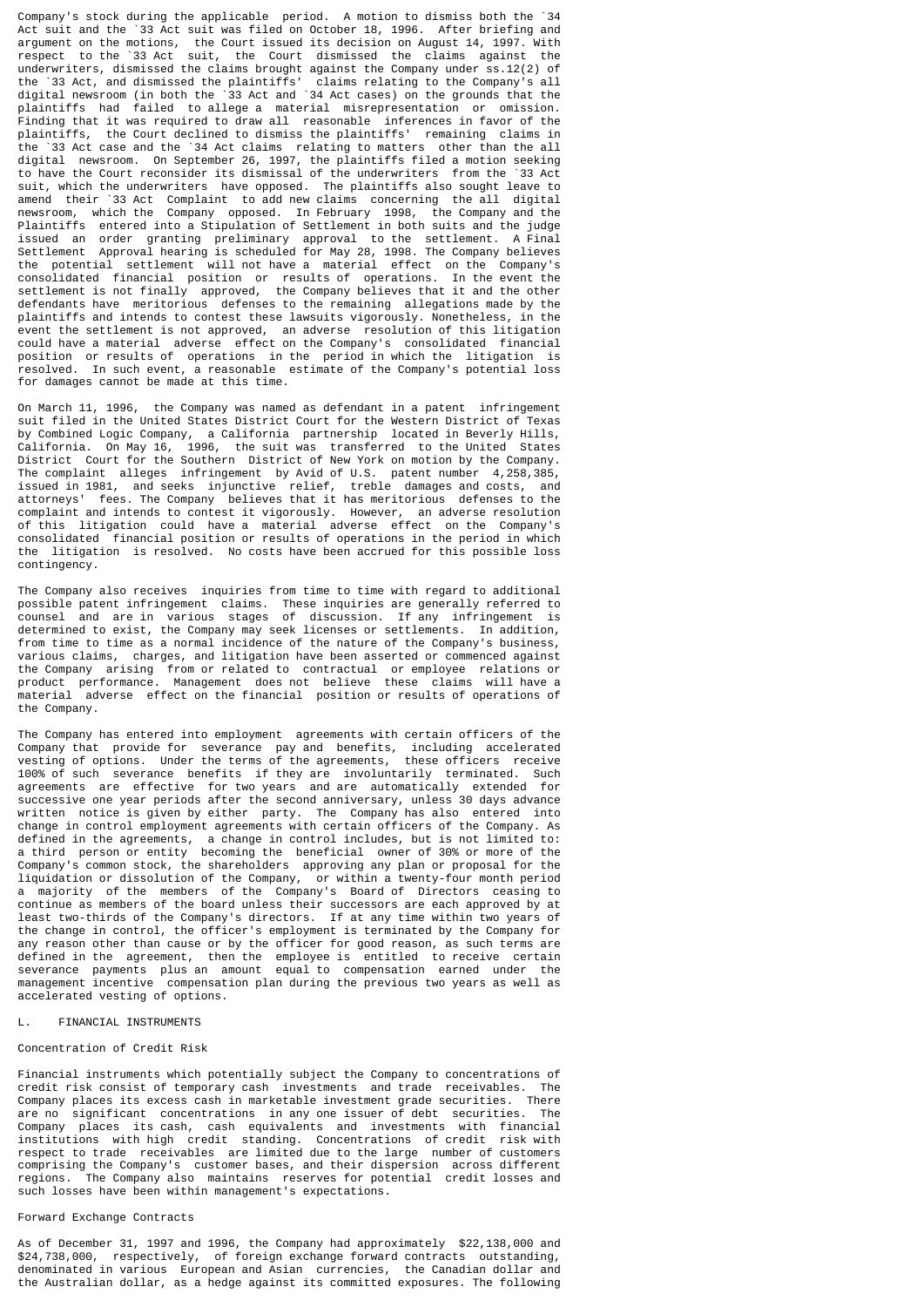Company's stock during the applicable period. A motion to dismiss both the `34 Act suit and the `33 Act suit was filed on October 18, 1996. After briefing and argument on the motions, the Court issued its decision on August 14, 1997. With respect to the `33 Act suit, the Court dismissed the claims against the underwriters, dismissed the claims brought against the Company under ss.12(2) of the `33 Act, and dismissed the plaintiffs' claims relating to the Company's all digital newsroom (in both the `33 Act and `34 Act cases) on the grounds that the plaintiffs had failed to allege a material misrepresentation or omission. Finding that it was required to draw all reasonable inferences in favor of the plaintiffs, the Court declined to dismiss the plaintiffs' remaining claims in the `33 Act case and the `34 Act claims relating to matters other than the all digital newsroom. On September 26, 1997, the plaintiffs filed a motion seeking to have the Court reconsider its dismissal of the underwriters from the `33 Act suit, which the underwriters have opposed. The plaintiffs also sought leave to amend their `33 Act Complaint to add new claims concerning the all digital newsroom, which the Company opposed. In February 1998, the Company and the Plaintiffs entered into a Stipulation of Settlement in both suits and the judge issued an order granting preliminary approval to the settlement. A Final Settlement Approval hearing is scheduled for May 28, 1998. The Company believes the potential settlement will not have a material effect on the Company's consolidated financial position or results of operations. In the event the settlement is not finally approved, the Company believes that it and the other defendants have meritorious defenses to the remaining allegations made by the plaintiffs and intends to contest these lawsuits vigorously. Nonetheless, in the event the settlement is not approved, an adverse resolution of this litigation could have a material adverse effect on the Company's consolidated financial position or results of operations in the period in which the litigation is resolved. In such event, a reasonable estimate of the Company's potential loss for damages cannot be made at this time.

On March 11, 1996, the Company was named as defendant in a patent infringement suit filed in the United States District Court for the Western District of Texas by Combined Logic Company, a California partnership located in Beverly Hills, California. On May 16, 1996, the suit was transferred to the United States District Court for the Southern District of New York on motion by the Company. The complaint alleges infringement by Avid of U.S. patent number 4,258,385, issued in 1981, and seeks injunctive relief, treble damages and costs, and attorneys' fees. The Company believes that it has meritorious defenses to the complaint and intends to contest it vigorously. However, an adverse resolution of this litigation could have a material adverse effect on the Company's consolidated financial position or results of operations in the period in which the litigation is resolved. No costs have been accrued for this possible loss contingency.

The Company also receives inquiries from time to time with regard to additional possible patent infringement claims. These inquiries are generally referred to counsel and are in various stages of discussion. If any infringement is determined to exist, the Company may seek licenses or settlements. In addition, from time to time as a normal incidence of the nature of the Company's business, various claims, charges, and litigation have been asserted or commenced against the Company arising from or related to contractual or employee relations or product performance. Management does not believe these claims will have a material adverse effect on the financial position or results of operations of the Company.

The Company has entered into employment agreements with certain officers of the Company that provide for severance pay and benefits, including accelerated vesting of options. Under the terms of the agreements, these officers receive 100% of such severance benefits if they are involuntarily terminated. Such agreements are effective for two years and are automatically extended for successive one year periods after the second anniversary, unless 30 days advance written notice is given by either party. The Company has also entered into change in control employment agreements with certain officers of the Company. As defined in the agreements, a change in control includes, but is not limited to: a third person or entity becoming the beneficial owner of 30% or more of the Company's common stock, the shareholders approving any plan or proposal for the liquidation or dissolution of the Company, or within a twenty-four month period a majority of the members of the Company's Board of Directors ceasing to continue as members of the board unless their successors are each approved by at least two-thirds of the Company's directors. If at any time within two years of the change in control, the officer's employment is terminated by the Company for any reason other than cause or by the officer for good reason, as such terms are defined in the agreement, then the employee is entitled to receive certain severance payments plus an amount equal to compensation earned under the management incentive compensation plan during the previous two years as well as accelerated vesting of options.

### L. FINANCIAL INSTRUMENTS

#### Concentration of Credit Risk

Financial instruments which potentially subject the Company to concentrations of credit risk consist of temporary cash investments and trade receivables. The Company places its excess cash in marketable investment grade securities. There are no significant concentrations in any one issuer of debt securities. The Company places its cash, cash equivalents and investments with financial institutions with high credit standing. Concentrations of credit risk with respect to trade receivables are limited due to the large number of customers comprising the Company's customer bases, and their dispersion across different regions. The Company also maintains reserves for potential credit losses and such losses have been within management's expectations.

### Forward Exchange Contracts

As of December 31, 1997 and 1996, the Company had approximately \$22,138,000 and \$24,738,000, respectively, of foreign exchange forward contracts outstanding, denominated in various European and Asian currencies, the Canadian dollar and the Australian dollar, as a hedge against its committed exposures. The following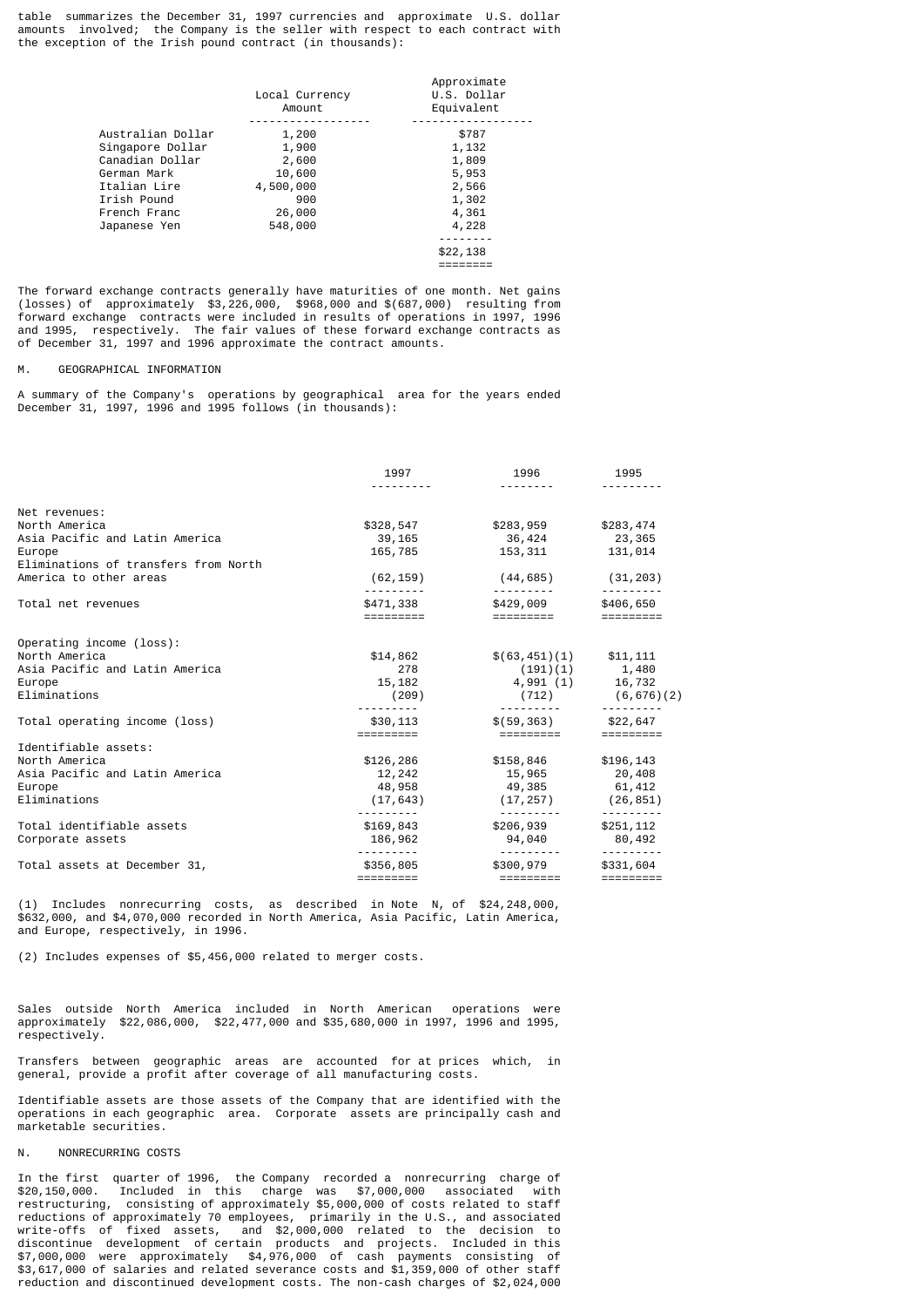table summarizes the December 31, 1997 currencies and approximate U.S. dollar amounts involved; the Company is the seller with respect to each contract with the exception of the Irish pound contract (in thousands):

|                   | Local Currency<br>Amount | Approximate<br>U.S. Dollar<br>Equivalent |
|-------------------|--------------------------|------------------------------------------|
| Australian Dollar | 1,200                    | \$787                                    |
| Singapore Dollar  | 1,900                    | 1,132                                    |
| Canadian Dollar   | 2,600                    | 1,809                                    |
| German Mark       | 10,600                   | 5,953                                    |
| Italian Lire      | 4,500,000                | 2,566                                    |
| Irish Pound       | 900                      | 1,302                                    |
| French Franc      | 26,000                   | 4,361                                    |
| Japanese Yen      | 548,000                  | 4,228                                    |
|                   |                          |                                          |
|                   |                          | \$22,138                                 |
|                   |                          |                                          |

The forward exchange contracts generally have maturities of one month. Net gains (losses) of approximately \$3,226,000, \$968,000 and \$(687,000) resulting from forward exchange contracts were included in results of operations in 1997, 1996 and 1995, respectively. The fair values of these forward exchange contracts as of December 31, 1997 and 1996 approximate the contract amounts.

========

#### M. GEOGRAPHICAL INFORMATION

A summary of the Company's operations by geographical area for the years ended December 31, 1997, 1996 and 1995 follows (in thousands):

|                                      | 1997                                | 1996                       | 1995                           |
|--------------------------------------|-------------------------------------|----------------------------|--------------------------------|
|                                      |                                     |                            |                                |
| Net revenues:                        |                                     |                            |                                |
| North America                        | \$328,547                           | \$283,959                  | \$283,474                      |
| Asia Pacific and Latin America       | 39,165                              | 36,424 23,365              |                                |
| Europe                               | 165,785                             | 153, 311 131, 014          |                                |
| Eliminations of transfers from North |                                     |                            |                                |
| America to other areas               | (62, 159)                           | (44,685)                   | (31, 203)                      |
| Total net revenues                   | \$471,338                           | \$429,009                  | \$406,650                      |
|                                      |                                     | =========                  |                                |
| Operating income (loss):             |                                     |                            |                                |
| North America                        | \$14,862                            | $$(63, 451)(1)$ $$11, 111$ |                                |
| Asia Pacific and Latin America       | 278                                 | $(191)(1)$ 1,480           |                                |
| Europe                               | 15,182                              | $4,991(1)$ 16,732          |                                |
| Eliminations                         | (209)                               |                            | $(712)$ $(6, 676)(2)$          |
| Total operating income (loss)        | \$30,113                            | $$(59, 363)$ $$22, 647$    |                                |
|                                      | =========                           | =========                  | $=$ = = = = = = = =            |
| Identifiable assets:                 |                                     |                            |                                |
| North America                        | \$126,286                           | \$158,846 \$196,143        |                                |
| Asia Pacific and Latin America       | 12,242                              | 15,965 20,408              |                                |
| Europe                               | 48,958                              | 49,385 61,412              |                                |
| Eliminations                         | (17, 643)                           | (17, 257)                  | (26, 851)                      |
| Total identifiable assets            | .<br>\$169,843                      | ---------<br>\$206,939     | - - - - - - - - -<br>\$251,112 |
| Corporate assets                     | 186,962                             | 94,040                     | 80,492                         |
| Total assets at December 31,         | \$356,805                           | \$300,979                  | \$331,604                      |
|                                      | $=$ $=$ $=$ $=$ $=$ $=$ $=$ $=$ $=$ |                            |                                |

(1) Includes nonrecurring costs, as described in Note N, of \$24,248,000, \$632,000, and \$4,070,000 recorded in North America, Asia Pacific, Latin America, and Europe, respectively, in 1996.

(2) Includes expenses of \$5,456,000 related to merger costs.

Sales outside North America included in North American operations were approximately \$22,086,000, \$22,477,000 and \$35,680,000 in 1997, 1996 and 1995, respectively.

Transfers between geographic areas are accounted for at prices which, in general, provide a profit after coverage of all manufacturing costs.

Identifiable assets are those assets of the Company that are identified with the operations in each geographic area. Corporate assets are principally cash and marketable securities.

# N. **NONRECURRING COSTS**

In the first quarter of 1996, the Company recorded a nonrecurring charge of \$20,150,000. Included in this charge was \$7,000,000 associated with restructuring, consisting of approximately \$5,000,000 of costs related to staff reductions of approximately 70 employees, primarily in the U.S., and associated write-offs of fixed assets, and \$2,000,000 related to the decision to discontinue development of certain products and projects. Included in this \$7,000,000 were approximately \$4,976,000 of cash payments consisting of \$3,617,000 of salaries and related severance costs and \$1,359,000 of other staff reduction and discontinued development costs. The non-cash charges of \$2,024,000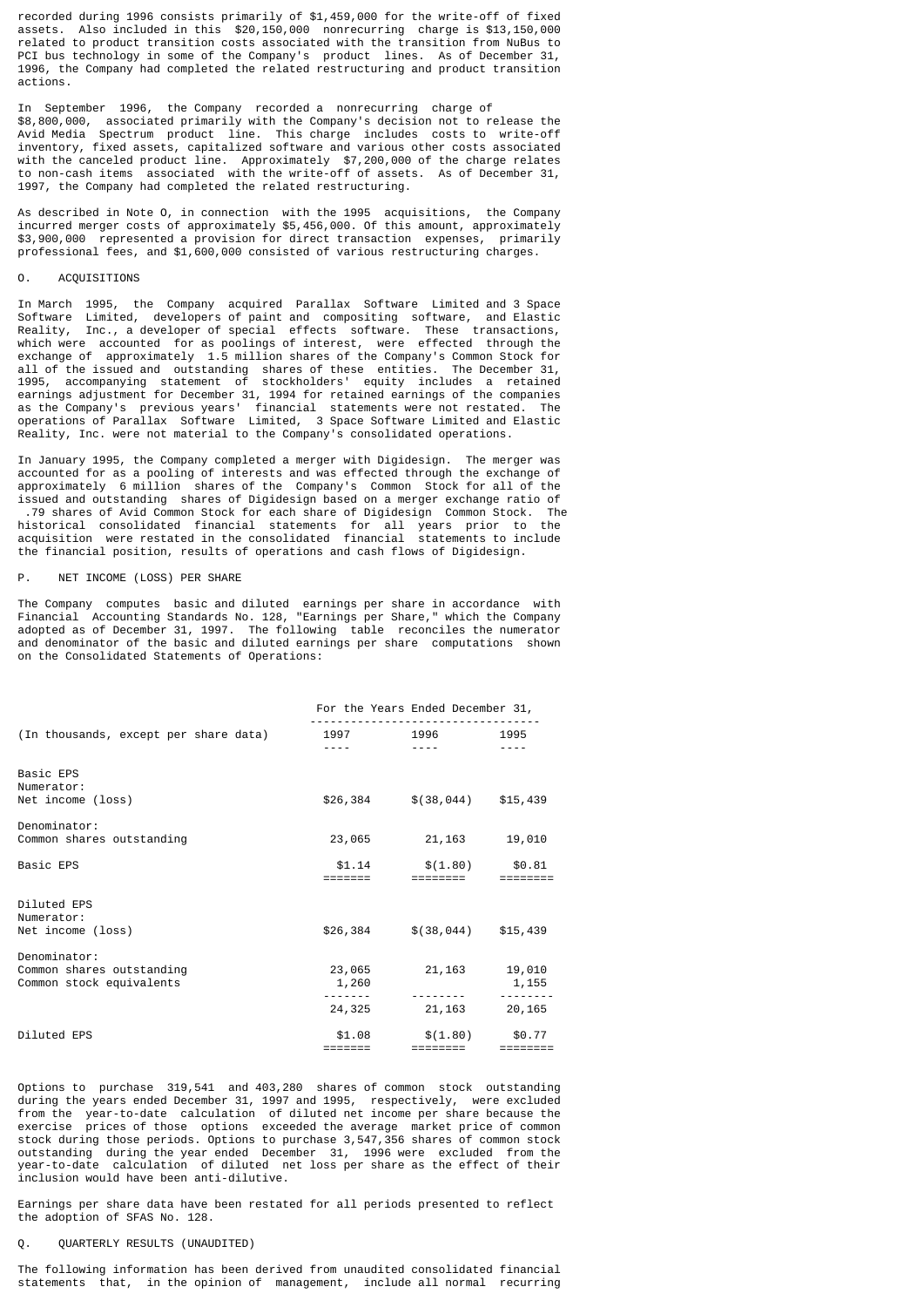recorded during 1996 consists primarily of \$1,459,000 for the write-off of fixed assets. Also included in this \$20,150,000 nonrecurring charge is \$13,150,000 related to product transition costs associated with the transition from NuBus to PCI bus technology in some of the Company's product lines. As of December 31, 1996, the Company had completed the related restructuring and product transition actions.

In September 1996, the Company recorded a nonrecurring charge of \$8,800,000, associated primarily with the Company's decision not to release the Avid Media Spectrum product line. This charge includes costs to write-off inventory, fixed assets, capitalized software and various other costs associated with the canceled product line. Approximately \$7,200,000 of the charge relates to non-cash items associated with the write-off of assets. As of December 31, 1997, the Company had completed the related restructuring.

As described in Note O, in connection with the 1995 acquisitions, the Company incurred merger costs of approximately \$5,456,000. Of this amount, approximately \$3,900,000 represented a provision for direct transaction expenses, primarily professional fees, and \$1,600,000 consisted of various restructuring charges.

# ACQUISITIONS

In March 1995, the Company acquired Parallax Software Limited and 3 Space Software Limited, developers of paint and compositing software, and Elastic<br>Reality, Inc., a developer of special effects software. These transactions, Reality, Inc., a developer of special effects software. These which were accounted for as poolings of interest, were effected through the exchange of approximately 1.5 million shares of the Company's Common Stock for all of the issued and outstanding shares of these entities. The December 31, 1995, accompanying statement of stockholders' equity includes a retained earnings adjustment for December 31, 1994 for retained earnings of the companies as the Company's previous years' financial statements were not restated. The operations of Parallax Software Limited, 3 Space Software Limited and Elastic Reality, Inc. were not material to the Company's consolidated operations.

In January 1995, the Company completed a merger with Digidesign. The merger was accounted for as a pooling of interests and was effected through the exchange of approximately 6 million shares of the Company's Common Stock for all of the issued and outstanding shares of Digidesign based on a merger exchange ratio of .79 shares of Avid Common Stock for each share of Digidesign Common Stock. The historical consolidated financial statements for all years prior to the acquisition were restated in the consolidated financial statements to include the financial position, results of operations and cash flows of Digidesign.

#### P. NET INCOME (LOSS) PER SHARE

The Company computes basic and diluted earnings per share in accordance with Financial Accounting Standards No. 128, "Earnings per Share," which the Company adopted as of December 31, 1997. The following table reconciles the numerator and denominator of the basic and diluted earnings per share computations shown on the Consolidated Statements of Operations:

|                                                                       |                                                                                                                                                                                                                                                                                                                                                                                                                                                                            | For the Years Ended December 31,                                                                                                   |                                 |
|-----------------------------------------------------------------------|----------------------------------------------------------------------------------------------------------------------------------------------------------------------------------------------------------------------------------------------------------------------------------------------------------------------------------------------------------------------------------------------------------------------------------------------------------------------------|------------------------------------------------------------------------------------------------------------------------------------|---------------------------------|
| (In thousands, except per share data)                                 | $\frac{1}{2} \left( \frac{1}{2} \left( \frac{1}{2} \right) \right) \left( \frac{1}{2} \left( \frac{1}{2} \right) \right) \left( \frac{1}{2} \right) \left( \frac{1}{2} \right) \left( \frac{1}{2} \right) \left( \frac{1}{2} \right) \left( \frac{1}{2} \right) \left( \frac{1}{2} \right) \left( \frac{1}{2} \right) \left( \frac{1}{2} \right) \left( \frac{1}{2} \right) \left( \frac{1}{2} \right) \left( \frac{1}{2} \right) \left( \frac{1}{2} \right) \left( \frac$ | 1997 1996 1995<br>and the second control of the second second and the second second second and second second and second and second |                                 |
| Basic EPS<br>Numerator:<br>Net income (loss)                          |                                                                                                                                                                                                                                                                                                                                                                                                                                                                            | $$26,384$ $$(38,044)$ $$15,439$                                                                                                    |                                 |
| Denominator:<br>Common shares outstanding                             | 23,065                                                                                                                                                                                                                                                                                                                                                                                                                                                                     | 21,163                                                                                                                             | 19,010                          |
| Basic EPS                                                             | \$1.14<br>=======                                                                                                                                                                                                                                                                                                                                                                                                                                                          | $$(1.80)$ $$0.81$<br>========                                                                                                      | $=$ $=$ $=$ $=$ $=$ $=$ $=$ $=$ |
| Diluted EPS<br>Numerator:<br>Net income (loss)                        |                                                                                                                                                                                                                                                                                                                                                                                                                                                                            | $$26,384$ $$(38,044)$ $$15,439$                                                                                                    |                                 |
| Denominator:<br>Common shares outstanding<br>Common stock equivalents | 1,260                                                                                                                                                                                                                                                                                                                                                                                                                                                                      | 23,065 21,163 19,010                                                                                                               | 1, 155                          |
|                                                                       | 24,325                                                                                                                                                                                                                                                                                                                                                                                                                                                                     | 21, 163 20, 165                                                                                                                    |                                 |
| Diluted EPS                                                           | \$1.08<br>$=$ $=$ $=$ $=$ $=$ $=$ $=$                                                                                                                                                                                                                                                                                                                                                                                                                                      | $$(1.80)$ $$0.77$                                                                                                                  |                                 |

Options to purchase 319,541 and 403,280 shares of common stock outstanding during the years ended December 31, 1997 and 1995, respectively, were excluded from the year-to-date calculation of diluted net income per share because the exercise prices of those options exceeded the average market price of common stock during those periods. Options to purchase 3,547,356 shares of common stock outstanding during the year ended December 31, 1996 were excluded from the year-to-date calculation of diluted net loss per share as the effect of their inclusion would have been anti-dilutive.

Earnings per share data have been restated for all periods presented to reflect the adoption of SFAS No. 128.

# QUARTERLY RESULTS (UNAUDITED)

The following information has been derived from unaudited consolidated financial statements that, in the opinion of management, include all normal recurring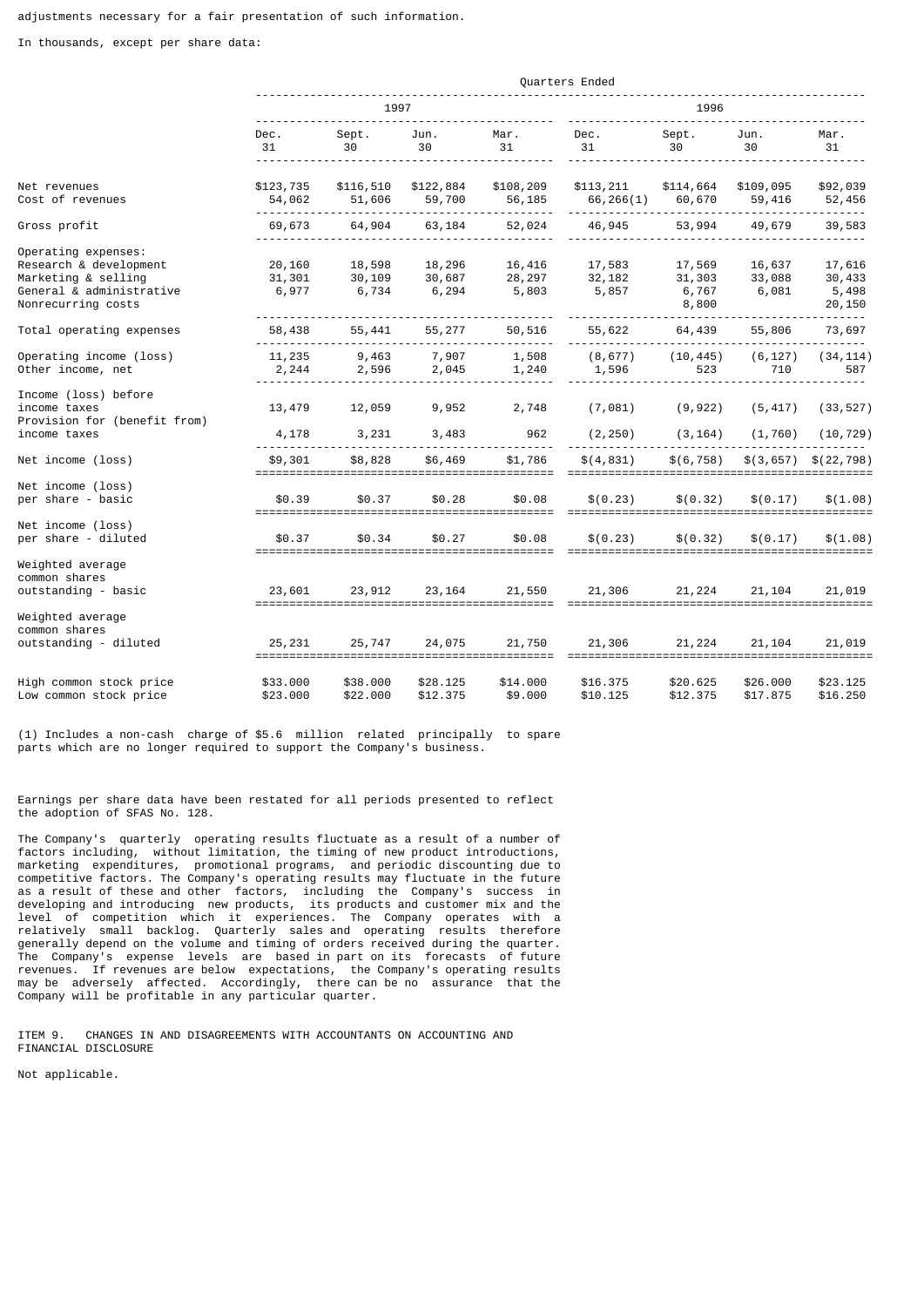In thousands, except per share data:

|                                                                                                                        | Quarters Ended            |                           |                           |                           |                           |                                    |                           |                                     |
|------------------------------------------------------------------------------------------------------------------------|---------------------------|---------------------------|---------------------------|---------------------------|---------------------------|------------------------------------|---------------------------|-------------------------------------|
|                                                                                                                        | 1997                      |                           |                           |                           |                           | 1996                               |                           |                                     |
|                                                                                                                        | Dec.<br>31                | Sept.<br>30               | Jun.<br>30                | Mar.<br>31                | Dec.<br>31                | Sept.<br>30                        | Jun.<br>30                | Mar.<br>31                          |
| Net revenues<br>Cost of revenues                                                                                       | \$123,735<br>54,062       | \$116,510<br>51,606       | \$122,884<br>59,700       | \$108,209<br>56,185       | \$113,211<br>66,266(1)    | \$114,664<br>60,670                | \$109,095<br>59,416       | \$92,039<br>52,456                  |
| Gross profit                                                                                                           | 69,673                    | 64,904                    | 63,184                    | 52,024                    | 46,945                    | 53,994                             | 49,679                    | .<br>39,583                         |
| Operating expenses:<br>Research & development<br>Marketing & selling<br>General & administrative<br>Nonrecurring costs | 20,160<br>31,301<br>6,977 | 18,598<br>30,109<br>6,734 | 18,296<br>30,687<br>6,294 | 16,416<br>28,297<br>5,803 | 17,583<br>32,182<br>5,857 | 17,569<br>31,303<br>6,767<br>8,800 | 16,637<br>33,088<br>6,081 | 17,616<br>30,433<br>5,498<br>20,150 |
| Total operating expenses                                                                                               | 58,438                    | 55,441                    | 55,277                    | 50,516                    | 55,622                    | 64,439                             | 55,806                    | 73,697                              |
| Operating income (loss)<br>Other income, net                                                                           | 11,235<br>2,244           | 9,463<br>2,596            | 7,907<br>2,045            | 1,508<br>1,240            | (8, 677)<br>1,596         | (10, 445)<br>523                   | (6, 127)<br>710           | (34, 114)<br>587                    |
| Income (loss) before<br>income taxes<br>Provision for (benefit from)<br>income taxes                                   | 13,479<br>4,178           | 12,059<br>3,231           | 9,952<br>3,483            | 2,748<br>962              | (7,081)<br>(2, 250)       | (9, 922)<br>(3, 164)               | (5, 417)<br>(1, 760)      | (33, 527)<br>(10, 729)              |
| Net income (loss)                                                                                                      | \$9,301                   | \$8,828                   | \$6,469                   | \$1,786                   | \$(4,831)                 | \$(6, 758)                         | \$(3,657)                 | \$(22, 798)                         |
| Net income (loss)<br>per share - basic                                                                                 | \$0.39                    | \$0.37                    | \$0.28                    | \$0.08                    | \$(0.23)                  | \$(0.32)                           | \$(0.17)                  | \$(1.08)                            |
| Net income (loss)<br>per share - diluted                                                                               | \$0.37                    | \$0.34                    | \$0.27                    | \$0.08                    | \$(0.23)                  | \$ (0.32)                          | \$(0.17)                  | \$(1.08)                            |
| Weighted average<br>common shares<br>outstanding - basic                                                               | 23,601                    | 23,912                    | 23, 164                   | 21,550                    | 21,306                    | 21,224                             | 21,104                    | 21,019                              |
| Weighted average<br>common shares<br>outstanding - diluted                                                             | 25,231                    | 25,747                    | 24,075                    | 21,750                    | 21,306                    | 21,224                             | 21, 104                   | 21,019                              |
| High common stock price<br>Low common stock price                                                                      | \$33.000<br>\$23,000      | \$38.000<br>\$22,000      | \$28.125<br>\$12.375      | \$14.000<br>\$9,000       | \$16.375<br>\$10.125      | \$20.625<br>\$12,375               | \$26.000<br>\$17.875      | \$23.125<br>\$16.250                |

(1) Includes a non-cash charge of \$5.6 million related principally to spare parts which are no longer required to support the Company's business.

Earnings per share data have been restated for all periods presented to reflect the adoption of SFAS No. 128.

The Company's quarterly operating results fluctuate as a result of a number of factors including, without limitation, the timing of new product introductions, marketing expenditures, promotional programs, and periodic discounting due to competitive factors. The Company's operating results may fluctuate in the future as a result of these and other factors, including the Company's success in developing and introducing new products, its products and customer mix and the level of competition which it experiences. The Company operates with a relatively small backlog. Quarterly sales and operating results therefore generally depend on the volume and timing of orders received during the quarter. The Company's expense levels are based in part on its forecasts of future revenues. If revenues are below expectations, the Company's operating results may be adversely affected. Accordingly, there can be no assurance that the Company will be profitable in any particular quarter.

ITEM 9. CHANGES IN AND DISAGREEMENTS WITH ACCOUNTANTS ON ACCOUNTING AND FINANCIAL DISCLOSURE

Not applicable.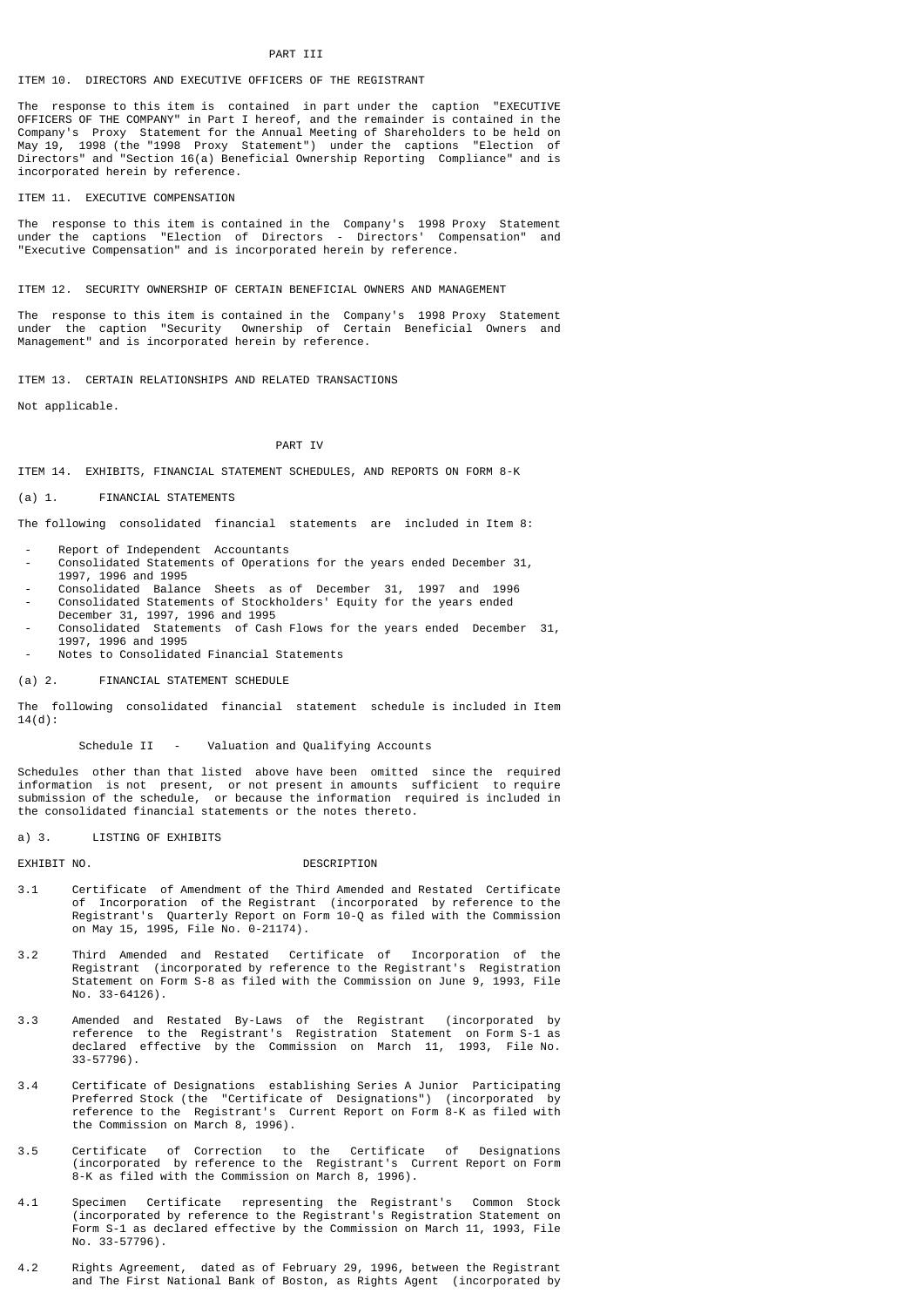# PART III

# ITEM 10. DIRECTORS AND EXECUTIVE OFFICERS OF THE REGISTRANT

The response to this item is contained in part under the caption "EXECUTIVE OFFICERS OF THE COMPANY" in Part I hereof, and the remainder is contained in the Company's Proxy Statement for the Annual Meeting of Shareholders to be held on May 19, 1998 (the "1998 Proxy Statement") under the captions "Election of Directors" and "Section 16(a) Beneficial Ownership Reporting Compliance" and is incorporated herein by reference.

ITEM 11. EXECUTIVE COMPENSATION

The response to this item is contained in the Company's 1998 Proxy Statement under the captions "Election of Directors - Directors' Compensation" and "Executive Compensation" and is incorporated herein by reference.

ITEM 12. SECURITY OWNERSHIP OF CERTAIN BENEFICIAL OWNERS AND MANAGEMENT

The response to this item is contained in the Company's 1998 Proxy Statement under the caption "Security Ownership of Certain Beneficial Owners and Management" and is incorporated herein by reference.

ITEM 13. CERTAIN RELATIONSHIPS AND RELATED TRANSACTIONS

Not applicable.

# PART IV

ITEM 14. EXHIBITS, FINANCIAL STATEMENT SCHEDULES, AND REPORTS ON FORM 8-K

# (a) 1. FINANCIAL STATEMENTS

The following consolidated financial statements are included in Item 8:

- Report of Independent Accountants
- Consolidated Statements of Operations for the years ended December 31, 1997, 1996 and 1995
- Consolidated Balance Sheets as of December 31, 1997 and 1996
- Consolidated Statements of Stockholders' Equity for the years ended December 31, 1997, 1996 and 1995
- Consolidated Statements of Cash Flows for the years ended December 31, 1997, 1996 and 1995
- Notes to Consolidated Financial Statements

#### (a) 2. FINANCIAL STATEMENT SCHEDULE

The following consolidated financial statement schedule is included in Item 14(d):

# Schedule II - Valuation and Qualifying Accounts

Schedules other than that listed above have been omitted since the required information is not present, or not present in amounts sufficient to require submission of the schedule, or because the information required is included in the consolidated financial statements or the notes thereto.

#### a) 3. LISTING OF EXHIBITS

#### EXHIBIT NO. **DESCRIPTION**

- 3.1 Certificate of Amendment of the Third Amended and Restated Certificate of Incorporation of the Registrant (incorporated by reference to the Registrant's Quarterly Report on Form 10-Q as filed with the Commission on May 15, 1995, File No. 0-21174).
- 3.2 Third Amended and Restated Certificate of Incorporation of the Registrant (incorporated by reference to the Registrant's Registration Statement on Form S-8 as filed with the Commission on June 9, 1993, File No. 33-64126).
- 3.3 Amended and Restated By-Laws of the Registrant (incorporated by reference to the Registrant's Registration Statement on Form S-1 as declared effective by the Commission on March 11, 1993, File No. 33-57796).
- 3.4 Certificate of Designations establishing Series A Junior Participating Preferred Stock (the "Certificate of Designations") (incorporated by reference to the Registrant's Current Report on Form 8-K as filed with the Commission on March 8, 1996).
- 3.5 Certificate of Correction to the Certificate of Designations (incorporated by reference to the Registrant's Current Report on Form 8-K as filed with the Commission on March 8, 1996).
- 4.1 Specimen Certificate representing the Registrant's Common Stock (incorporated by reference to the Registrant's Registration Statement on Form S-1 as declared effective by the Commission on March 11, 1993, File No. 33-57796).
- 4.2 Rights Agreement, dated as of February 29, 1996, between the Registrant and The First National Bank of Boston, as Rights Agent (incorporated by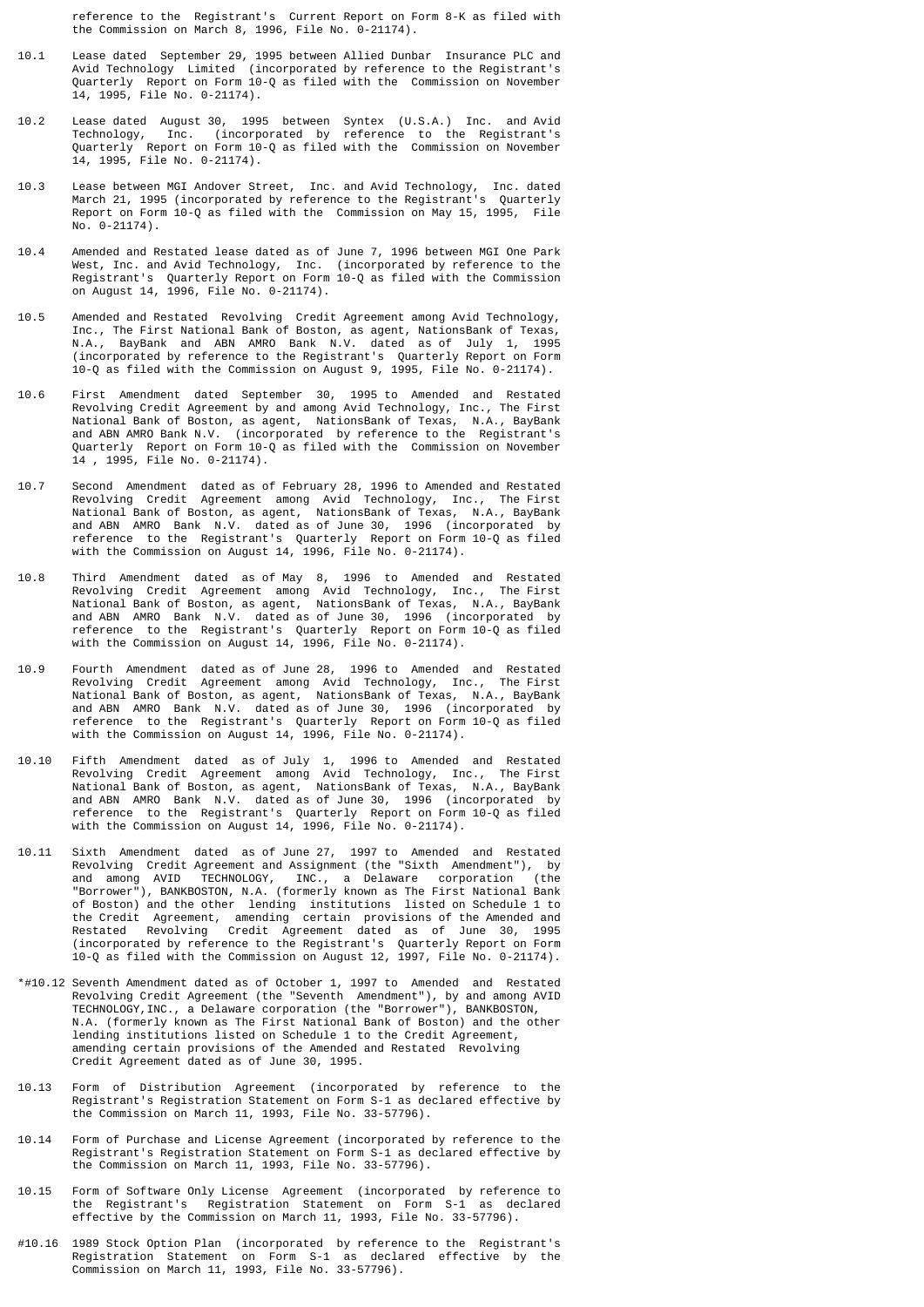reference to the Registrant's Current Report on Form 8-K as filed with the Commission on March 8, 1996, File No. 0-21174).

- 10.1 Lease dated September 29, 1995 between Allied Dunbar Insurance PLC and Avid Technology Limited (incorporated by reference to the Registrant's Quarterly Report on Form 10-Q as filed with the Commission on November 14, 1995, File No. 0-21174).
- 10.2 Lease dated August 30, 1995 between Syntex (U.S.A.) Inc. and Avid Technology, Inc. (incorporated by reference to the Registrant's Quarterly Report on Form 10-Q as filed with the Commission on November 14, 1995, File No. 0-21174).
- 10.3 Lease between MGI Andover Street, Inc. and Avid Technology, Inc. dated March 21, 1995 (incorporated by reference to the Registrant's Quarterly Report on Form 10-Q as filed with the Commission on May 15, 1995, File No. 0-21174).
- 10.4 Amended and Restated lease dated as of June 7, 1996 between MGI One Park West, Inc. and Avid Technology, Inc. (incorporated by reference to the Registrant's Quarterly Report on Form 10-Q as filed with the Commission on August 14, 1996, File No. 0-21174).
- 10.5 Amended and Restated Revolving Credit Agreement among Avid Technology, Inc., The First National Bank of Boston, as agent, NationsBank of Texas, N.A., BayBank and ABN AMRO Bank N.V. dated as of July 1, 1995 (incorporated by reference to the Registrant's Quarterly Report on Form 10-Q as filed with the Commission on August 9, 1995, File No. 0-21174).
- 10.6 First Amendment dated September 30, 1995 to Amended and Restated Revolving Credit Agreement by and among Avid Technology, Inc., The First National Bank of Boston, as agent, NationsBank of Texas, N.A., BayBank and ABN AMRO Bank N.V. (incorporated by reference to the Registrant's Quarterly Report on Form 10-Q as filed with the Commission on November 14 , 1995, File No. 0-21174).
- 10.7 Second Amendment dated as of February 28, 1996 to Amended and Restated Revolving Credit Agreement among Avid Technology, Inc., The First National Bank of Boston, as agent, NationsBank of Texas, N.A., BayBank and ABN AMRO Bank N.V. dated as of June 30, 1996 (incorporated by reference to the Registrant's Quarterly Report on Form 10-Q as filed with the Commission on August 14, 1996, File No. 0-21174).
- 10.8 Third Amendment dated as of May 8, 1996 to Amended and Restated Revolving Credit Agreement among Avid Technology, Inc., The First National Bank of Boston, as agent, NationsBank of Texas, N.A., BayBank and ABN AMRO Bank N.V. dated as of June 30, 1996 (incorporated by reference to the Registrant's Quarterly Report on Form 10-Q as filed with the Commission on August 14, 1996, File No. 0-21174).
- 10.9 Fourth Amendment dated as of June 28, 1996 to Amended and Restated Revolving Credit Agreement among Avid Technology, Inc., The First National Bank of Boston, as agent, NationsBank of Texas, N.A., BayBank and ABN AMRO Bank N.V. dated as of June 30, 1996 (incorporated by reference to the Registrant's Quarterly Report on Form 10-Q as filed with the Commission on August 14, 1996, File No. 0-21174).
- 10.10 Fifth Amendment dated as of July 1, 1996 to Amended and Restated Revolving Credit Agreement among Avid Technology, Inc., The First National Bank of Boston, as agent, NationsBank of Texas, N.A., BayBank and ABN AMRO Bank N.V. dated as of June 30, 1996 (incorporated by reference to the Registrant's Quarterly Report on Form 10-Q as filed with the Commission on August 14, 1996, File No. 0-21174).
- 10.11 Sixth Amendment dated as of June 27, 1997 to Amended and Restated Revolving Credit Agreement and Assignment (the "Sixth Amendment"), by and among AVID TECHNOLOGY, INC., a Delaware corporation (the "Borrower"), BANKBOSTON, N.A. (formerly known as The First National Bank of Boston) and the other lending institutions listed on Schedule 1 to the Credit Agreement, amending certain provisions of the Amended and Restated Revolving Credit Agreement dated as of June 30, 1995 (incorporated by reference to the Registrant's Quarterly Report on Form 10-Q as filed with the Commission on August 12, 1997, File No. 0-21174).
- \*#10.12 Seventh Amendment dated as of October 1, 1997 to Amended and Restated Revolving Credit Agreement (the "Seventh Amendment"), by and among AVID TECHNOLOGY,INC., a Delaware corporation (the "Borrower"), BANKBOSTON, N.A. (formerly known as The First National Bank of Boston) and the other lending institutions listed on Schedule 1 to the Credit Agreement, amending certain provisions of the Amended and Restated Revolving Credit Agreement dated as of June 30, 1995.
- 10.13 Form of Distribution Agreement (incorporated by reference to the Registrant's Registration Statement on Form S-1 as declared effective by the Commission on March 11, 1993, File No. 33-57796).
- 10.14 Form of Purchase and License Agreement (incorporated by reference to the Registrant's Registration Statement on Form S-1 as declared effective by the Commission on March 11, 1993, File No. 33-57796).
- 10.15 Form of Software Only License Agreement (incorporated by reference to the Registrant's Registration Statement on Form S-1 as declared effective by the Commission on March 11, 1993, File No. 33-57796).
- #10.16 1989 Stock Option Plan (incorporated by reference to the Registrant's Registration Statement on Form S-1 as declared effective by the Commission on March 11, 1993, File No. 33-57796).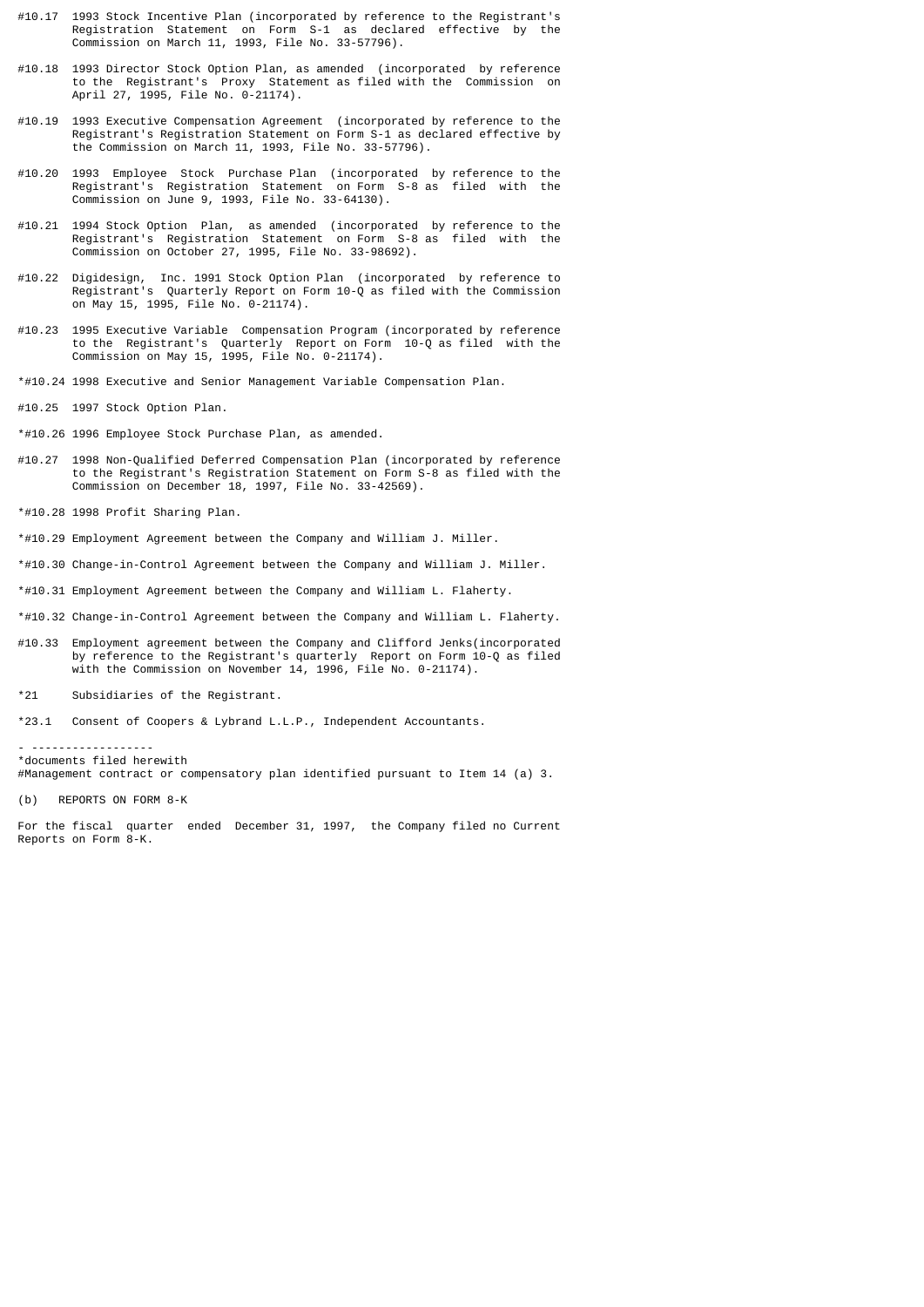- #10.17 1993 Stock Incentive Plan (incorporated by reference to the Registrant's Registration Statement on Form S-1 as declared effective by the Commission on March 11, 1993, File No. 33-57796).
- #10.18 1993 Director Stock Option Plan, as amended (incorporated by reference to the Registrant's Proxy Statement as filed with the Commission on April 27, 1995, File No. 0-21174).
- #10.19 1993 Executive Compensation Agreement (incorporated by reference to the Registrant's Registration Statement on Form S-1 as declared effective by the Commission on March 11, 1993, File No. 33-57796).
- #10.20 1993 Employee Stock Purchase Plan (incorporated by reference to the Registrant's Registration Statement on Form S-8 as filed with the Commission on June 9, 1993, File No. 33-64130).
- #10.21 1994 Stock Option Plan, as amended (incorporated by reference to the Registrant's Registration Statement on Form S-8 as filed with the Commission on October 27, 1995, File No. 33-98692).
- #10.22 Digidesign, Inc. 1991 Stock Option Plan (incorporated by reference to Registrant's Quarterly Report on Form 10-Q as filed with the Commission on May 15, 1995, File No. 0-21174).
- #10.23 1995 Executive Variable Compensation Program (incorporated by reference to the Registrant's Quarterly Report on Form 10-Q as filed with the Commission on May 15, 1995, File No. 0-21174).
- \*#10.24 1998 Executive and Senior Management Variable Compensation Plan.
- #10.25 1997 Stock Option Plan.
- \*#10.26 1996 Employee Stock Purchase Plan, as amended.
- #10.27 1998 Non-Qualified Deferred Compensation Plan (incorporated by reference to the Registrant's Registration Statement on Form S-8 as filed with the Commission on December 18, 1997, File No. 33-42569).
- \*#10.28 1998 Profit Sharing Plan.
- \*#10.29 Employment Agreement between the Company and William J. Miller.
- \*#10.30 Change-in-Control Agreement between the Company and William J. Miller.
- \*#10.31 Employment Agreement between the Company and William L. Flaherty.
- \*#10.32 Change-in-Control Agreement between the Company and William L. Flaherty.
- #10.33 Employment agreement between the Company and Clifford Jenks(incorporated by reference to the Registrant's quarterly Report on Form 10-Q as filed with the Commission on November 14, 1996, File No. 0-21174).
- \*21 Subsidiaries of the Registrant.
- \*23.1 Consent of Coopers & Lybrand L.L.P., Independent Accountants.

- ------------------ \*documents filed herewith #Management contract or compensatory plan identified pursuant to Item 14 (a) 3.

(b) REPORTS ON FORM 8-K

For the fiscal quarter ended December 31, 1997, the Company filed no Current Reports on Form 8-K.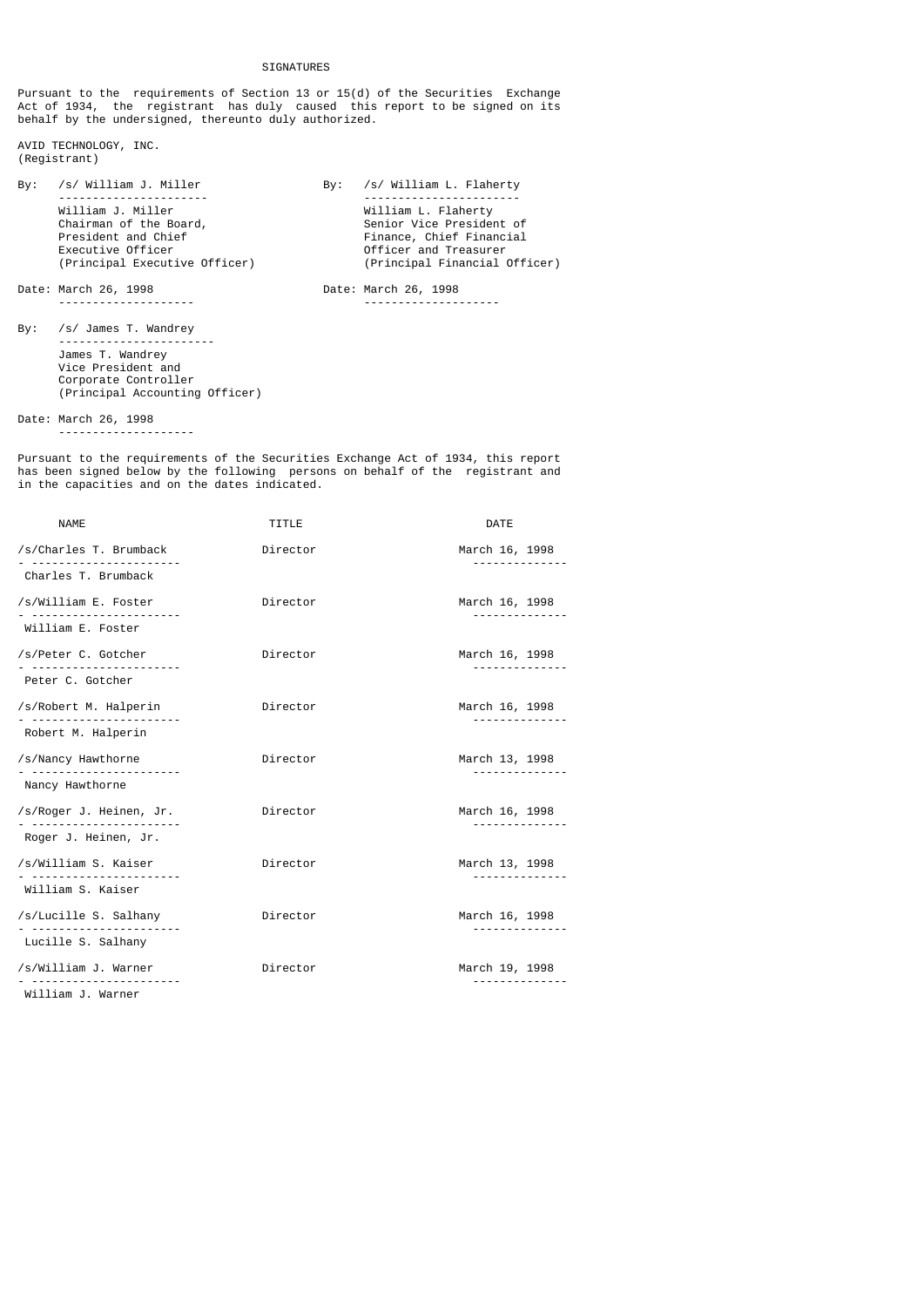SIGNATURES

Pursuant to the requirements of Section 13 or 15(d) of the Securities Exchange Act of 1934, the registrant has duly caused this report to be signed on its behalf by the undersigned, thereunto duly authorized.

AVID TECHNOLOGY, INC. (Registrant)

By: /s/ William J. Miller By: /s/ William L. Flaherty ---------------------- ----------------------- William J. Miller<br>Chairman of the Board, E. M. Senior Vice Presider Chairman of the Board, Senior Vice President of President and Chief (Senior Vice President of President of President of President of President of President of President of President of President of President of President o President and Chief Finance, Chief Financial Executive Officer Officer and Treasurer (Principal Executive Officer) (Principal Financial Officer)

Date: March 26, 1998 Date: March 26, 1998 -------------------- --------------------

By: /s/ James T. Wandrey ----------------------- James T. Wandrey Vice President and Corporate Controller (Principal Accounting Officer)

Date: March 26, 1998 ---- --- --, ----<br>--------------------

Pursuant to the requirements of the Securities Exchange Act of 1934, this report has been signed below by the following persons on behalf of the registrant and in the capacities and on the dates indicated.

| <b>NAME</b>                                     | TITLE    | <b>DATE</b>                  |
|-------------------------------------------------|----------|------------------------------|
| /s/Charles T. Brumback<br>Charles T. Brumback   | Director | March 16, 1998               |
| /s/William E. Foster<br>William E. Foster       | Director | March 16, 1998               |
| /s/Peter C. Gotcher                             | Director | March 16, 1998<br>.          |
| Peter C. Gotcher                                |          |                              |
| /s/Robert M. Halperin                           | Director | March 16, 1998<br>. <u>.</u> |
| Robert M. Halperin                              |          |                              |
| /s/Nancy Hawthorne                              | Director | March 13, 1998<br>. <u>.</u> |
| Nancy Hawthorne                                 |          |                              |
| /s/Roger J. Heinen, Jr.<br>Roger J. Heinen, Jr. | Director | March 16, 1998               |
| /s/William S. Kaiser<br>William S. Kaiser       | Director | March 13, 1998               |
| /s/Lucille S. Salhany                           | Director | March 16, 1998               |
| Lucille S. Salhany                              |          |                              |
| /s/William J. Warner                            | Director | March 19, 1998               |
| William J. Warner                               |          |                              |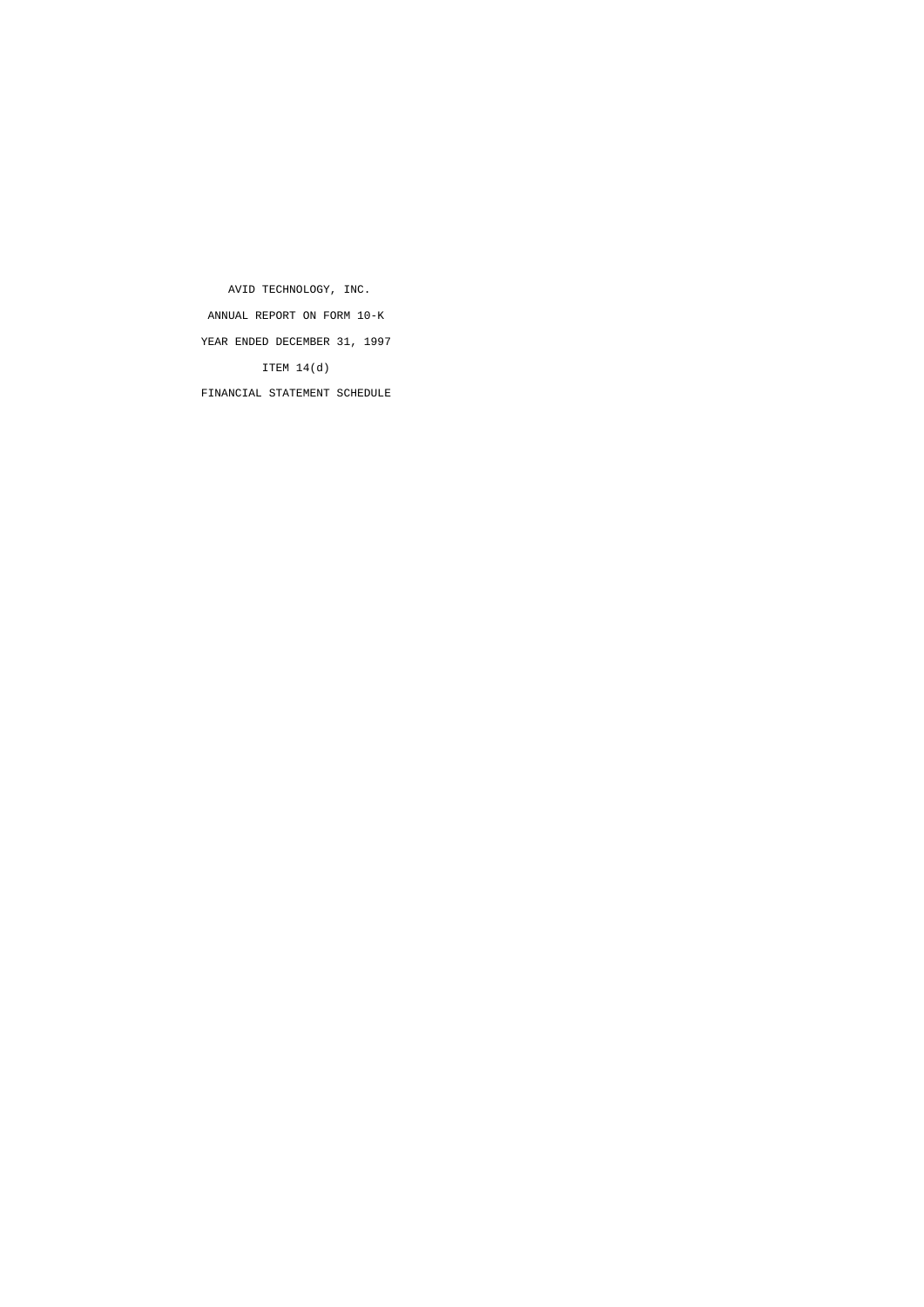AVID TECHNOLOGY, INC. ANNUAL REPORT ON FORM 10-K YEAR ENDED DECEMBER 31, 1997 ITEM 14(d) FINANCIAL STATEMENT SCHEDULE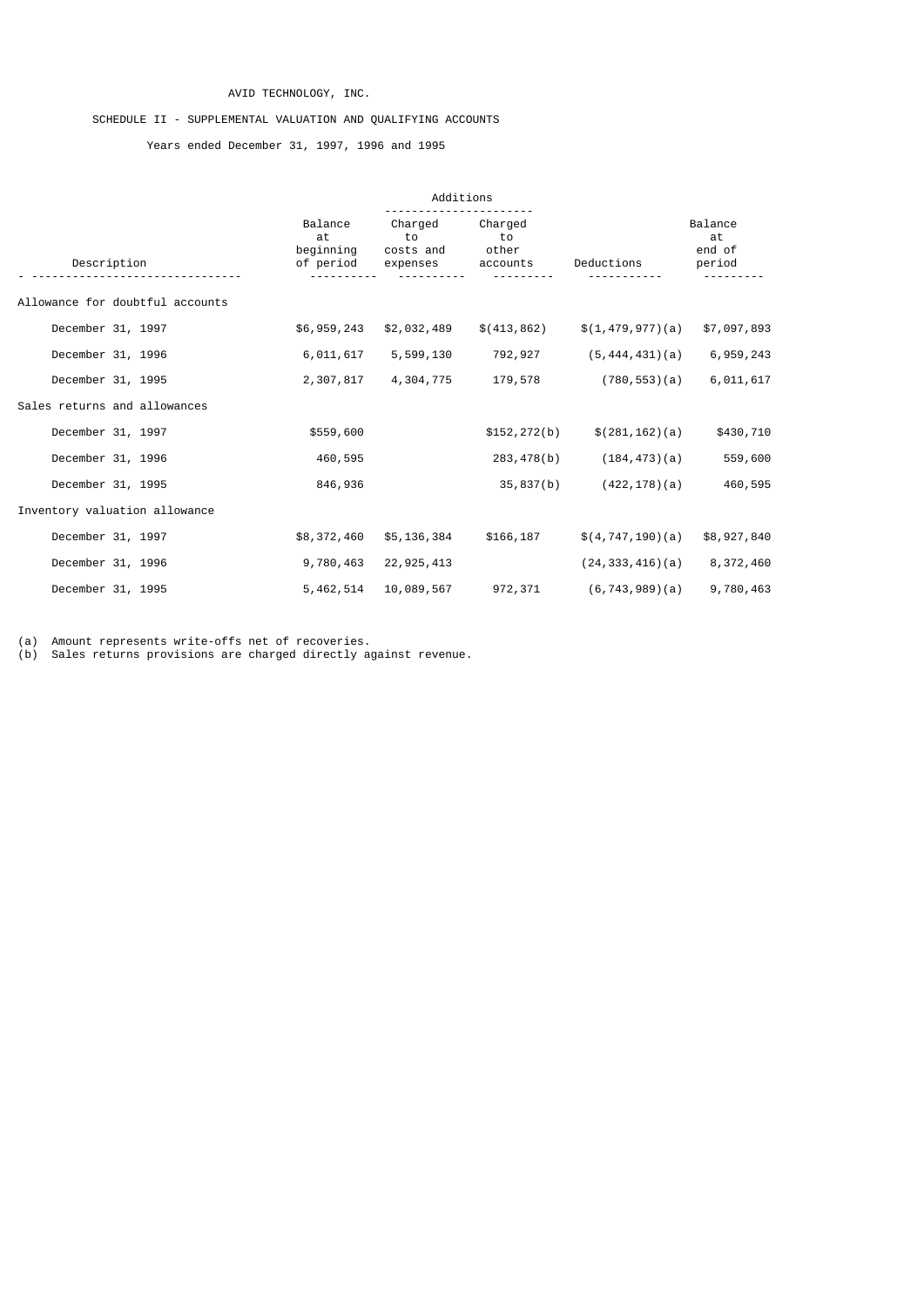# AVID TECHNOLOGY, INC.

# SCHEDULE II - SUPPLEMENTAL VALUATION AND QUALIFYING ACCOUNTS

Years ended December 31, 1997, 1996 and 1995

|                                 |                                         | Additions                              |                                    |                       |                                   |
|---------------------------------|-----------------------------------------|----------------------------------------|------------------------------------|-----------------------|-----------------------------------|
| Description                     | Balance<br>at<br>beginning<br>of period | Charged<br>to<br>costs and<br>expenses | Charged<br>to<br>other<br>accounts | Deductions            | Balance<br>at<br>end of<br>period |
| Allowance for doubtful accounts |                                         |                                        |                                    |                       |                                   |
| December 31, 1997               | \$6,959,243                             | \$2,032,489                            | \$(413,862)                        | \$(1, 479, 977)(a)    | \$7,097,893                       |
| December 31, 1996               | 6,011,617                               | 5,599,130                              | 792,927                            | (5, 444, 431)(a)      | 6,959,243                         |
| December 31, 1995               | 2,307,817                               | 4,304,775                              | 179,578                            | (780, 553)(a)         | 6,011,617                         |
| Sales returns and allowances    |                                         |                                        |                                    |                       |                                   |
| December 31, 1997               | \$559,600                               |                                        | \$152, 272(b)                      | \$(281, 162)(a)       | \$430,710                         |
| December 31, 1996               | 460,595                                 |                                        | 283,478(b)                         | (184, 473)(a)         | 559,600                           |
| December 31, 1995               | 846,936                                 |                                        | 35,837(b)                          | $(422, 178)$ $(a)$    | 460,595                           |
| Inventory valuation allowance   |                                         |                                        |                                    |                       |                                   |
| December 31, 1997               | \$8,372,460                             | \$5,136,384                            | \$166,187                          | \$(4, 747, 190)(a)    | \$8,927,840                       |
| December 31, 1996               | 9,780,463                               | 22, 925, 413                           |                                    | $(24, 333, 416)$ (a)  | 8,372,460                         |
| December 31, 1995               | 5, 462, 514                             | 10,089,567                             | 972,371                            | $(6, 743, 989)$ $(a)$ | 9,780,463                         |

(a) Amount represents write-offs net of recoveries.

(b) Sales returns provisions are charged directly against revenue.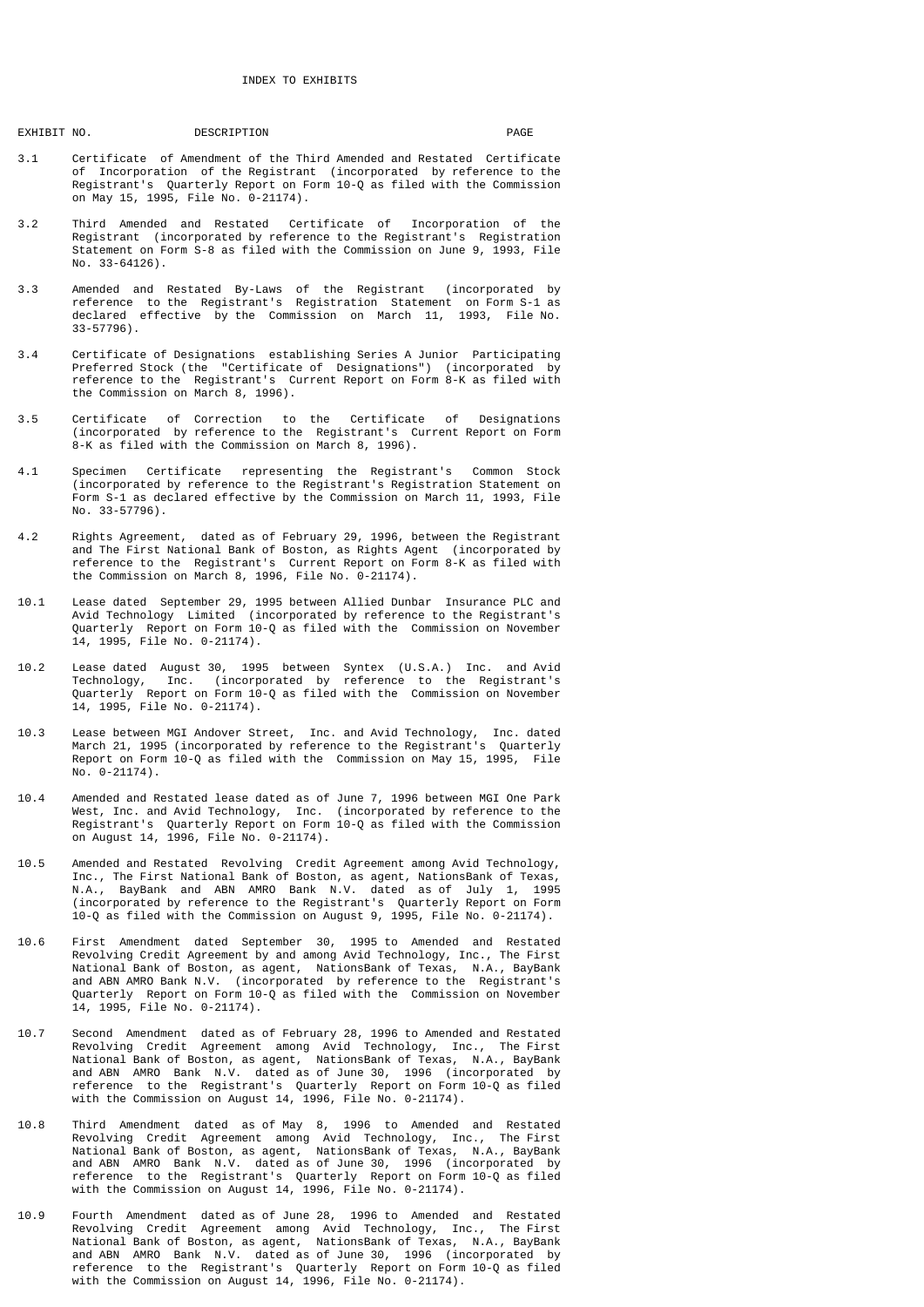# EXHIBIT NO.

DESCRIPTION PAGE

- 3.1 Certificate of Amendment of the Third Amended and Restated Certificate of Incorporation of the Registrant (incorporated by reference to the Registrant's Quarterly Report on Form 10-Q as filed with the Commission on May 15, 1995, File No. 0-21174).
- 3.2 Third Amended and Restated Certificate of Incorporation of the Registrant (incorporated by reference to the Registrant's Registration Statement on Form S-8 as filed with the Commission on June 9, 1993, File No. 33-64126).
- 3.3 Amended and Restated By-Laws of the Registrant (incorporated by reference to the Registrant's Registration Statement on Form S-1 as declared effective by the Commission on March 11, 1993, File No. 33-57796).
- 3.4 Certificate of Designations establishing Series A Junior Participating Preferred Stock (the "Certificate of Designations") (incorporated by reference to the Registrant's Current Report on Form 8-K as filed with the Commission on March 8, 1996).
- 3.5 Certificate of Correction to the Certificate of Designations (incorporated by reference to the Registrant's Current Report on Form 8-K as filed with the Commission on March 8, 1996).
- 4.1 Specimen Certificate representing the Registrant's Common Stock (incorporated by reference to the Registrant's Registration Statement on Form S-1 as declared effective by the Commission on March 11, 1993, File No. 33-57796).
- 4.2 Rights Agreement, dated as of February 29, 1996, between the Registrant and The First National Bank of Boston, as Rights Agent (incorporated by reference to the Registrant's Current Report on Form 8-K as filed with the Commission on March 8, 1996, File No. 0-21174).
- 10.1 Lease dated September 29, 1995 between Allied Dunbar Insurance PLC and Avid Technology Limited (incorporated by reference to the Registrant's Quarterly Report on Form 10-Q as filed with the Commission on November 14, 1995, File No. 0-21174).
- 10.2 Lease dated August 30, 1995 between Syntex (U.S.A.) Inc. and Avid Technology, Inc. (incorporated by reference to the Registrant's Quarterly Report on Form 10-Q as filed with the Commission on November 14, 1995, File No. 0-21174).
- 10.3 Lease between MGI Andover Street, Inc. and Avid Technology, Inc. dated March 21, 1995 (incorporated by reference to the Registrant's Quarterly Report on Form 10-Q as filed with the Commission on May 15, 1995, File No. 0-21174).
- 10.4 Amended and Restated lease dated as of June 7, 1996 between MGI One Park West, Inc. and Avid Technology, Inc. (incorporated by reference to the Registrant's Quarterly Report on Form 10-Q as filed with the Commission on August 14, 1996, File No. 0-21174).
- 10.5 Amended and Restated Revolving Credit Agreement among Avid Technology, Inc., The First National Bank of Boston, as agent, NationsBank of Texas, N.A., BayBank and ABN AMRO Bank N.V. dated as of July 1, 1995 (incorporated by reference to the Registrant's Quarterly Report on Form 10-Q as filed with the Commission on August 9, 1995, File No. 0-21174).
- 10.6 First Amendment dated September 30, 1995 to Amended and Restated Revolving Credit Agreement by and among Avid Technology, Inc., The First National Bank of Boston, as agent, NationsBank of Texas, N.A., BayBank and ABN AMRO Bank N.V. (incorporated by reference to the Registrant's Quarterly Report on Form 10-Q as filed with the Commission on November 14, 1995, File No. 0-21174).
- 10.7 Second Amendment dated as of February 28, 1996 to Amended and Restated Revolving Credit Agreement among Avid Technology, Inc., The First National Bank of Boston, as agent, NationsBank of Texas, N.A., BayBank and ABN AMRO Bank N.V. dated as of June 30, 1996 (incorporated by reference to the Registrant's Quarterly Report on Form 10-Q as filed with the Commission on August 14, 1996, File No. 0-21174).
- 10.8 Third Amendment dated as of May 8, 1996 to Amended and Restated Revolving Credit Agreement among Avid Technology, Inc., The First National Bank of Boston, as agent, NationsBank of Texas, N.A., BayBank and ABN AMRO Bank N.V. dated as of June 30, 1996 (incorporated by reference to the Registrant's Quarterly Report on Form 10-Q as filed with the Commission on August 14, 1996, File No. 0-21174).
- 10.9 Fourth Amendment dated as of June 28, 1996 to Amended and Restated Revolving Credit Agreement among Avid Technology, Inc., The First National Bank of Boston, as agent, NationsBank of Texas, N.A., BayBank and ABN AMRO Bank N.V. dated as of June 30, 1996 (incorporated by reference to the Registrant's Quarterly Report on Form 10-Q as filed with the Commission on August 14, 1996, File No. 0-21174).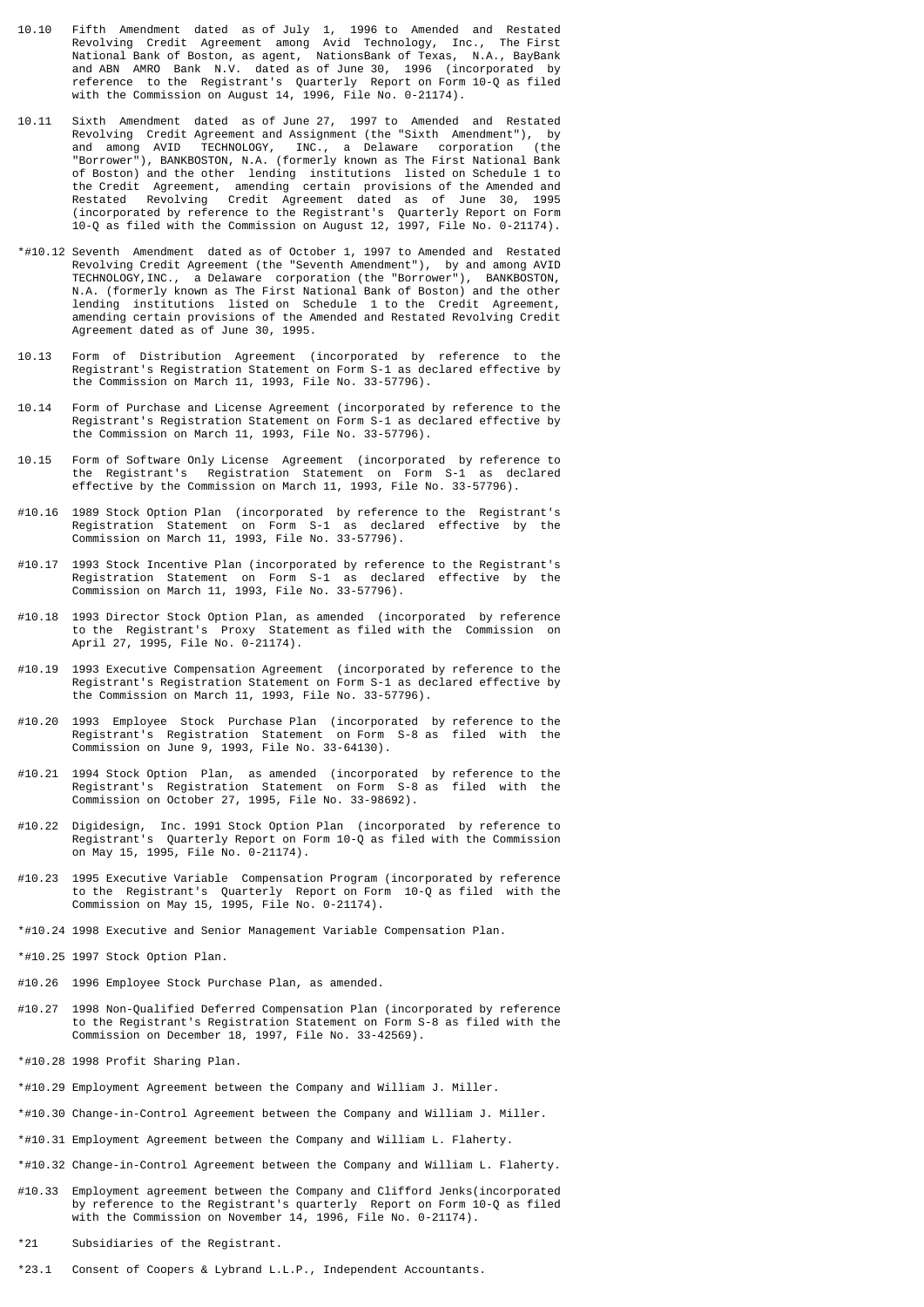- 10.10 Fifth Amendment dated as of July 1, 1996 to Amended and Restated Revolving Credit Agreement among Avid Technology, Inc., The First National Bank of Boston, as agent, NationsBank of Texas, N.A., BayBank and ABN AMRO Bank N.V. dated as of June 30, 1996 (incorporated by reference to the Registrant's Quarterly Report on Form 10-Q as filed with the Commission on August 14, 1996, File No. 0-21174).
- 10.11 Sixth Amendment dated as of June 27, 1997 to Amended and Restated Revolving Credit Agreement and Assignment (the "Sixth Amendment"), by and among AVID TECHNOLOGY, INC., a Delaware corporation (the "Borrower"), BANKBOSTON, N.A. (formerly known as The First National Bank of Boston) and the other lending institutions listed on Schedule 1 to the Credit Agreement, amending certain provisions of the Amended and Restated Revolving Credit Agreement dated as of June 30, 1995 (incorporated by reference to the Registrant's Quarterly Report on Form 10-Q as filed with the Commission on August 12, 1997, File No. 0-21174).
- \*#10.12 Seventh Amendment dated as of October 1, 1997 to Amended and Restated Revolving Credit Agreement (the "Seventh Amendment"), by and among AVID TECHNOLOGY,INC., a Delaware corporation (the "Borrower"), BANKBOSTON, N.A. (formerly known as The First National Bank of Boston) and the other lending institutions listed on Schedule 1 to the Credit Agreement, amending certain provisions of the Amended and Restated Revolving Credit Agreement dated as of June 30, 1995.
- 10.13 Form of Distribution Agreement (incorporated by reference to the Registrant's Registration Statement on Form S-1 as declared effective by the Commission on March 11, 1993, File No. 33-57796).
- 10.14 Form of Purchase and License Agreement (incorporated by reference to the Registrant's Registration Statement on Form S-1 as declared effective by the Commission on March 11, 1993, File No. 33-57796).
- 10.15 Form of Software Only License Agreement (incorporated by reference to the Registrant's Registration Statement on Form S-1 as declared effective by the Commission on March 11, 1993, File No. 33-57796).
- #10.16 1989 Stock Option Plan (incorporated by reference to the Registrant's Registration Statement on Form S-1 as declared effective by the Commission on March 11, 1993, File No. 33-57796).
- #10.17 1993 Stock Incentive Plan (incorporated by reference to the Registrant's Registration Statement on Form S-1 as declared effective by the Commission on March 11, 1993, File No. 33-57796).
- #10.18 1993 Director Stock Option Plan, as amended (incorporated by reference to the Registrant's Proxy Statement as filed with the Commission on April 27, 1995, File No. 0-21174).
- #10.19 1993 Executive Compensation Agreement (incorporated by reference to the Registrant's Registration Statement on Form S-1 as declared effective by the Commission on March 11, 1993, File No. 33-57796).
- #10.20 1993 Employee Stock Purchase Plan (incorporated by reference to the Registrant's Registration Statement on Form S-8 as filed with the Commission on June 9, 1993, File No. 33-64130).
- #10.21 1994 Stock Option Plan, as amended (incorporated by reference to the Registrant's Registration Statement on Form S-8 as filed with the Commission on October 27, 1995, File No. 33-98692).
- #10.22 Digidesign, Inc. 1991 Stock Option Plan (incorporated by reference to Registrant's Quarterly Report on Form 10-Q as filed with the Commission on May 15, 1995, File No. 0-21174).
- #10.23 1995 Executive Variable Compensation Program (incorporated by reference to the Registrant's Quarterly Report on Form 10-Q as filed with the Commission on May 15, 1995, File No. 0-21174).
- \*#10.24 1998 Executive and Senior Management Variable Compensation Plan.
- \*#10.25 1997 Stock Option Plan.
- #10.26 1996 Employee Stock Purchase Plan, as amended.
- #10.27 1998 Non-Qualified Deferred Compensation Plan (incorporated by reference to the Registrant's Registration Statement on Form S-8 as filed with the Commission on December 18, 1997, File No. 33-42569).
- \*#10.28 1998 Profit Sharing Plan.
- \*#10.29 Employment Agreement between the Company and William J. Miller.
- \*#10.30 Change-in-Control Agreement between the Company and William J. Miller.
- \*#10.31 Employment Agreement between the Company and William L. Flaherty.
- \*#10.32 Change-in-Control Agreement between the Company and William L. Flaherty.
- #10.33 Employment agreement between the Company and Clifford Jenks(incorporated by reference to the Registrant's quarterly Report on Form 10-Q as filed with the Commission on November 14, 1996, File No. 0-21174).
- \*21 Subsidiaries of the Registrant.
- \*23.1 Consent of Coopers & Lybrand L.L.P., Independent Accountants.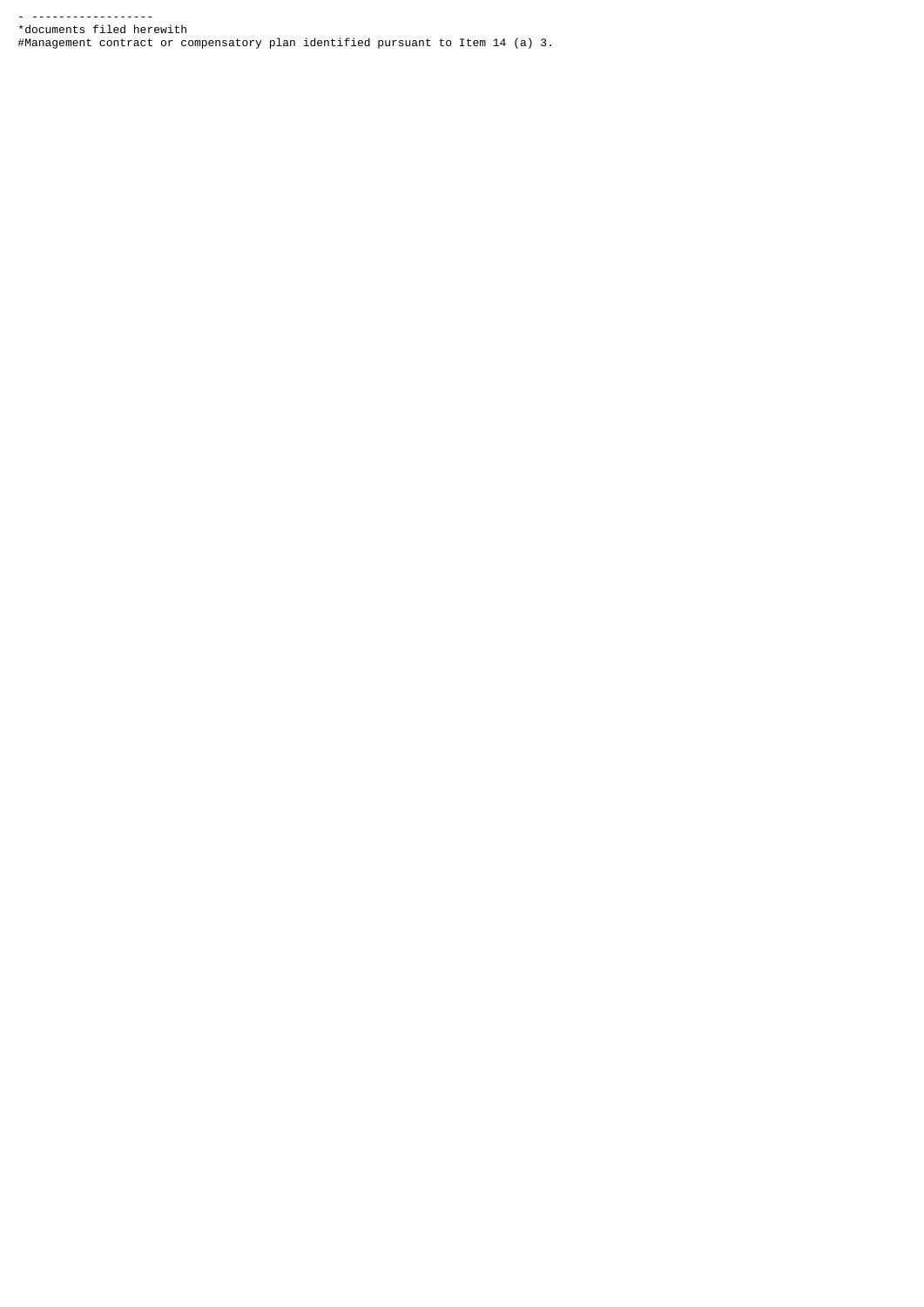- ------------------ \*documents filed herewith #Management contract or compensatory plan identified pursuant to Item 14 (a) 3.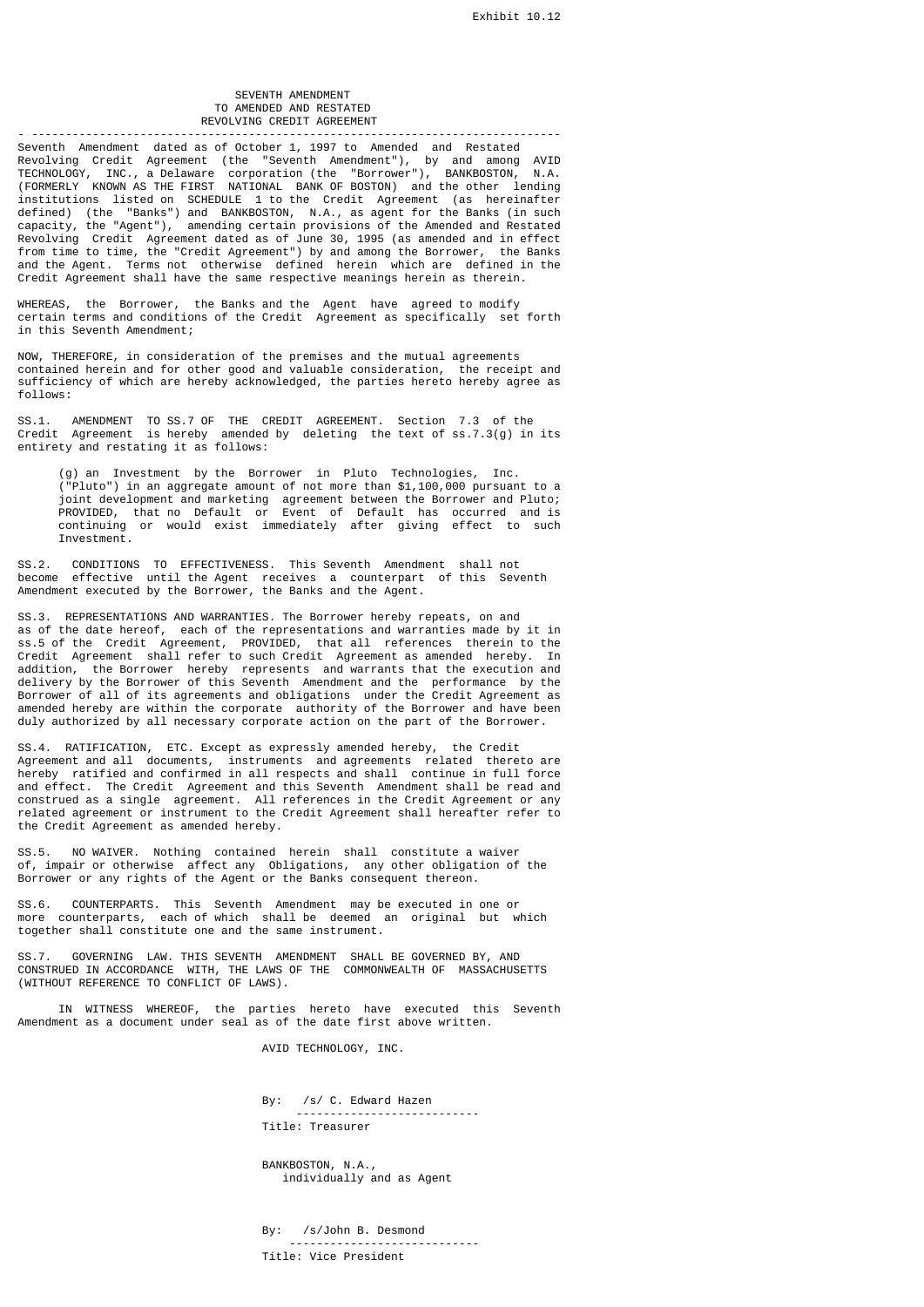# SEVENTH AMENDMENT TO AMENDED AND RESTATED REVOLVING CREDIT AGREEMENT

- ------------------------------------------------------------------------------ Seventh Amendment dated as of October 1, 1997 to Amended and Restated Revolving Credit Agreement (the "Seventh Amendment"), by and among AVID TECHNOLOGY, INC., a Delaware corporation (the "Borrower"), BANKBOSTON, N.A. (FORMERLY KNOWN AS THE FIRST NATIONAL BANK OF BOSTON) and the other lending institutions listed on SCHEDULE 1 to the Credit Agreement (as hereinafter defined) (the "Banks") and BANKBOSTON, N.A., as agent for the Banks (in such capacity, the "Agent"), amending certain provisions of the Amended and Restated Revolving Credit Agreement dated as of June 30, 1995 (as amended and in effect from time to time, the "Credit Agreement") by and among the Borrower, the Banks and the Agent. Terms not otherwise defined herein which are defined in the Credit Agreement shall have the same respective meanings herein as therein.

WHEREAS, the Borrower, the Banks and the Agent have agreed to modify certain terms and conditions of the Credit Agreement as specifically set forth in this Seventh Amendment;

NOW, THEREFORE, in consideration of the premises and the mutual agreements contained herein and for other good and valuable consideration, the receipt and sufficiency of which are hereby acknowledged, the parties hereto hereby agree as follows:

SS.1. AMENDMENT TO SS.7 OF THE CREDIT AGREEMENT. Section 7.3 of the Credit Agreement is hereby amended by deleting the text of ss.7.3(g) in its entirety and restating it as follows:

 (g) an Investment by the Borrower in Pluto Technologies, Inc. ("Pluto") in an aggregate amount of not more than \$1,100,000 pursuant to a joint development and marketing agreement between the Borrower and Pluto; PROVIDED, that no Default or Event of Default has occurred and is continuing or would exist immediately after giving effect to such Investment.

SS.2. CONDITIONS TO EFFECTIVENESS. This Seventh Amendment shall not become effective until the Agent receives a counterpart of this Seventh Amendment executed by the Borrower, the Banks and the Agent.

SS.3. REPRESENTATIONS AND WARRANTIES. The Borrower hereby repeats, on and as of the date hereof, each of the representations and warranties made by it in ss.5 of the Credit Agreement, PROVIDED, that all references therein to the Credit Agreement shall refer to such Credit Agreement as amended hereby. In addition, the Borrower hereby represents and warrants that the execution and delivery by the Borrower of this Seventh Amendment and the performance by the Borrower of all of its agreements and obligations under the Credit Agreement as amended hereby are within the corporate authority of the Borrower and have been duly authorized by all necessary corporate action on the part of the Borrower.

SS.4. RATIFICATION, ETC. Except as expressly amended hereby, the Credit Agreement and all documents, instruments and agreements related thereto are hereby ratified and confirmed in all respects and shall continue in full force and effect. The Credit Agreement and this Seventh Amendment shall be read and construed as a single agreement. All references in the Credit Agreement or any related agreement or instrument to the Credit Agreement shall hereafter refer to the Credit Agreement as amended hereby.

SS.5. NO WAIVER. Nothing contained herein shall constitute a waiver of, impair or otherwise affect any Obligations, any other obligation of the Borrower or any rights of the Agent or the Banks consequent thereon.

SS.6. COUNTERPARTS. This Seventh Amendment may be executed in one or more counterparts, each of which shall be deemed an original but which together shall constitute one and the same instrument.

SS.7. GOVERNING LAW. THIS SEVENTH AMENDMENT SHALL BE GOVERNED BY, AND CONSTRUED IN ACCORDANCE WITH, THE LAWS OF THE COMMONWEALTH OF MASSACHUSETTS (WITHOUT REFERENCE TO CONFLICT OF LAWS).

 IN WITNESS WHEREOF, the parties hereto have executed this Seventh Amendment as a document under seal as of the date first above written.

AVID TECHNOLOGY, INC.

 By: /s/ C. Edward Hazen --------------------------- Title: Treasurer

 BANKBOSTON, N.A., individually and as Agent

 By: /s/John B. Desmond ---------------------------- Title: Vice President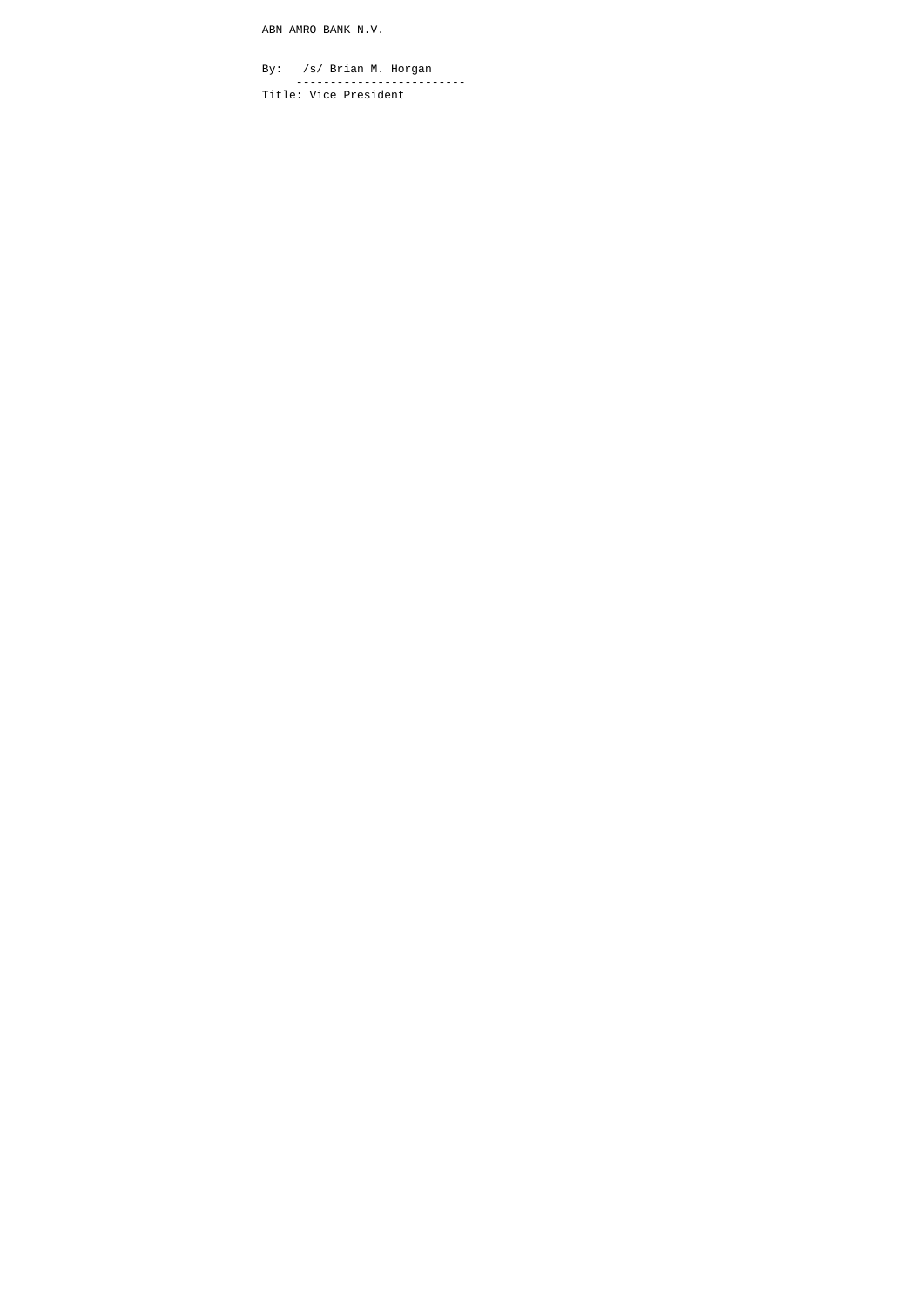ABN AMRO BANK N.V.

 By: /s/ Brian M. Horgan ------------------------- Title: Vice President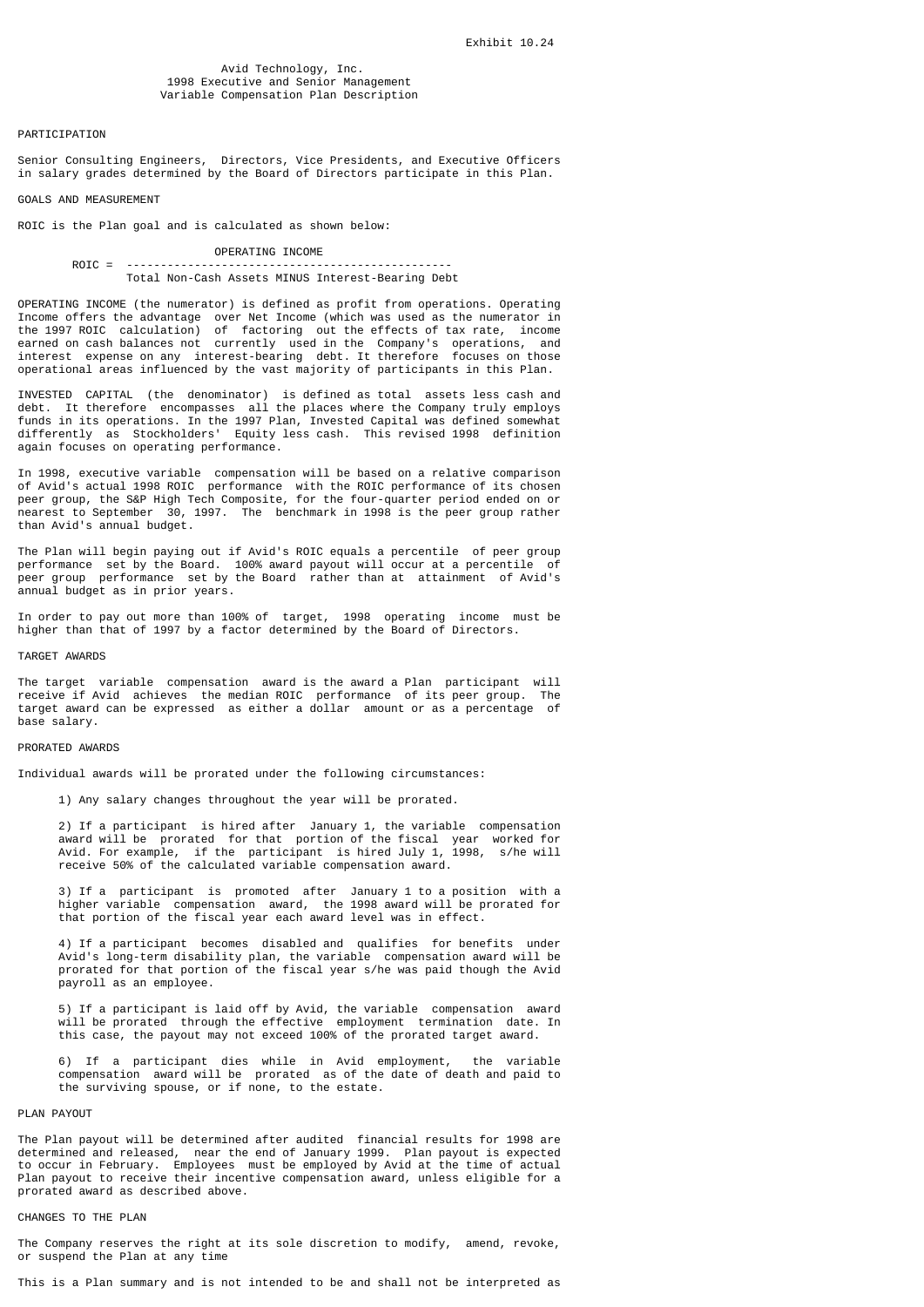# Avid Technology, Inc. 1998 Executive and Senior Management Variable Compensation Plan Description

#### PARTICIPATION

Senior Consulting Engineers, Directors, Vice Presidents, and Executive Officers in salary grades determined by the Board of Directors participate in this Plan.

# GOALS AND MEASUREMENT

ROIC is the Plan goal and is calculated as shown below:

# OPERATING INCOME

# ROIC = -----------------------Total Non-Cash Assets MINUS Interest-Bearing Debt

OPERATING INCOME (the numerator) is defined as profit from operations. Operating Income offers the advantage over Net Income (which was used as the numerator in the 1997 ROIC calculation) of factoring out the effects of tax rate, income earned on cash balances not currently used in the Company's operations, and interest expense on any interest-bearing debt. It therefore focuses on those operational areas influenced by the vast majority of participants in this Plan.

INVESTED CAPITAL (the denominator) is defined as total assets less cash and debt. It therefore encompasses all the places where the Company truly employs funds in its operations. In the 1997 Plan, Invested Capital was defined somewhat differently as Stockholders' Equity less cash. This revised 1998 definition again focuses on operating performance.

In 1998, executive variable compensation will be based on a relative comparison of Avid's actual 1998 ROIC performance with the ROIC performance of its chosen peer group, the S&P High Tech Composite, for the four-quarter period ended on or nearest to September 30, 1997. The benchmark in 1998 is the peer group rather than Avid's annual budget.

The Plan will begin paying out if Avid's ROIC equals a percentile of peer group performance set by the Board. 100% award payout will occur at a percentile of peer group performance set by the Board rather than at attainment of Avid's annual budget as in prior years.

In order to pay out more than 100% of target, 1998 operating income must be higher than that of 1997 by a factor determined by the Board of Directors.

#### TARGET AWARDS

The target variable compensation award is the award a Plan participant will receive if Avid achieves the median ROIC performance of its peer group. The target award can be expressed as either a dollar amount or as a percentage of base salary.

#### PRORATED AWARDS

Individual awards will be prorated under the following circumstances:

1) Any salary changes throughout the year will be prorated.

 2) If a participant is hired after January 1, the variable compensation award will be prorated for that portion of the fiscal year worked for Avid. For example, if the participant is hired July 1, 1998, s/he will receive 50% of the calculated variable compensation award.

 3) If a participant is promoted after January 1 to a position with a higher variable compensation award, the 1998 award will be prorated for that portion of the fiscal year each award level was in effect.

 4) If a participant becomes disabled and qualifies for benefits under Avid's long-term disability plan, the variable compensation award will be prorated for that portion of the fiscal year s/he was paid though the Avid payroll as an employee.

 5) If a participant is laid off by Avid, the variable compensation award will be prorated through the effective employment termination date. In this case, the payout may not exceed 100% of the prorated target award.

 6) If a participant dies while in Avid employment, the variable compensation award will be prorated as of the date of death and paid to the surviving spouse, or if none, to the estate.

#### PLAN PAYOUT

The Plan payout will be determined after audited financial results for 1998 are determined and released, near the end of January 1999. Plan payout is expected to occur in February. Employees must be employed by Avid at the time of actual Plan payout to receive their incentive compensation award, unless eligible for a prorated award as described above.

#### CHANGES TO THE PLAN

The Company reserves the right at its sole discretion to modify, amend, revoke, or suspend the Plan at any time

This is a Plan summary and is not intended to be and shall not be interpreted as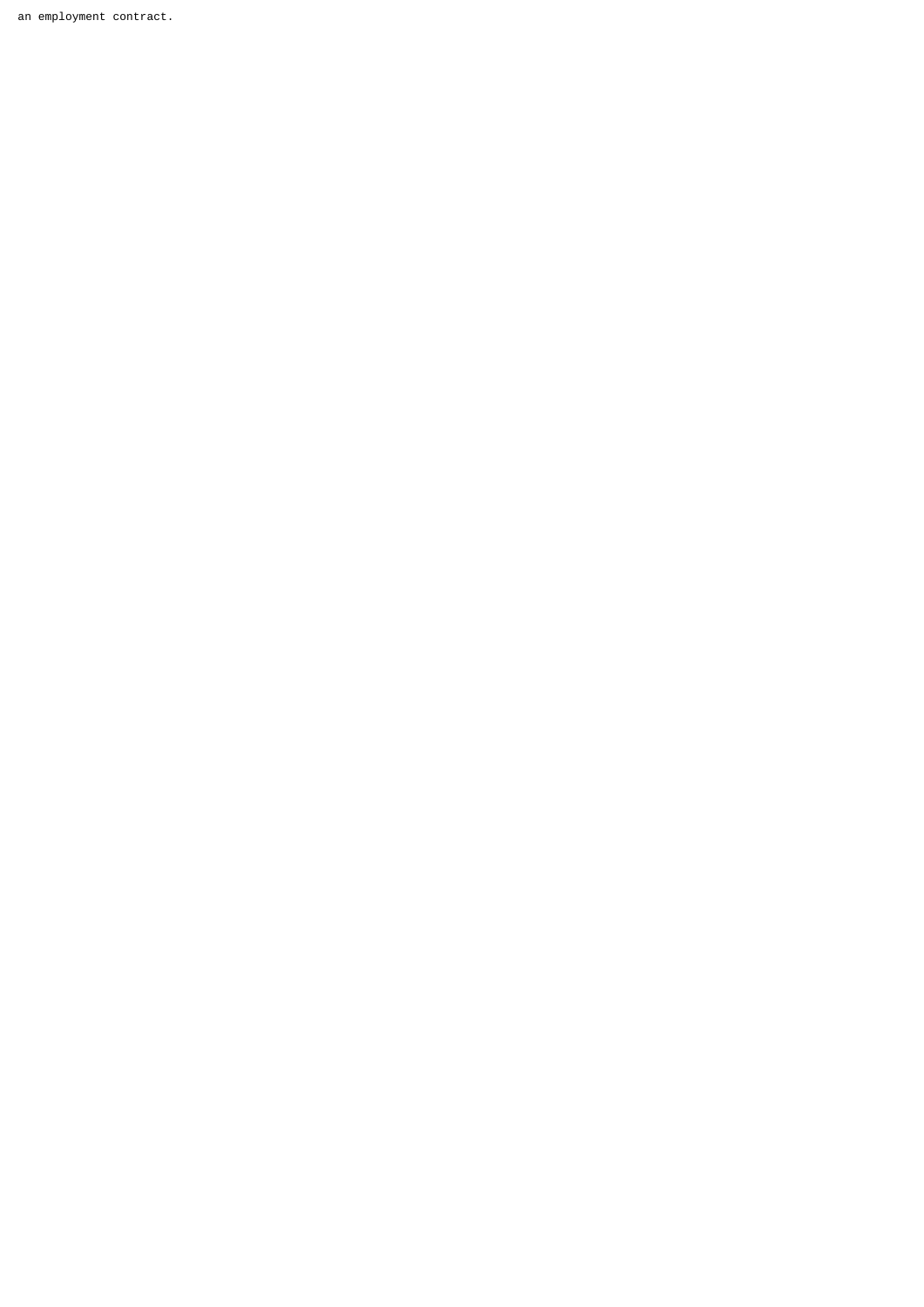an employment contract.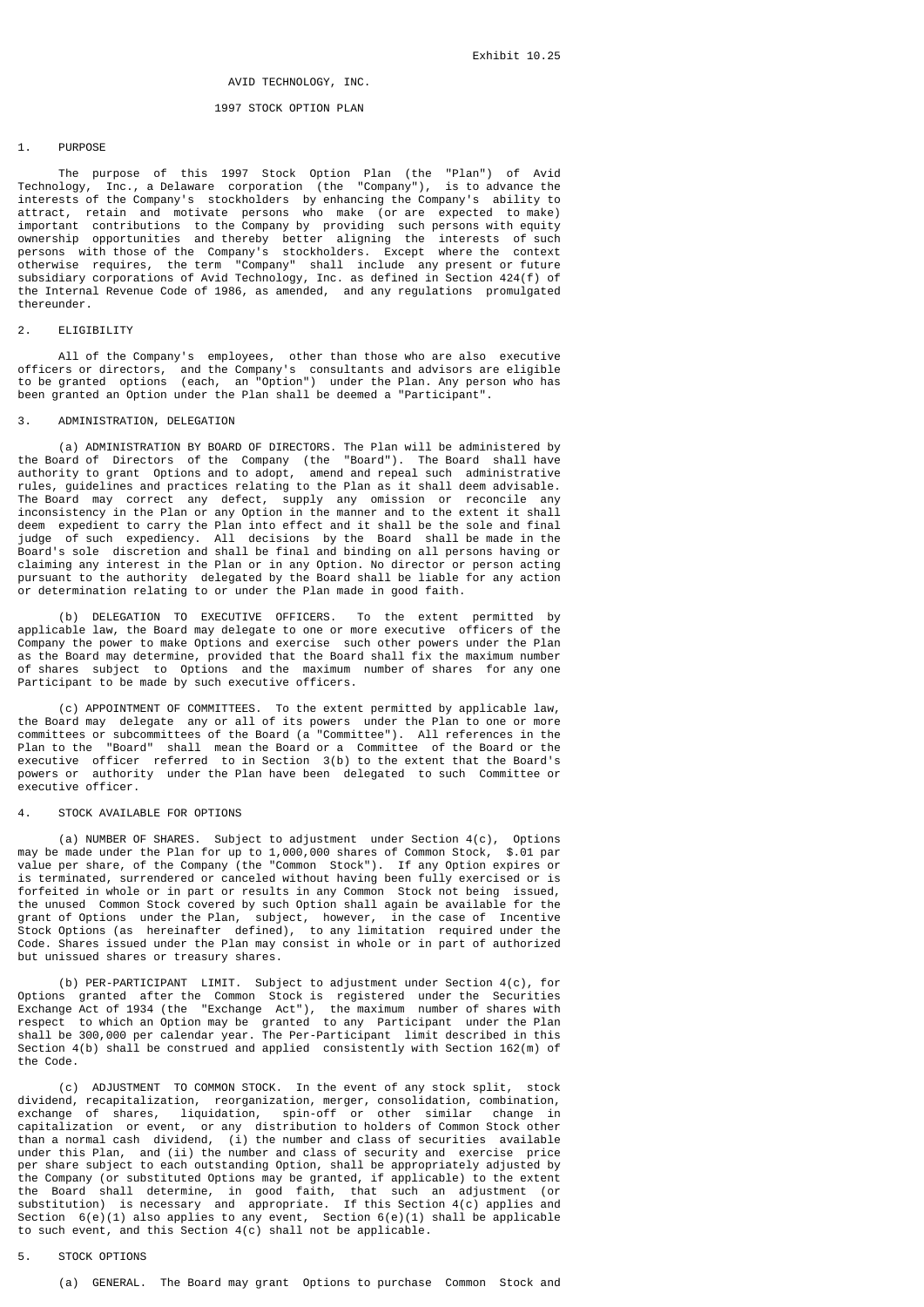# AVID TECHNOLOGY, INC.

# 1997 STOCK OPTION PLAN

#### 1. PURPOSE

 The purpose of this 1997 Stock Option Plan (the "Plan") of Avid Technology, Inc., a Delaware corporation (the "Company"), is to advance the interests of the Company's stockholders by enhancing the Company's ability to attract, retain and motivate persons who make (or are expected to make) important contributions to the Company by providing such persons with equity ownership opportunities and thereby better aligning the interests of such persons with those of the Company's stockholders. Except where the context otherwise requires, the term "Company" shall include any present or future subsidiary corporations of Avid Technology, Inc. as defined in Section 424(f) of the Internal Revenue Code of 1986, as amended, and any regulations promulgated thereunder.

# 2. ELIGIBILITY

 All of the Company's employees, other than those who are also executive officers or directors, and the Company's consultants and advisors are eligible to be granted options (each, an "Option") under the Plan. Any person who has been granted an Option under the Plan shall be deemed a "Participant".

#### 3. ADMINISTRATION, DELEGATION

 (a) ADMINISTRATION BY BOARD OF DIRECTORS. The Plan will be administered by the Board of Directors of the Company (the "Board"). The Board shall have authority to grant Options and to adopt, amend and repeal such administrative rules, guidelines and practices relating to the Plan as it shall deem advisable. The Board may correct any defect, supply any omission or reconcile any inconsistency in the Plan or any Option in the manner and to the extent it shall deem expedient to carry the Plan into effect and it shall be the sole and final judge of such expediency. All decisions by the Board shall be made in the Board's sole discretion and shall be final and binding on all persons having or claiming any interest in the Plan or in any Option. No director or person acting pursuant to the authority delegated by the Board shall be liable for any action or determination relating to or under the Plan made in good faith.

 (b) DELEGATION TO EXECUTIVE OFFICERS. To the extent permitted by applicable law, the Board may delegate to one or more executive officers of the Company the power to make Options and exercise such other powers under the Plan as the Board may determine, provided that the Board shall fix the maximum number of shares subject to Options and the maximum number of shares for any one Participant to be made by such executive officers.

 (c) APPOINTMENT OF COMMITTEES. To the extent permitted by applicable law, the Board may delegate any or all of its powers under the Plan to one or more committees or subcommittees of the Board (a "Committee"). All references in the Plan to the "Board" shall mean the Board or a Committee of the Board or the executive officer referred to in Section 3(b) to the extent that the Board's powers or authority under the Plan have been delegated to such Committee or executive officer.

#### 4. STOCK AVATLABLE FOR OPTIONS

 (a) NUMBER OF SHARES. Subject to adjustment under Section 4(c), Options may be made under the Plan for up to 1,000,000 shares of Common Stock, \$.01 par value per share, of the Company (the "Common Stock"). If any Option expires or is terminated, surrendered or canceled without having been fully exercised or is forfeited in whole or in part or results in any Common Stock not being issued, the unused Common Stock covered by such Option shall again be available for the grant of Options under the Plan, subject, however, in the case of Incentive Stock Options (as hereinafter defined), to any limitation required under the Code. Shares issued under the Plan may consist in whole or in part of authorized but unissued shares or treasury shares.

 (b) PER-PARTICIPANT LIMIT. Subject to adjustment under Section 4(c), for Options granted after the Common Stock is registered under the Securities Exchange Act of 1934 (the "Exchange Act"), the maximum number of shares with respect to which an Option may be granted to any Participant under the Plan shall be 300,000 per calendar year. The Per-Participant limit described in this Section 4(b) shall be construed and applied consistently with Section 162(m) of the Code.

 (c) ADJUSTMENT TO COMMON STOCK. In the event of any stock split, stock dividend, recapitalization, reorganization, merger, consolidation, combination, exchange of shares, liquidation, spin-off or other similar change in capitalization or event, or any distribution to holders of Common Stock other than a normal cash dividend, (i) the number and class of securities available under this Plan, and (ii) the number and class of security and exercise price per share subject to each outstanding Option, shall be appropriately adjusted by the Company (or substituted Options may be granted, if applicable) to the extent the Board shall determine, in good faith, that such an adjustment (or substitution) is necessary and appropriate. If this Section 4(c) applies and Section 6(e)(1) also applies to any event, Section 6(e)(1) shall be applicable to such event, and this Section 4(c) shall not be applicable.

# 5. STOCK OPTIONS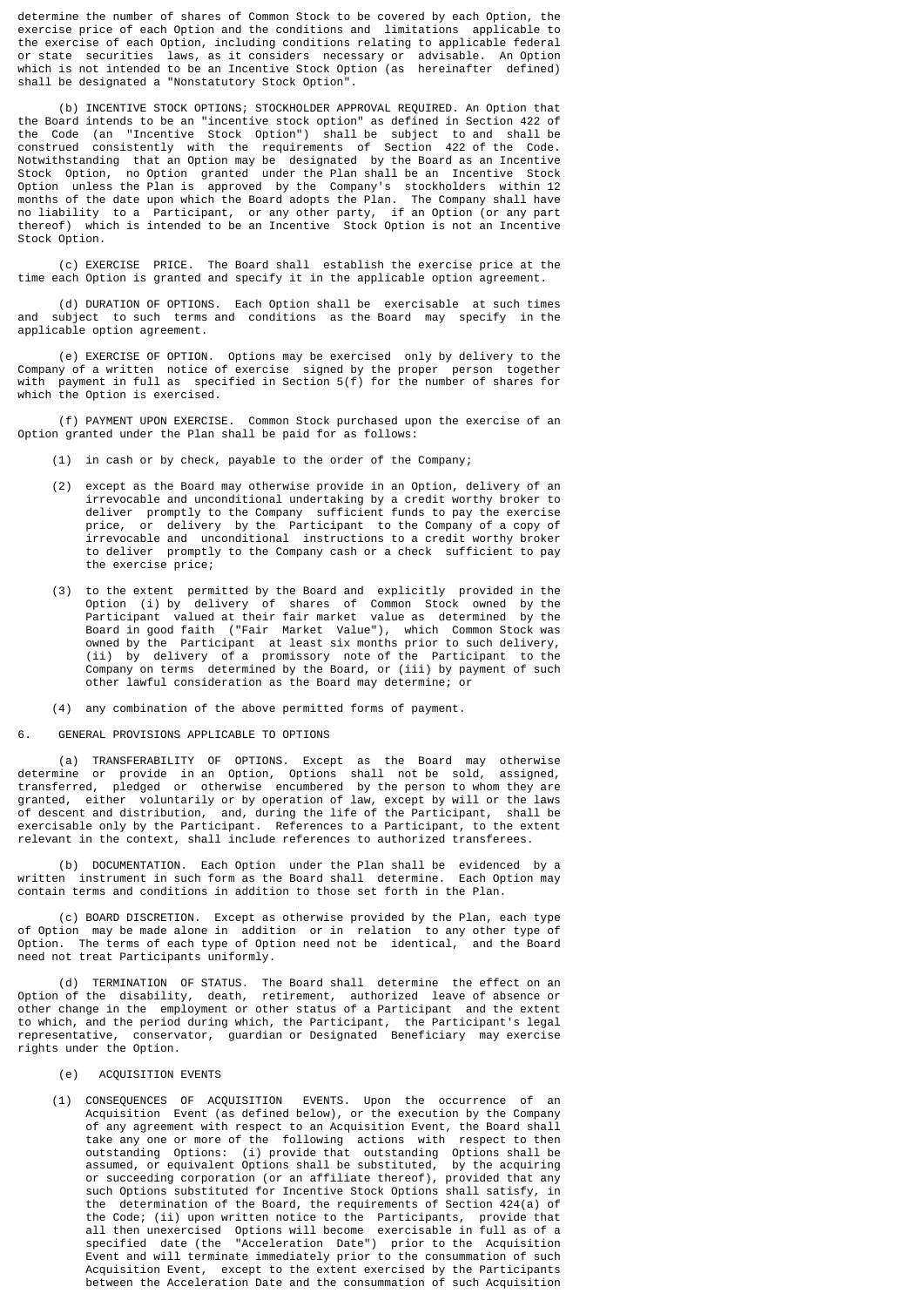determine the number of shares of Common Stock to be covered by each Option, the exercise price of each Option and the conditions and limitations applicable to the exercise of each Option, including conditions relating to applicable federal or state securities laws, as it considers necessary or advisable. An Option which is not intended to be an Incentive Stock Option (as hereinafter defined) shall be designated a "Nonstatutory Stock Option".

 (b) INCENTIVE STOCK OPTIONS; STOCKHOLDER APPROVAL REQUIRED. An Option that the Board intends to be an "incentive stock option" as defined in Section 422 of the Code (an "Incentive Stock Option") shall be subject to and shall be construed consistently with the requirements of Section 422 of the Code. Notwithstanding that an Option may be designated by the Board as an Incentive Stock Option, no Option granted under the Plan shall be an Incentive Stock Option unless the Plan is approved by the Company's stockholders within 12 months of the date upon which the Board adopts the Plan. The Company shall have no liability to a Participant, or any other party, if an Option (or any part thereof) which is intended to be an Incentive Stock Option is not an Incentive Stock Option.

 (c) EXERCISE PRICE. The Board shall establish the exercise price at the time each Option is granted and specify it in the applicable option agreement.

 (d) DURATION OF OPTIONS. Each Option shall be exercisable at such times and subject to such terms and conditions as the Board may specify in the applicable option agreement.

 (e) EXERCISE OF OPTION. Options may be exercised only by delivery to the Company of a written notice of exercise signed by the proper person together with payment in full as specified in Section 5(f) for the number of shares for which the Option is exercised.

 (f) PAYMENT UPON EXERCISE. Common Stock purchased upon the exercise of an Option granted under the Plan shall be paid for as follows:

- (1) in cash or by check, payable to the order of the Company;
- (2) except as the Board may otherwise provide in an Option, delivery of an irrevocable and unconditional undertaking by a credit worthy broker to deliver promptly to the Company sufficient funds to pay the exercise price, or delivery by the Participant to the Company of a copy of irrevocable and unconditional instructions to a credit worthy broker to deliver promptly to the Company cash or a check sufficient to pay the exercise price;
- (3) to the extent permitted by the Board and explicitly provided in the Option (i) by delivery of shares of Common Stock owned by the Participant valued at their fair market value as determined by the Board in good faith ("Fair Market Value"), which Common Stock was owned by the Participant at least six months prior to such delivery, (ii) by delivery of a promissory note of the Participant to the Company on terms determined by the Board, or (iii) by payment of such other lawful consideration as the Board may determine; or
	- (4) any combination of the above permitted forms of payment.
- 6. GENERAL PROVISIONS APPLICABLE TO OPTIONS

 (a) TRANSFERABILITY OF OPTIONS. Except as the Board may otherwise determine or provide in an Option, Options shall not be sold, assigned, transferred, pledged or otherwise encumbered by the person to whom they are granted, either voluntarily or by operation of law, except by will or the laws of descent and distribution, and, during the life of the Participant, shall be exercisable only by the Participant. References to a Participant, to the extent relevant in the context, shall include references to authorized transferees.

 (b) DOCUMENTATION. Each Option under the Plan shall be evidenced by a written instrument in such form as the Board shall determine. Each Option may contain terms and conditions in addition to those set forth in the Plan.

 (c) BOARD DISCRETION. Except as otherwise provided by the Plan, each type of Option may be made alone in addition or in relation to any other type of Option. The terms of each type of Option need not be identical, and the Board need not treat Participants uniformly.

 (d) TERMINATION OF STATUS. The Board shall determine the effect on an Option of the disability, death, retirement, authorized leave of absence or other change in the employment or other status of a Participant and the extent to which, and the period during which, the Participant, the Participant's legal representative, conservator, guardian or Designated Beneficiary may exercise rights under the Option.

- (e) ACQUISITION EVENTS
- (1) CONSEQUENCES OF ACQUISITION EVENTS. Upon the occurrence of an Acquisition Event (as defined below), or the execution by the Company of any agreement with respect to an Acquisition Event, the Board shall take any one or more of the following actions with respect to then outstanding Options: (i) provide that outstanding Options shall be assumed, or equivalent Options shall be substituted, by the acquiring or succeeding corporation (or an affiliate thereof), provided that any such Options substituted for Incentive Stock Options shall satisfy, in the determination of the Board, the requirements of Section 424(a) of the Code; (ii) upon written notice to the Participants, provide that all then unexercised Options will become exercisable in full as of a specified date (the "Acceleration Date") prior to the Acquisition Event and will terminate immediately prior to the consummation of such Acquisition Event, except to the extent exercised by the Participants between the Acceleration Date and the consummation of such Acquisition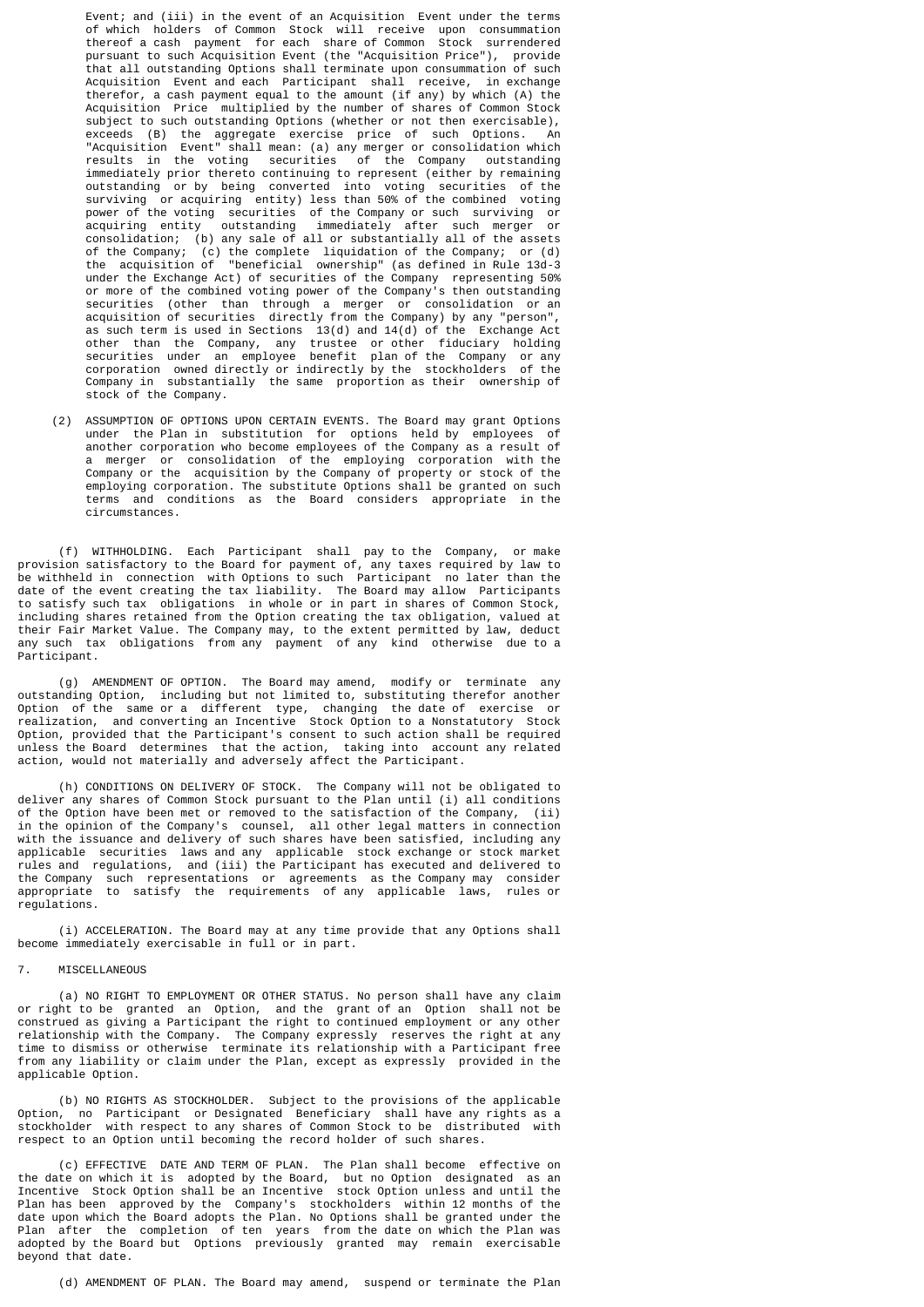Event; and (iii) in the event of an Acquisition Event under the terms of which holders of Common Stock will receive upon consummation thereof a cash payment for each share of Common Stock surrendered pursuant to such Acquisition Event (the "Acquisition Price"), provide that all outstanding Options shall terminate upon consummation of such Acquisition Event and each Participant shall receive, in exchange therefor, a cash payment equal to the amount (if any) by which (A) the Acquisition Price multiplied by the number of shares of Common Stock subject to such outstanding Options (whether or not then exercisable), exceeds (B) the aggregate exercise price of such Options. An "Acquisition Event" shall mean: (a) any merger or consolidation which results in the voting securities of the Company outstanding immediately prior thereto continuing to represent (either by remaining outstanding or by being converted into voting securities of the surviving or acquiring entity) less than 50% of the combined voting power of the voting securities of the Company or such surviving or acquiring entity outstanding immediately after such merger or consolidation; (b) any sale of all or substantially all of the assets of the Company; (c) the complete liquidation of the Company; or (d) the acquisition of "beneficial ownership" (as defined in Rule 13d-3 under the Exchange Act) of securities of the Company representing 50% or more of the combined voting power of the Company's then outstanding securities (other than through a merger or consolidation or an acquisition of securities directly from the Company) by any "person", as such term is used in Sections 13(d) and 14(d) of the Exchange Act other than the Company, any trustee or other fiduciary holding securities under an employee benefit plan of the Company or any corporation owned directly or indirectly by the stockholders of the Company in substantially the same proportion as their ownership of stock of the Company.

 (2) ASSUMPTION OF OPTIONS UPON CERTAIN EVENTS. The Board may grant Options under the Plan in substitution for options held by employees of another corporation who become employees of the Company as a result of a merger or consolidation of the employing corporation with the Company or the acquisition by the Company of property or stock of the employing corporation. The substitute Options shall be granted on such terms and conditions as the Board considers appropriate in the circumstances.

 (f) WITHHOLDING. Each Participant shall pay to the Company, or make provision satisfactory to the Board for payment of, any taxes required by law to be withheld in connection with Options to such Participant no later than the date of the event creating the tax liability. The Board may allow Participants to satisfy such tax obligations in whole or in part in shares of Common Stock, including shares retained from the Option creating the tax obligation, valued at their Fair Market Value. The Company may, to the extent permitted by law, deduct any such tax obligations from any payment of any kind otherwise due to a Participant.

 (g) AMENDMENT OF OPTION. The Board may amend, modify or terminate any outstanding Option, including but not limited to, substituting therefor another Option of the same or a different type, changing the date of exercise or realization, and converting an Incentive Stock Option to a Nonstatutory Stock Option, provided that the Participant's consent to such action shall be required unless the Board determines that the action, taking into account any related action, would not materially and adversely affect the Participant.

 (h) CONDITIONS ON DELIVERY OF STOCK. The Company will not be obligated to deliver any shares of Common Stock pursuant to the Plan until (i) all conditions of the Option have been met or removed to the satisfaction of the Company, (ii) in the opinion of the Company's counsel, all other legal matters in connection with the issuance and delivery of such shares have been satisfied, including any applicable securities laws and any applicable stock exchange or stock market rules and regulations, and (iii) the Participant has executed and delivered to the Company such representations or agreements as the Company may consider appropriate to satisfy the requirements of any applicable laws, rules or regulations.

 (i) ACCELERATION. The Board may at any time provide that any Options shall become immediately exercisable in full or in part.

#### 7. MISCELLANEOUS

 (a) NO RIGHT TO EMPLOYMENT OR OTHER STATUS. No person shall have any claim or right to be granted an Option, and the grant of an Option shall not be construed as giving a Participant the right to continued employment or any other relationship with the Company. The Company expressly reserves the right at any time to dismiss or otherwise terminate its relationship with a Participant free from any liability or claim under the Plan, except as expressly provided in the applicable Option.

 (b) NO RIGHTS AS STOCKHOLDER. Subject to the provisions of the applicable Option, no Participant or Designated Beneficiary shall have any rights as a stockholder with respect to any shares of Common Stock to be distributed with respect to an Option until becoming the record holder of such shares.

 (c) EFFECTIVE DATE AND TERM OF PLAN. The Plan shall become effective on the date on which it is adopted by the Board, but no Option designated as an Incentive Stock Option shall be an Incentive stock Option unless and until the Plan has been approved by the Company's stockholders within 12 months of the date upon which the Board adopts the Plan. No Options shall be granted under the Plan after the completion of ten years from the date on which the Plan was adopted by the Board but Options previously granted may remain exercisable beyond that date.

(d) AMENDMENT OF PLAN. The Board may amend, suspend or terminate the Plan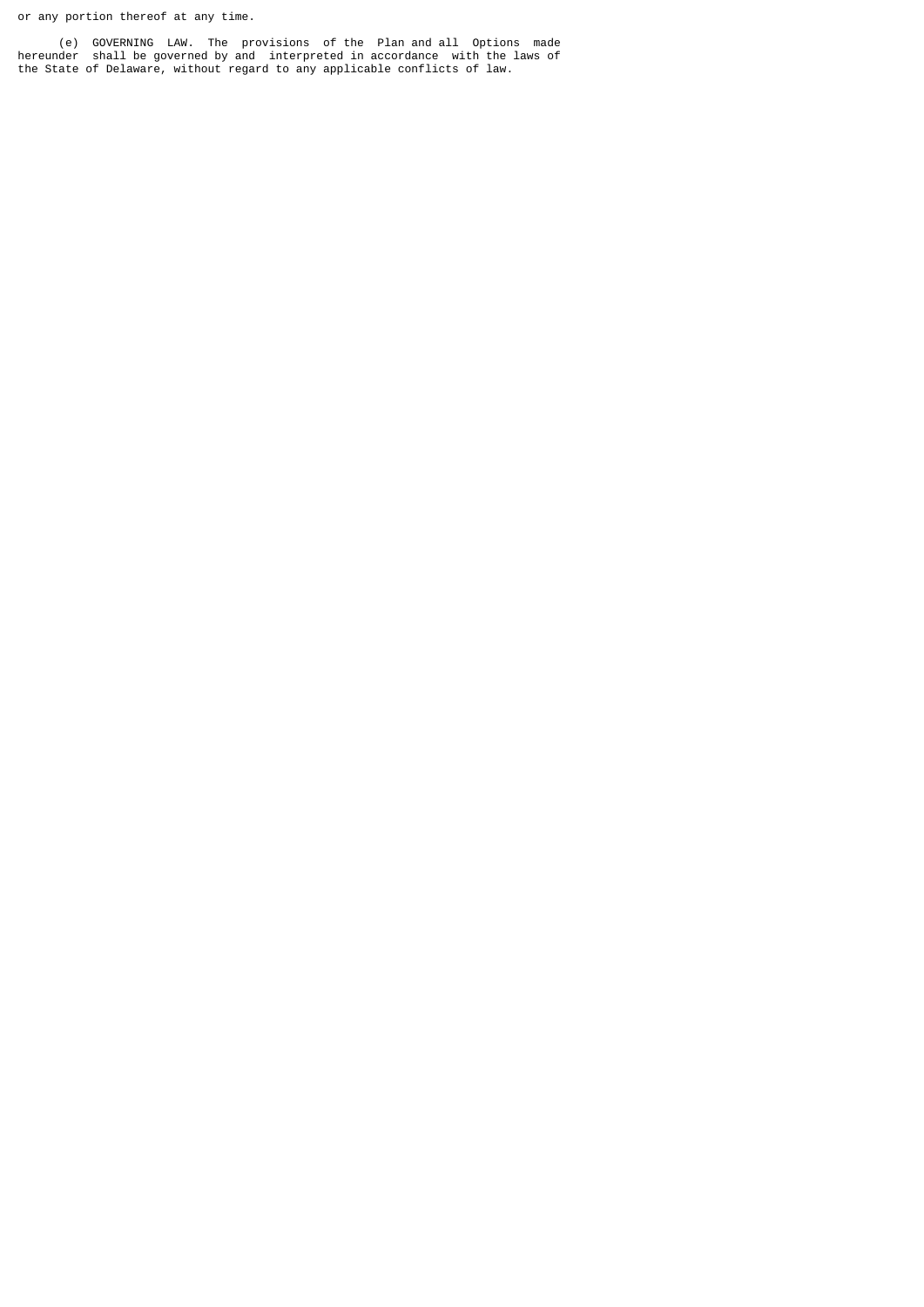or any portion thereof at any time.

 (e) GOVERNING LAW. The provisions of the Plan and all Options made hereunder shall be governed by and interpreted in accordance with the laws of the State of Delaware, without regard to any applicable conflicts of law.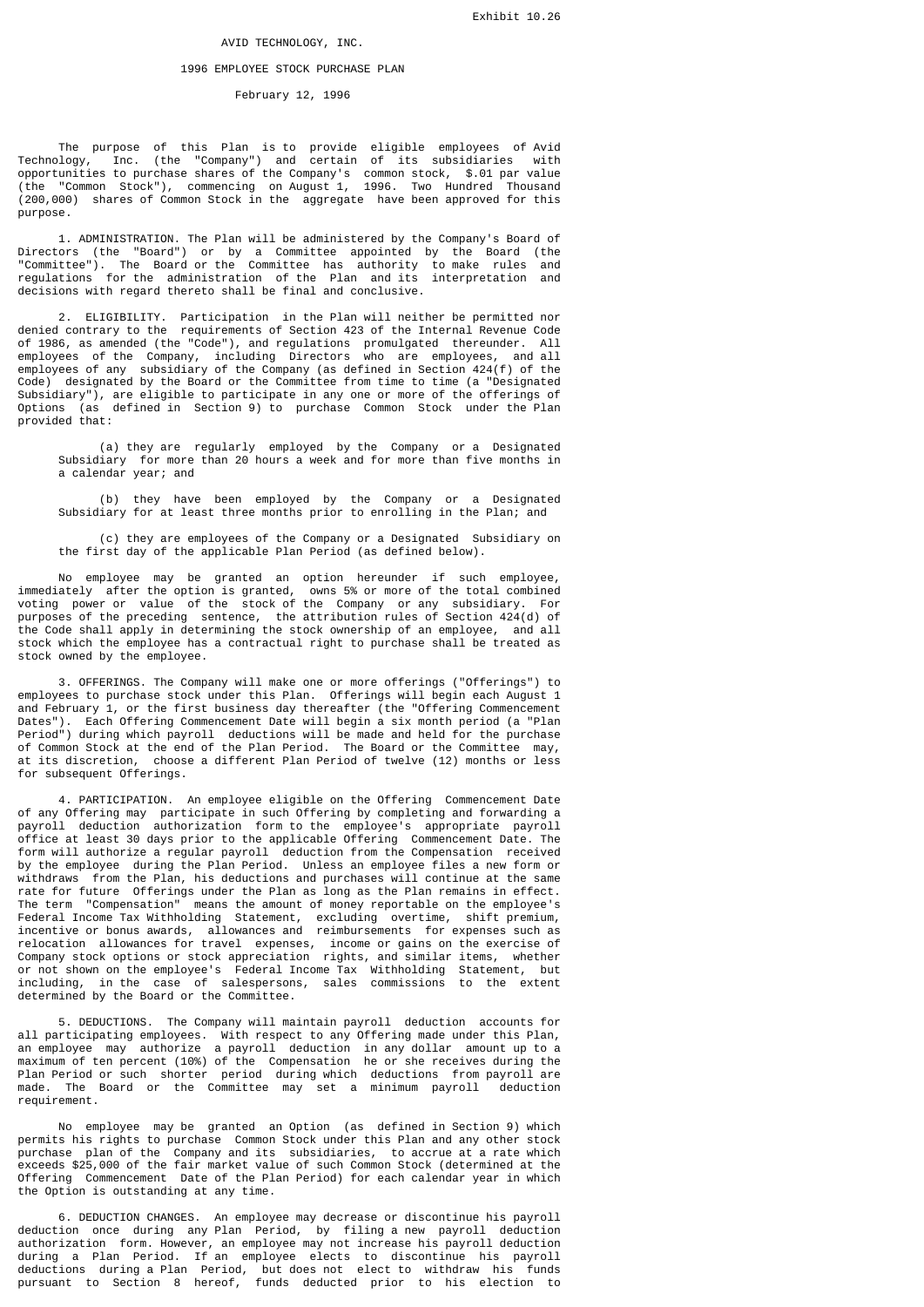# AVID TECHNOLOGY, INC.

#### 1996 EMPLOYEE STOCK PURCHASE PLAN

# February 12, 1996

 The purpose of this Plan is to provide eligible employees of Avid Technology, Inc. (the "Company") and certain of its subsidiaries with opportunities to purchase shares of the Company's common stock, \$.01 par value (the "Common Stock"), commencing on August 1, 1996. Two Hundred Thousand (200,000) shares of Common Stock in the aggregate have been approved for this purpose.

 1. ADMINISTRATION. The Plan will be administered by the Company's Board of Directors (the "Board") or by a Committee appointed by the Board (the "Committee"). The Board or the Committee has authority to make rules and regulations for the administration of the Plan and its interpretation and decisions with regard thereto shall be final and conclusive.

 2. ELIGIBILITY. Participation in the Plan will neither be permitted nor denied contrary to the requirements of Section 423 of the Internal Revenue Code of 1986, as amended (the "Code"), and regulations promulgated thereunder. All employees of the Company, including Directors who are employees, and all employees of any subsidiary of the Company (as defined in Section 424(f) of the Code) designated by the Board or the Committee from time to time (a "Designated Subsidiary"), are eligible to participate in any one or more of the offerings of Options (as defined in Section 9) to purchase Common Stock under the Plan provided that:

 (a) they are regularly employed by the Company or a Designated Subsidiary for more than 20 hours a week and for more than five months in a calendar year; and

 (b) they have been employed by the Company or a Designated Subsidiary for at least three months prior to enrolling in the Plan; and

 (c) they are employees of the Company or a Designated Subsidiary on the first day of the applicable Plan Period (as defined below).

 No employee may be granted an option hereunder if such employee, immediately after the option is granted, owns 5% or more of the total combined voting power or value of the stock of the Company or any subsidiary. For purposes of the preceding sentence, the attribution rules of Section 424(d) of the Code shall apply in determining the stock ownership of an employee, and all stock which the employee has a contractual right to purchase shall be treated as stock owned by the employee.

 3. OFFERINGS. The Company will make one or more offerings ("Offerings") to employees to purchase stock under this Plan. Offerings will begin each August 1 and February 1, or the first business day thereafter (the "Offering Commencement Dates"). Each Offering Commencement Date will begin a six month period (a "Plan Period") during which payroll deductions will be made and held for the purchase of Common Stock at the end of the Plan Period. The Board or the Committee may, at its discretion, choose a different Plan Period of twelve (12) months or less for subsequent Offerings.

 4. PARTICIPATION. An employee eligible on the Offering Commencement Date of any Offering may participate in such Offering by completing and forwarding a payroll deduction authorization form to the employee's appropriate payroll office at least 30 days prior to the applicable Offering Commencement Date. The form will authorize a regular payroll deduction from the Compensation received by the employee during the Plan Period. Unless an employee files a new form or withdraws from the Plan, his deductions and purchases will continue at the same rate for future Offerings under the Plan as long as the Plan remains in effect. The term "Compensation" means the amount of money reportable on the employee's Federal Income Tax Withholding Statement, excluding overtime, shift premium, incentive or bonus awards, allowances and reimbursements for expenses such as relocation allowances for travel expenses, income or gains on the exercise of Company stock options or stock appreciation rights, and similar items, whether or not shown on the employee's Federal Income Tax Withholding Statement, but including, in the case of salespersons, sales commissions to the extent determined by the Board or the Committee.

 5. DEDUCTIONS. The Company will maintain payroll deduction accounts for all participating employees. With respect to any Offering made under this Plan, an employee may authorize a payroll deduction in any dollar amount up to a maximum of ten percent (10%) of the Compensation he or she receives during the Plan Period or such shorter period during which deductions from payroll are made. The Board or the Committee may set a minimum payroll deduction requirement.

 No employee may be granted an Option (as defined in Section 9) which permits his rights to purchase Common Stock under this Plan and any other stock purchase plan of the Company and its subsidiaries, to accrue at a rate which exceeds \$25,000 of the fair market value of such Common Stock (determined at the Offering Commencement Date of the Plan Period) for each calendar year in which the Option is outstanding at any time.

 6. DEDUCTION CHANGES. An employee may decrease or discontinue his payroll deduction once during any Plan Period, by filing a new payroll deduction authorization form. However, an employee may not increase his payroll deduction during a Plan Period. If an employee elects to discontinue his payroll deductions during a Plan Period, but does not elect to withdraw his funds pursuant to Section 8 hereof, funds deducted prior to his election to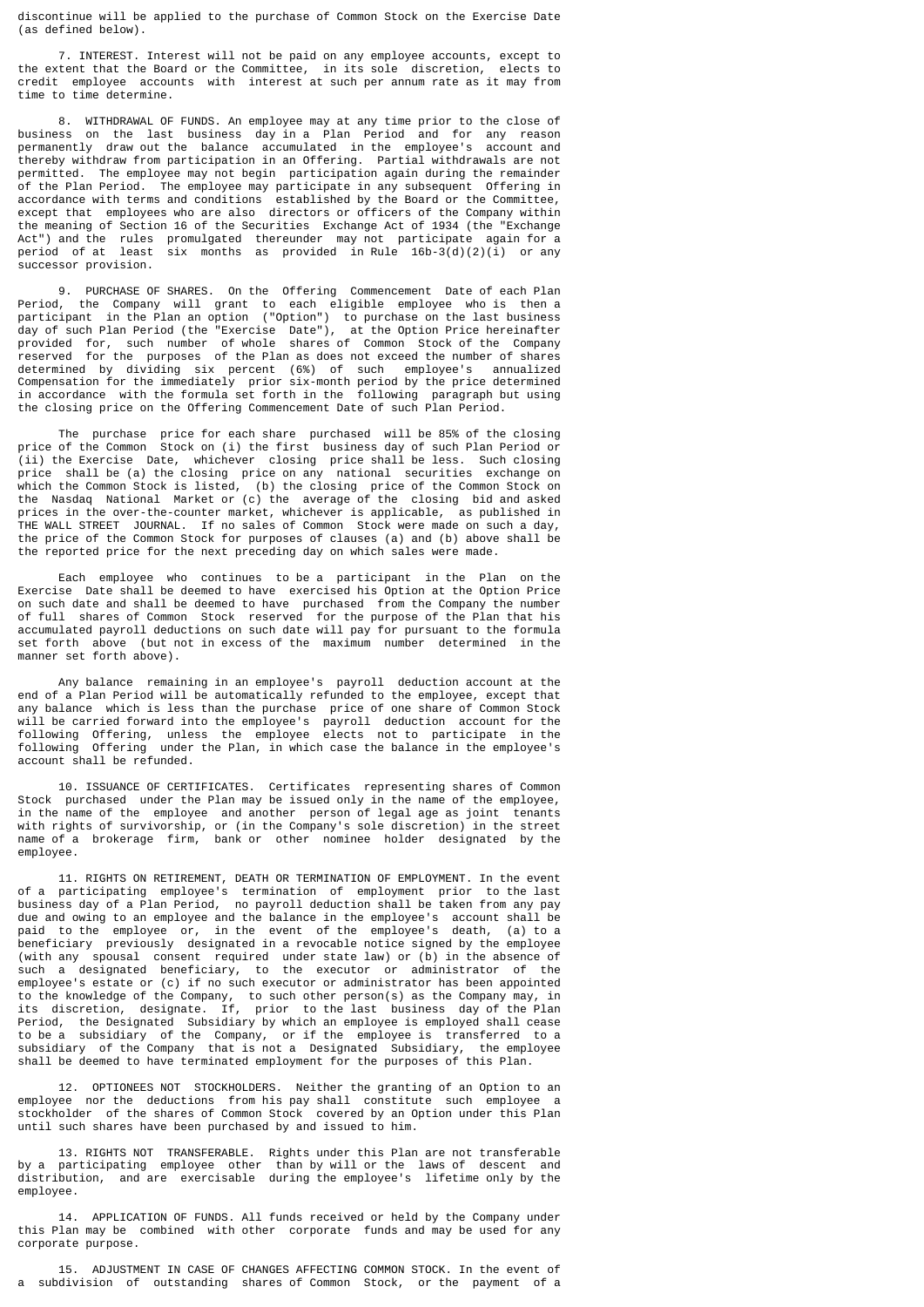discontinue will be applied to the purchase of Common Stock on the Exercise Date (as defined below).

 7. INTEREST. Interest will not be paid on any employee accounts, except to the extent that the Board or the Committee, in its sole discretion, elects to credit employee accounts with interest at such per annum rate as it may from time to time determine.

 8. WITHDRAWAL OF FUNDS. An employee may at any time prior to the close of business on the last business day in a Plan Period and for any reason permanently draw out the balance accumulated in the employee's account and thereby withdraw from participation in an Offering. Partial withdrawals are not permitted. The employee may not begin participation again during the remainder of the Plan Period. The employee may participate in any subsequent Offering in accordance with terms and conditions established by the Board or the Committee, except that employees who are also directors or officers of the Company within the meaning of Section 16 of the Securities Exchange Act of 1934 (the "Exchange Act") and the rules promulgated thereunder may not participate again for a period of at least six months as provided in Rule 16b-3(d)(2)(i) or any successor provision.

 9. PURCHASE OF SHARES. On the Offering Commencement Date of each Plan Period, the Company will grant to each eligible employee who is then a participant in the Plan an option ("Option") to purchase on the last business day of such Plan Period (the "Exercise Date"), at the Option Price hereinafter provided for, such number of whole shares of Common Stock of the Company reserved for the purposes of the Plan as does not exceed the number of shares determined by dividing six percent (6%) of such employee's annualized Compensation for the immediately prior six-month period by the price determined in accordance with the formula set forth in the following paragraph but using the closing price on the Offering Commencement Date of such Plan Period.

 The purchase price for each share purchased will be 85% of the closing price of the Common Stock on (i) the first business day of such Plan Period or (ii) the Exercise Date, whichever closing price shall be less. Such closing price shall be (a) the closing price on any national securities exchange on which the Common Stock is listed, (b) the closing price of the Common Stock on the Nasdaq National Market or (c) the average of the closing bid and asked prices in the over-the-counter market, whichever is applicable, as published in THE WALL STREET JOURNAL. If no sales of Common Stock were made on such a day, the price of the Common Stock for purposes of clauses (a) and (b) above shall be the reported price for the next preceding day on which sales were made.

 Each employee who continues to be a participant in the Plan on the Exercise Date shall be deemed to have exercised his Option at the Option Price on such date and shall be deemed to have purchased from the Company the number of full shares of Common Stock reserved for the purpose of the Plan that his accumulated payroll deductions on such date will pay for pursuant to the formula set forth above (but not in excess of the maximum number determined in the manner set forth above).

 Any balance remaining in an employee's payroll deduction account at the end of a Plan Period will be automatically refunded to the employee, except that any balance which is less than the purchase price of one share of Common Stock will be carried forward into the employee's payroll deduction account for the following Offering, unless the employee elects not to participate in the following Offering under the Plan, in which case the balance in the employee's account shall be refunded.

 10. ISSUANCE OF CERTIFICATES. Certificates representing shares of Common Stock purchased under the Plan may be issued only in the name of the employee, in the name of the employee and another person of legal age as joint tenants with rights of survivorship, or (in the Company's sole discretion) in the street name of a brokerage firm, bank or other nominee holder designated by the employee.

 11. RIGHTS ON RETIREMENT, DEATH OR TERMINATION OF EMPLOYMENT. In the event of a participating employee's termination of employment prior to the last business day of a Plan Period, no payroll deduction shall be taken from any pay due and owing to an employee and the balance in the employee's account shall be paid to the employee or, in the event of the employee's death, (a) to a beneficiary previously designated in a revocable notice signed by the employee (with any spousal consent required under state law) or (b) in the absence of such a designated beneficiary, to the executor or administrator of the employee's estate or (c) if no such executor or administrator has been appointed to the knowledge of the Company, to such other person(s) as the Company may, in its discretion, designate. If, prior to the last business day of the Plan Period, the Designated Subsidiary by which an employee is employed shall cease to be a subsidiary of the Company, or if the employee is transferred to a subsidiary of the Company that is not a Designated Subsidiary, the employee shall be deemed to have terminated employment for the purposes of this Plan.

 12. OPTIONEES NOT STOCKHOLDERS. Neither the granting of an Option to an employee nor the deductions from his pay shall constitute such employee a stockholder of the shares of Common Stock covered by an Option under this Plan until such shares have been purchased by and issued to him.

 13. RIGHTS NOT TRANSFERABLE. Rights under this Plan are not transferable by a participating employee other than by will or the laws of descent and distribution, and are exercisable during the employee's lifetime only by the employee.

 14. APPLICATION OF FUNDS. All funds received or held by the Company under this Plan may be combined with other corporate funds and may be used for any corporate purpose.

 15. ADJUSTMENT IN CASE OF CHANGES AFFECTING COMMON STOCK. In the event of a subdivision of outstanding shares of Common Stock, or the payment of a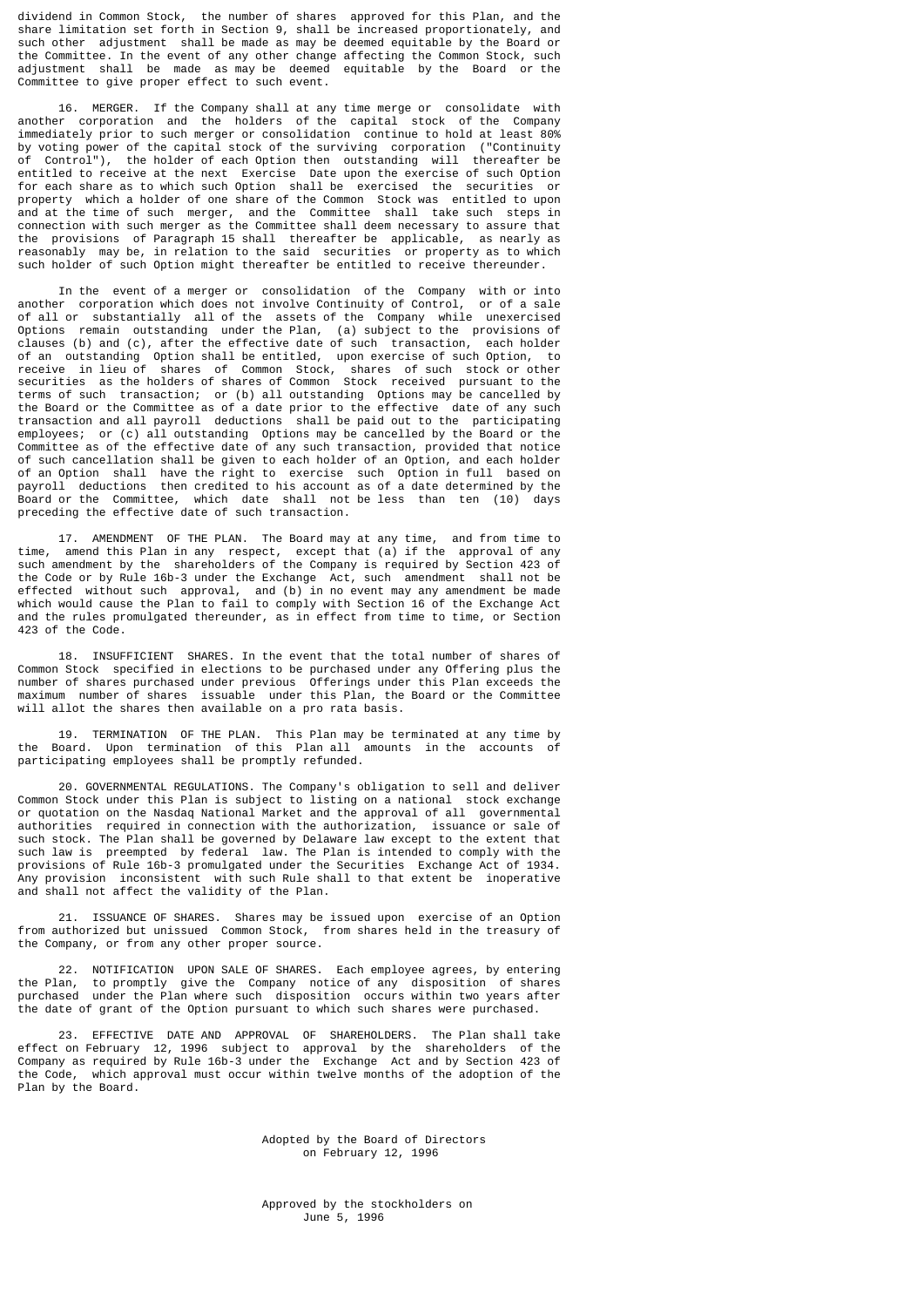dividend in Common Stock, the number of shares approved for this Plan, and the share limitation set forth in Section 9, shall be increased proportionately, and such other adjustment shall be made as may be deemed equitable by the Board or the Committee. In the event of any other change affecting the Common Stock, such adjustment shall be made as may be deemed equitable by the Board or the Committee to give proper effect to such event.

 16. MERGER. If the Company shall at any time merge or consolidate with another corporation and the holders of the capital stock of the Company immediately prior to such merger or consolidation continue to hold at least 80% by voting power of the capital stock of the surviving corporation ("Continuity of Control"), the holder of each Option then outstanding will thereafter be entitled to receive at the next Exercise Date upon the exercise of such Option for each share as to which such Option shall be exercised the securities or property which a holder of one share of the Common Stock was entitled to upon and at the time of such merger, and the Committee shall take such steps in connection with such merger as the Committee shall deem necessary to assure that the provisions of Paragraph 15 shall thereafter be applicable, as nearly as reasonably may be, in relation to the said securities or property as to which such holder of such Option might thereafter be entitled to receive thereunder.

 In the event of a merger or consolidation of the Company with or into another corporation which does not involve Continuity of Control, or of a sale of all or substantially all of the assets of the Company while unexercised Options remain outstanding under the Plan, (a) subject to the provisions of clauses (b) and (c), after the effective date of such transaction, each holder of an outstanding Option shall be entitled, upon exercise of such Option, to receive in lieu of shares of Common Stock, shares of such stock or other securities as the holders of shares of Common Stock received pursuant to the terms of such transaction; or (b) all outstanding Options may be cancelled by the Board or the Committee as of a date prior to the effective date of any such transaction and all payroll deductions shall be paid out to the participating employees; or (c) all outstanding Options may be cancelled by the Board or the Committee as of the effective date of any such transaction, provided that notice of such cancellation shall be given to each holder of an Option, and each holder of an Option shall have the right to exercise such Option in full based on payroll deductions then credited to his account as of a date determined by the Board or the Committee, which date shall not be less than ten (10) days preceding the effective date of such transaction.

 17. AMENDMENT OF THE PLAN. The Board may at any time, and from time to time, amend this Plan in any respect, except that (a) if the approval of any such amendment by the shareholders of the Company is required by Section 423 of the Code or by Rule 16b-3 under the Exchange Act, such amendment shall not be effected without such approval, and (b) in no event may any amendment be made which would cause the Plan to fail to comply with Section 16 of the Exchange Act and the rules promulgated thereunder, as in effect from time to time, or Section 423 of the Code.

 18. INSUFFICIENT SHARES. In the event that the total number of shares of Common Stock specified in elections to be purchased under any Offering plus the number of shares purchased under previous Offerings under this Plan exceeds the maximum number of shares issuable under this Plan, the Board or the Committee will allot the shares then available on a pro rata basis.

 19. TERMINATION OF THE PLAN. This Plan may be terminated at any time by the Board. Upon termination of this Plan all amounts in the accounts of participating employees shall be promptly refunded.

 20. GOVERNMENTAL REGULATIONS. The Company's obligation to sell and deliver Common Stock under this Plan is subject to listing on a national stock exchange or quotation on the Nasdaq National Market and the approval of all governmental authorities required in connection with the authorization, issuance or sale of such stock. The Plan shall be governed by Delaware law except to the extent that such law is preempted by federal law. The Plan is intended to comply with the provisions of Rule 16b-3 promulgated under the Securities Exchange Act of 1934. Any provision inconsistent with such Rule shall to that extent be inoperative and shall not affect the validity of the Plan.

 21. ISSUANCE OF SHARES. Shares may be issued upon exercise of an Option from authorized but unissued Common Stock, from shares held in the treasury of the Company, or from any other proper source.

 22. NOTIFICATION UPON SALE OF SHARES. Each employee agrees, by entering the Plan, to promptly give the Company notice of any disposition of shares purchased under the Plan where such disposition occurs within two years after the date of grant of the Option pursuant to which such shares were purchased.

 23. EFFECTIVE DATE AND APPROVAL OF SHAREHOLDERS. The Plan shall take effect on February 12, 1996 subject to approval by the shareholders of the Company as required by Rule 16b-3 under the Exchange Act and by Section 423 of the Code, which approval must occur within twelve months of the adoption of the Plan by the Board.

> Adopted by the Board of Directors on February 12, 1996

 Approved by the stockholders on June 5, 1996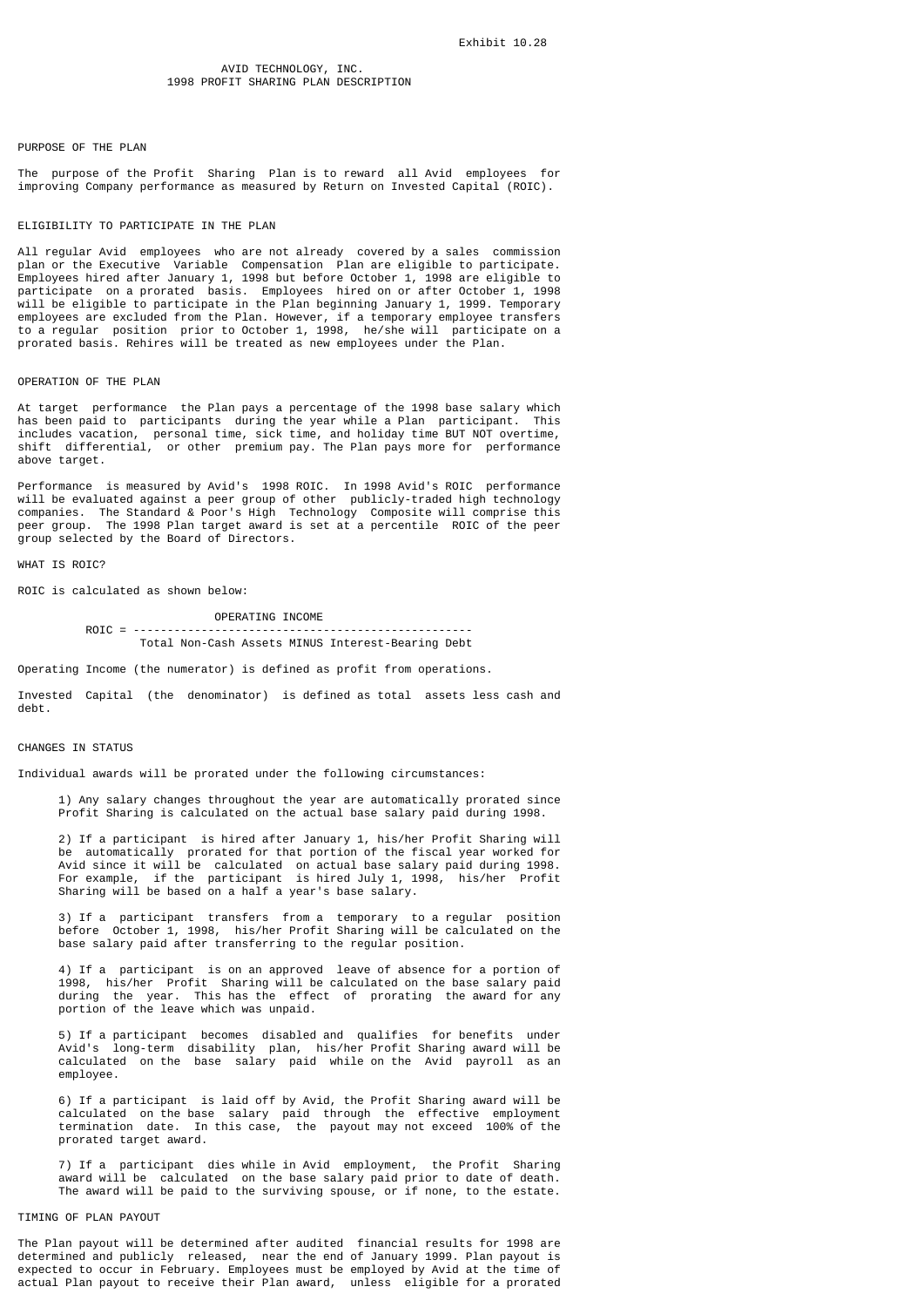# PURPOSE OF THE PLAN

The purpose of the Profit Sharing Plan is to reward all Avid employees for improving Company performance as measured by Return on Invested Capital (ROIC).

## FLIGIBILITY TO PARTICIPATE IN THE PLAN

All regular Avid employees who are not already covered by a sales commission plan or the Executive Variable Compensation Plan are eligible to participate. Employees hired after January 1, 1998 but before October 1, 1998 are eligible to participate on a prorated basis. Employees hired on or after October 1, 1998 will be eligible to participate in the Plan beginning January 1, 1999. Temporary employees are excluded from the Plan. However, if a temporary employee transfers to a regular position prior to October 1, 1998, he/she will participate on a prorated basis. Rehires will be treated as new employees under the Plan.

#### OPERATION OF THE PLAN

At target performance the Plan pays a percentage of the 1998 base salary which has been paid to participants during the year while a Plan participant. This includes vacation, personal time, sick time, and holiday time BUT NOT overtime, shift differential, or other premium pay. The Plan pays more for performance above target.

Performance is measured by Avid's 1998 ROIC. In 1998 Avid's ROIC performance will be evaluated against a peer group of other publicly-traded high technology companies. The Standard & Poor's High Technology Composite will comprise this peer group. The 1998 Plan target award is set at a percentile ROIC of the peer group selected by the Board of Directors.

WHAT IS ROIC?

ROIC is calculated as shown below:

 OPERATING INCOME  $ROIC = ------------$ Total Non-Cash Assets MINUS Interest-Bearing Debt

Operating Income (the numerator) is defined as profit from operations.

Invested Capital (the denominator) is defined as total assets less cash and debt.

# CHANGES IN STATUS

Individual awards will be prorated under the following circumstances:

 1) Any salary changes throughout the year are automatically prorated since Profit Sharing is calculated on the actual base salary paid during 1998.

 2) If a participant is hired after January 1, his/her Profit Sharing will be automatically prorated for that portion of the fiscal year worked for Avid since it will be calculated on actual base salary paid during 1998. For example, if the participant is hired July 1, 1998, his/her Profit Sharing will be based on a half a year's base salary.

 3) If a participant transfers from a temporary to a regular position before October 1, 1998, his/her Profit Sharing will be calculated on the base salary paid after transferring to the regular position.

 4) If a participant is on an approved leave of absence for a portion of 1998, his/her Profit Sharing will be calculated on the base salary paid during the year. This has the effect of prorating the award for any portion of the leave which was unpaid.

 5) If a participant becomes disabled and qualifies for benefits under Avid's long-term disability plan, his/her Profit Sharing award will be calculated on the base salary paid while on the Avid payroll as an employee.

 6) If a participant is laid off by Avid, the Profit Sharing award will be calculated on the base salary paid through the effective employment termination date. In this case, the payout may not exceed 100% of the prorated target award.

 7) If a participant dies while in Avid employment, the Profit Sharing award will be calculated on the base salary paid prior to date of death. The award will be paid to the surviving spouse, or if none, to the estate.

# TIMING OF PLAN PAYOUT

The Plan payout will be determined after audited financial results for 1998 are determined and publicly released, near the end of January 1999. Plan payout is expected to occur in February. Employees must be employed by Avid at the time of actual Plan payout to receive their Plan award, unless eligible for a prorated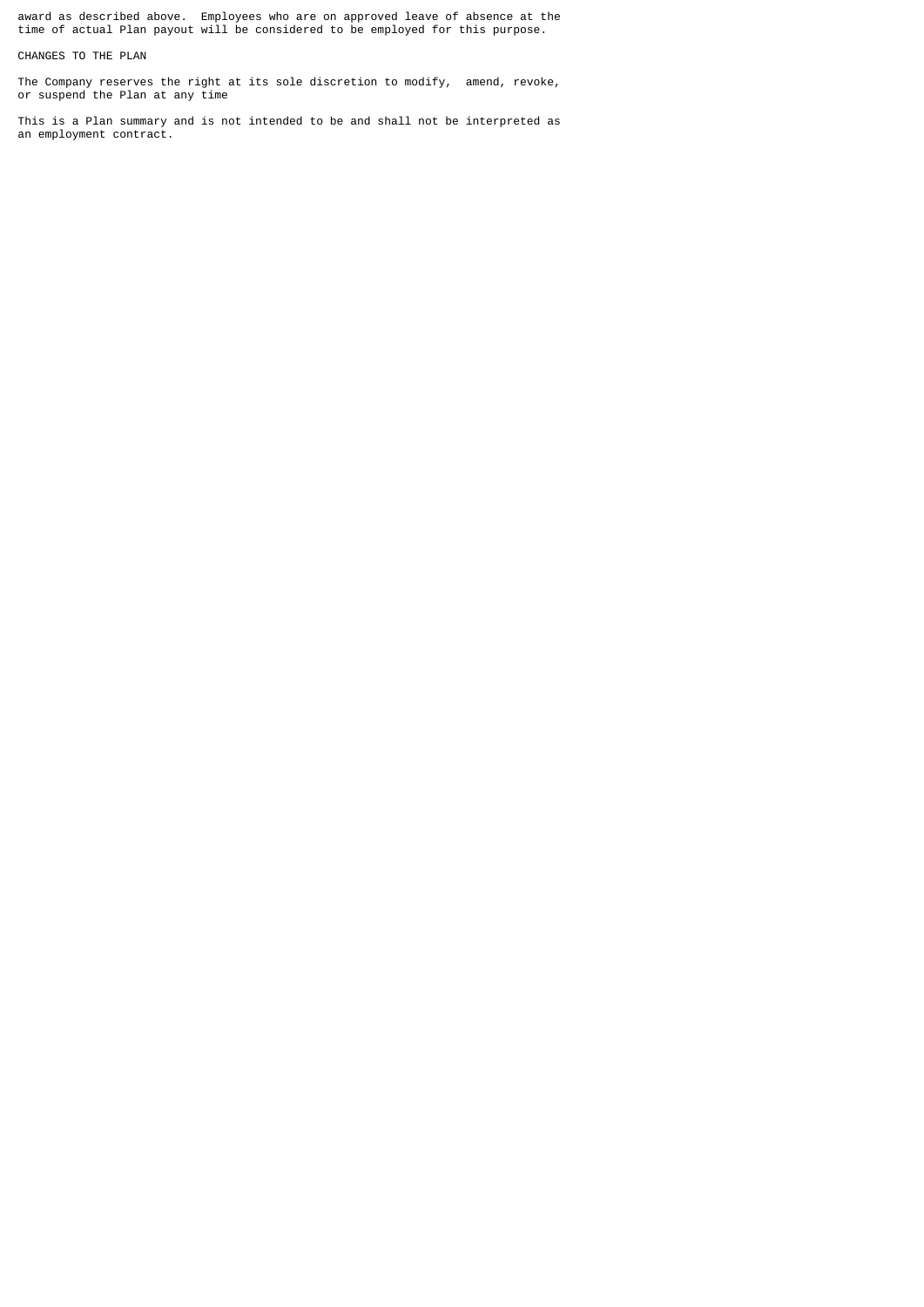award as described above. Employees who are on approved leave of absence at the time of actual Plan payout will be considered to be employed for this purpose.

CHANGES TO THE PLAN

The Company reserves the right at its sole discretion to modify, amend, revoke, or suspend the Plan at any time

This is a Plan summary and is not intended to be and shall not be interpreted as an employment contract.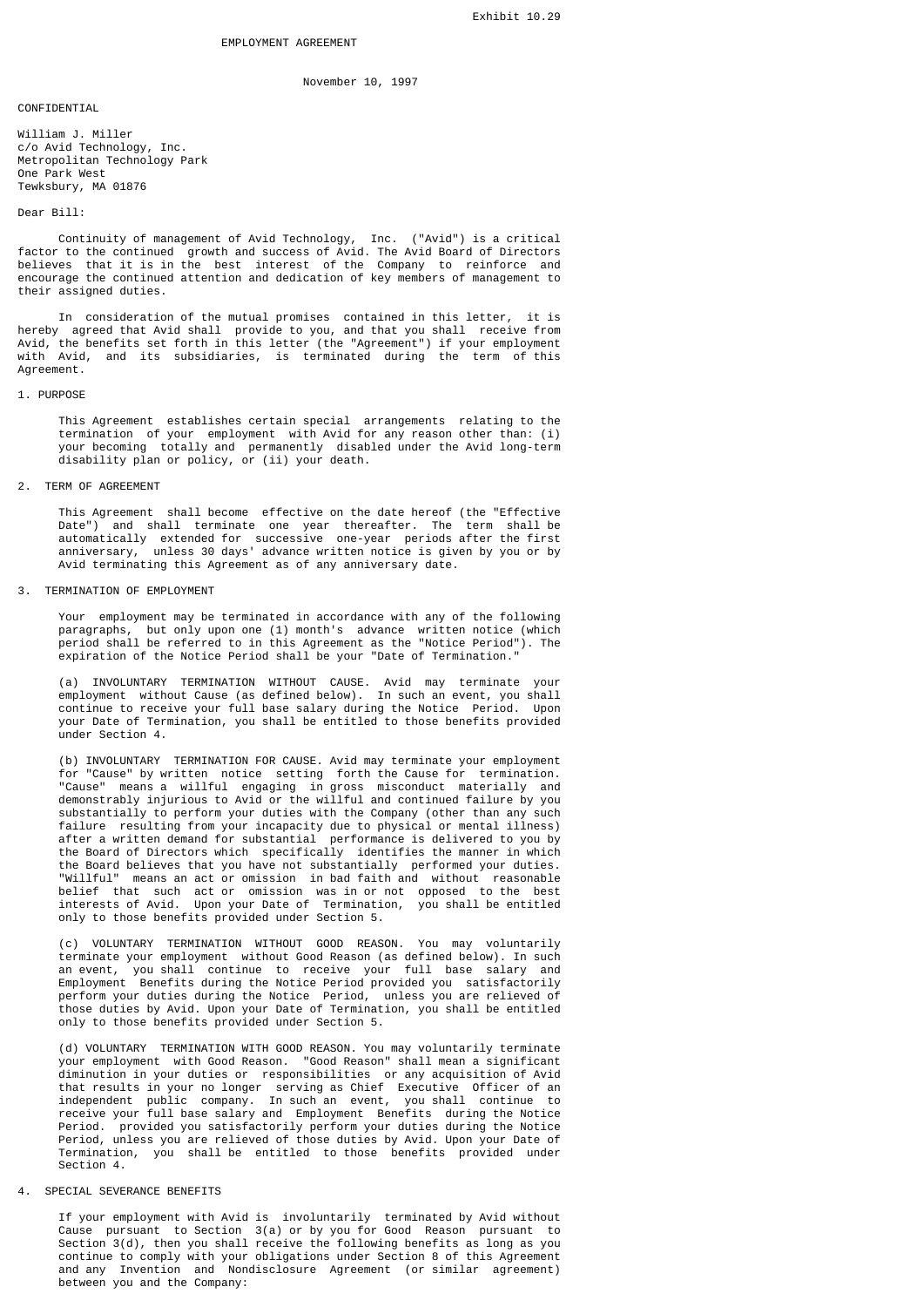November 10, 1997

**CONFIDENTIAL** 

William J. Miller c/o Avid Technology, Inc. Metropolitan Technology Park One Park West Tewksbury, MA 01876

# Dear Bill:

 Continuity of management of Avid Technology, Inc. ("Avid") is a critical factor to the continued growth and success of Avid. The Avid Board of Directors believes that it is in the best interest of the Company to reinforce and encourage the continued attention and dedication of key members of management to their assigned duties.

 In consideration of the mutual promises contained in this letter, it is hereby agreed that Avid shall provide to you, and that you shall receive from Avid, the benefits set forth in this letter (the "Agreement") if your employment with Avid, and its subsidiaries, is terminated during the term of this Agreement.

#### 1. PURPOSE

 This Agreement establishes certain special arrangements relating to the termination of your employment with Avid for any reason other than: (i) your becoming totally and permanently disabled under the Avid long-term disability plan or policy, or (ii) your death.

#### 2. TERM OF AGREEMENT

 This Agreement shall become effective on the date hereof (the "Effective Date") and shall terminate one year thereafter. The term shall be automatically extended for successive one-year periods after the first anniversary, unless 30 days' advance written notice is given by you or by Avid terminating this Agreement as of any anniversary date.

#### 3. TERMINATION OF EMPLOYMENT

 Your employment may be terminated in accordance with any of the following paragraphs, but only upon one (1) month's advance written notice (which period shall be referred to in this Agreement as the "Notice Period"). The expiration of the Notice Period shall be your "Date of Termination."

 (a) INVOLUNTARY TERMINATION WITHOUT CAUSE. Avid may terminate your employment without Cause (as defined below). In such an event, you shall continue to receive your full base salary during the Notice Period. Upon your Date of Termination, you shall be entitled to those benefits provided under Section 4.

 (b) INVOLUNTARY TERMINATION FOR CAUSE. Avid may terminate your employment for "Cause" by written notice setting forth the Cause for termination. "Cause" means a willful engaging in gross misconduct materially and demonstrably injurious to Avid or the willful and continued failure by you substantially to perform your duties with the Company (other than any such failure resulting from your incapacity due to physical or mental illness) after a written demand for substantial performance is delivered to you by the Board of Directors which specifically identifies the manner in which the Board believes that you have not substantially performed your duties. "Willful" means an act or omission in bad faith and without reasonable belief that such act or omission was in or not opposed to the best interests of Avid. Upon your Date of Termination, you shall be entitled only to those benefits provided under Section 5.

 (c) VOLUNTARY TERMINATION WITHOUT GOOD REASON. You may voluntarily terminate your employment without Good Reason (as defined below). In such an event, you shall continue to receive your full base salary and Employment Benefits during the Notice Period provided you satisfactorily perform your duties during the Notice Period, unless you are relieved of those duties by Avid. Upon your Date of Termination, you shall be entitled only to those benefits provided under Section 5.

 (d) VOLUNTARY TERMINATION WITH GOOD REASON. You may voluntarily terminate your employment with Good Reason. "Good Reason" shall mean a significant diminution in your duties or responsibilities or any acquisition of Avid that results in your no longer serving as Chief Executive Officer of an independent public company. In such an event, you shall continue to receive your full base salary and Employment Benefits during the Notice Period. provided you satisfactorily perform your duties during the Notice Period, unless you are relieved of those duties by Avid. Upon your Date of Termination, you shall be entitled to those benefits provided under Section 4.

# 4. SPECIAL SEVERANCE BENEFITS

 If your employment with Avid is involuntarily terminated by Avid without Cause pursuant to Section 3(a) or by you for Good Reason pursuant to Section 3(d), then you shall receive the following benefits as long as you continue to comply with your obligations under Section 8 of this Agreement and any Invention and Nondisclosure Agreement (or similar agreement) between you and the Company: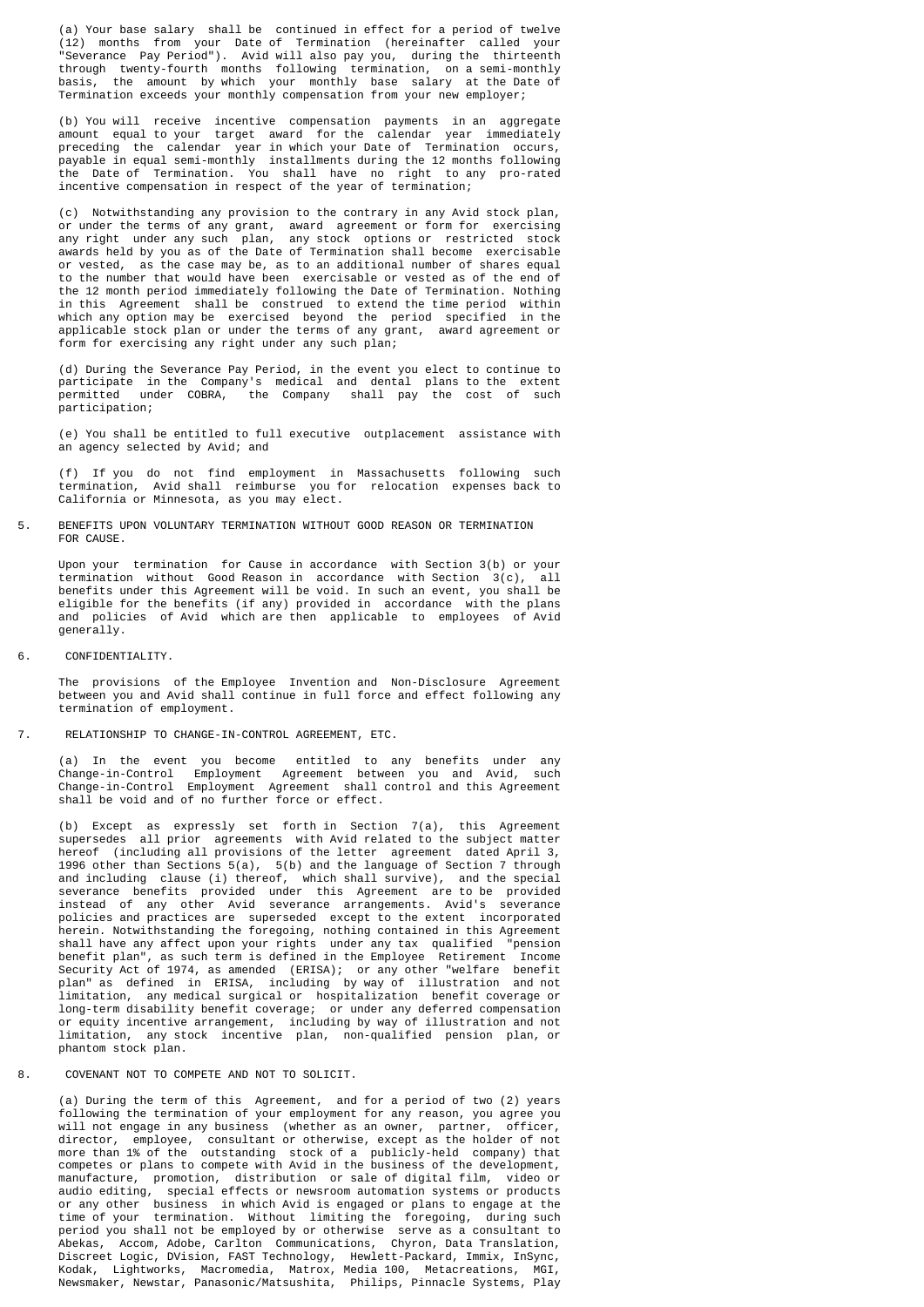(a) Your base salary shall be continued in effect for a period of twelve (12) months from your Date of Termination (hereinafter called your "Severance Pay Period"). Avid will also pay you, during the thirteenth through twenty-fourth months following termination, on a semi-monthly basis, the amount by which your monthly base salary at the Date of Termination exceeds your monthly compensation from your new employer;

 (b) You will receive incentive compensation payments in an aggregate amount equal to your target award for the calendar year immediately preceding the calendar year in which your Date of Termination occurs, payable in equal semi-monthly installments during the 12 months following the Date of Termination. You shall have no right to any pro-rated incentive compensation in respect of the year of termination;

 (c) Notwithstanding any provision to the contrary in any Avid stock plan, or under the terms of any grant, award agreement or form for exercising any right under any such plan, any stock options or restricted stock awards held by you as of the Date of Termination shall become exercisable or vested, as the case may be, as to an additional number of shares equal to the number that would have been exercisable or vested as of the end of the 12 month period immediately following the Date of Termination. Nothing in this Agreement shall be construed to extend the time period within which any option may be exercised beyond the period specified in the applicable stock plan or under the terms of any grant, award agreement or form for exercising any right under any such plan;

 (d) During the Severance Pay Period, in the event you elect to continue to participate in the Company's medical and dental plans to the extent permitted under COBRA, the Company shall pay the cost of such participation;

 (e) You shall be entitled to full executive outplacement assistance with an agency selected by Avid; and

 (f) If you do not find employment in Massachusetts following such termination, Avid shall reimburse you for relocation expenses back to California or Minnesota, as you may elect.

5. BENEFITS UPON VOLUNTARY TERMINATION WITHOUT GOOD REASON OR TERMINATION FOR CAUSE.

 Upon your termination for Cause in accordance with Section 3(b) or your termination without Good Reason in accordance with Section 3(c), all benefits under this Agreement will be void. In such an event, you shall be eligible for the benefits (if any) provided in accordance with the plans and policies of Avid which are then applicable to employees of Avid generally.

6. CONFIDENTIALITY.

 The provisions of the Employee Invention and Non-Disclosure Agreement between you and Avid shall continue in full force and effect following any termination of employment.

7. RELATIONSHIP TO CHANGE-IN-CONTROL AGREEMENT, ETC.

 (a) In the event you become entitled to any benefits under any Change-in-Control Employment Agreement between you and Avid, such Change-in-Control Employment Agreement shall control and this Agreement shall be void and of no further force or effect.

 (b) Except as expressly set forth in Section 7(a), this Agreement supersedes all prior agreements with Avid related to the subject matter hereof (including all provisions of the letter agreement dated April 3, 1996 other than Sections 5(a), 5(b) and the language of Section 7 through and including clause (i) thereof, which shall survive), and the special severance benefits provided under this Agreement are to be provided instead of any other Avid severance arrangements. Avid's severance policies and practices are superseded except to the extent incorporated herein. Notwithstanding the foregoing, nothing contained in this Agreement shall have any affect upon your rights under any tax qualified "pension benefit plan", as such term is defined in the Employee Retirement Income Security Act of 1974, as amended (ERISA); or any other "welfare benefit plan" as defined in ERISA, including by way of illustration and not limitation, any medical surgical or hospitalization benefit coverage or long-term disability benefit coverage; or under any deferred compensation or equity incentive arrangement, including by way of illustration and not limitation, any stock incentive plan, non-qualified pension plan, or phantom stock plan.

8. COVENANT NOT TO COMPETE AND NOT TO SOLICIT.

 (a) During the term of this Agreement, and for a period of two (2) years following the termination of your employment for any reason, you agree you will not engage in any business (whether as an owner, partner, officer, director, employee, consultant or otherwise, except as the holder of not more than 1% of the outstanding stock of a publicly-held company) that competes or plans to compete with Avid in the business of the development, manufacture, promotion, distribution or sale of digital film, video or audio editing, special effects or newsroom automation systems or products or any other business in which Avid is engaged or plans to engage at the time of your termination. Without limiting the foregoing, during such period you shall not be employed by or otherwise serve as a consultant to Abekas, Accom, Adobe, Carlton Communications, Chyron, Data Translation, Discreet Logic, DVision, FAST Technology, Hewlett-Packard, Immix, InSync, Kodak, Lightworks, Macromedia, Matrox, Media 100, Metacreations, MGI, Newsmaker, Newstar, Panasonic/Matsushita, Philips, Pinnacle Systems, Play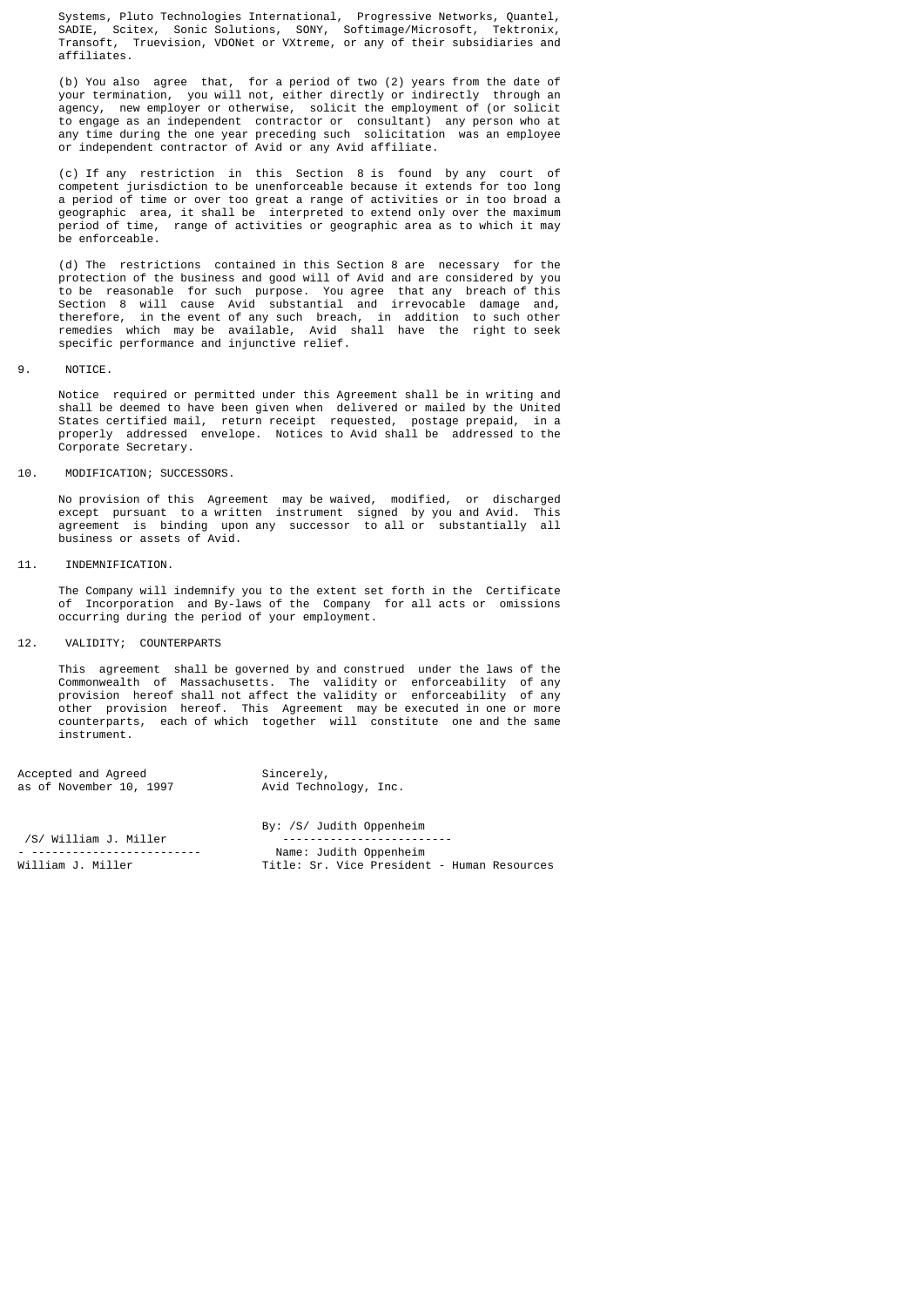Systems, Pluto Technologies International, Progressive Networks, Quantel, SADIE, Scitex, Sonic Solutions, SONY, Softimage/Microsoft, Tektronix, Transoft, Truevision, VDONet or VXtreme, or any of their subsidiaries and affiliates.

 (b) You also agree that, for a period of two (2) years from the date of your termination, you will not, either directly or indirectly through an agency, new employer or otherwise, solicit the employment of (or solicit to engage as an independent contractor or consultant) any person who at any time during the one year preceding such solicitation was an employee or independent contractor of Avid or any Avid affiliate.

 (c) If any restriction in this Section 8 is found by any court of competent jurisdiction to be unenforceable because it extends for too long a period of time or over too great a range of activities or in too broad a geographic area, it shall be interpreted to extend only over the maximum period of time, range of activities or geographic area as to which it may be enforceable.

 (d) The restrictions contained in this Section 8 are necessary for the protection of the business and good will of Avid and are considered by you to be reasonable for such purpose. You agree that any breach of this Section 8 will cause Avid substantial and irrevocable damage and, therefore, in the event of any such breach, in addition to such other remedies which may be available, Avid shall have the right to seek specific performance and injunctive relief.

# 9. NOTICE.

 Notice required or permitted under this Agreement shall be in writing and shall be deemed to have been given when delivered or mailed by the United States certified mail, return receipt requested, postage prepaid, in a properly addressed envelope. Notices to Avid shall be addressed to the Corporate Secretary.

10. MODIFICATION; SUCCESSORS.

 No provision of this Agreement may be waived, modified, or discharged except pursuant to a written instrument signed by you and Avid. This agreement is binding upon any successor to all or substantially all business or assets of Avid.

11. INDEMNIFICATION.

 The Company will indemnify you to the extent set forth in the Certificate of Incorporation and By-laws of the Company for all acts or omissions occurring during the period of your employment.

12. VALIDITY; COUNTERPARTS

 This agreement shall be governed by and construed under the laws of the Commonwealth of Massachusetts. The validity or enforceability of any provision hereof shall not affect the validity or enforceability of any other provision hereof. This Agreement may be executed in one or more counterparts, each of which together will constitute one and the same instrument.

| Accepted and Agreed     | Sincerely,            |
|-------------------------|-----------------------|
| as of November 10, 1997 | Avid Technology, Inc. |

|                       | By: /S/ Judith Oppenheim                    |
|-----------------------|---------------------------------------------|
| /S/ William J. Miller |                                             |
|                       | Name: Judith Oppenheim                      |
| William J. Miller     | Title: Sr. Vice President - Human Resources |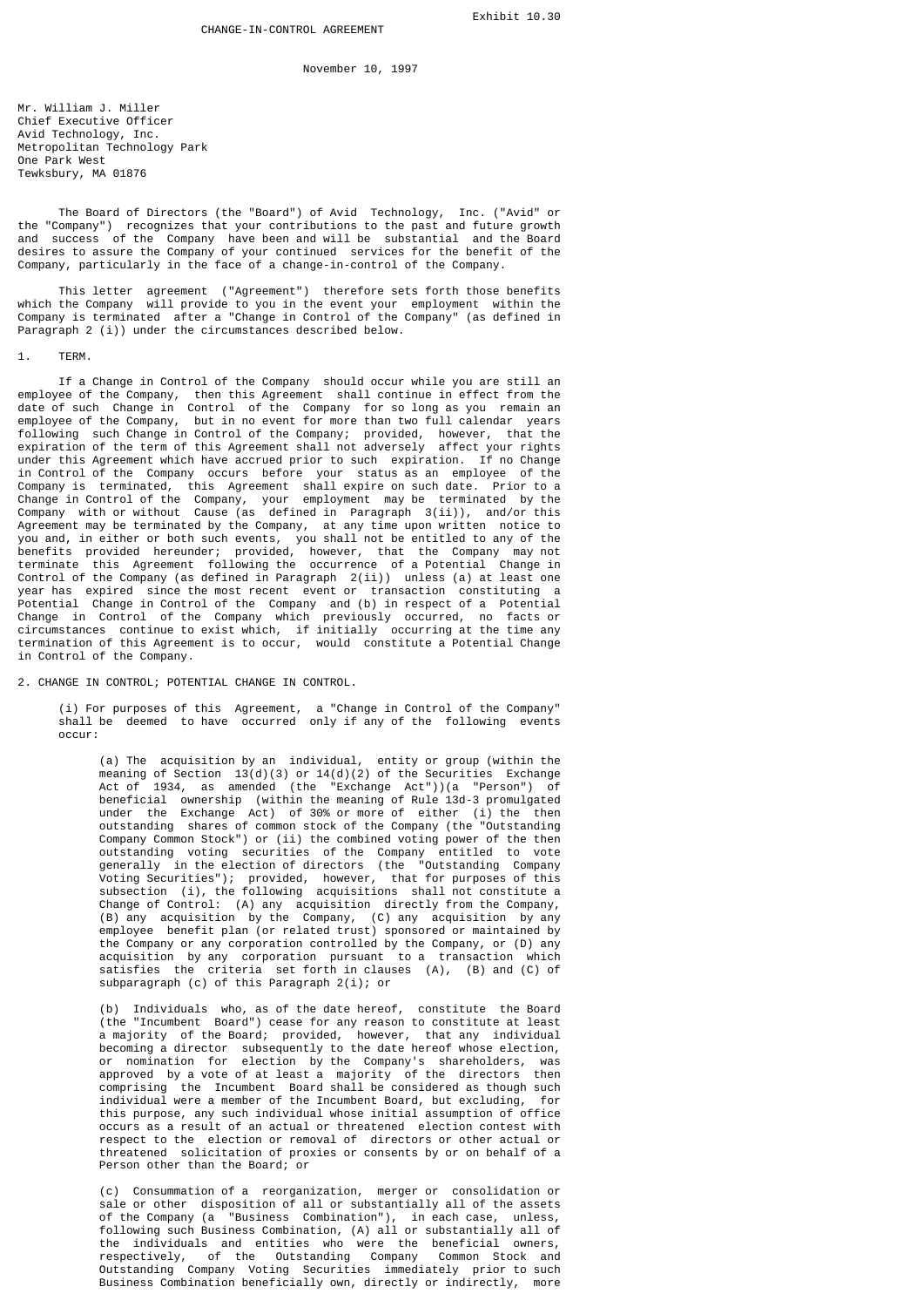November 10, 1997

Mr. William J. Miller Chief Executive Officer Avid Technology, Inc. Metropolitan Technology Park One Park West Tewksbury, MA 01876

 The Board of Directors (the "Board") of Avid Technology, Inc. ("Avid" or the "Company") recognizes that your contributions to the past and future growth and success of the Company have been and will be substantial and the Board desires to assure the Company of your continued services for the benefit of the Company, particularly in the face of a change-in-control of the Company.

 This letter agreement ("Agreement") therefore sets forth those benefits which the Company will provide to you in the event your employment within the Company is terminated after a "Change in Control of the Company" (as defined in Paragraph 2 (i)) under the circumstances described below.

1. TERM.

 If a Change in Control of the Company should occur while you are still an employee of the Company, then this Agreement shall continue in effect from the date of such Change in Control of the Company for so long as you remain an employee of the Company, but in no event for more than two full calendar years following such Change in Control of the Company; provided, however, that the expiration of the term of this Agreement shall not adversely affect your rights under this Agreement which have accrued prior to such expiration. If no Change in Control of the Company occurs before your status as an employee of the Company is terminated, this Agreement shall expire on such date. Prior to a Change in Control of the Company, your employment may be terminated by the Company with or without Cause (as defined in Paragraph 3(ii)), and/or this Agreement may be terminated by the Company, at any time upon written notice to you and, in either or both such events, you shall not be entitled to any of the benefits provided hereunder; provided, however, that the Company may not terminate this Agreement following the occurrence of a Potential Change in Control of the Company (as defined in Paragraph 2(ii)) unless (a) at least one year has expired since the most recent event or transaction constituting a Potential Change in Control of the Company and (b) in respect of a Potential Change in Control of the Company which previously occurred, no facts or circumstances continue to exist which, if initially occurring at the time any termination of this Agreement is to occur, would constitute a Potential Change in Control of the Company.

2. CHANGE IN CONTROL; POTENTIAL CHANGE IN CONTROL.

 (i) For purposes of this Agreement, a "Change in Control of the Company" shall be deemed to have occurred only if any of the following events occur:

 (a) The acquisition by an individual, entity or group (within the meaning of Section 13(d)(3) or 14(d)(2) of the Securities Exchange Act of 1934, as amended (the "Exchange Act"))(a "Person") of beneficial ownership (within the meaning of Rule 13d-3 promulgated under the Exchange Act) of 30% or more of either (i) the then outstanding shares of common stock of the Company (the "Outstanding Company Common Stock") or (ii) the combined voting power of the then outstanding voting securities of the Company entitled to vote generally in the election of directors (the "Outstanding Company Voting Securities"); provided, however, that for purposes of this subsection (i), the following acquisitions shall not constitute a Change of Control: (A) any acquisition directly from the Company, (B) any acquisition by the Company, (C) any acquisition by any employee benefit plan (or related trust) sponsored or maintained by the Company or any corporation controlled by the Company, or (D) any acquisition by any corporation pursuant to a transaction which satisfies the criteria set forth in clauses (A), (B) and (C) of subparagraph (c) of this Paragraph 2(i); or

 (b) Individuals who, as of the date hereof, constitute the Board (the "Incumbent Board") cease for any reason to constitute at least a majority of the Board; provided, however, that any individual becoming a director subsequently to the date hereof whose election, or nomination for election by the Company's shareholders, was approved by a vote of at least a majority of the directors then comprising the Incumbent Board shall be considered as though such individual were a member of the Incumbent Board, but excluding, for this purpose, any such individual whose initial assumption of office occurs as a result of an actual or threatened election contest with respect to the election or removal of directors or other actual or threatened solicitation of proxies or consents by or on behalf of a Person other than the Board; or

 (c) Consummation of a reorganization, merger or consolidation or sale or other disposition of all or substantially all of the assets of the Company (a "Business Combination"), in each case, unless, following such Business Combination, (A) all or substantially all of the individuals and entities who were the beneficial owners, respectively, of the Outstanding Company Common Stock and Outstanding Company Voting Securities immediately prior to such Business Combination beneficially own, directly or indirectly, more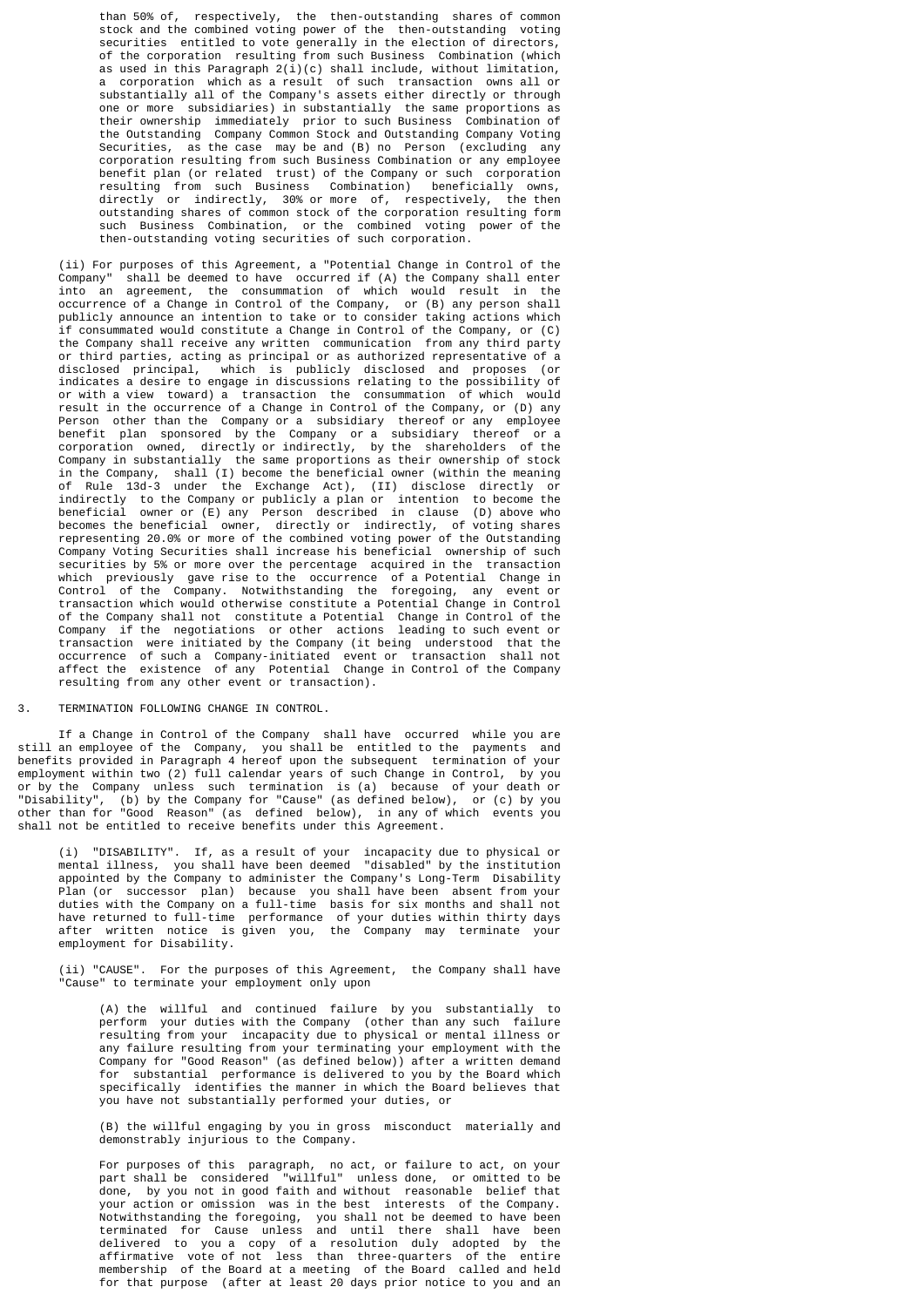than 50% of, respectively, the then-outstanding shares of common stock and the combined voting power of the then-outstanding voting securities entitled to vote generally in the election of directors, of the corporation resulting from such Business Combination (which as used in this Paragraph  $2(i)(c)$  shall include, without limitation, a corporation which as a result of such transaction owns all or substantially all of the Company's assets either directly or through one or more subsidiaries) in substantially the same proportions as their ownership immediately prior to such Business Combination of the Outstanding Company Common Stock and Outstanding Company Voting Securities, as the case may be and (B) no Person (excluding any corporation resulting from such Business Combination or any employee benefit plan (or related trust) of the Company or such corporation resulting from such Business Combination) beneficially owns, directly or indirectly, 30% or more of, respectively, the then outstanding shares of common stock of the corporation resulting form such Business Combination, or the combined voting power of the then-outstanding voting securities of such corporation.

 (ii) For purposes of this Agreement, a "Potential Change in Control of the Company" shall be deemed to have occurred if (A) the Company shall enter into an agreement, the consummation of which would result in the occurrence of a Change in Control of the Company, or (B) any person shall publicly announce an intention to take or to consider taking actions which if consummated would constitute a Change in Control of the Company, or (C) the Company shall receive any written communication from any third party or third parties, acting as principal or as authorized representative of a disclosed principal, which is publicly disclosed and proposes (or indicates a desire to engage in discussions relating to the possibility of or with a view toward) a transaction the consummation of which would result in the occurrence of a Change in Control of the Company, or (D) any Person other than the Company or a subsidiary thereof or any employee benefit plan sponsored by the Company or a subsidiary thereof or a corporation owned, directly or indirectly, by the shareholders of the Company in substantially the same proportions as their ownership of stock in the Company, shall (I) become the beneficial owner (within the meaning of Rule 13d-3 under the Exchange Act), (II) disclose directly or indirectly to the Company or publicly a plan or intention to become the beneficial owner or (E) any Person described in clause (D) above who becomes the beneficial owner, directly or indirectly, of voting shares representing 20.0% or more of the combined voting power of the Outstanding Company Voting Securities shall increase his beneficial ownership of such securities by 5% or more over the percentage acquired in the transaction which previously gave rise to the occurrence of a Potential Change in Control of the Company. Notwithstanding the foregoing, any event or transaction which would otherwise constitute a Potential Change in Control of the Company shall not constitute a Potential Change in Control of the Company if the negotiations or other actions leading to such event or transaction were initiated by the Company (it being understood that the occurrence of such a Company-initiated event or transaction shall not affect the existence of any Potential Change in Control of the Company resulting from any other event or transaction).

# 3. TERMINATION FOLLOWING CHANGE IN CONTROL.

 If a Change in Control of the Company shall have occurred while you are still an employee of the Company, you shall be entitled to the payments and benefits provided in Paragraph 4 hereof upon the subsequent termination of your employment within two (2) full calendar years of such Change in Control, by you or by the Company unless such termination is (a) because of your death or "Disability", (b) by the Company for "Cause" (as defined below), or (c) by you other than for "Good Reason" (as defined below), in any of which events you shall not be entitled to receive benefits under this Agreement.

 (i) "DISABILITY". If, as a result of your incapacity due to physical or mental illness, you shall have been deemed "disabled" by the institution appointed by the Company to administer the Company's Long-Term Disability Plan (or successor plan) because you shall have been absent from your duties with the Company on a full-time basis for six months and shall not have returned to full-time performance of your duties within thirty days after written notice is given you, the Company may terminate your employment for Disability.

 (ii) "CAUSE". For the purposes of this Agreement, the Company shall have "Cause" to terminate your employment only upon

 (A) the willful and continued failure by you substantially to perform your duties with the Company (other than any such failure resulting from your incapacity due to physical or mental illness or any failure resulting from your terminating your employment with the Company for "Good Reason" (as defined below)) after a written demand for substantial performance is delivered to you by the Board which specifically identifies the manner in which the Board believes that you have not substantially performed your duties, or

> (B) the willful engaging by you in gross misconduct materially and demonstrably injurious to the Company.

 For purposes of this paragraph, no act, or failure to act, on your part shall be considered "willful" unless done, or omitted to be done, by you not in good faith and without reasonable belief that your action or omission was in the best interests of the Company. Notwithstanding the foregoing, you shall not be deemed to have been terminated for Cause unless and until there shall have been delivered to you a copy of a resolution duly adopted by the affirmative vote of not less than three-quarters of the entire membership of the Board at a meeting of the Board called and held for that purpose (after at least 20 days prior notice to you and an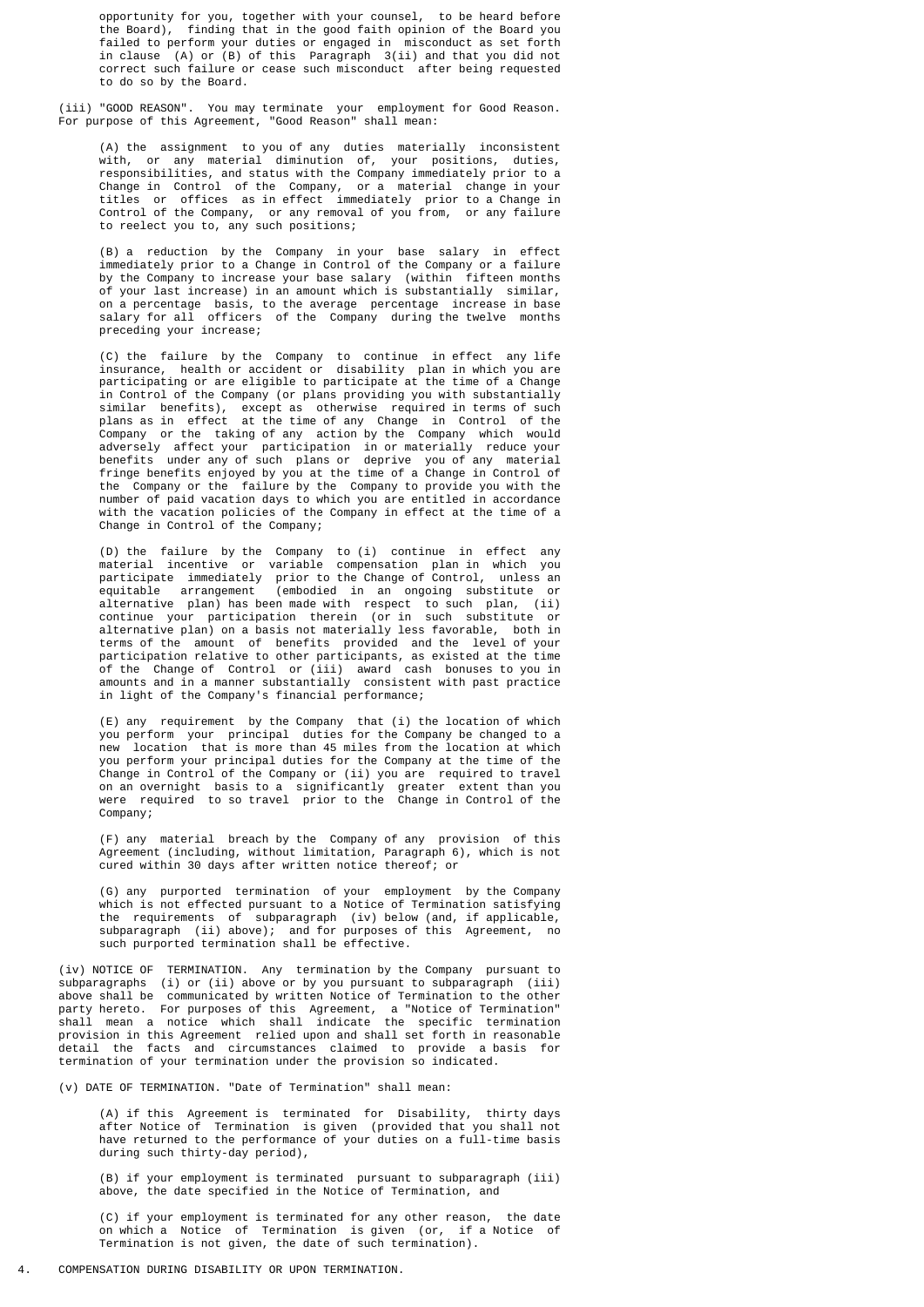opportunity for you, together with your counsel, to be heard before the Board), finding that in the good faith opinion of the Board you failed to perform your duties or engaged in misconduct as set forth in clause (A) or (B) of this Paragraph 3(ii) and that you did not correct such failure or cease such misconduct after being requested to do so by the Board.

 (iii) "GOOD REASON". You may terminate your employment for Good Reason. For purpose of this Agreement, "Good Reason" shall mean:

 (A) the assignment to you of any duties materially inconsistent with, or any material diminution of, your positions, duties, responsibilities, and status with the Company immediately prior to a Change in Control of the Company, or a material change in your titles or offices as in effect immediately prior to a Change in Control of the Company, or any removal of you from, or any failure to reelect you to, any such positions;

 (B) a reduction by the Company in your base salary in effect immediately prior to a Change in Control of the Company or a failure by the Company to increase your base salary (within fifteen months of your last increase) in an amount which is substantially similar, on a percentage basis, to the average percentage increase in base salary for all officers of the Company during the twelve months preceding your increase;

 (C) the failure by the Company to continue in effect any life insurance, health or accident or disability plan in which you are participating or are eligible to participate at the time of a Change in Control of the Company (or plans providing you with substantially similar benefits), except as otherwise required in terms of such plans as in effect at the time of any Change in Control of the Company or the taking of any action by the Company which would adversely affect your participation in or materially reduce your benefits under any of such plans or deprive you of any material fringe benefits enjoyed by you at the time of a Change in Control of the Company or the failure by the Company to provide you with the number of paid vacation days to which you are entitled in accordance with the vacation policies of the Company in effect at the time of a Change in Control of the Company;

 (D) the failure by the Company to (i) continue in effect any material incentive or variable compensation plan in which you participate immediately prior to the Change of Control, unless an equitable arrangement (embodied in an ongoing substitute or alternative plan) has been made with respect to such plan, (ii) continue your participation therein (or in such substitute or alternative plan) on a basis not materially less favorable, both in terms of the amount of benefits provided and the level of your participation relative to other participants, as existed at the time of the Change of Control or (iii) award cash bonuses to you in amounts and in a manner substantially consistent with past practice in light of the Company's financial performance;

 (E) any requirement by the Company that (i) the location of which you perform your principal duties for the Company be changed to a new location that is more than 45 miles from the location at which you perform your principal duties for the Company at the time of the Change in Control of the Company or (ii) you are required to travel on an overnight basis to a significantly greater extent than you were required to so travel prior to the Change in Control of the Company;

 (F) any material breach by the Company of any provision of this Agreement (including, without limitation, Paragraph 6), which is not cured within 30 days after written notice thereof; or

 (G) any purported termination of your employment by the Company which is not effected pursuant to a Notice of Termination satisfying the requirements of subparagraph (iv) below (and, if applicable, subparagraph (ii) above); and for purposes of this Agreement, no such purported termination shall be effective.

 (iv) NOTICE OF TERMINATION. Any termination by the Company pursuant to subparagraphs (i) or (ii) above or by you pursuant to subparagraph (iii) above shall be communicated by written Notice of Termination to the other party hereto. For purposes of this Agreement, a "Notice of Termination" shall mean a notice which shall indicate the specific termination provision in this Agreement relied upon and shall set forth in reasonable detail the facts and circumstances claimed to provide a basis for termination of your termination under the provision so indicated.

(v) DATE OF TERMINATION. "Date of Termination" shall mean:

 (A) if this Agreement is terminated for Disability, thirty days after Notice of Termination is given (provided that you shall not have returned to the performance of your duties on a full-time basis during such thirty-day period),

> (B) if your employment is terminated pursuant to subparagraph (iii) above, the date specified in the Notice of Termination, and

 (C) if your employment is terminated for any other reason, the date on which a Notice of Termination is given (or, if a Notice of Termination is not given, the date of such termination).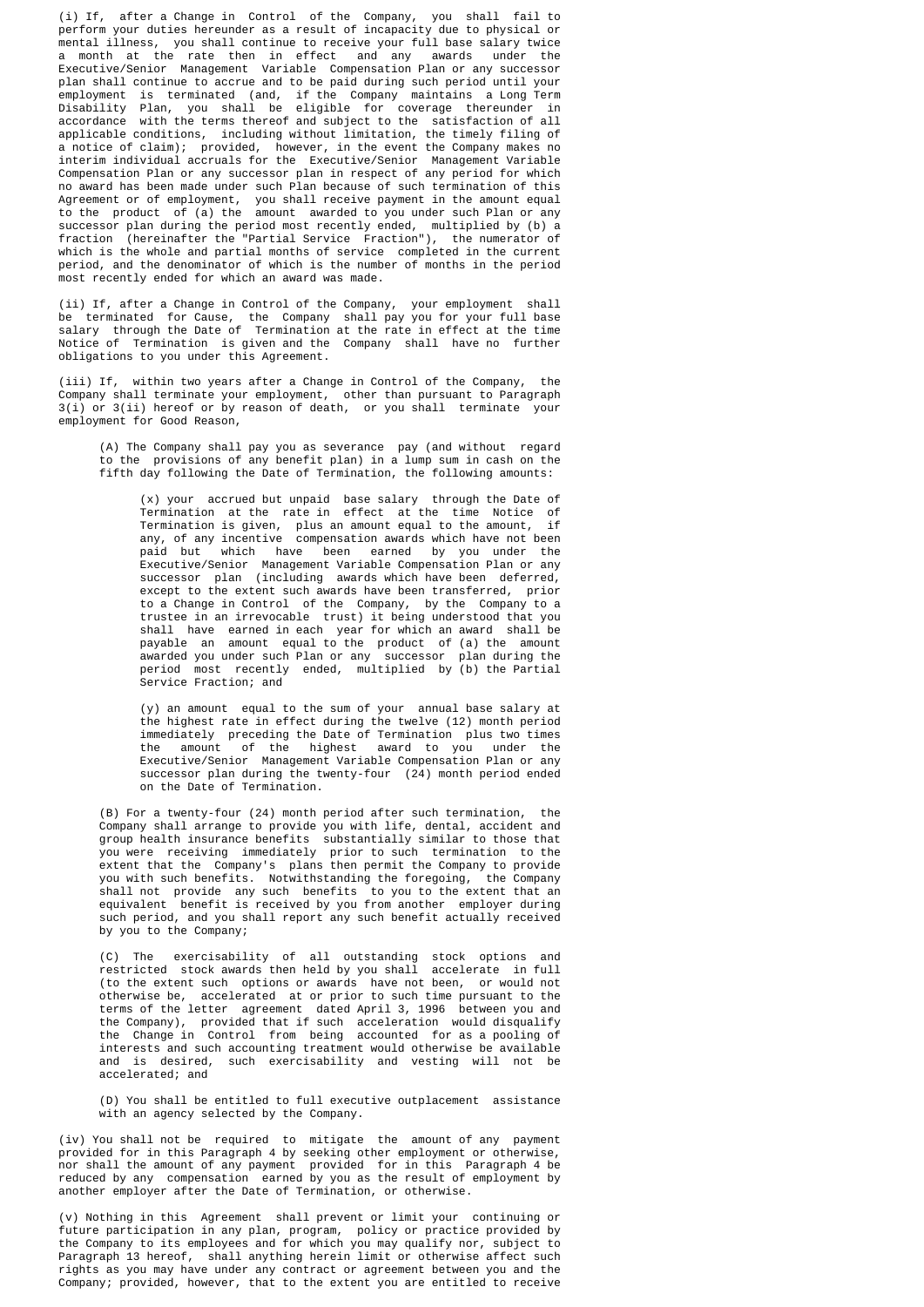(i) If, after a Change in Control of the Company, you shall fail to perform your duties hereunder as a result of incapacity due to physical or mental illness, you shall continue to receive your full base salary twice a month at the rate then in effect and any awards under the Executive/Senior Management Variable Compensation Plan or any successor plan shall continue to accrue and to be paid during such period until your employment is terminated (and, if the Company maintains a Long Term Disability Plan, you shall be eligible for coverage thereunder in accordance with the terms thereof and subject to the satisfaction of all applicable conditions, including without limitation, the timely filing of a notice of claim); provided, however, in the event the Company makes no interim individual accruals for the Executive/Senior Management Variable Compensation Plan or any successor plan in respect of any period for which no award has been made under such Plan because of such termination of this Agreement or of employment, you shall receive payment in the amount equal to the product of (a) the amount awarded to you under such Plan or any successor plan during the period most recently ended, multiplied by (b) a fraction (hereinafter the "Partial Service Fraction"), the numerator of which is the whole and partial months of service completed in the current period, and the denominator of which is the number of months in the period most recently ended for which an award was made.

 (ii) If, after a Change in Control of the Company, your employment shall be terminated for Cause, the Company shall pay you for your full base salary through the Date of Termination at the rate in effect at the time Notice of Termination is given and the Company shall have no further obligations to you under this Agreement.

 (iii) If, within two years after a Change in Control of the Company, the Company shall terminate your employment, other than pursuant to Paragraph 3(i) or 3(ii) hereof or by reason of death, or you shall terminate your employment for Good Reason,

 (A) The Company shall pay you as severance pay (and without regard to the provisions of any benefit plan) in a lump sum in cash on the fifth day following the Date of Termination, the following amounts:

 (x) your accrued but unpaid base salary through the Date of Termination at the rate in effect at the time Notice of Termination is given, plus an amount equal to the amount, if any, of any incentive compensation awards which have not been paid but which have been earned by you under the Executive/Senior Management Variable Compensation Plan or any successor plan (including awards which have been deferred, except to the extent such awards have been transferred, prior to a Change in Control of the Company, by the Company to a trustee in an irrevocable trust) it being understood that you shall have earned in each year for which an award shall be payable an amount equal to the product of (a) the amount awarded you under such Plan or any successor plan during the period most recently ended, multiplied by (b) the Partial Service Fraction; and

 (y) an amount equal to the sum of your annual base salary at the highest rate in effect during the twelve (12) month period immediately preceding the Date of Termination plus two times the amount of the highest award to you under the Executive/Senior Management Variable Compensation Plan or any successor plan during the twenty-four (24) month period ended on the Date of Termination.

 (B) For a twenty-four (24) month period after such termination, the Company shall arrange to provide you with life, dental, accident and group health insurance benefits substantially similar to those that you were receiving immediately prior to such termination to the extent that the Company's plans then permit the Company to provide you with such benefits. Notwithstanding the foregoing, the Company shall not provide any such benefits to you to the extent that an equivalent benefit is received by you from another employer during such period, and you shall report any such benefit actually received by you to the Company;

 (C) The exercisability of all outstanding stock options and restricted stock awards then held by you shall accelerate in full (to the extent such options or awards have not been, or would not otherwise be, accelerated at or prior to such time pursuant to the terms of the letter agreement dated April 3, 1996 between you and the Company), provided that if such acceleration would disqualify the Change in Control from being accounted for as a pooling of interests and such accounting treatment would otherwise be available and is desired, such exercisability and vesting will not be accelerated; and

> (D) You shall be entitled to full executive outplacement assistance with an agency selected by the Company.

 (iv) You shall not be required to mitigate the amount of any payment provided for in this Paragraph 4 by seeking other employment or otherwise, nor shall the amount of any payment provided for in this Paragraph 4 be reduced by any compensation earned by you as the result of employment by another employer after the Date of Termination, or otherwise.

 (v) Nothing in this Agreement shall prevent or limit your continuing or future participation in any plan, program, policy or practice provided by the Company to its employees and for which you may qualify nor, subject to Paragraph 13 hereof, shall anything herein limit or otherwise affect such rights as you may have under any contract or agreement between you and the Company; provided, however, that to the extent you are entitled to receive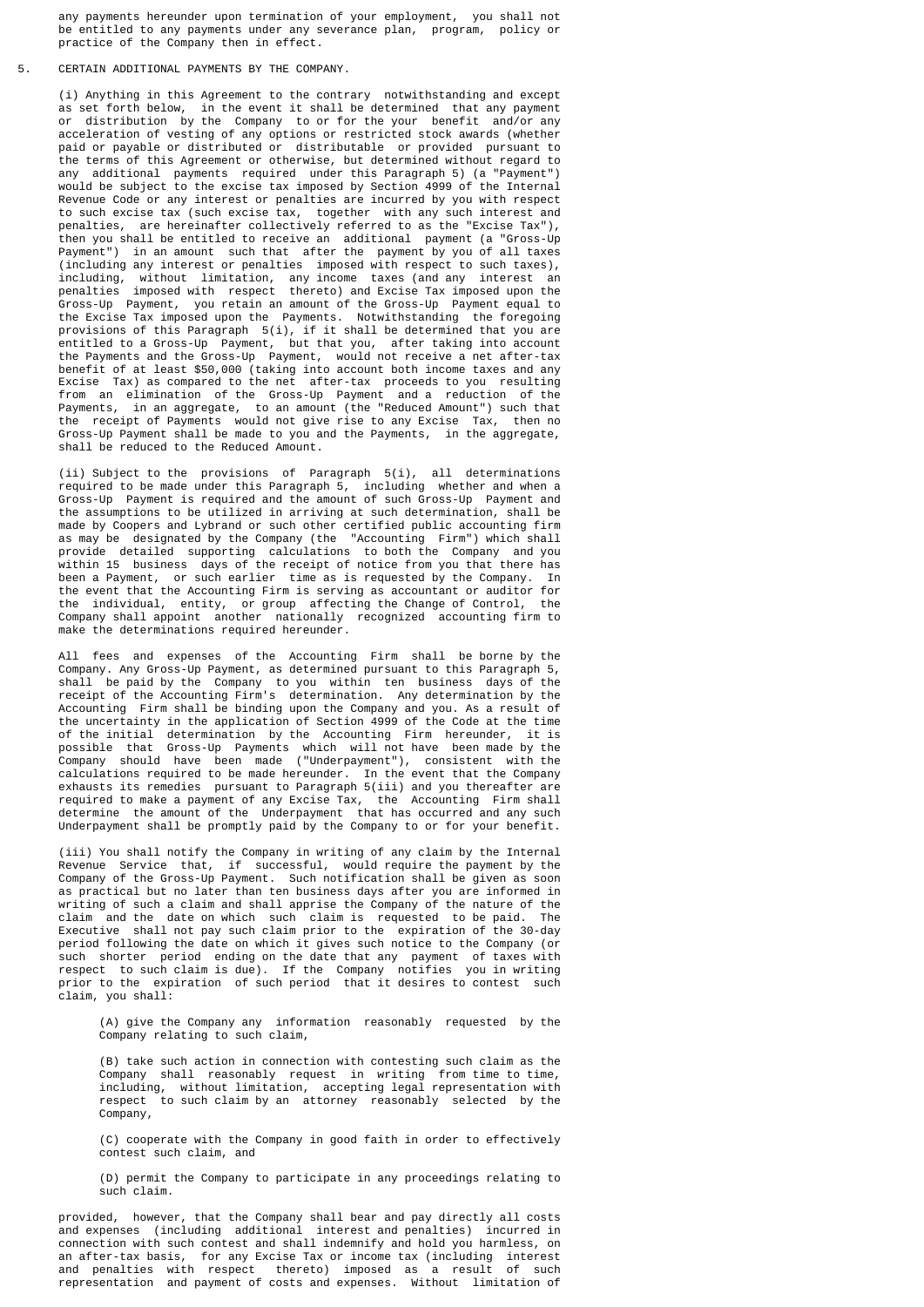any payments hereunder upon termination of your employment, you shall not be entitled to any payments under any severance plan, program, policy or practice of the Company then in effect.

#### 5. CERTAIN ADDITIONAL PAYMENTS BY THE COMPANY.

 (i) Anything in this Agreement to the contrary notwithstanding and except as set forth below, in the event it shall be determined that any payment or distribution by the Company to or for the your benefit and/or any acceleration of vesting of any options or restricted stock awards (whether paid or payable or distributed or distributable or provided pursuant to the terms of this Agreement or otherwise, but determined without regard to any additional payments required under this Paragraph 5) (a "Payment") would be subject to the excise tax imposed by Section 4999 of the Internal Revenue Code or any interest or penalties are incurred by you with respect to such excise tax (such excise tax, together with any such interest and penalties, are hereinafter collectively referred to as the "Excise Tax"), then you shall be entitled to receive an additional payment (a "Gross-Up Payment") in an amount such that after the payment by you of all taxes (including any interest or penalties imposed with respect to such taxes), including, without limitation, any income taxes (and any interest an penalties imposed with respect thereto) and Excise Tax imposed upon the Gross-Up Payment, you retain an amount of the Gross-Up Payment equal to the Excise Tax imposed upon the Payments. Notwithstanding the foregoing provisions of this Paragraph 5(i), if it shall be determined that you are entitled to a Gross-Up Payment, but that you, after taking into account the Payments and the Gross-Up Payment, would not receive a net after-tax benefit of at least \$50,000 (taking into account both income taxes and any Excise Tax) as compared to the net after-tax proceeds to you resulting from an elimination of the Gross-Up Payment and a reduction of the Payments, in an aggregate, to an amount (the "Reduced Amount") such that the receipt of Payments would not give rise to any Excise Tax, then no Gross-Up Payment shall be made to you and the Payments, in the aggregate, shall be reduced to the Reduced Amount.

 (ii) Subject to the provisions of Paragraph 5(i), all determinations required to be made under this Paragraph 5, including whether and when a Gross-Up Payment is required and the amount of such Gross-Up Payment and the assumptions to be utilized in arriving at such determination, shall be made by Coopers and Lybrand or such other certified public accounting firm as may be designated by the Company (the "Accounting Firm") which shall provide detailed supporting calculations to both the Company and you within 15 business days of the receipt of notice from you that there has been a Payment, or such earlier time as is requested by the Company. In the event that the Accounting Firm is serving as accountant or auditor for the individual, entity, or group affecting the Change of Control, the Company shall appoint another nationally recognized accounting firm to make the determinations required hereunder.

 All fees and expenses of the Accounting Firm shall be borne by the Company. Any Gross-Up Payment, as determined pursuant to this Paragraph 5, shall be paid by the Company to you within ten business days of the receipt of the Accounting Firm's determination. Any determination by the Accounting Firm shall be binding upon the Company and you. As a result of the uncertainty in the application of Section 4999 of the Code at the time of the initial determination by the Accounting Firm hereunder, it is possible that Gross-Up Payments which will not have been made by the Company should have been made ("Underpayment"), consistent with the calculations required to be made hereunder. In the event that the Company exhausts its remedies pursuant to Paragraph 5(iii) and you thereafter are required to make a payment of any Excise Tax, the Accounting Firm shall determine the amount of the Underpayment that has occurred and any such Underpayment shall be promptly paid by the Company to or for your benefit.

 (iii) You shall notify the Company in writing of any claim by the Internal Revenue Service that, if successful, would require the payment by the Company of the Gross-Up Payment. Such notification shall be given as soon as practical but no later than ten business days after you are informed in writing of such a claim and shall apprise the Company of the nature of the claim and the date on which such claim is requested to be paid. The Executive shall not pay such claim prior to the expiration of the 30-day period following the date on which it gives such notice to the Company (or such shorter period ending on the date that any payment of taxes with respect to such claim is due). If the Company notifies you in writing prior to the expiration of such period that it desires to contest such claim, you shall:

> (A) give the Company any information reasonably requested by the Company relating to such claim,

 (B) take such action in connection with contesting such claim as the Company shall reasonably request in writing from time to time, including, without limitation, accepting legal representation with respect to such claim by an attorney reasonably selected by the Company,

> (C) cooperate with the Company in good faith in order to effectively contest such claim, and

> (D) permit the Company to participate in any proceedings relating to such claim.

 provided, however, that the Company shall bear and pay directly all costs and expenses (including additional interest and penalties) incurred in connection with such contest and shall indemnify and hold you harmless, on an after-tax basis, for any Excise Tax or income tax (including interest and penalties with respect thereto) imposed as a result of such representation and payment of costs and expenses. Without limitation of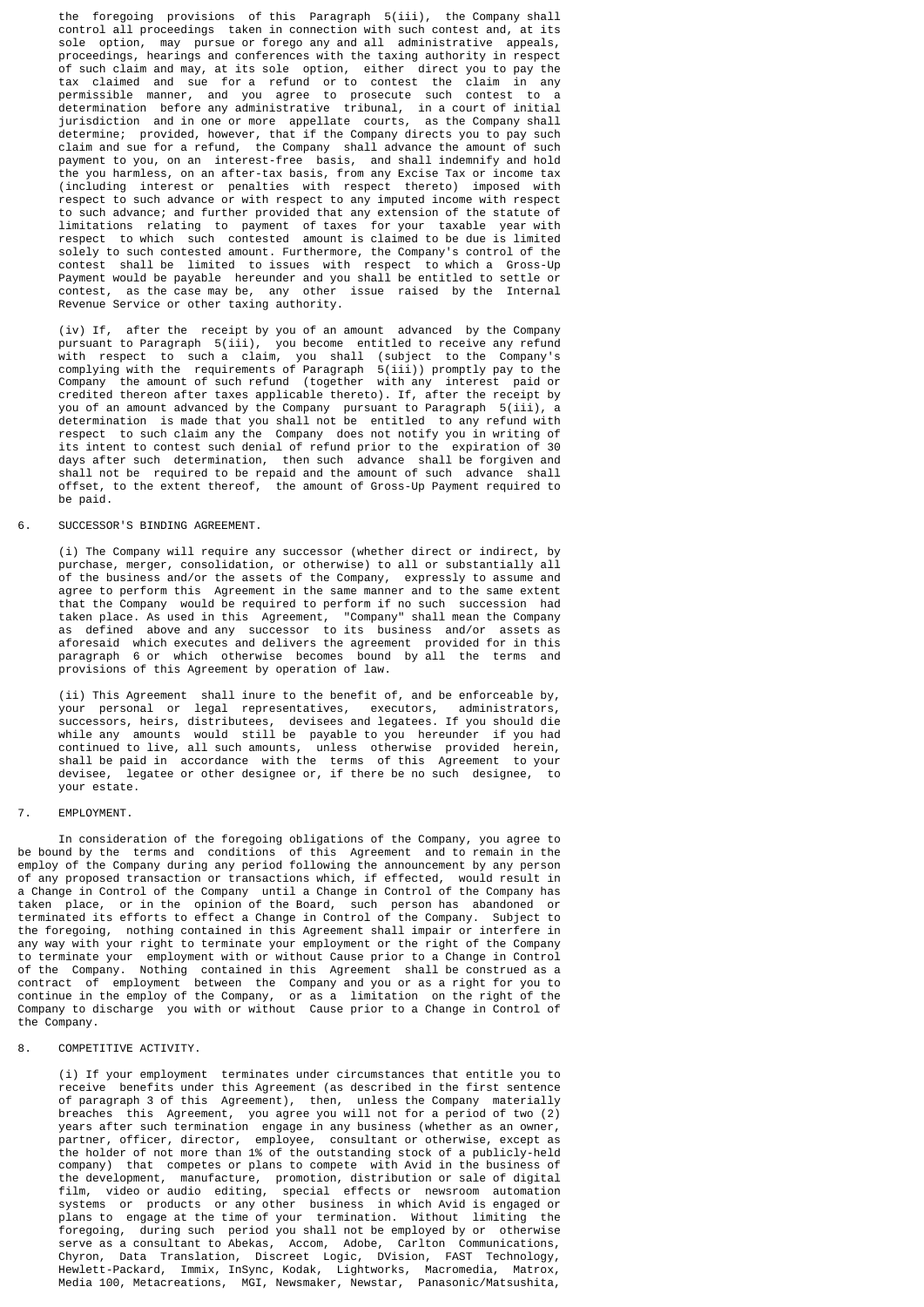the foregoing provisions of this Paragraph 5(iii), the Company shall control all proceedings taken in connection with such contest and, at its sole option, may pursue or forego any and all administrative appeals, proceedings, hearings and conferences with the taxing authority in respect of such claim and may, at its sole option, either direct you to pay the tax claimed and sue for a refund or to contest the claim in any permissible manner, and you agree to prosecute such contest to a determination before any administrative tribunal, in a court of initial jurisdiction and in one or more appellate courts, as the Company shall determine; provided, however, that if the Company directs you to pay such claim and sue for a refund, the Company shall advance the amount of such payment to you, on an interest-free basis, and shall indemnify and hold the you harmless, on an after-tax basis, from any Excise Tax or income tax (including interest or penalties with respect thereto) imposed with respect to such advance or with respect to any imputed income with respect to such advance; and further provided that any extension of the statute of limitations relating to payment of taxes for your taxable year with respect to which such contested amount is claimed to be due is limited solely to such contested amount. Furthermore, the Company's control of the contest shall be limited to issues with respect to which a Gross-Up Payment would be payable hereunder and you shall be entitled to settle or contest, as the case may be, any other issue raised by the Internal Revenue Service or other taxing authority.

 (iv) If, after the receipt by you of an amount advanced by the Company pursuant to Paragraph 5(iii), you become entitled to receive any refund with respect to such a claim, you shall (subject to the Company's complying with the requirements of Paragraph 5(iii)) promptly pay to the Company the amount of such refund (together with any interest paid or credited thereon after taxes applicable thereto). If, after the receipt by you of an amount advanced by the Company pursuant to Paragraph 5(iii), a determination is made that you shall not be entitled to any refund with respect to such claim any the Company does not notify you in writing of its intent to contest such denial of refund prior to the expiration of 30 days after such determination, then such advance shall be forgiven and shall not be required to be repaid and the amount of such advance shall offset, to the extent thereof, the amount of Gross-Up Payment required to be paid.

## 6. SUCCESSOR'S BINDING AGREEMENT.

 (i) The Company will require any successor (whether direct or indirect, by purchase, merger, consolidation, or otherwise) to all or substantially all of the business and/or the assets of the Company, expressly to assume and agree to perform this Agreement in the same manner and to the same extent that the Company would be required to perform if no such succession had taken place. As used in this Agreement, "Company" shall mean the Company as defined above and any successor to its business and/or assets as aforesaid which executes and delivers the agreement provided for in this paragraph 6 or which otherwise becomes bound by all the terms and provisions of this Agreement by operation of law.

 (ii) This Agreement shall inure to the benefit of, and be enforceable by, your personal or legal representatives, executors, administrators, successors, heirs, distributees, devisees and legatees. If you should die while any amounts would still be payable to you hereunder if you had continued to live, all such amounts, unless otherwise provided herein, shall be paid in accordance with the terms of this Agreement to your devisee, legatee or other designee or, if there be no such designee, to your estate.

### 7. EMPLOYMENT.

 In consideration of the foregoing obligations of the Company, you agree to be bound by the terms and conditions of this Agreement and to remain in the employ of the Company during any period following the announcement by any person of any proposed transaction or transactions which, if effected, would result in a Change in Control of the Company until a Change in Control of the Company has taken place, or in the opinion of the Board, such person has abandoned or terminated its efforts to effect a Change in Control of the Company. Subject to the foregoing, nothing contained in this Agreement shall impair or interfere in any way with your right to terminate your employment or the right of the Company to terminate your employment with or without Cause prior to a Change in Control of the Company. Nothing contained in this Agreement shall be construed as a contract of employment between the Company and you or as a right for you to continue in the employ of the Company, or as a limitation on the right of the Company to discharge you with or without Cause prior to a Change in Control of the Company.

## 8. COMPETITIVE ACTIVITY.

 (i) If your employment terminates under circumstances that entitle you to receive benefits under this Agreement (as described in the first sentence of paragraph 3 of this Agreement), then, unless the Company materially breaches this Agreement, you agree you will not for a period of two (2) years after such termination engage in any business (whether as an owner, partner, officer, director, employee, consultant or otherwise, except as the holder of not more than 1% of the outstanding stock of a publicly-held company) that competes or plans to compete with Avid in the business of the development, manufacture, promotion, distribution or sale of digital film, video or audio editing, special effects or newsroom automation systems or products or any other business in which Avid is engaged or plans to engage at the time of your termination. Without limiting the foregoing, during such period you shall not be employed by or otherwise serve as a consultant to Abekas, Accom, Adobe, Carlton Communications, Chyron, Data Translation, Discreet Logic, DVision, FAST Technology, Hewlett-Packard, Immix, InSync, Kodak, Lightworks, Macromedia, Matrox, Media 100, Metacreations, MGI, Newsmaker, Newstar, Panasonic/Matsushita,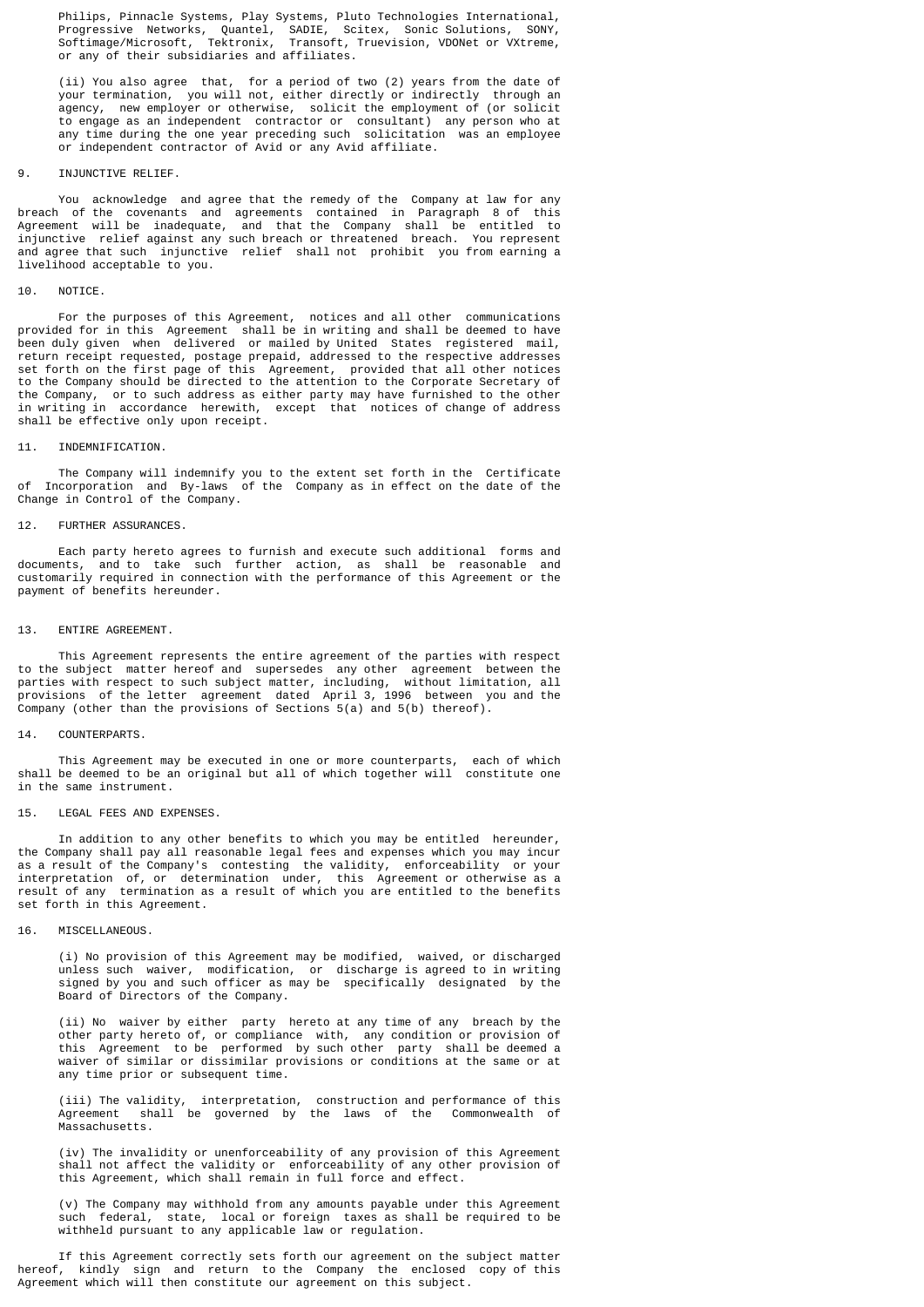Philips, Pinnacle Systems, Play Systems, Pluto Technologies International, Progressive Networks, Quantel, SADIE, Scitex, Sonic Solutions, SONY, Softimage/Microsoft, Tektronix, Transoft, Truevision, VDONet or VXtreme, or any of their subsidiaries and affiliates.

 (ii) You also agree that, for a period of two (2) years from the date of your termination, you will not, either directly or indirectly through an agency, new employer or otherwise, solicit the employment of (or solicit to engage as an independent contractor or consultant) any person who at any time during the one year preceding such solicitation was an employee or independent contractor of Avid or any Avid affiliate.

### 9. INJUNCTIVE RELIEF.

 You acknowledge and agree that the remedy of the Company at law for any breach of the covenants and agreements contained in Paragraph 8 of this Agreement will be inadequate, and that the Company shall be entitled to injunctive relief against any such breach or threatened breach. You represent and agree that such injunctive relief shall not prohibit you from earning a livelihood acceptable to you.

### 10. NOTICE.

 For the purposes of this Agreement, notices and all other communications provided for in this Agreement shall be in writing and shall be deemed to have been duly given when delivered or mailed by United States registered mail, return receipt requested, postage prepaid, addressed to the respective addresses set forth on the first page of this Agreement, provided that all other notices to the Company should be directed to the attention to the Corporate Secretary of the Company, or to such address as either party may have furnished to the other in writing in accordance herewith, except that notices of change of address shall be effective only upon receipt.

### 11. INDEMNIFICATION.

 The Company will indemnify you to the extent set forth in the Certificate of Incorporation and By-laws of the Company as in effect on the date of the Change in Control of the Company.

### 12. FURTHER ASSURANCES.

 Each party hereto agrees to furnish and execute such additional forms and documents, and to take such further action, as shall be reasonable and customarily required in connection with the performance of this Agreement or the payment of benefits hereunder.

### 13. ENTIRE AGREEMENT.

 This Agreement represents the entire agreement of the parties with respect to the subject matter hereof and supersedes any other agreement between the parties with respect to such subject matter, including, without limitation, all provisions of the letter agreement dated April 3, 1996 between you and the Company (other than the provisions of Sections 5(a) and 5(b) thereof).

### 14. COUNTERPARTS.

 This Agreement may be executed in one or more counterparts, each of which shall be deemed to be an original but all of which together will constitute one in the same instrument.

#### 15. LEGAL FEES AND EXPENSES.

 In addition to any other benefits to which you may be entitled hereunder, the Company shall pay all reasonable legal fees and expenses which you may incur as a result of the Company's contesting the validity, enforceability or your interpretation of, or determination under, this Agreement or otherwise as a result of any termination as a result of which you are entitled to the benefits set forth in this Agreement.

### 16. MISCELLANEOUS.

 (i) No provision of this Agreement may be modified, waived, or discharged unless such waiver, modification, or discharge is agreed to in writing signed by you and such officer as may be specifically designated by the Board of Directors of the Company.

 (ii) No waiver by either party hereto at any time of any breach by the other party hereto of, or compliance with, any condition or provision of this Agreement to be performed by such other party shall be deemed a waiver of similar or dissimilar provisions or conditions at the same or at any time prior or subsequent time.

 (iii) The validity, interpretation, construction and performance of this Agreement shall be governed by the laws of the Commonwealth of Massachusetts.

 (iv) The invalidity or unenforceability of any provision of this Agreement shall not affect the validity or enforceability of any other provision of this Agreement, which shall remain in full force and effect.

 (v) The Company may withhold from any amounts payable under this Agreement such federal, state, local or foreign taxes as shall be required to be withheld pursuant to any applicable law or regulation.

 If this Agreement correctly sets forth our agreement on the subject matter hereof, kindly sign and return to the Company the enclosed copy of this Agreement which will then constitute our agreement on this subject.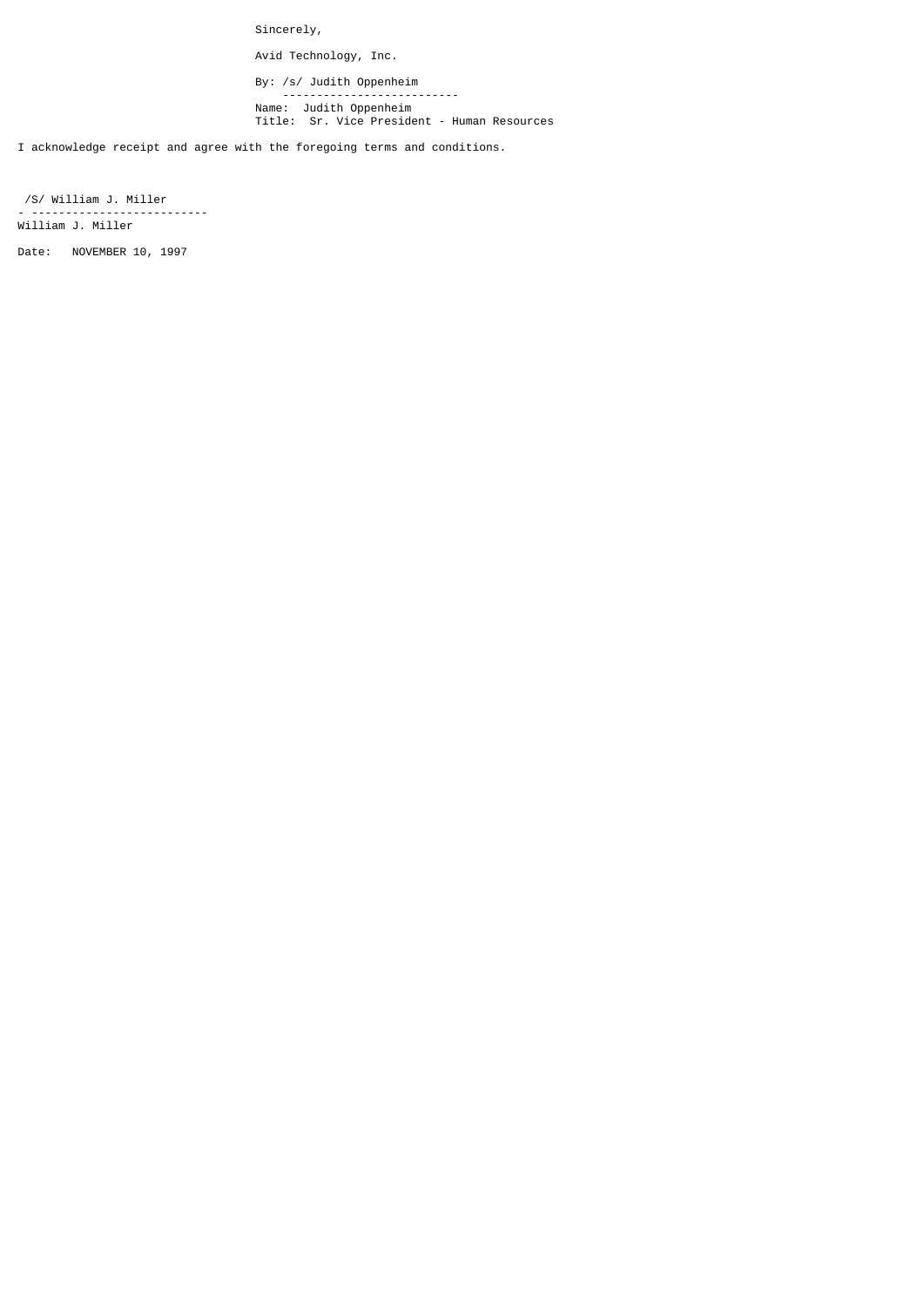Sincerely,

Avid Technology, Inc.

By: /s/ Judith Oppenheim -------------------------- Name: Judith Oppenheim Title: Sr. Vice President - Human Resources

I acknowledge receipt and agree with the foregoing terms and conditions.

 /S/ William J. Miller - -------------------------- William J. Miller

Date: NOVEMBER 10, 1997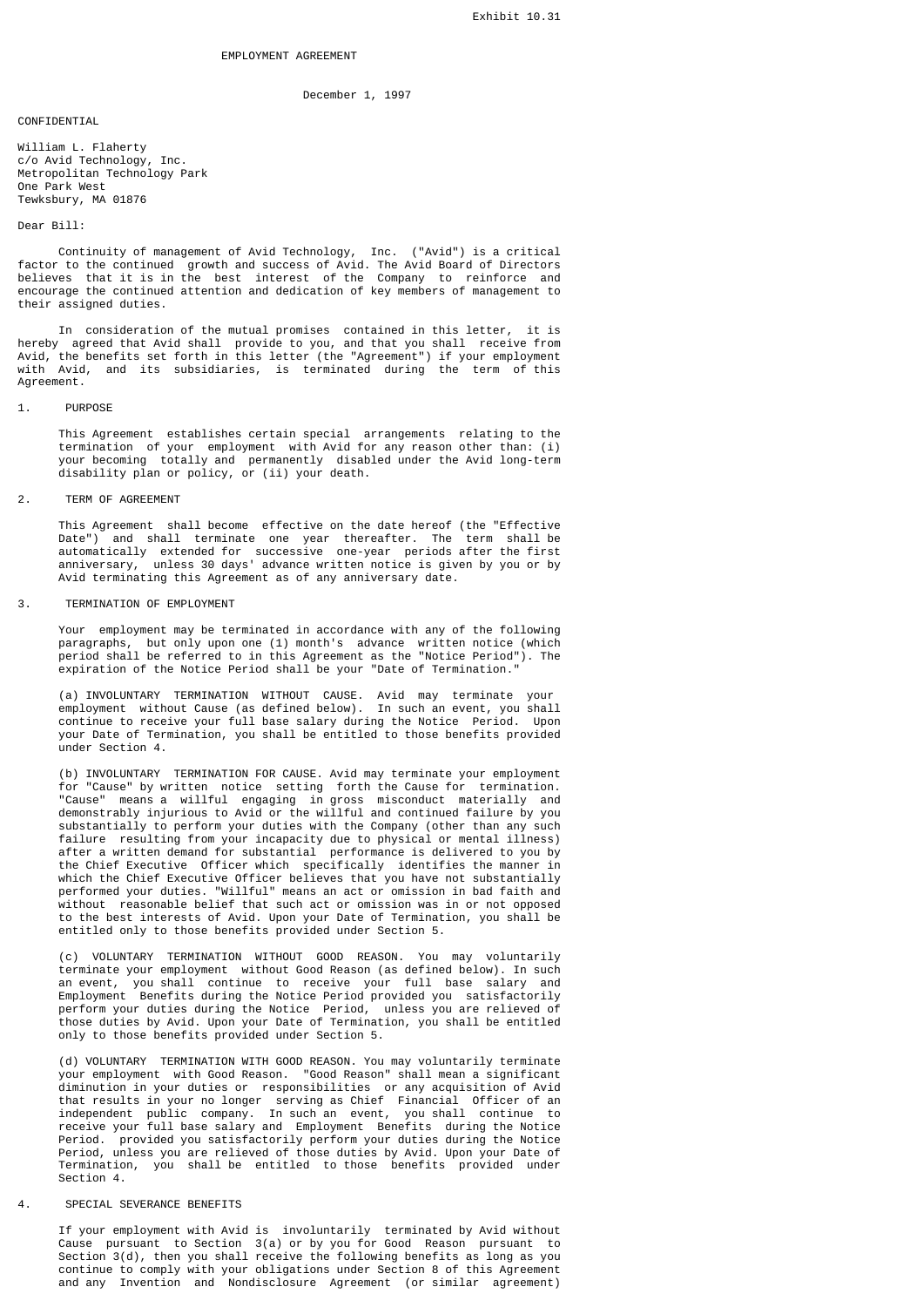December 1, 1997

## **CONFIDENTIAL**

William L. Flaherty c/o Avid Technology, Inc. Metropolitan Technology Park One Park West Tewksbury, MA 01876

## Dear Bill:

 Continuity of management of Avid Technology, Inc. ("Avid") is a critical factor to the continued growth and success of Avid. The Avid Board of Directors believes that it is in the best interest of the Company to reinforce and encourage the continued attention and dedication of key members of management to their assigned duties.

 In consideration of the mutual promises contained in this letter, it is hereby agreed that Avid shall provide to you, and that you shall receive from Avid, the benefits set forth in this letter (the "Agreement") if your employment with Avid, and its subsidiaries, is terminated during the term of this Agreement.

#### 1. PURPOSE

 This Agreement establishes certain special arrangements relating to the termination of your employment with Avid for any reason other than: (i) your becoming totally and permanently disabled under the Avid long-term disability plan or policy, or (ii) your death.

### 2. TERM OF AGREEMENT

 This Agreement shall become effective on the date hereof (the "Effective Date") and shall terminate one year thereafter. The term shall be automatically extended for successive one-year periods after the first anniversary, unless 30 days' advance written notice is given by you or by Avid terminating this Agreement as of any anniversary date.

## 3. TERMINATION OF EMPLOYMENT

 Your employment may be terminated in accordance with any of the following paragraphs, but only upon one (1) month's advance written notice (which period shall be referred to in this Agreement as the "Notice Period"). The expiration of the Notice Period shall be your "Date of Termination."

 (a) INVOLUNTARY TERMINATION WITHOUT CAUSE. Avid may terminate your employment without Cause (as defined below). In such an event, you shall continue to receive your full base salary during the Notice Period. Upon your Date of Termination, you shall be entitled to those benefits provided under Section 4.

 (b) INVOLUNTARY TERMINATION FOR CAUSE. Avid may terminate your employment for "Cause" by written notice setting forth the Cause for termination. "Cause" means a willful engaging in gross misconduct materially and demonstrably injurious to Avid or the willful and continued failure by you substantially to perform your duties with the Company (other than any such failure resulting from your incapacity due to physical or mental illness) after a written demand for substantial performance is delivered to you by the Chief Executive Officer which specifically identifies the manner in which the Chief Executive Officer believes that you have not substantially performed your duties. "Willful" means an act or omission in bad faith and without reasonable belief that such act or omission was in or not opposed to the best interests of Avid. Upon your Date of Termination, you shall be entitled only to those benefits provided under Section 5.

 (c) VOLUNTARY TERMINATION WITHOUT GOOD REASON. You may voluntarily terminate your employment without Good Reason (as defined below). In such an event, you shall continue to receive your full base salary and Employment Benefits during the Notice Period provided you satisfactorily perform your duties during the Notice Period, unless you are relieved of those duties by Avid. Upon your Date of Termination, you shall be entitled only to those benefits provided under Section 5.

 (d) VOLUNTARY TERMINATION WITH GOOD REASON. You may voluntarily terminate your employment with Good Reason. "Good Reason" shall mean a significant diminution in your duties or responsibilities or any acquisition of Avid that results in your no longer serving as Chief Financial Officer of an independent public company. In such an event, you shall continue to receive your full base salary and Employment Benefits during the Notice Period. provided you satisfactorily perform your duties during the Notice Period, unless you are relieved of those duties by Avid. Upon your Date of Termination, you shall be entitled to those benefits provided under Section 4.

# 4. SPECIAL SEVERANCE BENEFITS

 If your employment with Avid is involuntarily terminated by Avid without Cause pursuant to Section 3(a) or by you for Good Reason pursuant to Section 3(d), then you shall receive the following benefits as long as you continue to comply with your obligations under Section 8 of this Agreement and any Invention and Nondisclosure Agreement (or similar agreement)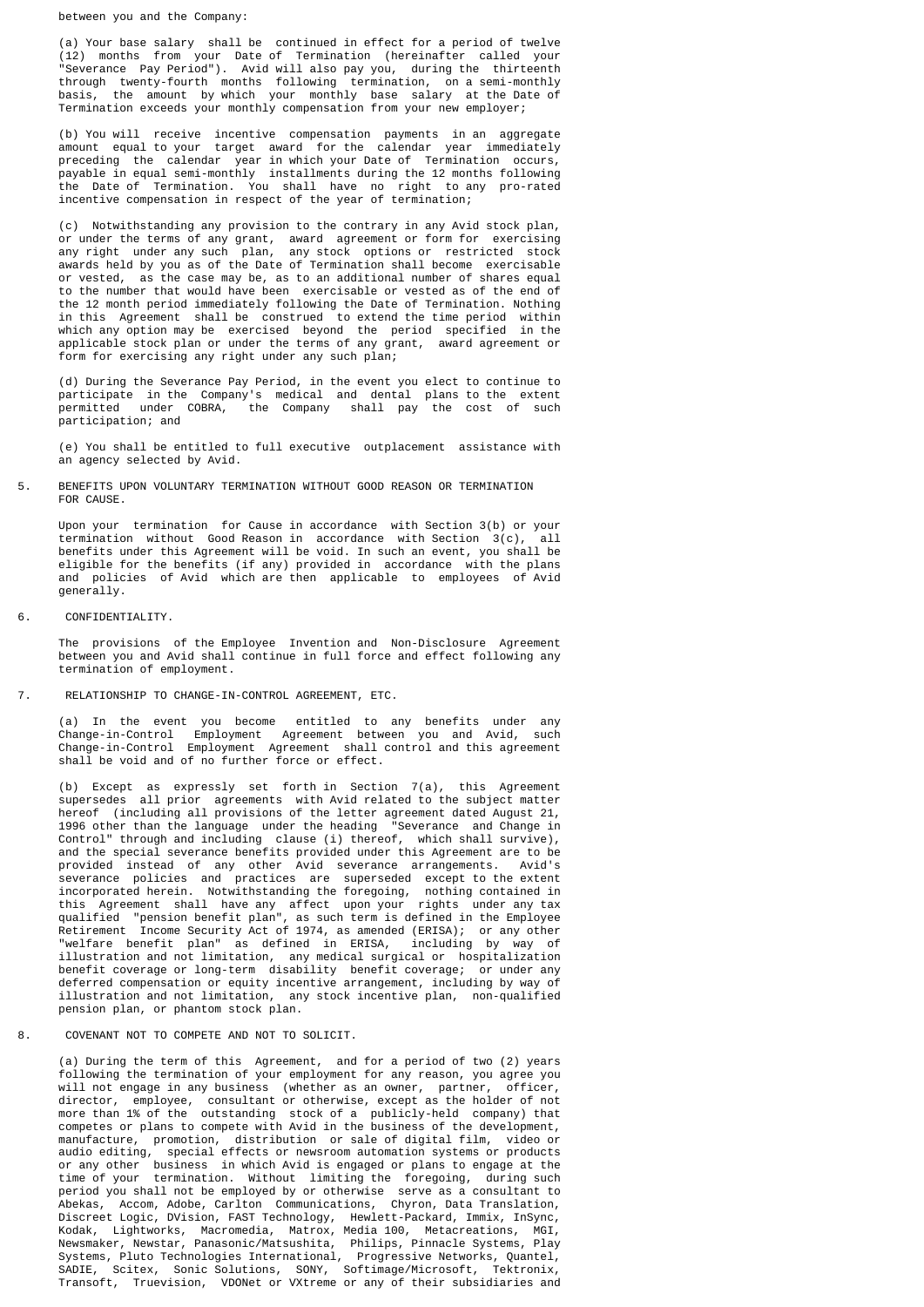between you and the Company:

 (a) Your base salary shall be continued in effect for a period of twelve (12) months from your Date of Termination (hereinafter called your "Severance Pay Period"). Avid will also pay you, during the thirteenth through twenty-fourth months following termination, on a semi-monthly basis, the amount by which your monthly base salary at the Date of Termination exceeds your monthly compensation from your new employer;

 (b) You will receive incentive compensation payments in an aggregate amount equal to your target award for the calendar year immediately preceding the calendar year in which your Date of Termination occurs, payable in equal semi-monthly installments during the 12 months following the Date of Termination. You shall have no right to any pro-rated incentive compensation in respect of the year of termination;

 (c) Notwithstanding any provision to the contrary in any Avid stock plan, or under the terms of any grant, award agreement or form for exercising any right under any such plan, any stock options or restricted stock awards held by you as of the Date of Termination shall become exercisable or vested, as the case may be, as to an additional number of shares equal to the number that would have been exercisable or vested as of the end of the 12 month period immediately following the Date of Termination. Nothing in this Agreement shall be construed to extend the time period within which any option may be exercised beyond the period specified in the applicable stock plan or under the terms of any grant, award agreement or form for exercising any right under any such plan;

 (d) During the Severance Pay Period, in the event you elect to continue to participate in the Company's medical and dental plans to the extent permitted under COBRA, the Company shall pay the cost of such participation; and

 (e) You shall be entitled to full executive outplacement assistance with an agency selected by Avid.

## 5. BENEFITS UPON VOLUNTARY TERMINATION WITHOUT GOOD REASON OR TERMINATION FOR CAUSE.

 Upon your termination for Cause in accordance with Section 3(b) or your termination without Good Reason in accordance with Section 3(c), all benefits under this Agreement will be void. In such an event, you shall be eligible for the benefits (if any) provided in accordance with the plans and policies of Avid which are then applicable to employees of Avid generally.

## 6. CONFIDENTIALITY.

 The provisions of the Employee Invention and Non-Disclosure Agreement between you and Avid shall continue in full force and effect following any termination of employment.

## 7. RELATIONSHIP TO CHANGE-IN-CONTROL AGREEMENT, ETC.

 (a) In the event you become entitled to any benefits under any Change-in-Control Employment Agreement between you and Avid, such Change-in-Control Employment Agreement shall control and this agreement shall be void and of no further force or effect.

 (b) Except as expressly set forth in Section 7(a), this Agreement supersedes all prior agreements with Avid related to the subject matter hereof (including all provisions of the letter agreement dated August 21, 1996 other than the language under the heading "Severance and Change in Control" through and including clause (i) thereof, which shall survive), and the special severance benefits provided under this Agreement are to be provided instead of any other Avid severance arrangements. Avid's severance policies and practices are superseded except to the extent incorporated herein. Notwithstanding the foregoing, nothing contained in this Agreement shall have any affect upon your rights under any tax qualified "pension benefit plan", as such term is defined in the Employee Retirement Income Security Act of 1974, as amended (ERISA); or any other "welfare benefit plan" as defined in ERISA, including by way of illustration and not limitation, any medical surgical or hospitalization benefit coverage or long-term disability benefit coverage; or under any deferred compensation or equity incentive arrangement, including by way of illustration and not limitation, any stock incentive plan, non-qualified pension plan, or phantom stock plan.

## 8. COVENANT NOT TO COMPETE AND NOT TO SOLICIT.

 (a) During the term of this Agreement, and for a period of two (2) years following the termination of your employment for any reason, you agree you will not engage in any business (whether as an owner, partner, officer, director, employee, consultant or otherwise, except as the holder of not more than 1% of the outstanding stock of a publicly-held company) that competes or plans to compete with Avid in the business of the development, manufacture, promotion, distribution or sale of digital film, video or audio editing, special effects or newsroom automation systems or products or any other business in which Avid is engaged or plans to engage at the time of your termination. Without limiting the foregoing, during such period you shall not be employed by or otherwise serve as a consultant to Abekas, Accom, Adobe, Carlton Communications, Chyron, Data Translation, Discreet Logic, DVision, FAST Technology, Hewlett-Packard, Immix, InSync, Kodak, Lightworks, Macromedia, Matrox, Media 100, Metacreations, MGI, Newsmaker, Newstar, Panasonic/Matsushita, Philips, Pinnacle Systems, Play Systems, Pluto Technologies International, Progressive Networks, Quantel, SADIE, Scitex, Sonic Solutions, SONY, Softimage/Microsoft, Tektronix, Transoft, Truevision, VDONet or VXtreme or any of their subsidiaries and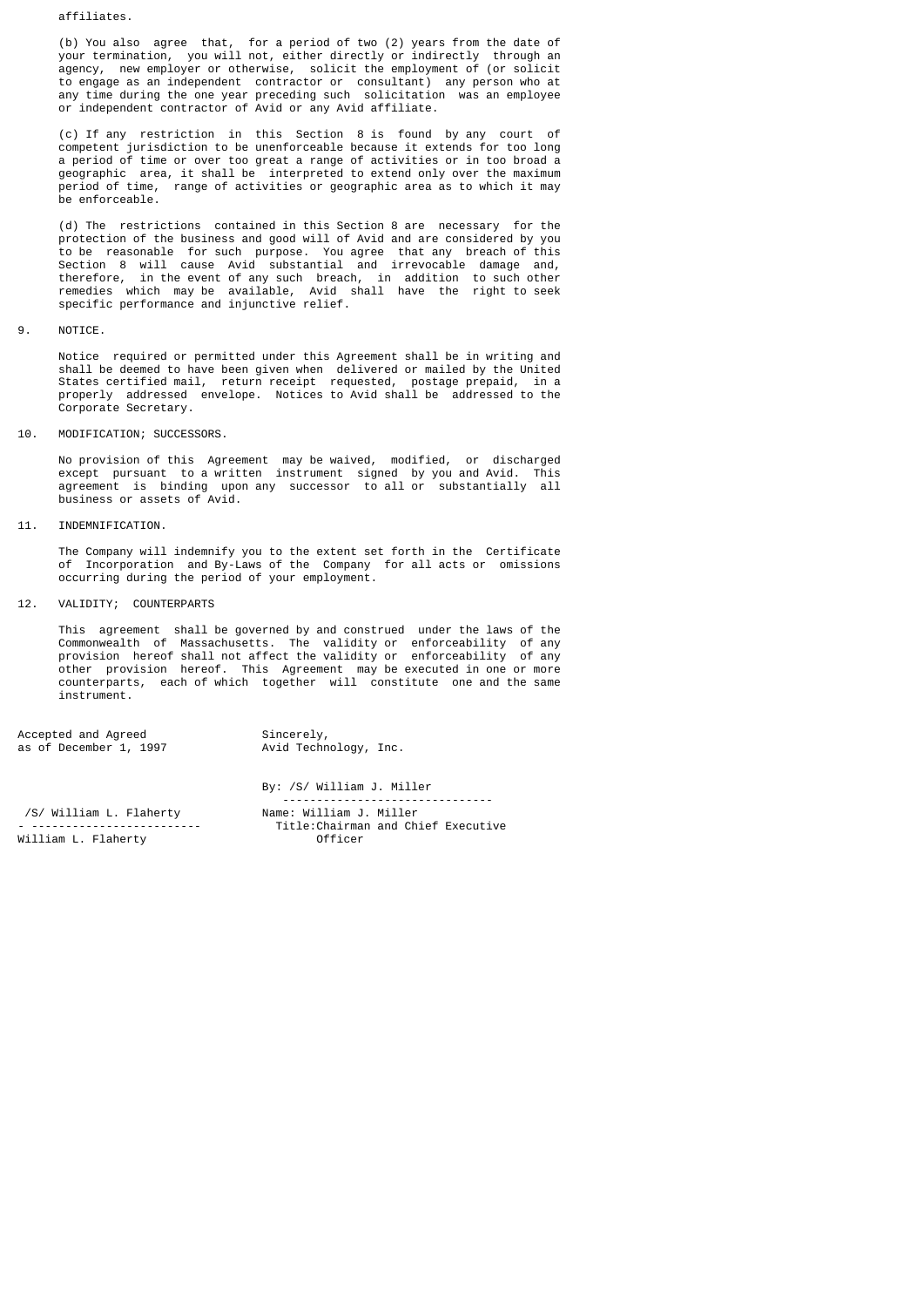affiliates.

 (b) You also agree that, for a period of two (2) years from the date of your termination, you will not, either directly or indirectly through an agency, new employer or otherwise, solicit the employment of (or solicit to engage as an independent contractor or consultant) any person who at any time during the one year preceding such solicitation was an employee or independent contractor of Avid or any Avid affiliate.

 (c) If any restriction in this Section 8 is found by any court of competent jurisdiction to be unenforceable because it extends for too long a period of time or over too great a range of activities or in too broad a geographic area, it shall be interpreted to extend only over the maximum period of time, range of activities or geographic area as to which it may be enforceable.

 (d) The restrictions contained in this Section 8 are necessary for the protection of the business and good will of Avid and are considered by you to be reasonable for such purpose. You agree that any breach of this Section 8 will cause Avid substantial and irrevocable damage and, therefore, in the event of any such breach, in addition to such other remedies which may be available, Avid shall have the right to seek specific performance and injunctive relief.

9. NOTICE.

 Notice required or permitted under this Agreement shall be in writing and shall be deemed to have been given when delivered or mailed by the United States certified mail, return receipt requested, postage prepaid, in a properly addressed envelope. Notices to Avid shall be addressed to the Corporate Secretary.

10. MODIFICATION; SUCCESSORS.

 No provision of this Agreement may be waived, modified, or discharged except pursuant to a written instrument signed by you and Avid. This agreement is binding upon any successor to all or substantially all business or assets of Avid.

11. INDEMNIFICATION.

 The Company will indemnify you to the extent set forth in the Certificate of Incorporation and By-Laws of the Company for all acts or omissions occurring during the period of your employment.

12. VALIDITY; COUNTERPARTS

 This agreement shall be governed by and construed under the laws of the Commonwealth of Massachusetts. The validity or enforceability of any provision hereof shall not affect the validity or enforceability of any other provision hereof. This Agreement may be executed in one or more counterparts, each of which together will constitute one and the same instrument.

By: /S/ William J. Miller

| Accepted and Agreed    | Sincerely,            |
|------------------------|-----------------------|
| as of December 1, 1997 | Avid Technology, Inc. |
|                        |                       |

 ------------------------------- )<br>S/ William L. Flaherty Name: William J. Miller<br>Title:Chairman and Ch Title: Chairman and Chief Executive William L. Flaherty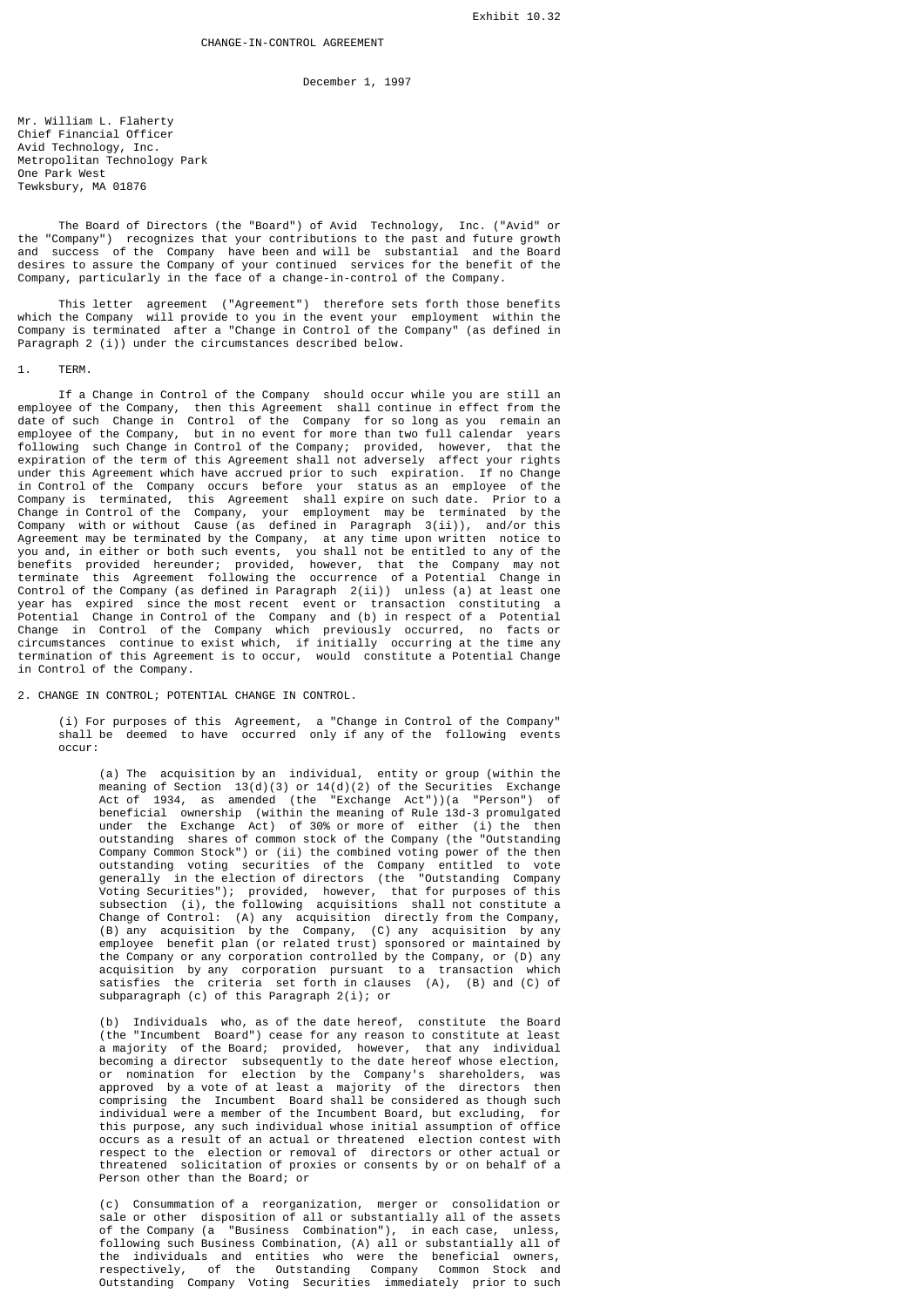December 1, 1997

Mr. William L. Flaherty Chief Financial Officer Avid Technology, Inc. Metropolitan Technology Park One Park West Tewksbury, MA 01876

 The Board of Directors (the "Board") of Avid Technology, Inc. ("Avid" or the "Company") recognizes that your contributions to the past and future growth and success of the Company have been and will be substantial and the Board desires to assure the Company of your continued services for the benefit of the Company, particularly in the face of a change-in-control of the Company.

 This letter agreement ("Agreement") therefore sets forth those benefits which the Company will provide to you in the event your employment within the Company is terminated after a "Change in Control of the Company" (as defined in Paragraph 2 (i)) under the circumstances described below.

### 1. TERM.

 If a Change in Control of the Company should occur while you are still an employee of the Company, then this Agreement shall continue in effect from the date of such Change in Control of the Company for so long as you remain an employee of the Company, but in no event for more than two full calendar years following such Change in Control of the Company; provided, however, that the expiration of the term of this Agreement shall not adversely affect your rights under this Agreement which have accrued prior to such expiration. If no Change in Control of the Company occurs before your status as an employee of the Company is terminated, this Agreement shall expire on such date. Prior to a Change in Control of the Company, your employment may be terminated by the Company with or without Cause (as defined in Paragraph 3(ii)), and/or this Agreement may be terminated by the Company, at any time upon written notice to you and, in either or both such events, you shall not be entitled to any of the benefits provided hereunder; provided, however, that the Company may not terminate this Agreement following the occurrence of a Potential Change in Control of the Company (as defined in Paragraph 2(ii)) unless (a) at least one year has expired since the most recent event or transaction constituting a Potential Change in Control of the Company and (b) in respect of a Potential Change in Control of the Company which previously occurred, no facts or circumstances continue to exist which, if initially occurring at the time any termination of this Agreement is to occur, would constitute a Potential Change in Control of the Company.

## 2. CHANGE IN CONTROL; POTENTIAL CHANGE IN CONTROL.

 (i) For purposes of this Agreement, a "Change in Control of the Company" shall be deemed to have occurred only if any of the following events occur:

 (a) The acquisition by an individual, entity or group (within the meaning of Section 13(d)(3) or 14(d)(2) of the Securities Exchange Act of 1934, as amended (the "Exchange Act"))(a "Person") of beneficial ownership (within the meaning of Rule 13d-3 promulgated under the Exchange Act) of 30% or more of either (i) the then outstanding shares of common stock of the Company (the "Outstanding Company Common Stock") or (ii) the combined voting power of the then outstanding voting securities of the Company entitled to vote generally in the election of directors (the "Outstanding Company Voting Securities"); provided, however, that for purposes of this subsection (i), the following acquisitions shall not constitute a Change of Control: (A) any acquisition directly from the Company, (B) any acquisition by the Company, (C) any acquisition by any employee benefit plan (or related trust) sponsored or maintained by the Company or any corporation controlled by the Company, or (D) any acquisition by any corporation pursuant to a transaction which satisfies the criteria set forth in clauses (A), (B) and (C) of subparagraph (c) of this Paragraph 2(i); or

 (b) Individuals who, as of the date hereof, constitute the Board (the "Incumbent Board") cease for any reason to constitute at least a majority of the Board; provided, however, that any individual becoming a director subsequently to the date hereof whose election, or nomination for election by the Company's shareholders, was approved by a vote of at least a majority of the directors then comprising the Incumbent Board shall be considered as though such individual were a member of the Incumbent Board, but excluding, for this purpose, any such individual whose initial assumption of office occurs as a result of an actual or threatened election contest with respect to the election or removal of directors or other actual or threatened solicitation of proxies or consents by or on behalf of a Person other than the Board; or

 (c) Consummation of a reorganization, merger or consolidation or sale or other disposition of all or substantially all of the assets of the Company (a "Business Combination"), in each case, unless, following such Business Combination, (A) all or substantially all of the individuals and entities who were the beneficial owners, respectively, of the Outstanding Company Common Stock and Outstanding Company Voting Securities immediately prior to such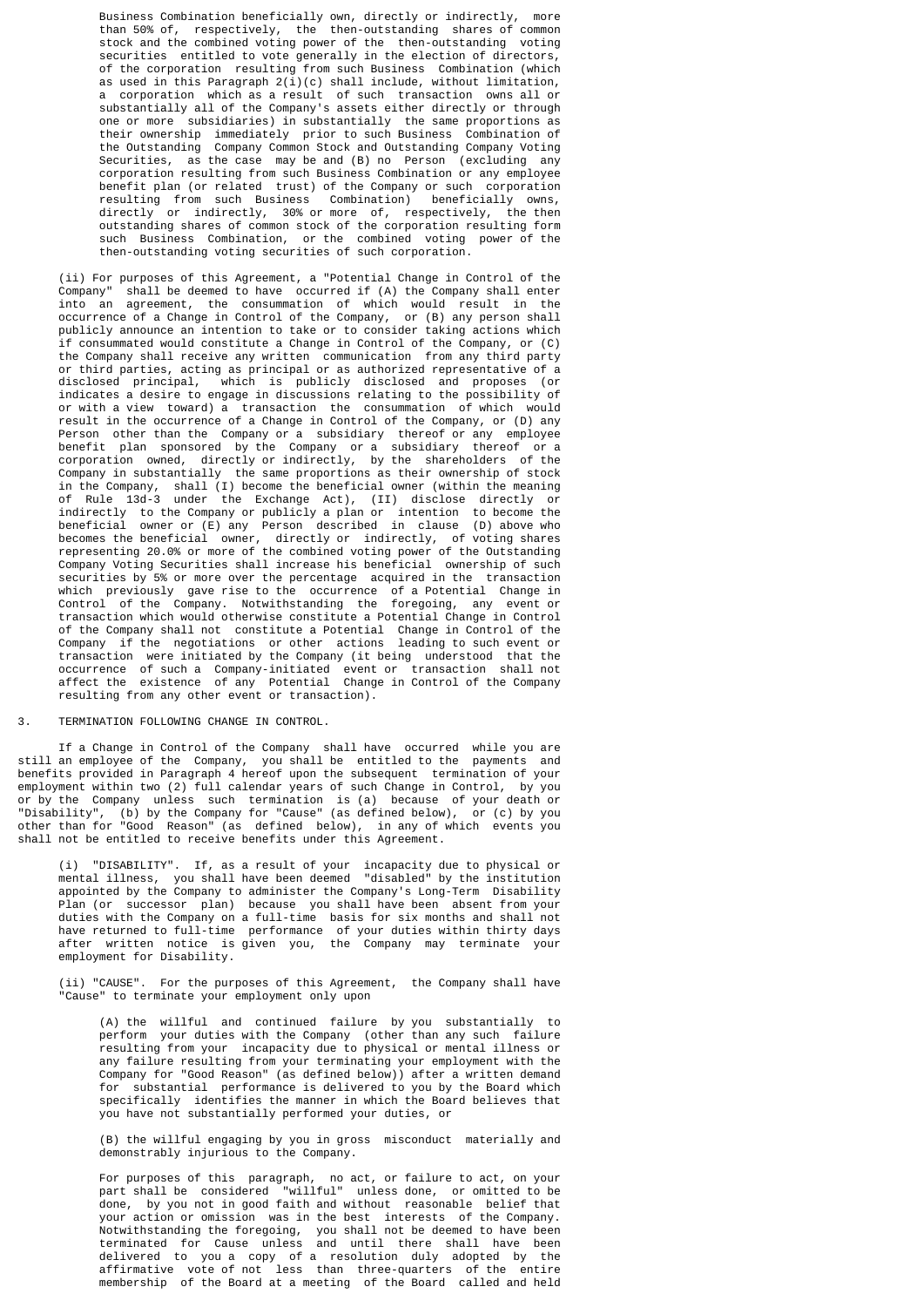Business Combination beneficially own, directly or indirectly, than 50% of, respectively, the then-outstanding shares of common stock and the combined voting power of the then-outstanding voting securities entitled to vote generally in the election of directors, of the corporation resulting from such Business Combination (which as used in this Paragraph 2(i)(c) shall include, without limitation, a corporation which as a result of such transaction owns all or substantially all of the Company's assets either directly or through one or more subsidiaries) in substantially the same proportions as their ownership immediately prior to such Business Combination of the Outstanding Company Common Stock and Outstanding Company Voting Securities, as the case may be and (B) no Person (excluding any corporation resulting from such Business Combination or any employee benefit plan (or related trust) of the Company or such corporation resulting from such Business Combination) beneficially owns, directly or indirectly, 30% or more of, respectively, the then outstanding shares of common stock of the corporation resulting form such Business Combination, or the combined voting power of the then-outstanding voting securities of such corporation.

 (ii) For purposes of this Agreement, a "Potential Change in Control of the Company" shall be deemed to have occurred if (A) the Company shall enter into an agreement, the consummation of which would result in the occurrence of a Change in Control of the Company, or (B) any person shall publicly announce an intention to take or to consider taking actions which if consummated would constitute a Change in Control of the Company, or (C) the Company shall receive any written communication from any third party or third parties, acting as principal or as authorized representative of a disclosed principal, which is publicly disclosed and proposes (or indicates a desire to engage in discussions relating to the possibility of or with a view toward) a transaction the consummation of which would result in the occurrence of a Change in Control of the Company, or (D) any Person other than the Company or a subsidiary thereof or any employee benefit plan sponsored by the Company or a subsidiary thereof or a corporation owned, directly or indirectly, by the shareholders of the Company in substantially the same proportions as their ownership of stock in the Company, shall (I) become the beneficial owner (within the meaning of Rule 13d-3 under the Exchange Act), (II) disclose directly or indirectly to the Company or publicly a plan or intention to become the beneficial owner or (E) any Person described in clause (D) above who becomes the beneficial owner, directly or indirectly, of voting shares representing 20.0% or more of the combined voting power of the Outstanding Company Voting Securities shall increase his beneficial ownership of such securities by 5% or more over the percentage acquired in the transaction which previously gave rise to the occurrence of a Potential Change in Control of the Company. Notwithstanding the foregoing, any event or transaction which would otherwise constitute a Potential Change in Control of the Company shall not constitute a Potential Change in Control of the Company if the negotiations or other actions leading to such event or transaction were initiated by the Company (it being understood that the occurrence of such a Company-initiated event or transaction shall not affect the existence of any Potential Change in Control of the Company resulting from any other event or transaction).

## 3. TERMINATION FOLLOWING CHANGE IN CONTROL.

 If a Change in Control of the Company shall have occurred while you are still an employee of the Company, you shall be entitled to the payments and benefits provided in Paragraph 4 hereof upon the subsequent termination of your employment within two (2) full calendar years of such Change in Control, by you or by the Company unless such termination is (a) because of your death or "Disability", (b) by the Company for "Cause" (as defined below), or (c) by you other than for "Good Reason" (as defined below), in any of which events you shall not be entitled to receive benefits under this Agreement.

 (i) "DISABILITY". If, as a result of your incapacity due to physical or mental illness, you shall have been deemed "disabled" by the institution appointed by the Company to administer the Company's Long-Term Disability Plan (or successor plan) because you shall have been absent from your duties with the Company on a full-time basis for six months and shall not have returned to full-time performance of your duties within thirty days after written notice is given you, the Company may terminate your employment for Disability.

 (ii) "CAUSE". For the purposes of this Agreement, the Company shall have "Cause" to terminate your employment only upon

 (A) the willful and continued failure by you substantially to perform your duties with the Company (other than any such failure resulting from your incapacity due to physical or mental illness or any failure resulting from your terminating your employment with the Company for "Good Reason" (as defined below)) after a written demand for substantial performance is delivered to you by the Board which specifically identifies the manner in which the Board believes that you have not substantially performed your duties, or

> (B) the willful engaging by you in gross misconduct materially and demonstrably injurious to the Company.

 For purposes of this paragraph, no act, or failure to act, on your part shall be considered "willful" unless done, or omitted to be done, by you not in good faith and without reasonable belief that your action or omission was in the best interests of the Company. Notwithstanding the foregoing, you shall not be deemed to have been terminated for Cause unless and until there shall have been delivered to you a copy of a resolution duly adopted by the affirmative vote of not less than three-quarters of the entire membership of the Board at a meeting of the Board called and held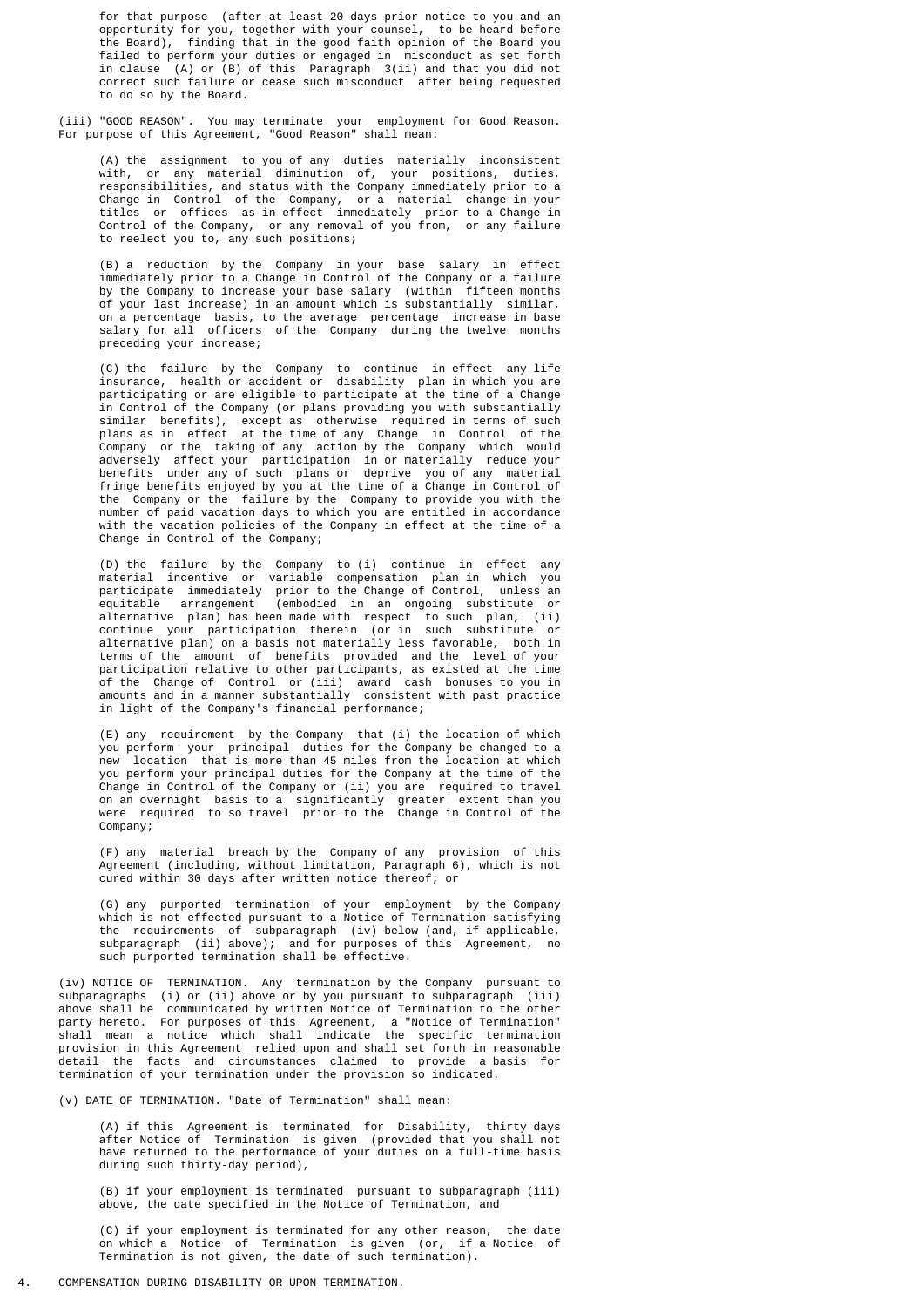for that purpose (after at least 20 days prior notice to you and an opportunity for you, together with your counsel, to be heard before the Board), finding that in the good faith opinion of the Board you failed to perform your duties or engaged in misconduct as set forth in clause (A) or (B) of this Paragraph 3(ii) and that you did not correct such failure or cease such misconduct after being requested to do so by the Board.

 (iii) "GOOD REASON". You may terminate your employment for Good Reason. For purpose of this Agreement, "Good Reason" shall mean:

 (A) the assignment to you of any duties materially inconsistent with, or any material diminution of, your positions, duties, responsibilities, and status with the Company immediately prior to a Change in Control of the Company, or a material change in your titles or offices as in effect immediately prior to a Change in Control of the Company, or any removal of you from, or any failure to reelect you to, any such positions;

 (B) a reduction by the Company in your base salary in effect immediately prior to a Change in Control of the Company or a failure by the Company to increase your base salary (within fifteen months of your last increase) in an amount which is substantially similar, on a percentage basis, to the average percentage increase in base salary for all officers of the Company during the twelve months preceding your increase;

 (C) the failure by the Company to continue in effect any life insurance, health or accident or disability plan in which you are participating or are eligible to participate at the time of a Change in Control of the Company (or plans providing you with substantially similar benefits), except as otherwise required in terms of such plans as in effect at the time of any Change in Control of the Company or the taking of any action by the Company which would adversely affect your participation in or materially reduce your benefits under any of such plans or deprive you of any material fringe benefits enjoyed by you at the time of a Change in Control of the Company or the failure by the Company to provide you with the number of paid vacation days to which you are entitled in accordance with the vacation policies of the Company in effect at the time of a Change in Control of the Company;

 (D) the failure by the Company to (i) continue in effect any material incentive or variable compensation plan in which you participate immediately prior to the Change of Control, unless an equitable arrangement (embodied in an ongoing substitute or alternative plan) has been made with respect to such plan, (ii) continue your participation therein (or in such substitute or alternative plan) on a basis not materially less favorable, both in terms of the amount of benefits provided and the level of your participation relative to other participants, as existed at the time of the Change of Control or (iii) award cash bonuses to you in amounts and in a manner substantially consistent with past practice in light of the Company's financial performance;

 (E) any requirement by the Company that (i) the location of which you perform your principal duties for the Company be changed to a new location that is more than 45 miles from the location at which you perform your principal duties for the Company at the time of the Change in Control of the Company or (ii) you are required to travel on an overnight basis to a significantly greater extent than you were required to so travel prior to the Change in Control of the Company;

> (F) any material breach by the Company of any provision of this Agreement (including, without limitation, Paragraph 6), which is not cured within 30 days after written notice thereof; or

 (G) any purported termination of your employment by the Company which is not effected pursuant to a Notice of Termination satisfying the requirements of subparagraph (iv) below (and, if applicable, subparagraph (ii) above); and for purposes of this Agreement, no such purported termination shall be effective.

 (iv) NOTICE OF TERMINATION. Any termination by the Company pursuant to subparagraphs (i) or (ii) above or by you pursuant to subparagraph (iii) above shall be communicated by written Notice of Termination to the other party hereto. For purposes of this Agreement, a "Notice of Termination" shall mean a notice which shall indicate the specific termination provision in this Agreement relied upon and shall set forth in reasonable detail the facts and circumstances claimed to provide a basis for termination of your termination under the provision so indicated.

(v) DATE OF TERMINATION. "Date of Termination" shall mean:

 (A) if this Agreement is terminated for Disability, thirty days after Notice of Termination is given (provided that you shall not have returned to the performance of your duties on a full-time basis during such thirty-day period),

> (B) if your employment is terminated pursuant to subparagraph (iii) above, the date specified in the Notice of Termination, and

 (C) if your employment is terminated for any other reason, the date on which a Notice of Termination is given (or, if a Notice of Termination is not given, the date of such termination).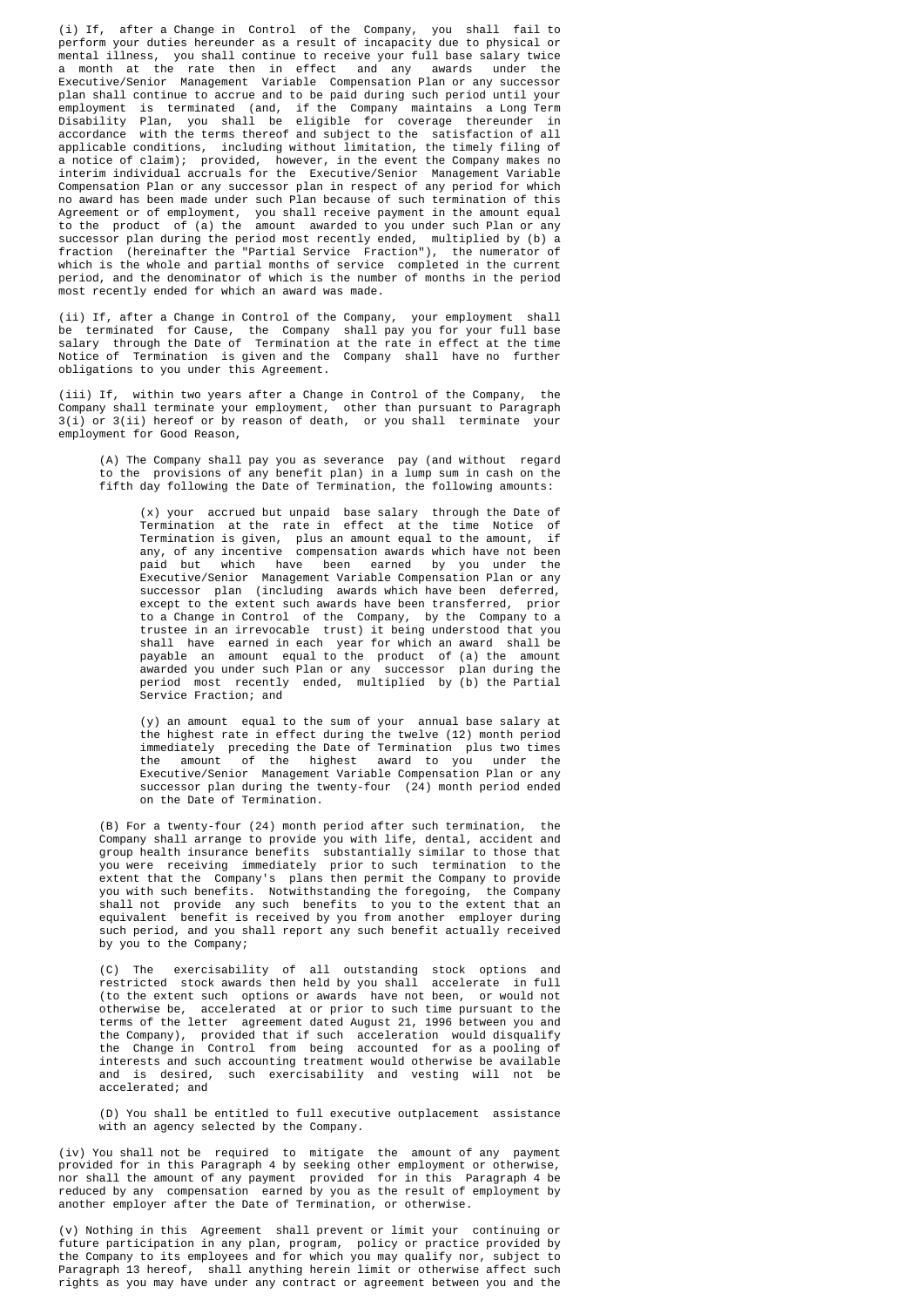(i) If, after a Change in Control of the Company, you shall fail to perform your duties hereunder as a result of incapacity due to physical or mental illness, you shall continue to receive your full base salary twice a month at the rate then in effect and any awards under the Executive/Senior Management Variable Compensation Plan or any successor plan shall continue to accrue and to be paid during such period until your employment is terminated (and, if the Company maintains a Long Term Disability Plan, you shall be eligible for coverage thereunder in accordance with the terms thereof and subject to the satisfaction of all applicable conditions, including without limitation, the timely filing of a notice of claim); provided, however, in the event the Company makes no interim individual accruals for the Executive/Senior Management Variable Compensation Plan or any successor plan in respect of any period for which no award has been made under such Plan because of such termination of this Agreement or of employment, you shall receive payment in the amount equal to the product of (a) the amount awarded to you under such Plan or any successor plan during the period most recently ended, multiplied by (b) a fraction (hereinafter the "Partial Service Fraction"), the numerator of which is the whole and partial months of service completed in the current period, and the denominator of which is the number of months in the period most recently ended for which an award was made.

 (ii) If, after a Change in Control of the Company, your employment shall be terminated for Cause, the Company shall pay you for your full base salary through the Date of Termination at the rate in effect at the time Notice of Termination is given and the Company shall have no further obligations to you under this Agreement.

 (iii) If, within two years after a Change in Control of the Company, the Company shall terminate your employment, other than pursuant to Paragraph 3(i) or 3(ii) hereof or by reason of death, or you shall terminate your employment for Good Reason,

 (A) The Company shall pay you as severance pay (and without regard to the provisions of any benefit plan) in a lump sum in cash on the fifth day following the Date of Termination, the following amounts:

 (x) your accrued but unpaid base salary through the Date of Termination at the rate in effect at the time Notice of Termination is given, plus an amount equal to the amount, if any, of any incentive compensation awards which have not been paid but which have been earned by you under the Executive/Senior Management Variable Compensation Plan or any successor plan (including awards which have been deferred, except to the extent such awards have been transferred, prior to a Change in Control of the Company, by the Company to a trustee in an irrevocable trust) it being understood that you shall have earned in each year for which an award shall be payable an amount equal to the product of (a) the amount awarded you under such Plan or any successor plan during the period most recently ended, multiplied by (b) the Partial Service Fraction; and

 (y) an amount equal to the sum of your annual base salary at the highest rate in effect during the twelve (12) month period immediately preceding the Date of Termination plus two times the amount of the highest award to you under the Executive/Senior Management Variable Compensation Plan or any successor plan during the twenty-four (24) month period ended on the Date of Termination.

 (B) For a twenty-four (24) month period after such termination, the Company shall arrange to provide you with life, dental, accident and group health insurance benefits substantially similar to those that you were receiving immediately prior to such termination to the extent that the Company's plans then permit the Company to provide you with such benefits. Notwithstanding the foregoing, the Company shall not provide any such benefits to you to the extent that an equivalent benefit is received by you from another employer during such period, and you shall report any such benefit actually received by you to the Company;

 (C) The exercisability of all outstanding stock options and restricted stock awards then held by you shall accelerate in full (to the extent such options or awards have not been, or would not otherwise be, accelerated at or prior to such time pursuant to the terms of the letter agreement dated August 21, 1996 between you and the Company), provided that if such acceleration would disqualify the Change in Control from being accounted for as a pooling of interests and such accounting treatment would otherwise be available and is desired, such exercisability and vesting will not be accelerated; and

> (D) You shall be entitled to full executive outplacement assistance with an agency selected by the Company.

 (iv) You shall not be required to mitigate the amount of any payment provided for in this Paragraph 4 by seeking other employment or otherwise, nor shall the amount of any payment provided for in this Paragraph 4 be reduced by any compensation earned by you as the result of employment by another employer after the Date of Termination, or otherwise.

 (v) Nothing in this Agreement shall prevent or limit your continuing or future participation in any plan, program, policy or practice provided by the Company to its employees and for which you may qualify nor, subject to Paragraph 13 hereof, shall anything herein limit or otherwise affect such rights as you may have under any contract or agreement between you and the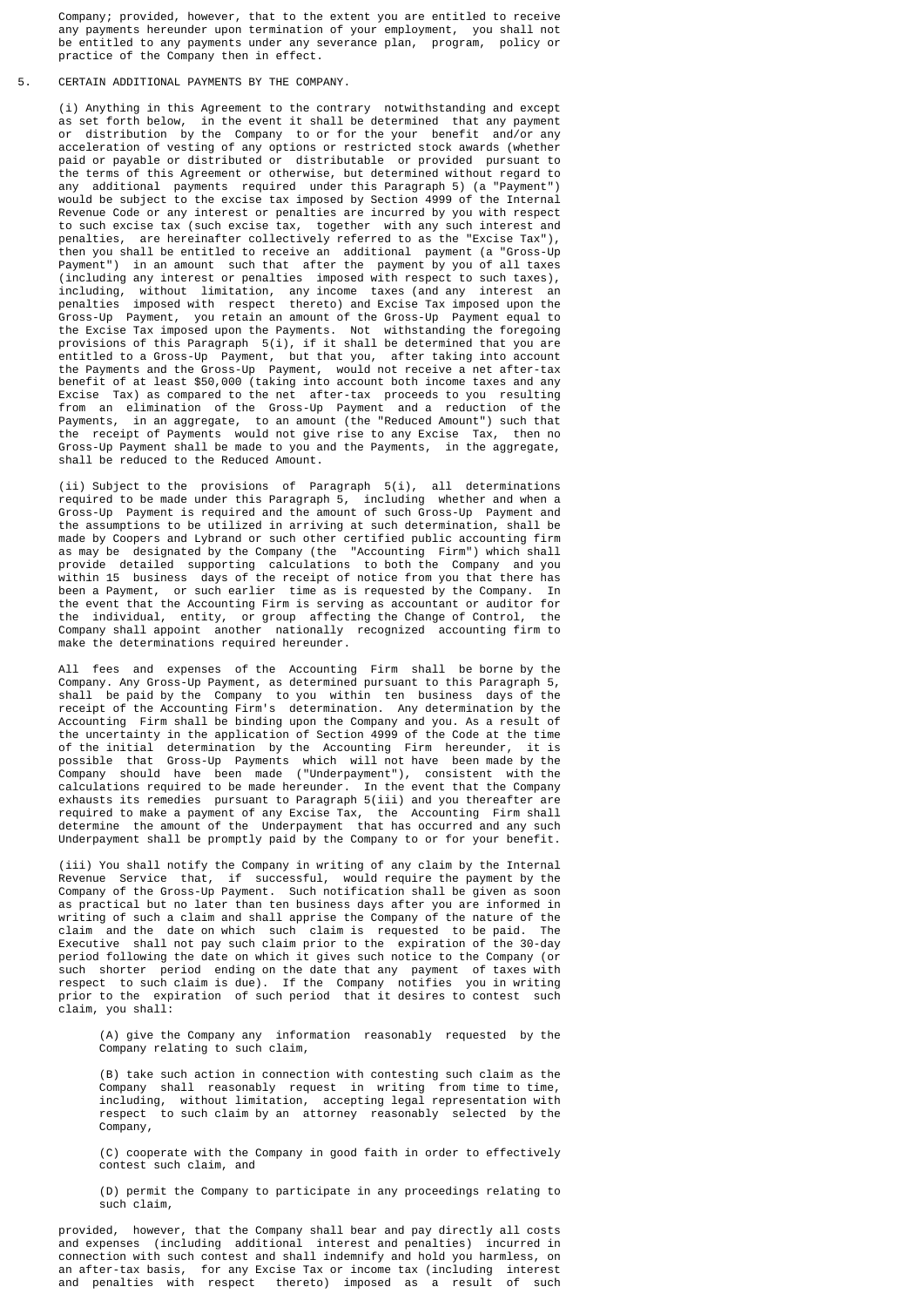Company; provided, however, that to the extent you are entitled to receive any payments hereunder upon termination of your employment, you shall not be entitled to any payments under any severance plan, program, policy or practice of the Company then in effect.

# 5. CERTAIN ADDITIONAL PAYMENTS BY THE COMPANY.

 (i) Anything in this Agreement to the contrary notwithstanding and except as set forth below, in the event it shall be determined that any payment or distribution by the Company to or for the your benefit and/or any acceleration of vesting of any options or restricted stock awards (whether paid or payable or distributed or distributable or provided pursuant to the terms of this Agreement or otherwise, but determined without regard to any additional payments required under this Paragraph 5) (a "Payment") would be subject to the excise tax imposed by Section 4999 of the Internal Revenue Code or any interest or penalties are incurred by you with respect to such excise tax (such excise tax, together with any such interest and penalties, are hereinafter collectively referred to as the "Excise Tax"), then you shall be entitled to receive an additional payment (a "Gross-Up Payment") in an amount such that after the payment by you of all taxes (including any interest or penalties imposed with respect to such taxes), including, without limitation, any income taxes (and any interest an penalties imposed with respect thereto) and Excise Tax imposed upon the Gross-Up Payment, you retain an amount of the Gross-Up Payment equal to the Excise Tax imposed upon the Payments. Not withstanding the foregoing provisions of this Paragraph 5(i), if it shall be determined that you are entitled to a Gross-Up Payment, but that you, after taking into account the Payments and the Gross-Up Payment, would not receive a net after-tax benefit of at least \$50,000 (taking into account both income taxes and any Excise Tax) as compared to the net after-tax proceeds to you resulting from an elimination of the Gross-Up Payment and a reduction of the Payments, in an aggregate, to an amount (the "Reduced Amount") such that the receipt of Payments would not give rise to any Excise Tax, then no Gross-Up Payment shall be made to you and the Payments, in the aggregate, shall be reduced to the Reduced Amount.

 (ii) Subject to the provisions of Paragraph 5(i), all determinations required to be made under this Paragraph 5, including whether and when a Gross-Up Payment is required and the amount of such Gross-Up Payment and the assumptions to be utilized in arriving at such determination, shall be made by Coopers and Lybrand or such other certified public accounting firm as may be designated by the Company (the "Accounting Firm") which shall provide detailed supporting calculations to both the Company and you within 15 business days of the receipt of notice from you that there has been a Payment, or such earlier time as is requested by the Company. In the event that the Accounting Firm is serving as accountant or auditor for the individual, entity, or group affecting the Change of Control, the Company shall appoint another nationally recognized accounting firm to make the determinations required hereunder.

 All fees and expenses of the Accounting Firm shall be borne by the Company. Any Gross-Up Payment, as determined pursuant to this Paragraph 5, shall be paid by the Company to you within ten business days of the receipt of the Accounting Firm's determination. Any determination by the Accounting Firm shall be binding upon the Company and you. As a result of the uncertainty in the application of Section 4999 of the Code at the time of the initial determination by the Accounting Firm hereunder, it is possible that Gross-Up Payments which will not have been made by the Company should have been made ("Underpayment"), consistent with the calculations required to be made hereunder. In the event that the Company exhausts its remedies pursuant to Paragraph 5(iii) and you thereafter are required to make a payment of any Excise Tax, the Accounting Firm shall determine the amount of the Underpayment that has occurred and any such Underpayment shall be promptly paid by the Company to or for your benefit.

 (iii) You shall notify the Company in writing of any claim by the Internal Revenue Service that, if successful, would require the payment by the Company of the Gross-Up Payment. Such notification shall be given as soon as practical but no later than ten business days after you are informed in writing of such a claim and shall apprise the Company of the nature of the claim and the date on which such claim is requested to be paid. The Executive shall not pay such claim prior to the expiration of the 30-day period following the date on which it gives such notice to the Company (or such shorter period ending on the date that any payment of taxes with respect to such claim is due). If the Company notifies you in writing prior to the expiration of such period that it desires to contest such claim, you shall:

> (A) give the Company any information reasonably requested by the Company relating to such claim,

> (B) take such action in connection with contesting such claim as the Company shall reasonably request in writing from time to time, including, without limitation, accepting legal representation with respect to such claim by an attorney reasonably selected by the Company,

> (C) cooperate with the Company in good faith in order to effectively contest such claim, and

> (D) permit the Company to participate in any proceedings relating to such claim,

 provided, however, that the Company shall bear and pay directly all costs and expenses (including additional interest and penalties) incurred in connection with such contest and shall indemnify and hold you harmless, on an after-tax basis, for any Excise Tax or income tax (including interest and penalties with respect thereto) imposed as a result of such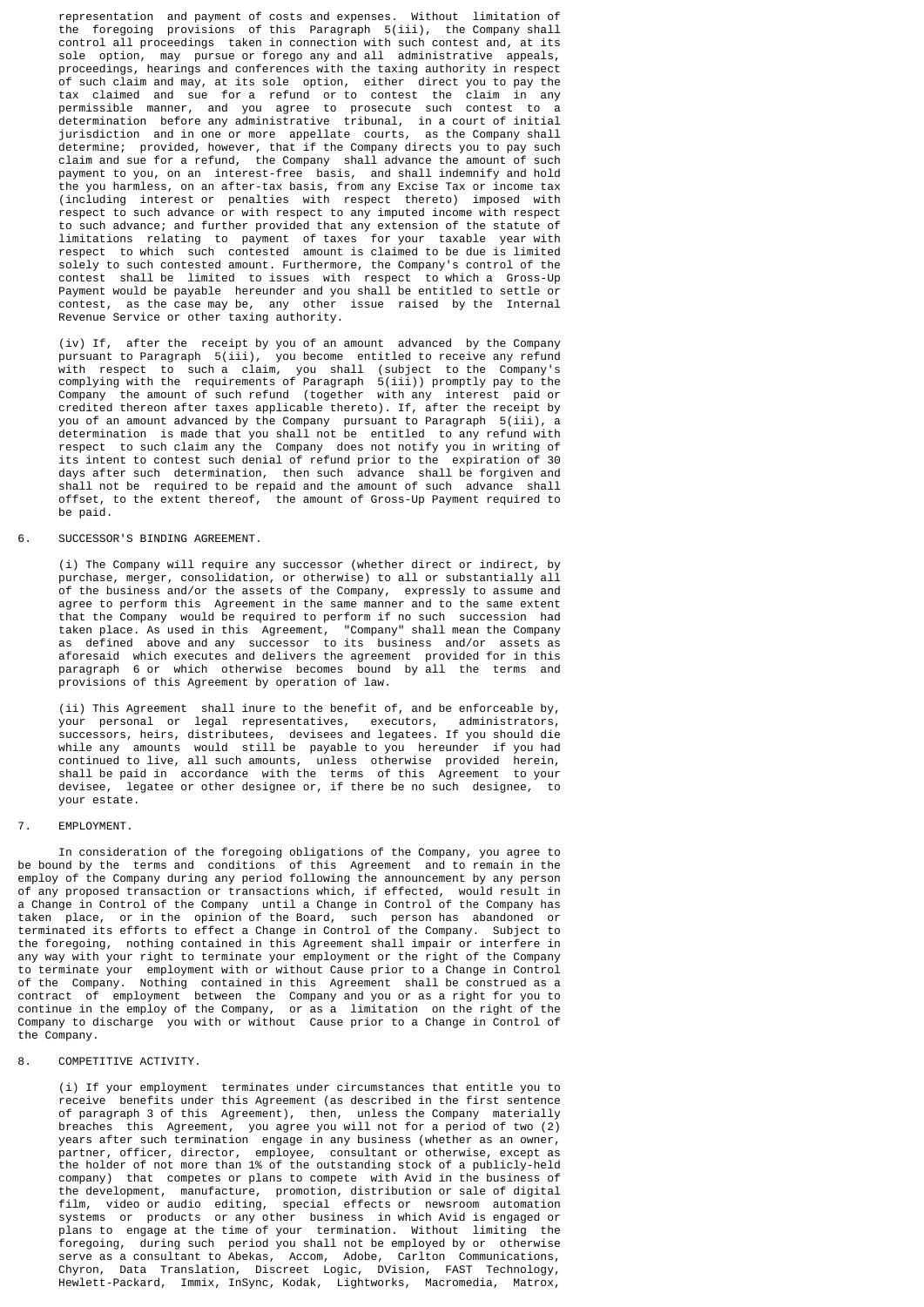representation and payment of costs and expenses. Without limitation of the foregoing provisions of this Paragraph 5(iii), the Company shall control all proceedings taken in connection with such contest and, at its sole option, may pursue or forego any and all administrative appeals, proceedings, hearings and conferences with the taxing authority in respect of such claim and may, at its sole option, either direct you to pay the tax claimed and sue for a refund or to contest the claim in any permissible manner, and you agree to prosecute such contest to a determination before any administrative tribunal, in a court of initial jurisdiction and in one or more appellate courts, as the Company shall determine; provided, however, that if the Company directs you to pay such claim and sue for a refund, the Company shall advance the amount of such payment to you, on an interest-free basis, and shall indemnify and hold the you harmless, on an after-tax basis, from any Excise Tax or income tax (including interest or penalties with respect thereto) imposed with respect to such advance or with respect to any imputed income with respect to such advance; and further provided that any extension of the statute of limitations relating to payment of taxes for your taxable year with respect to which such contested amount is claimed to be due is limited solely to such contested amount. Furthermore, the Company's control of the contest shall be limited to issues with respect to which a Gross-Up Payment would be payable hereunder and you shall be entitled to settle or contest, as the case may be, any other issue raised by the Internal Revenue Service or other taxing authority.

 (iv) If, after the receipt by you of an amount advanced by the Company pursuant to Paragraph 5(iii), you become entitled to receive any refund with respect to such a claim, you shall (subject to the Company's complying with the requirements of Paragraph 5(iii)) promptly pay to the Company the amount of such refund (together with any interest paid or credited thereon after taxes applicable thereto). If, after the receipt by you of an amount advanced by the Company pursuant to Paragraph 5(iii), a determination is made that you shall not be entitled to any refund with respect to such claim any the Company does not notify you in writing of its intent to contest such denial of refund prior to the expiration of 30 days after such determination, then such advance shall be forgiven and shall not be required to be repaid and the amount of such advance shall offset, to the extent thereof, the amount of Gross-Up Payment required to be paid.

# 6. SUCCESSOR'S BINDING AGREEMENT.

 (i) The Company will require any successor (whether direct or indirect, by purchase, merger, consolidation, or otherwise) to all or substantially all of the business and/or the assets of the Company, expressly to assume and agree to perform this Agreement in the same manner and to the same extent that the Company would be required to perform if no such succession had taken place. As used in this Agreement, "Company" shall mean the Company as defined above and any successor to its business and/or assets as aforesaid which executes and delivers the agreement provided for in this paragraph 6 or which otherwise becomes bound by all the terms and provisions of this Agreement by operation of law.

 (ii) This Agreement shall inure to the benefit of, and be enforceable by, your personal or legal representatives, executors, administrators, successors, heirs, distributees, devisees and legatees. If you should die while any amounts would still be payable to you hereunder if you had continued to live, all such amounts, unless otherwise provided herein, shall be paid in accordance with the terms of this Agreement to your devisee, legatee or other designee or, if there be no such designee, to your estate.

## 7. EMPLOYMENT.

 In consideration of the foregoing obligations of the Company, you agree to be bound by the terms and conditions of this Agreement and to remain in the employ of the Company during any period following the announcement by any person of any proposed transaction or transactions which, if effected, would result in a Change in Control of the Company until a Change in Control of the Company has taken place, or in the opinion of the Board, such person has abandoned or terminated its efforts to effect a Change in Control of the Company. Subject to the foregoing, nothing contained in this Agreement shall impair or interfere in any way with your right to terminate your employment or the right of the Company to terminate your employment with or without Cause prior to a Change in Control of the Company. Nothing contained in this Agreement shall be construed as a contract of employment between the Company and you or as a right for you to continue in the employ of the Company, or as a limitation on the right of the Company to discharge you with or without Cause prior to a Change in Control of the Company.

## 8. COMPETITIVE ACTIVITY.

 (i) If your employment terminates under circumstances that entitle you to receive benefits under this Agreement (as described in the first sentence of paragraph 3 of this Agreement), then, unless the Company materially breaches this Agreement, you agree you will not for a period of two (2) years after such termination engage in any business (whether as an owner, partner, officer, director, employee, consultant or otherwise, except as the holder of not more than 1% of the outstanding stock of a publicly-held company) that competes or plans to compete with Avid in the business of the development, manufacture, promotion, distribution or sale of digital film, video or audio editing, special effects or newsroom automation systems or products or any other business in which Avid is engaged or plans to engage at the time of your termination. Without limiting the foregoing, during such period you shall not be employed by or otherwise serve as a consultant to Abekas, Accom, Adobe, Carlton Communications, Chyron, Data Translation, Discreet Logic, DVision, FAST Technology, Hewlett-Packard, Immix, InSync, Kodak, Lightworks, Macromedia, Matrox,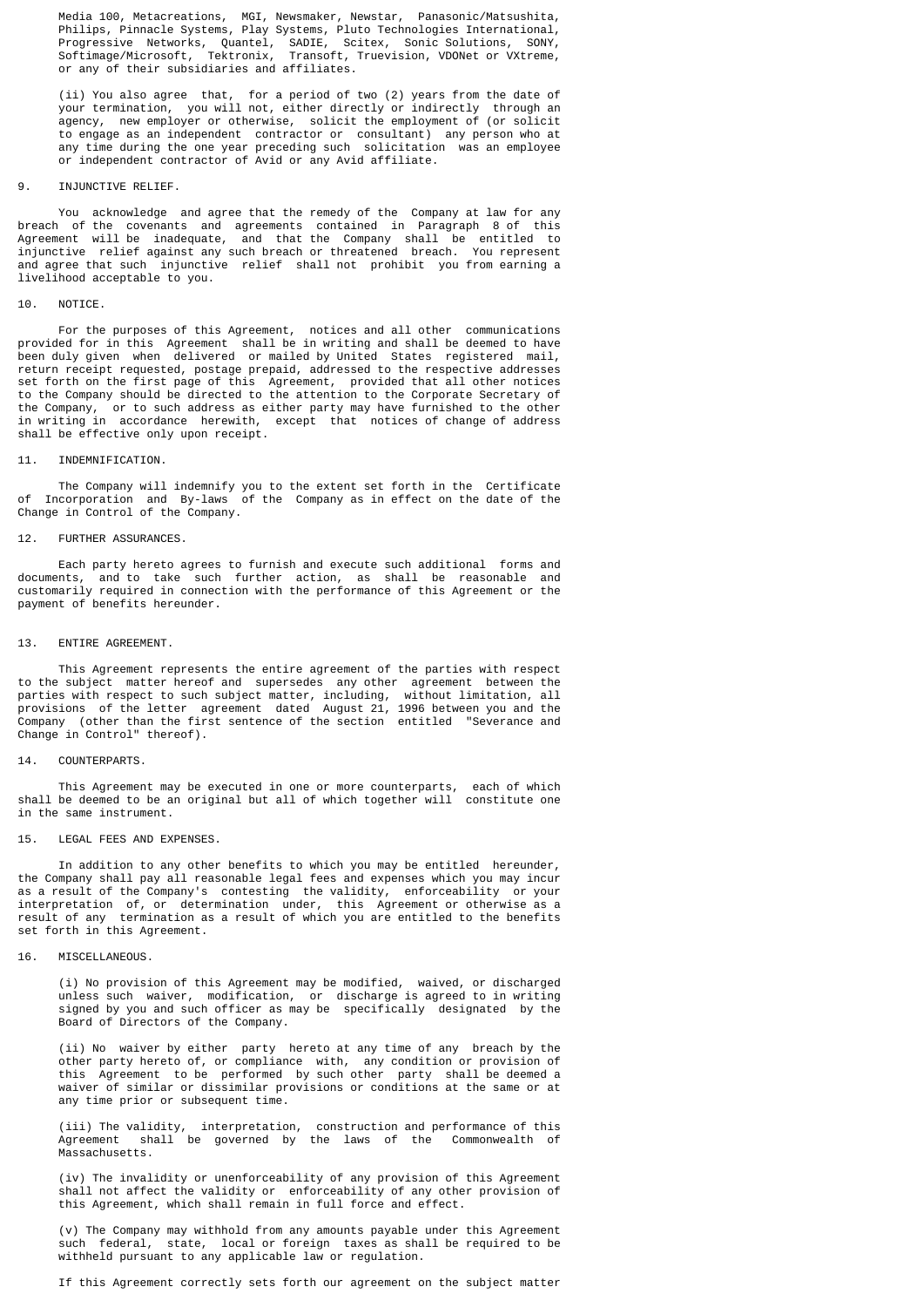Media 100, Metacreations, MGI, Newsmaker, Newstar, Panasonic/Matsushita, Philips, Pinnacle Systems, Play Systems, Pluto Technologies International, Progressive Networks, Quantel, SADIE, Scitex, Sonic Solutions, SONY, Softimage/Microsoft, Tektronix, Transoft, Truevision, VDONet or VXtreme, or any of their subsidiaries and affiliates.

 (ii) You also agree that, for a period of two (2) years from the date of your termination, you will not, either directly or indirectly through an agency, new employer or otherwise, solicit the employment of (or solicit to engage as an independent contractor or consultant) any person who at any time during the one year preceding such solicitation was an employee or independent contractor of Avid or any Avid affiliate.

#### 9. INJUNCTIVE RELIFE.

 You acknowledge and agree that the remedy of the Company at law for any breach of the covenants and agreements contained in Paragraph 8 of this Agreement will be inadequate, and that the Company shall be entitled to injunctive relief against any such breach or threatened breach. You represent and agree that such injunctive relief shall not prohibit you from earning a livelihood acceptable to you.

## 10. NOTICE.

 For the purposes of this Agreement, notices and all other communications provided for in this Agreement shall be in writing and shall be deemed to have been duly given when delivered or mailed by United States registered mail, return receipt requested, postage prepaid, addressed to the respective addresses set forth on the first page of this Agreement, provided that all other notices to the Company should be directed to the attention to the Corporate Secretary of the Company, or to such address as either party may have furnished to the other in writing in accordance herewith, except that notices of change of address shall be effective only upon receipt.

#### 11. INDEMNIFICATION.

 The Company will indemnify you to the extent set forth in the Certificate of Incorporation and By-laws of the Company as in effect on the date of the Change in Control of the Company.

### 12. FURTHER ASSURANCES.

 Each party hereto agrees to furnish and execute such additional forms and documents, and to take such further action, as shall be reasonable and customarily required in connection with the performance of this Agreement or the payment of benefits hereunder.

### 13. ENTIRE AGREEMENT.

 This Agreement represents the entire agreement of the parties with respect to the subject matter hereof and supersedes any other agreement between the parties with respect to such subject matter, including, without limitation, all provisions of the letter agreement dated August 21, 1996 between you and the Company (other than the first sentence of the section entitled "Severance and Change in Control" thereof).

#### 14. COUNTERPARTS.

 This Agreement may be executed in one or more counterparts, each of which shall be deemed to be an original but all of which together will constitute one in the same instrument.

### 15. LEGAL FEES AND EXPENSES.

 In addition to any other benefits to which you may be entitled hereunder, the Company shall pay all reasonable legal fees and expenses which you may incur as a result of the Company's contesting the validity, enforceability or your interpretation of, or determination under, this Agreement or otherwise as a result of any termination as a result of which you are entitled to the benefits set forth in this Agreement.

## 16. MISCELLANEOUS.

 (i) No provision of this Agreement may be modified, waived, or discharged unless such waiver, modification, or discharge is agreed to in writing signed by you and such officer as may be specifically designated by the Board of Directors of the Company.

 (ii) No waiver by either party hereto at any time of any breach by the other party hereto of, or compliance with, any condition or provision of this Agreement to be performed by such other party shall be deemed a waiver of similar or dissimilar provisions or conditions at the same or at any time prior or subsequent time.

 (iii) The validity, interpretation, construction and performance of this Agreement shall be governed by the laws of the Commonwealth of Massachusetts.

 (iv) The invalidity or unenforceability of any provision of this Agreement shall not affect the validity or enforceability of any other provision of this Agreement, which shall remain in full force and effect.

 (v) The Company may withhold from any amounts payable under this Agreement such federal, state, local or foreign taxes as shall be required to be withheld pursuant to any applicable law or regulation.

If this Agreement correctly sets forth our agreement on the subject matter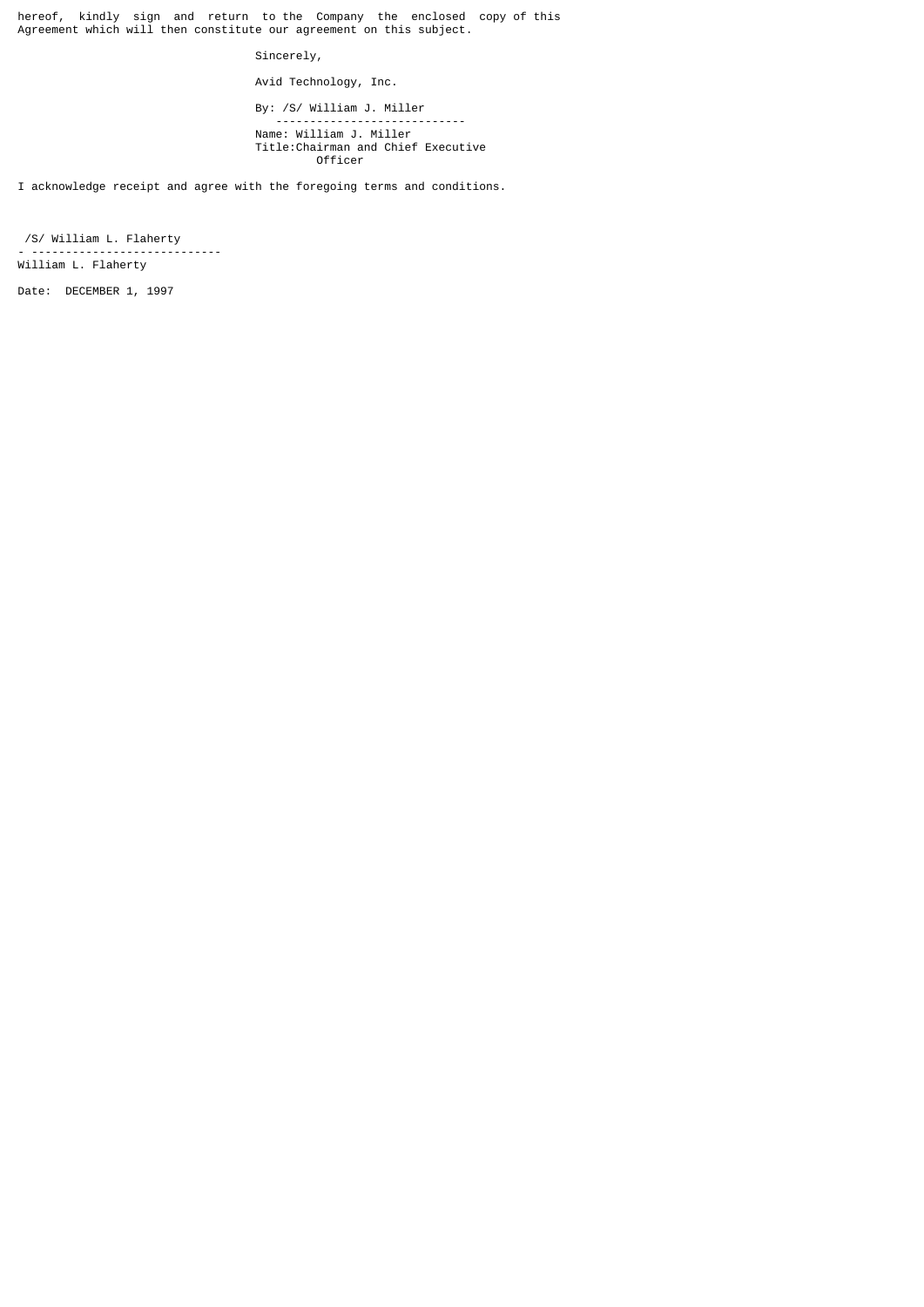hereof, kindly sign and return to the Company the enclosed copy of this Agreement which will then constitute our agreement on this subject.

Sincerely,

Avid Technology, Inc.

By: /S/ William J. Miller

 ---------------------------- Name: William J. Miller Title:Chairman and Chief Executive Officer

I acknowledge receipt and agree with the foregoing terms and conditions.

 /S/ William L. Flaherty - ---------------------------- William L. Flaherty

Date: DECEMBER 1, 1997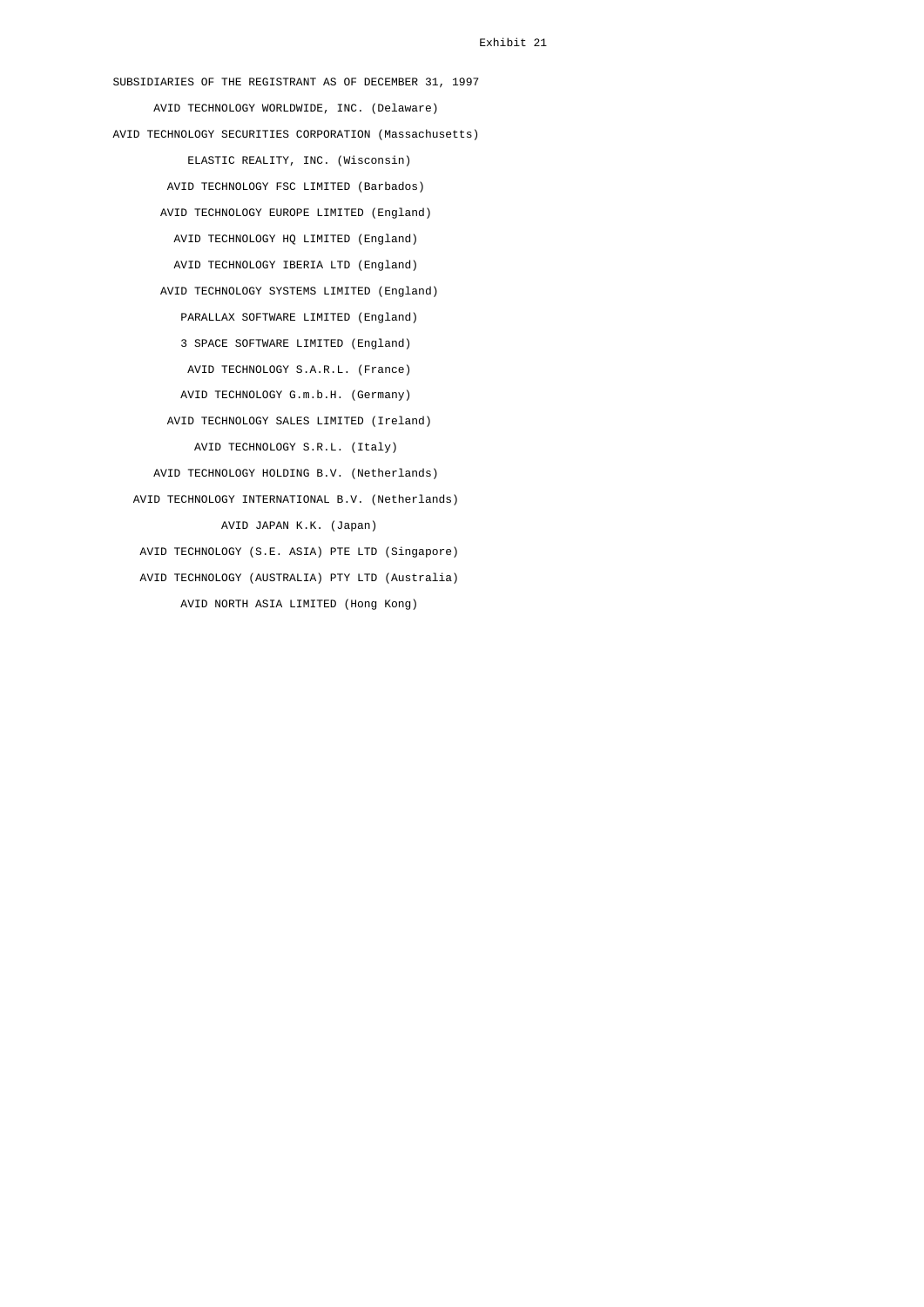SUBSIDIARIES OF THE REGISTRANT AS OF DECEMBER 31, 1997 AVID TECHNOLOGY WORLDWIDE, INC. (Delaware) AVID TECHNOLOGY SECURITIES CORPORATION (Massachusetts) ELASTIC REALITY, INC. (Wisconsin) AVID TECHNOLOGY FSC LIMITED (Barbados) AVID TECHNOLOGY EUROPE LIMITED (England) AVID TECHNOLOGY HQ LIMITED (England) AVID TECHNOLOGY IBERIA LTD (England) AVID TECHNOLOGY SYSTEMS LIMITED (England) PARALLAX SOFTWARE LIMITED (England) 3 SPACE SOFTWARE LIMITED (England) AVID TECHNOLOGY S.A.R.L. (France) AVID TECHNOLOGY G.m.b.H. (Germany) AVID TECHNOLOGY SALES LIMITED (Ireland) AVID TECHNOLOGY S.R.L. (Italy) AVID TECHNOLOGY HOLDING B.V. (Netherlands) AVID TECHNOLOGY INTERNATIONAL B.V. (Netherlands) AVID JAPAN K.K. (Japan) AVID TECHNOLOGY (S.E. ASIA) PTE LTD (Singapore) AVID TECHNOLOGY (AUSTRALIA) PTY LTD (Australia) AVID NORTH ASIA LIMITED (Hong Kong)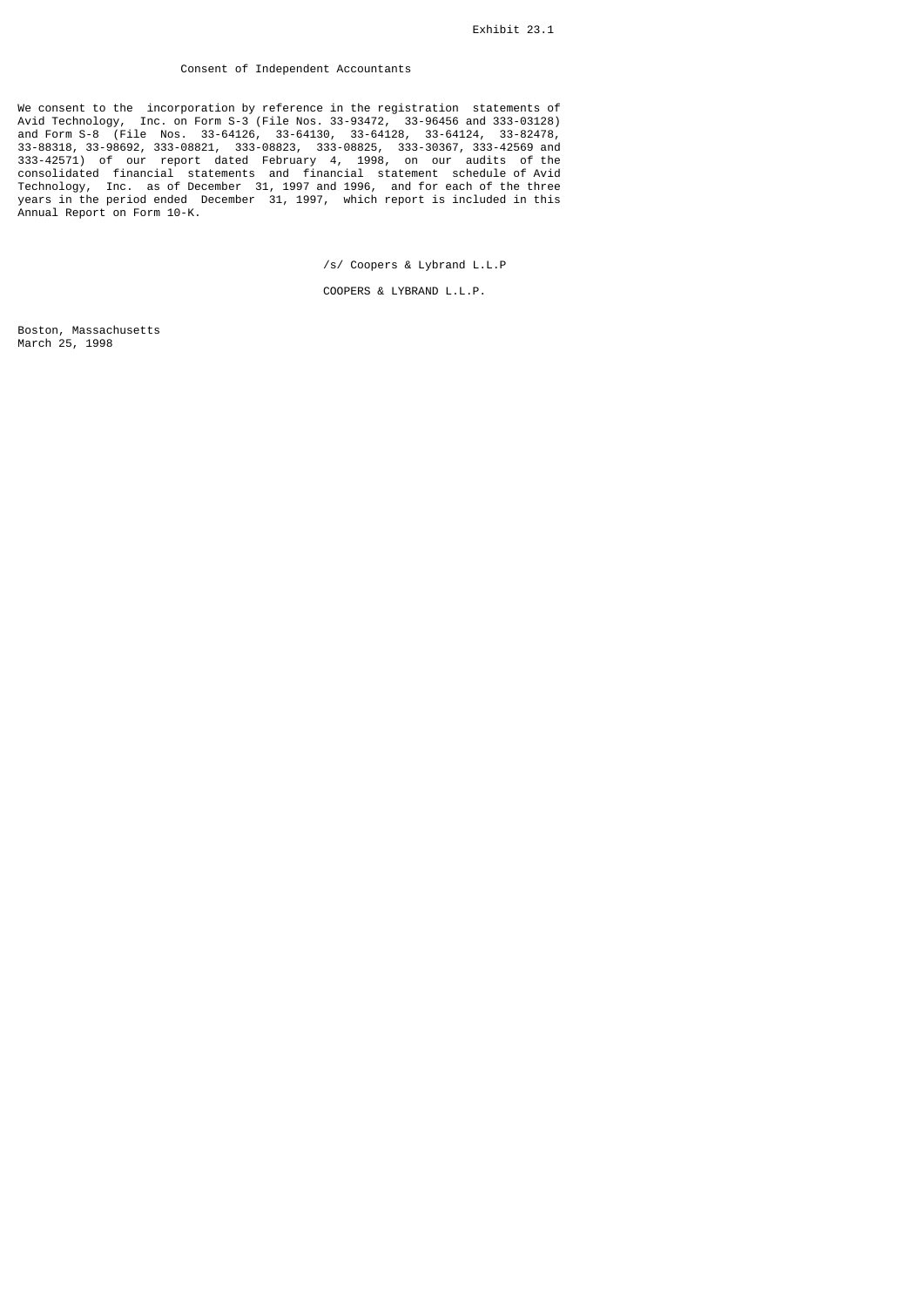# Consent of Independent Accountants

We consent to the incorporation by reference in the registration statements of Avid Technology, Inc. on Form S-3 (File Nos. 33-93472, 33-96456 and 333-03128) and Form S-8 (File Nos. 33-64126, 33-64130, 33-64128, 33-64124, 33-82478, 33-88318, 33-98692, 333-08821, 333-08823, 333-08825, 333-30367, 333-42569 and 333-42571) of our report dated February 4, 1998, on our audits of the consolidated financial statements and financial statement schedule of Avid Technology, Inc. as of December 31, 1997 and 1996, and for each of the three years in the period ended December 31, 1997, which report is included in this Annual Report on Form 10-K.

/s/ Coopers & Lybrand L.L.P

COOPERS & LYBRAND L.L.P.

Boston, Massachusetts March 25, 1998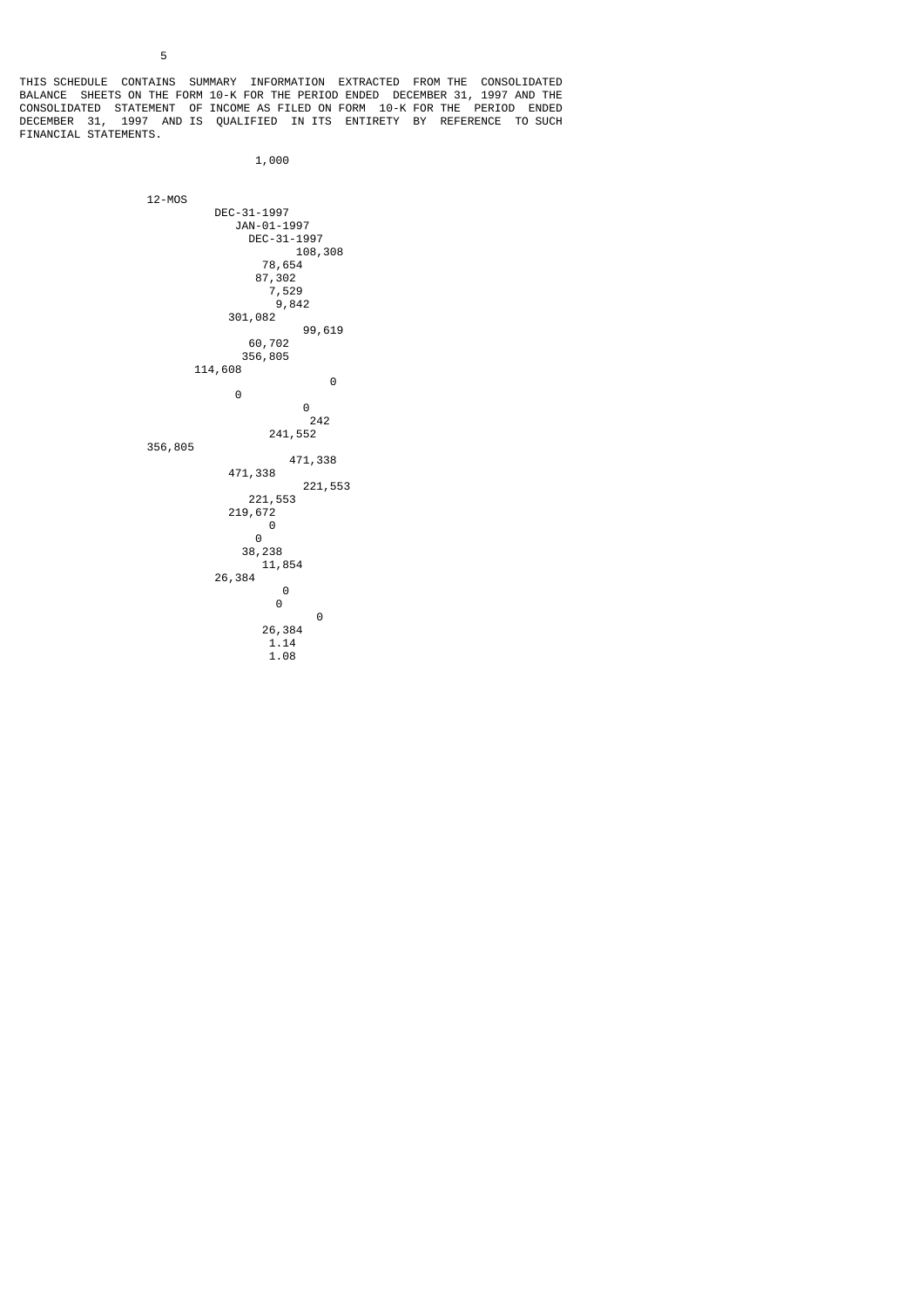THIS SCHEDULE CONTAINS SUMMARY INFORMATION EXTRACTED FROM THE CONSOLIDATED BALANCE SHEETS ON THE FORM 10-K FOR THE PERIOD ENDED DECEMBER 31, 1997 AND THE CONSOLIDATED STATEMENT OF INCOME AS FILED ON FORM 10-K FOR THE PERIOD ENDED DECEMBER 31, 1997 AND IS QUALIFIED IN ITS ENTIRETY BY REFERENCE TO SUCH FINANCIAL STATEMENTS.

```
 1,000
```
12-MOS

 DEC-31-1997 JAN-01-1997 DEC-31-1997 108,308 78,654 87,302 7,529 9,842 301,082  $99,619$ <br> $60,702$  60,702  $356,805$  114,608 0 0 0 242 241,552 356,805 471,338 471,338 221,553 221,553 219,672 0 0 38,238 11,854 26,384 0 0 0 26,384 1.14 1.08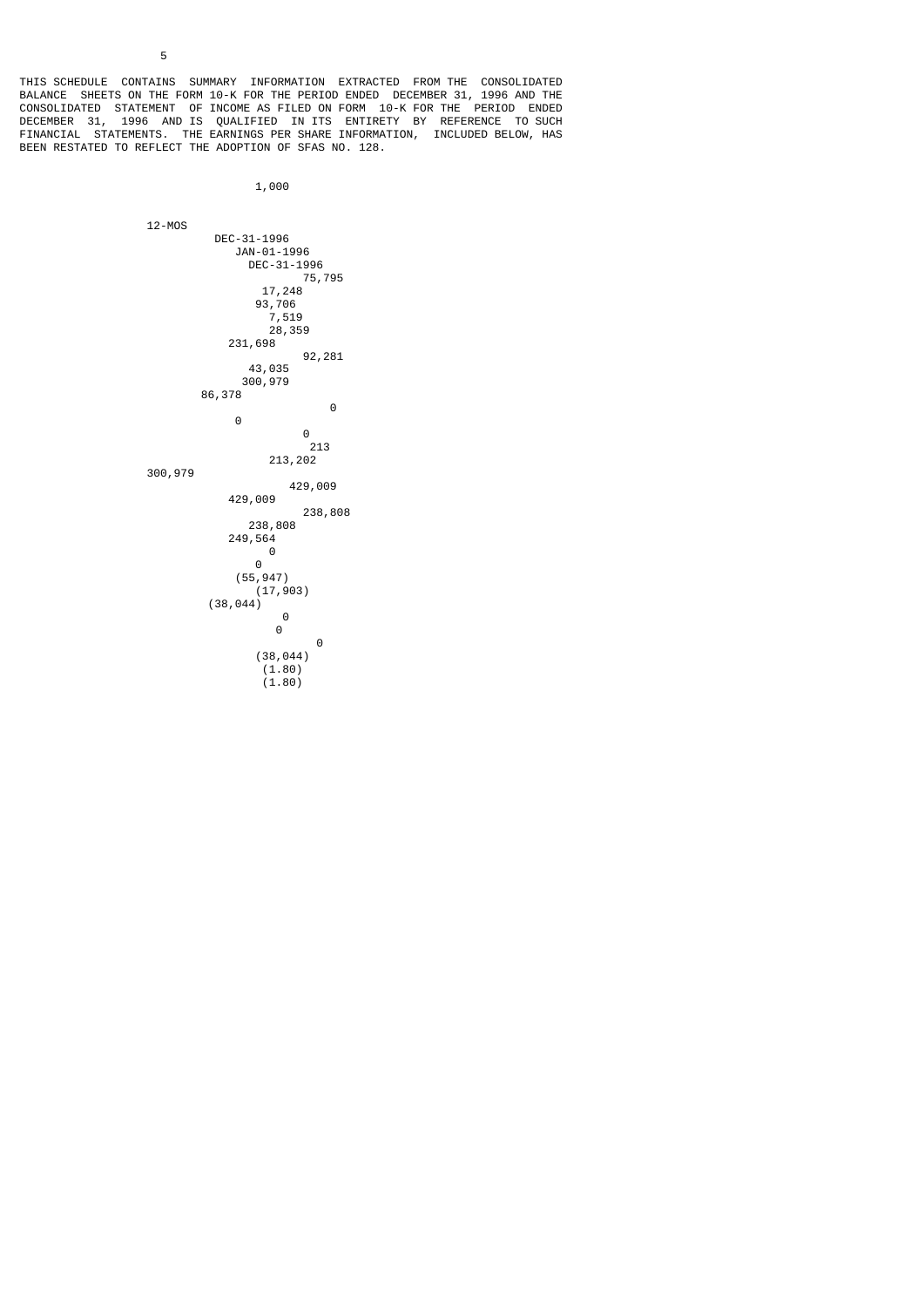THIS SCHEDULE CONTAINS SUMMARY INFORMATION EXTRACTED FROM THE CONSOLIDATED BALANCE SHEETS ON THE FORM 10-K FOR THE PERIOD ENDED DECEMBER 31, 1996 AND THE CONSOLIDATED STATEMENT OF INCOME AS FILED ON FORM 10-K FOR THE PERIOD ENDED DECEMBER 31, 1996 AND IS QUALIFIED IN ITS ENTIRETY BY REFERENCE TO SUCH FINANCIAL STATEMENTS. THE EARNINGS PER SHARE INFORMATION, INCLUDED BELOW, HAS BEEN RESTATED TO REFLECT THE ADOPTION OF SFAS NO. 128.

```
 1,000
```
 12-MOS DEC-31-1996 JAN-01-1996 DEC-31-1996 75,795 17,248 93,706 7,519 28,359 231,698 92,281 43,035 300,979 86,378 0 0 0 <u>213</u> 213,202 300,979 429,009 429,009 238,808 238,808  $249,564$  0 0  $(55, 947)$  $(17,903)$  $(38, 044)$  0 0 0 (38,044)  $(1.80)$ 

 $(1.80)$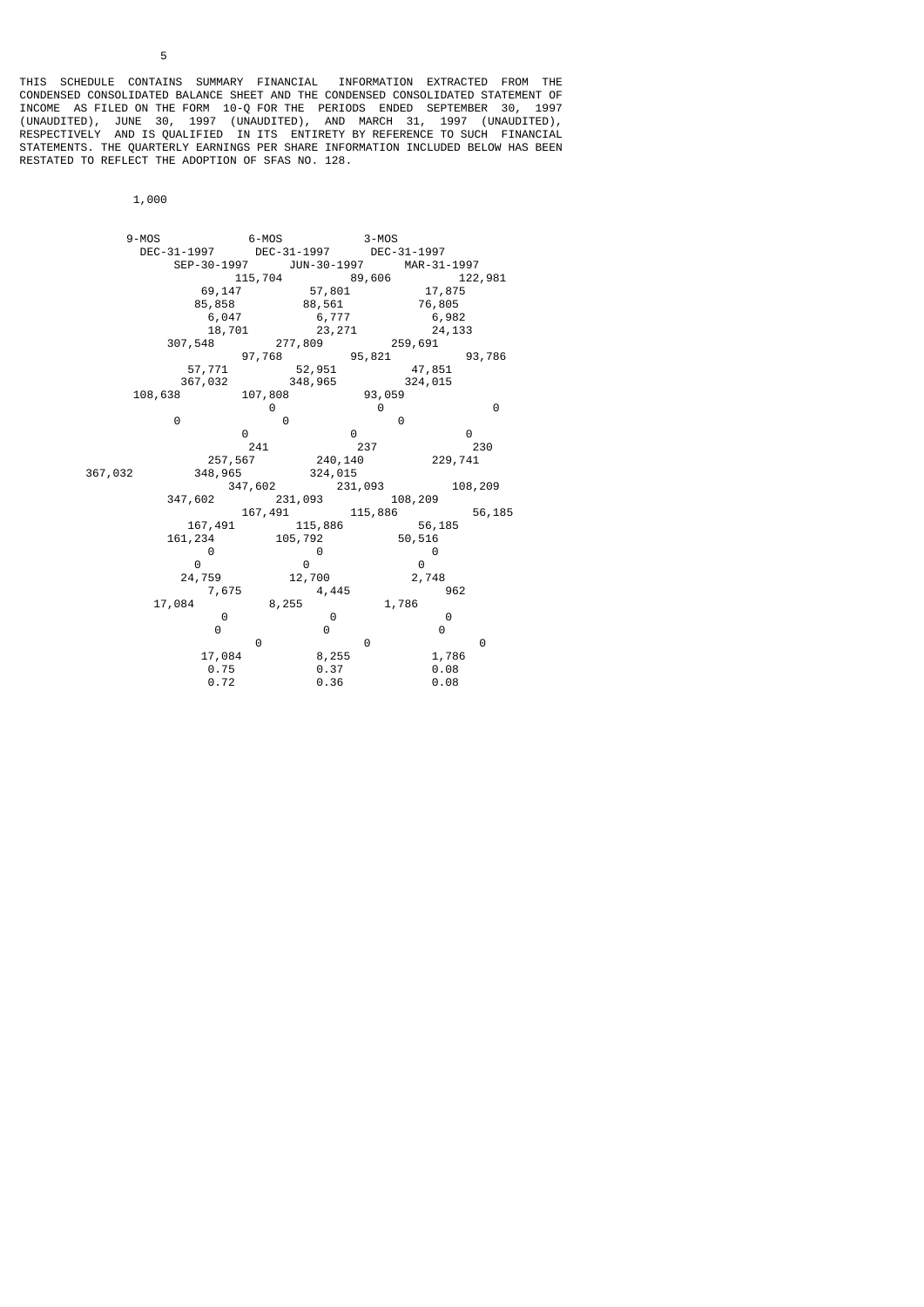THIS SCHEDULE CONTAINS SUMMARY FINANCIAL INFORMATION EXTRACTED FROM THE CONDENSED CONSOLIDATED BALANCE SHEET AND THE CONDENSED CONSOLIDATED STATEMENT OF INCOME AS FILED ON THE FORM 10-Q FOR THE PERIODS ENDED SEPTEMBER 30, 1997 (UNAUDITED), JUNE 30, 1997 (UNAUDITED), AND MARCH 31, 1997 (UNAUDITED), RESPECTIVELY AND IS QUALIFIED IN ITS ENTIRETY BY REFERENCE TO SUCH FINANCIAL STATEMENTS. THE QUARTERLY EARNINGS PER SHARE INFORMATION INCLUDED BELOW HAS BEEN RESTATED TO REFLECT THE ADOPTION OF SFAS NO. 128.

1,000

| $9 - MOS$   |             | $6 - MOS$   |             | $3 - MOS$   |             |         |
|-------------|-------------|-------------|-------------|-------------|-------------|---------|
| DEC-31-1997 |             | DEC-31-1997 |             | DEC-31-1997 |             |         |
|             | SEP-30-1997 |             | JUN-30-1997 |             | MAR-31-1997 |         |
|             | 115,704     |             |             | 89,606      |             | 122,981 |
|             | 69,147      |             | 57,801      |             | 17,875      |         |
|             | 85,858      |             | 88,561      |             | 76,805      |         |
|             | 6,047       |             | 6,777       |             | 6,982       |         |
|             | 18,701      |             | 23, 271     |             | 24,133      |         |
| 307,548     |             | 277,809     |             | 259,691     |             |         |
|             | 97,768      |             |             | 95,821      |             | 93,786  |
|             | 57,771      |             | 52,951      |             | 47,851      |         |
|             | 367,032     | 348,965     |             |             | 324,015     |         |
| 108,638     |             | 107,808     |             | 93,059      |             |         |
|             |             | 0           |             | 0           |             | 0       |
| 0           |             | 0           |             | 0           |             |         |
|             | 0           |             | 0           |             | 0           |         |
|             | 241         |             |             | 237         |             | 230     |
|             | 257,567     |             | 240,140     |             | 229,741     |         |
| 367,032     | 348,965     |             | 324,015     |             |             |         |
|             | 347,602     |             | 231,093     |             |             | 108,209 |
| 347,602     |             | 231,093     |             | 108,209     |             |         |
|             |             | 167,491     |             | 115,886     |             | 56,185  |
|             | 167,491     |             | 115,886     |             | 56,185      |         |
| 161,234     |             | 105,792     |             | 50,516      |             |         |
|             | 0           |             | 0           |             | 0           |         |
| 0           |             | 0           |             | $\Theta$    |             |         |
|             | 24,759      | 12,700      |             |             | 2,748       |         |
|             | 7,675       |             | 4,445       |             | 962         |         |
| 17,084      |             | 8,255       |             | 1,786       |             |         |
|             | 0           |             | 0           |             | 0           |         |
|             | 0           |             | 0           |             | 0           |         |
|             | $\Theta$    |             |             | 0           |             | 0       |
|             | 17,084      |             | 8,255       |             | 1,786       |         |
|             | 0.75        |             | 0.37        |             | 0.08        |         |
|             | 0.72        |             | 0.36        |             | 0.08        |         |